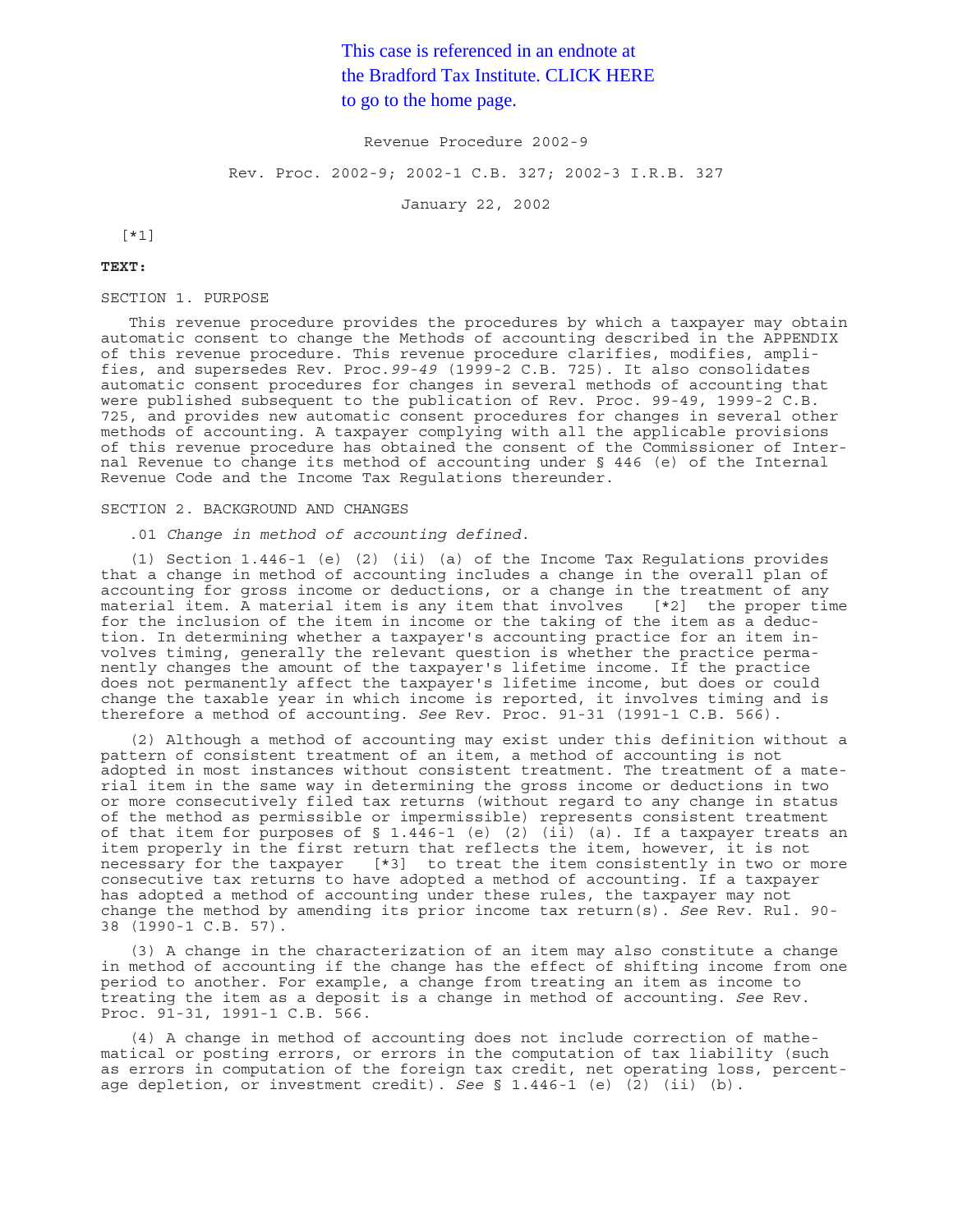# This case is referenced in an endnote at [the Bradford Tax Institute. CLICK HERE](http://www.bradfordtaxinstitute.com/)  to go to the home page.

Revenue Procedure 2002-9

Rev. Proc. 2002-9; 2002-1 C.B. 327; 2002-3 I.R.B. 327

January 22, 2002

[\*1]

#### **TEXT:**

# SECTION 1. PURPOSE

This revenue procedure provides the procedures by which a taxpayer may obtain automatic consent to change the Methods of accounting described in the APPENDIX of this revenue procedure. This revenue procedure clarifies, modifies, amplifies, and supersedes Rev. Proc.*99-49* (1999-2 C.B. 725). It also consolidates automatic consent procedures for changes in several methods of accounting that were published subsequent to the publication of Rev. Proc. 99-49, 1999-2 C.B. 725, and provides new automatic consent procedures for changes in several other methods of accounting. A taxpayer complying with all the applicable provisions of this revenue procedure has obtained the consent of the Commissioner of Internal Revenue to change its method of accounting under § 446 (e) of the Internal Revenue Code and the Income Tax Regulations thereunder.

#### SECTION 2. BACKGROUND AND CHANGES

.01 *Change in method of accounting defined*.

(1) Section 1.446-1 (e) (2) (ii) (a) of the Income Tax Regulations provides that a change in method of accounting includes a change in the overall plan of accounting for gross income or deductions, or a change in the treatment of any material item. A material item is any item that involves [\*2] the proper time for the inclusion of the item in income or the taking of the item as a deduction. In determining whether a taxpayer's accounting practice for an item involves timing, generally the relevant question is whether the practice permanently changes the amount of the taxpayer's lifetime income. If the practice does not permanently affect the taxpayer's lifetime income, but does or could change the taxable year in which income is reported, it involves timing and is therefore a method of accounting. *See* Rev. Proc. 91-31 (1991-1 C.B. 566).

(2) Although a method of accounting may exist under this definition without a pattern of consistent treatment of an item, a method of accounting is not adopted in most instances without consistent treatment. The treatment of a material item in the same way in determining the gross income or deductions in two or more consecutively filed tax returns (without regard to any change in status of the method as permissible or impermissible) represents consistent treatment of that item for purposes of  $\S$  1.446-1 (e) (2) (ii) (a). If a taxpayer treats an item properly in the first return that reflects the item, however, it is not necessary for the taxpayer [\*3] to treat the item consistently in two or more consecutive tax returns to have adopted a method of accounting. If a taxpayer has adopted a method of accounting under these rules, the taxpayer may not change the method by amending its prior income tax return(s). *See* Rev. Rul. 90- 38 (1990-1 C.B. 57).

(3) A change in the characterization of an item may also constitute a change in method of accounting if the change has the effect of shifting income from one period to another. For example, a change from treating an item as income to treating the item as a deposit is a change in method of accounting. *See* Rev. Proc. 91-31, 1991-1 C.B. 566.

(4) A change in method of accounting does not include correction of mathematical or posting errors, or errors in the computation of tax liability (such as errors in computation of the foreign tax credit, net operating loss, percentage depletion, or investment credit). *See* § 1.446-1 (e) (2) (ii) (b).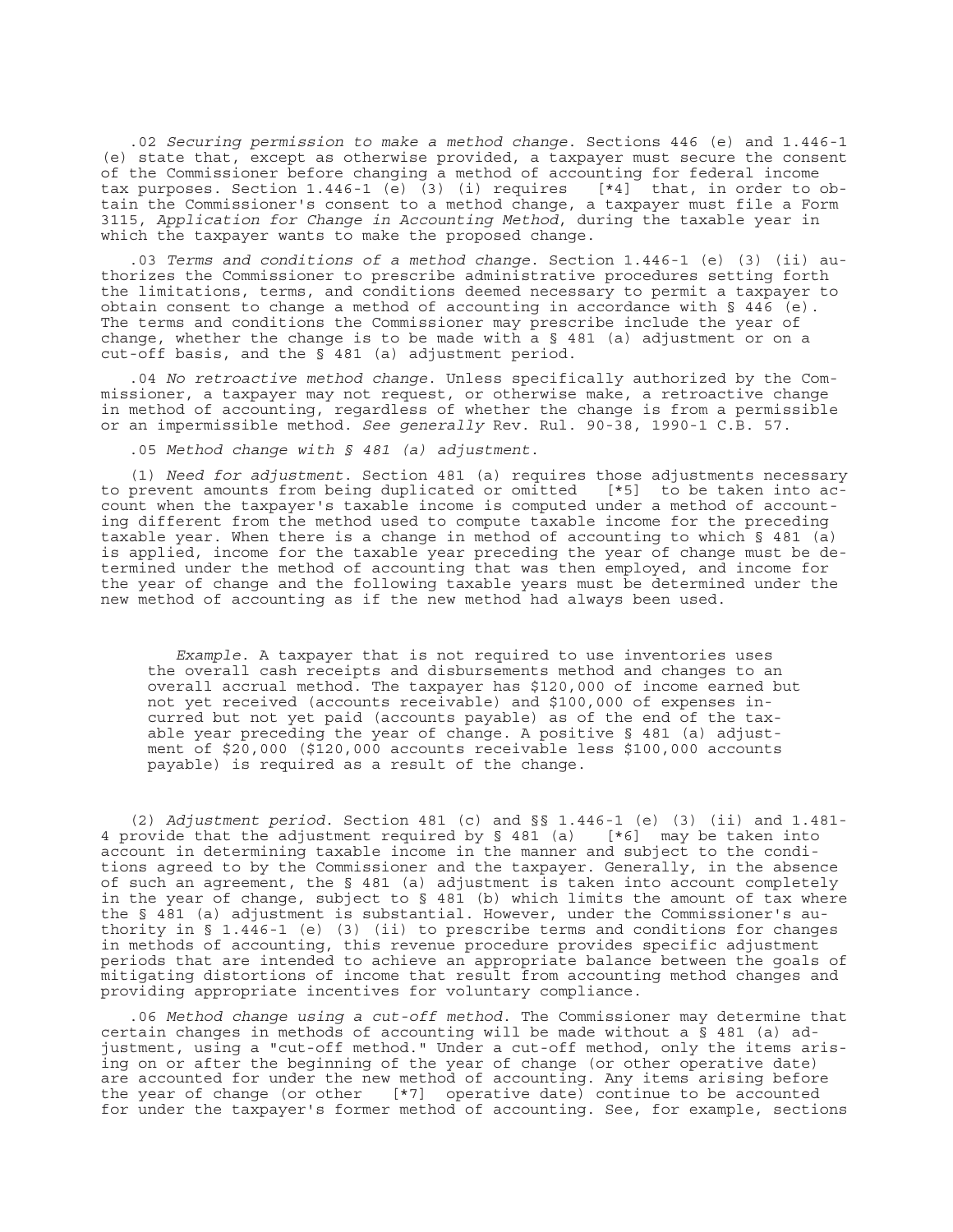.02 *Securing permission to make a method change*. Sections 446 (e) and 1.446-1 (e) state that, except as otherwise provided, a taxpayer must secure the consent of the Commissioner before changing a method of accounting for federal income tax purposes. Section 1.446-1 (e) (3) (i) requires [\*4] that, in order to obtain the Commissioner's consent to a method change, a taxpayer must file a Form 3115, *Application for Change in Accounting Method*, during the taxable year in which the taxpayer wants to make the proposed change.

.03 *Terms and conditions of a method change*. Section 1.446-1 (e) (3) (ii) authorizes the Commissioner to prescribe administrative procedures setting forth the limitations, terms, and conditions deemed necessary to permit a taxpayer to obtain consent to change a method of accounting in accordance with § 446 (e). The terms and conditions the Commissioner may prescribe include the year of change, whether the change is to be made with a § 481 (a) adjustment or on a cut-off basis, and the § 481 (a) adjustment period.

.04 *No retroactive method change*. Unless specifically authorized by the Commissioner, a taxpayer may not request, or otherwise make, a retroactive change in method of accounting, regardless of whether the change is from a permissible or an impermissible method. *See generally* Rev. Rul. 90-38, 1990-1 C.B. 57.

.05 *Method change with § 481 (a) adjustment*.

(1) *Need for adjustment*. Section 481 (a) requires those adjustments necessary to prevent amounts from being duplicated or omitted [\*5] to be taken into account when the taxpayer's taxable income is computed under a method of accounting different from the method used to compute taxable income for the preceding taxable year. When there is a change in method of accounting to which § 481 (a) is applied, income for the taxable year preceding the year of change must be determined under the method of accounting that was then employed, and income for the year of change and the following taxable years must be determined under the new method of accounting as if the new method had always been used.

*Example*. A taxpayer that is not required to use inventories uses the overall cash receipts and disbursements method and changes to an overall accrual method. The taxpayer has \$120,000 of income earned but not yet received (accounts receivable) and \$100,000 of expenses incurred but not yet paid (accounts payable) as of the end of the taxable year preceding the year of change. A positive § 481 (a) adjustment of \$20,000 (\$120,000 accounts receivable less \$100,000 accounts payable) is required as a result of the change.

(2) *Adjustment period*. Section 481 (c) and §§ 1.446-1 (e) (3) (ii) and 1.481- 4 provide that the adjustment required by § 481 (a) [\*6] may be taken into account in determining taxable income in the manner and subject to the conditions agreed to by the Commissioner and the taxpayer. Generally, in the absence of such an agreement, the § 481 (a) adjustment is taken into account completely in the year of change, subject to § 481 (b) which limits the amount of tax where the § 481 (a) adjustment is substantial. However, under the Commissioner's authority in § 1.446-1 (e) (3) (ii) to prescribe terms and conditions for changes in methods of accounting, this revenue procedure provides specific adjustment periods that are intended to achieve an appropriate balance between the goals of mitigating distortions of income that result from accounting method changes and providing appropriate incentives for voluntary compliance.

.06 *Method change using a cut-off method*. The Commissioner may determine that certain changes in methods of accounting will be made without a  $\bar{S}$  481 (a) adjustment, using a "cut-off method." Under a cut-off method, only the items arising on or after the beginning of the year of change (or other operative date) are accounted for under the new method of accounting. Any items arising before the year of change (or other [\*7] operative date) continue to be accounted for under the taxpayer's former method of accounting. See, for example, sections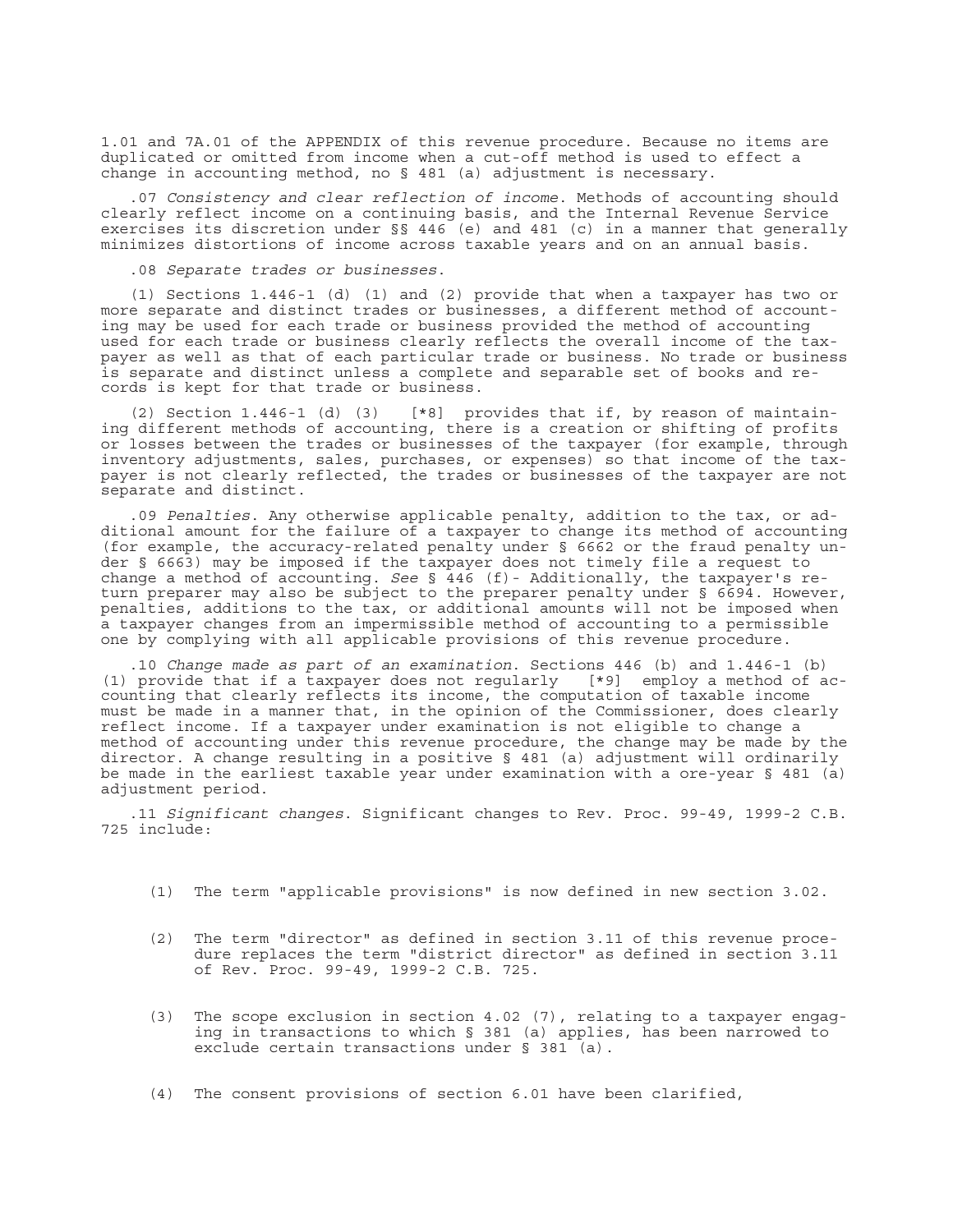1.01 and 7A.01 of the APPENDIX of this revenue procedure. Because no items are duplicated or omitted from income when a cut-off method is used to effect a change in accounting method, no § 481 (a) adjustment is necessary.

.07 *Consistency and clear reflection of income*. Methods of accounting should clearly reflect income on a continuing basis, and the Internal Revenue Service exercises its discretion under §§ 446 (e) and 481 (c) in a manner that generally minimizes distortions of income across taxable years and on an annual basis.

.08 *Separate trades or businesses*.

(1) Sections 1.446-1 (d) (1) and (2) provide that when a taxpayer has two or more separate and distinct trades or businesses, a different method of accounting may be used for each trade or business provided the method of accounting used for each trade or business clearly reflects the overall income of the taxpayer as well as that of each particular trade or business. No trade or business is separate and distinct unless a complete and separable set of books and records is kept for that trade or business.

(2) Section 1.446-1 (d) (3) [\*8] provides that if, by reason of maintaining different methods of accounting, there is a creation or shifting of profits or losses between the trades or businesses of the taxpayer (for example, through inventory adjustments, sales, purchases, or expenses) so that income of the taxpayer is not clearly reflected, the trades or businesses of the taxpayer are not separate and distinct.

.09 *Penalties*. Any otherwise applicable penalty, addition to the tax, or additional amount for the failure of a taxpayer to change its method of accounting (for example, the accuracy-related penalty under § 6662 or the fraud penalty under § 6663) may be imposed if the taxpayer does not timely file a request to change a method of accounting. *See* § 446 (f)- Additionally, the taxpayer's return preparer may also be subject to the preparer penalty under § 6694. However, penalties, additions to the tax, or additional amounts will not be imposed when a taxpayer changes from an impermissible method of accounting to a permissible one by complying with all applicable provisions of this revenue procedure.

.10 *Change made as part of an examination*. Sections 446 (b) and 1.446-1 (b) (1) provide that if a taxpayer does not regularly [\*9] employ a method of accounting that clearly reflects its income, the computation of taxable income must be made in a manner that, in the opinion of the Commissioner, does clearly reflect income. If a taxpayer under examination is not eligible to change a method of accounting under this revenue procedure, the change may be made by the director. A change resulting in a positive § 481 (a) adjustment will ordinarily be made in the earliest taxable year under examination with a ore-year § 481 (a) adjustment period.

.11 *Significant changes*. Significant changes to Rev. Proc. 99-49, 1999-2 C.B. 725 include:

- (1) The term "applicable provisions" is now defined in new section 3.02.
- (2) The term "director" as defined in section 3.11 of this revenue procedure replaces the term "district director" as defined in section 3.11 of Rev. Proc. 99-49, 1999-2 C.B. 725.
- (3) The scope exclusion in section 4.02 (7), relating to a taxpayer engaging in transactions to which § 381 (a) applies, has been narrowed to exclude certain transactions under § 381 (a).
- (4) The consent provisions of section 6.01 have been clarified,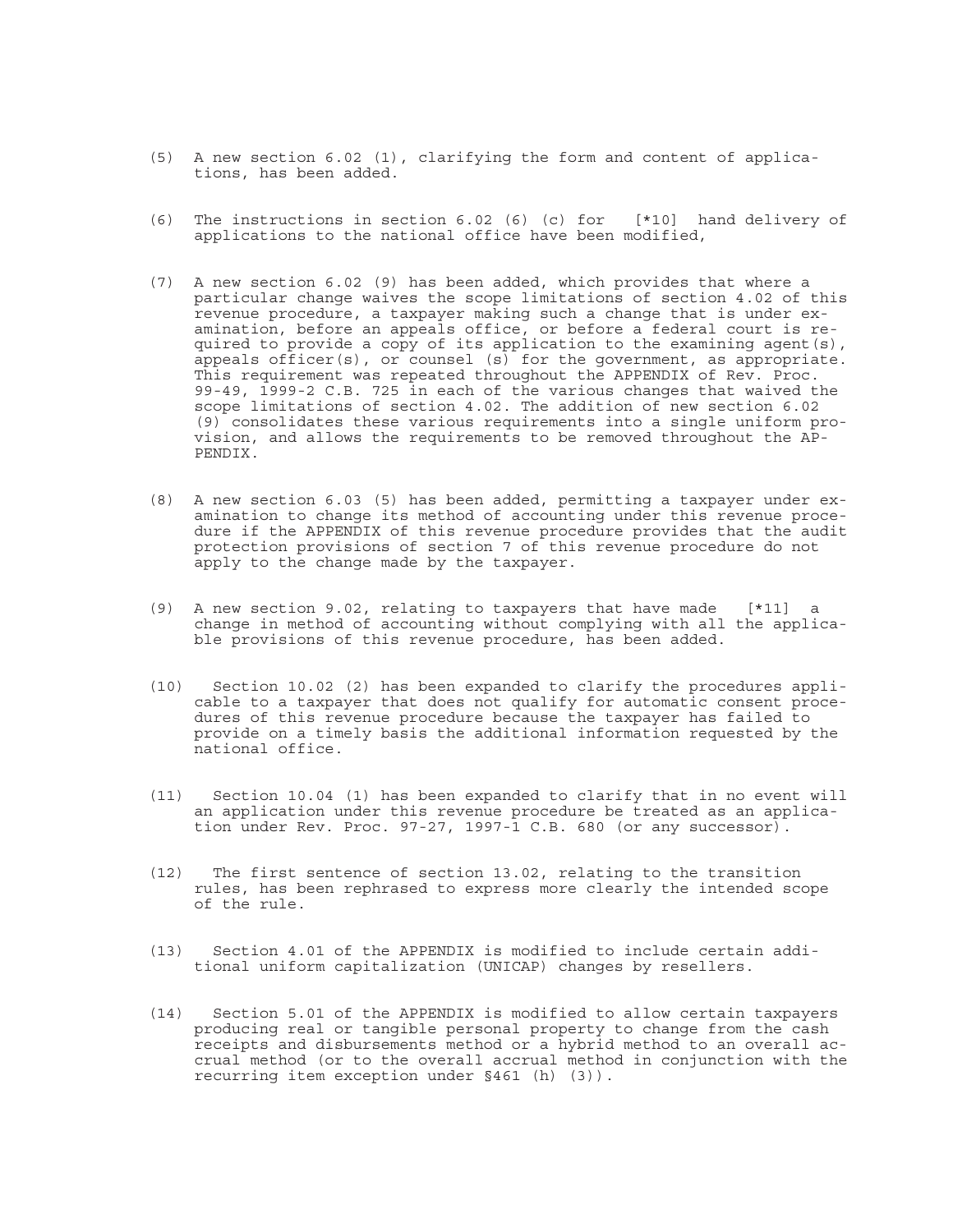- (5) A new section 6.02 (1), clarifying the form and content of applications, has been added.
- (6) The instructions in section 6.02 (6) (c) for [\*10] hand delivery of applications to the national office have been modified,
- (7) A new section 6.02 (9) has been added, which provides that where a particular change waives the scope limitations of section 4.02 of this revenue procedure, a taxpayer making such a change that is under examination, before an appeals office, or before a federal court is required to provide a copy of its application to the examining agent(s), appeals officer(s), or counsel (s) for the government, as appropriate. This requirement was repeated throughout the APPENDIX of Rev. Proc. 99-49, 1999-2 C.B. 725 in each of the various changes that waived the scope limitations of section 4.02. The addition of new section 6.02 (9) consolidates these various requirements into a single uniform provision, and allows the requirements to be removed throughout the AP-PENDIX.
- (8) A new section 6.03 (5) has been added, permitting a taxpayer under examination to change its method of accounting under this revenue procedure if the APPENDIX of this revenue procedure provides that the audit protection provisions of section 7 of this revenue procedure do not apply to the change made by the taxpayer.
- (9) A new section 9.02, relating to taxpayers that have made [\*11] a change in method of accounting without complying with all the applicable provisions of this revenue procedure, has been added.
- (10) Section 10.02 (2) has been expanded to clarify the procedures applicable to a taxpayer that does not qualify for automatic consent procedures of this revenue procedure because the taxpayer has failed to provide on a timely basis the additional information requested by the national office.
- (11) Section 10.04 (1) has been expanded to clarify that in no event will an application under this revenue procedure be treated as an application under Rev. Proc. 97-27, 1997-1 C.B. 680 (or any successor).
- (12) The first sentence of section 13.02, relating to the transition rules, has been rephrased to express more clearly the intended scope of the rule.
- (13) Section 4.01 of the APPENDIX is modified to include certain additional uniform capitalization (UNICAP) changes by resellers.
- (14) Section 5.01 of the APPENDIX is modified to allow certain taxpayers producing real or tangible personal property to change from the cash receipts and disbursements method or a hybrid method to an overall accrual method (or to the overall accrual method in conjunction with the recurring item exception under §461 (h) (3)).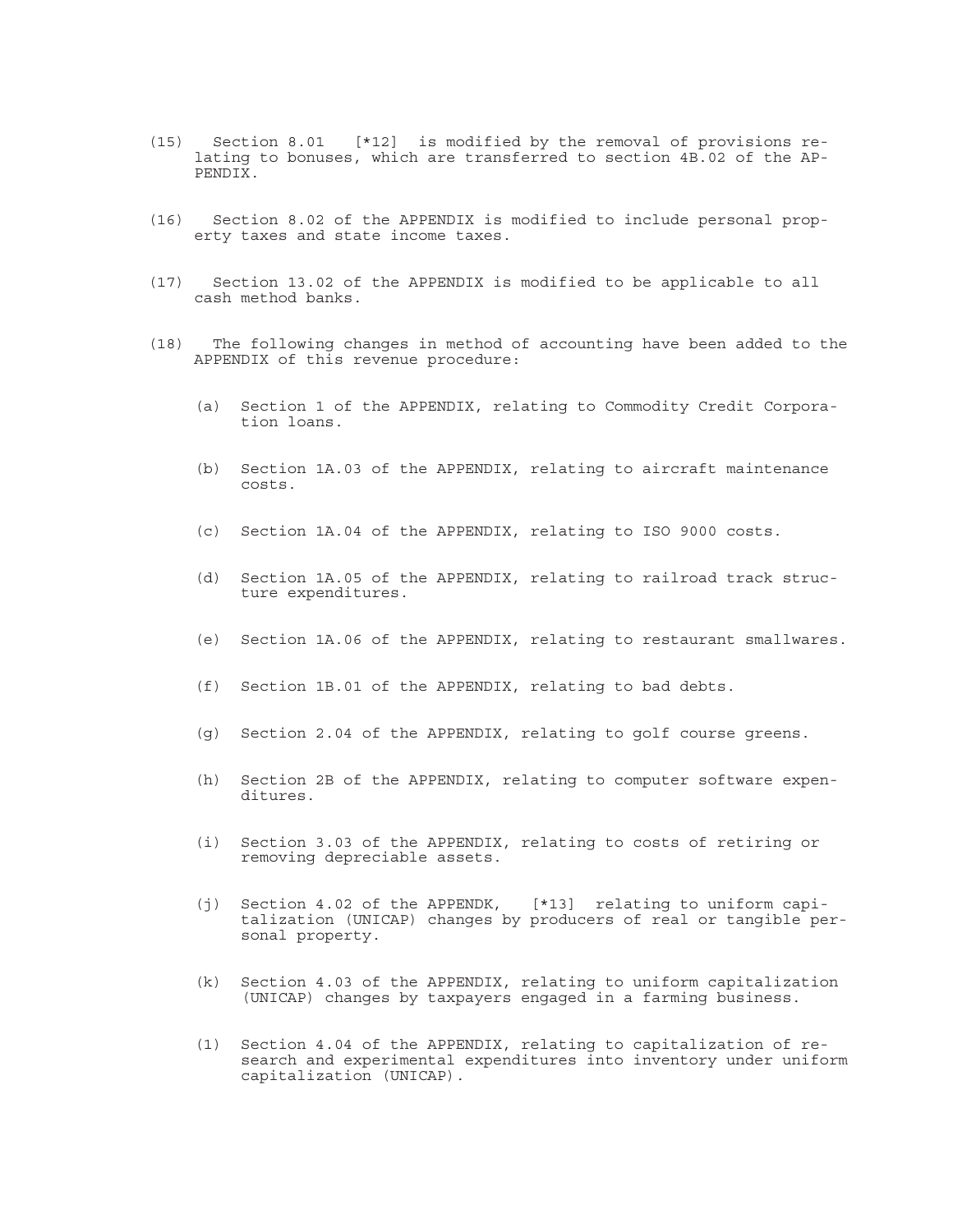- (15) Section 8.01 [\*12] is modified by the removal of provisions relating to bonuses, which are transferred to section 4B.02 of the AP-PENDIX.
- (16) Section 8.02 of the APPENDIX is modified to include personal property taxes and state income taxes.
- (17) Section 13.02 of the APPENDIX is modified to be applicable to all cash method banks.
- (18) The following changes in method of accounting have been added to the APPENDIX of this revenue procedure:
	- (a) Section 1 of the APPENDIX, relating to Commodity Credit Corporation loans.
	- (b) Section 1A.03 of the APPENDIX, relating to aircraft maintenance costs.
	- (c) Section 1A.04 of the APPENDIX, relating to ISO 9000 costs.
	- (d) Section 1A.05 of the APPENDIX, relating to railroad track structure expenditures.
	- (e) Section 1A.06 of the APPENDIX, relating to restaurant smallwares.
	- (f) Section 1B.01 of the APPENDIX, relating to bad debts.
	- (g) Section 2.04 of the APPENDIX, relating to golf course greens.
	- (h) Section 2B of the APPENDIX, relating to computer software expenditures.
	- (i) Section 3.03 of the APPENDIX, relating to costs of retiring or removing depreciable assets.
	- (j) Section 4.02 of the APPENDK, [\*13] relating to uniform capitalization (UNICAP) changes by producers of real or tangible personal property.
	- (k) Section 4.03 of the APPENDIX, relating to uniform capitalization (UNICAP) changes by taxpayers engaged in a farming business.
	- (1) Section 4.04 of the APPENDIX, relating to capitalization of research and experimental expenditures into inventory under uniform capitalization (UNICAP).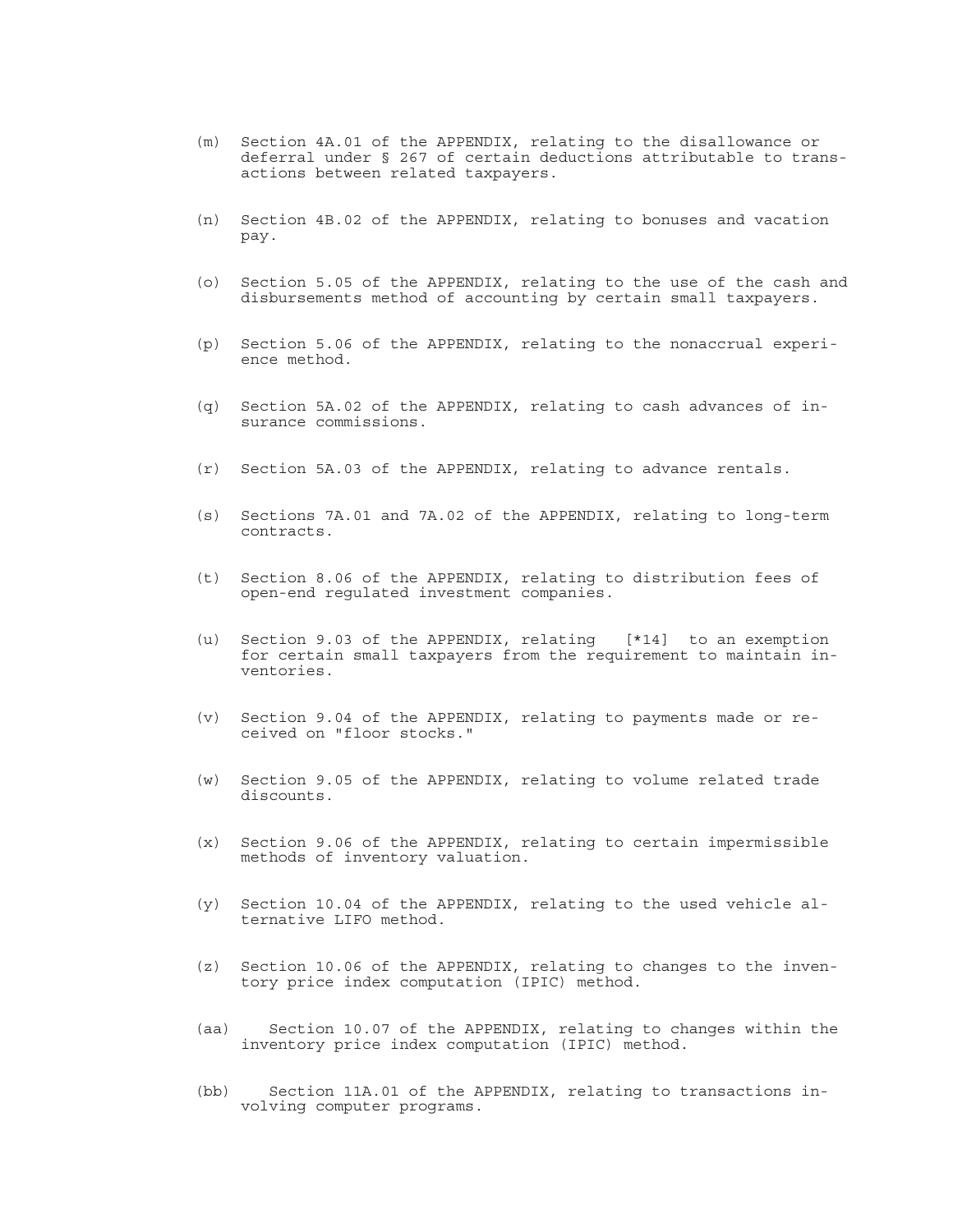- (m) Section 4A.01 of the APPENDIX, relating to the disallowance or deferral under § 267 of certain deductions attributable to transactions between related taxpayers.
- (n) Section 4B.02 of the APPENDIX, relating to bonuses and vacation pay.
- (o) Section 5.05 of the APPENDIX, relating to the use of the cash and disbursements method of accounting by certain small taxpayers.
- (p) Section 5.06 of the APPENDIX, relating to the nonaccrual experience method.
- (q) Section 5A.02 of the APPENDIX, relating to cash advances of insurance commissions.
- (r) Section 5A.03 of the APPENDIX, relating to advance rentals.
- (s) Sections 7A.01 and 7A.02 of the APPENDIX, relating to long-term contracts.
- (t) Section 8.06 of the APPENDIX, relating to distribution fees of open-end regulated investment companies.
- (u) Section 9.03 of the APPENDIX, relating [\*14] to an exemption for certain small taxpayers from the requirement to maintain inventories.
- (v) Section 9.04 of the APPENDIX, relating to payments made or received on "floor stocks."
- (w) Section 9.05 of the APPENDIX, relating to volume related trade discounts.
- (x) Section 9.06 of the APPENDIX, relating to certain impermissible methods of inventory valuation.
- (y) Section 10.04 of the APPENDIX, relating to the used vehicle alternative LIFO method.
- (z) Section 10.06 of the APPENDIX, relating to changes to the inventory price index computation (IPIC) method.
- (aa) Section 10.07 of the APPENDIX, relating to changes within the inventory price index computation (IPIC) method.
- (bb) Section 11A.01 of the APPENDIX, relating to transactions involving computer programs.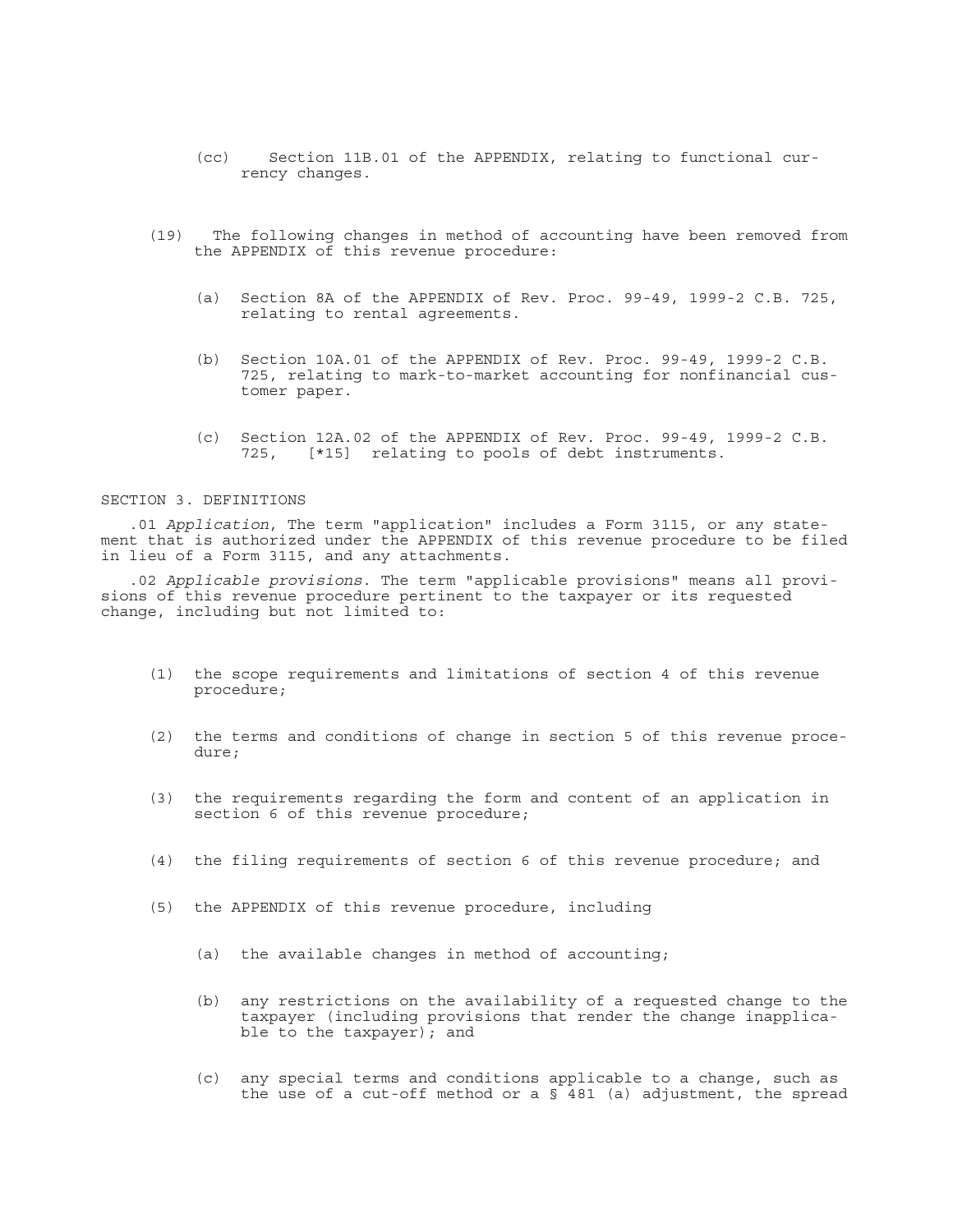- (cc) Section 11B.01 of the APPENDIX, relating to functional currency changes.
- (19) The following changes in method of accounting have been removed from the APPENDIX of this revenue procedure:
	- (a) Section 8A of the APPENDIX of Rev. Proc. 99-49, 1999-2 C.B. 725, relating to rental agreements.
	- (b) Section 10A.01 of the APPENDIX of Rev. Proc. 99-49, 1999-2 C.B. 725, relating to mark-to-market accounting for nonfinancial customer paper.
	- (c) Section 12A.02 of the APPENDIX of Rev. Proc. 99-49, 1999-2 C.B. 725, [\*15] relating to pools of debt instruments.

## SECTION 3. DEFINITIONS

.01 *Application*, The term "application" includes a Form 3115, or any statement that is authorized under the APPENDIX of this revenue procedure to be filed in lieu of a Form 3115, and any attachments.

.02 *Applicable provisions*. The term "applicable provisions" means all provisions of this revenue procedure pertinent to the taxpayer or its requested change, including but not limited to:

- (1) the scope requirements and limitations of section 4 of this revenue procedure;
- (2) the terms and conditions of change in section 5 of this revenue procedure;
- (3) the requirements regarding the form and content of an application in section 6 of this revenue procedure;
- (4) the filing requirements of section 6 of this revenue procedure; and
- (5) the APPENDIX of this revenue procedure, including
	- (a) the available changes in method of accounting;
	- (b) any restrictions on the availability of a requested change to the taxpayer (including provisions that render the change inapplicable to the taxpayer); and
	- (c) any special terms and conditions applicable to a change, such as the use of a cut-off method or a  $\frac{1}{8}$  481 (a) adjustment, the spread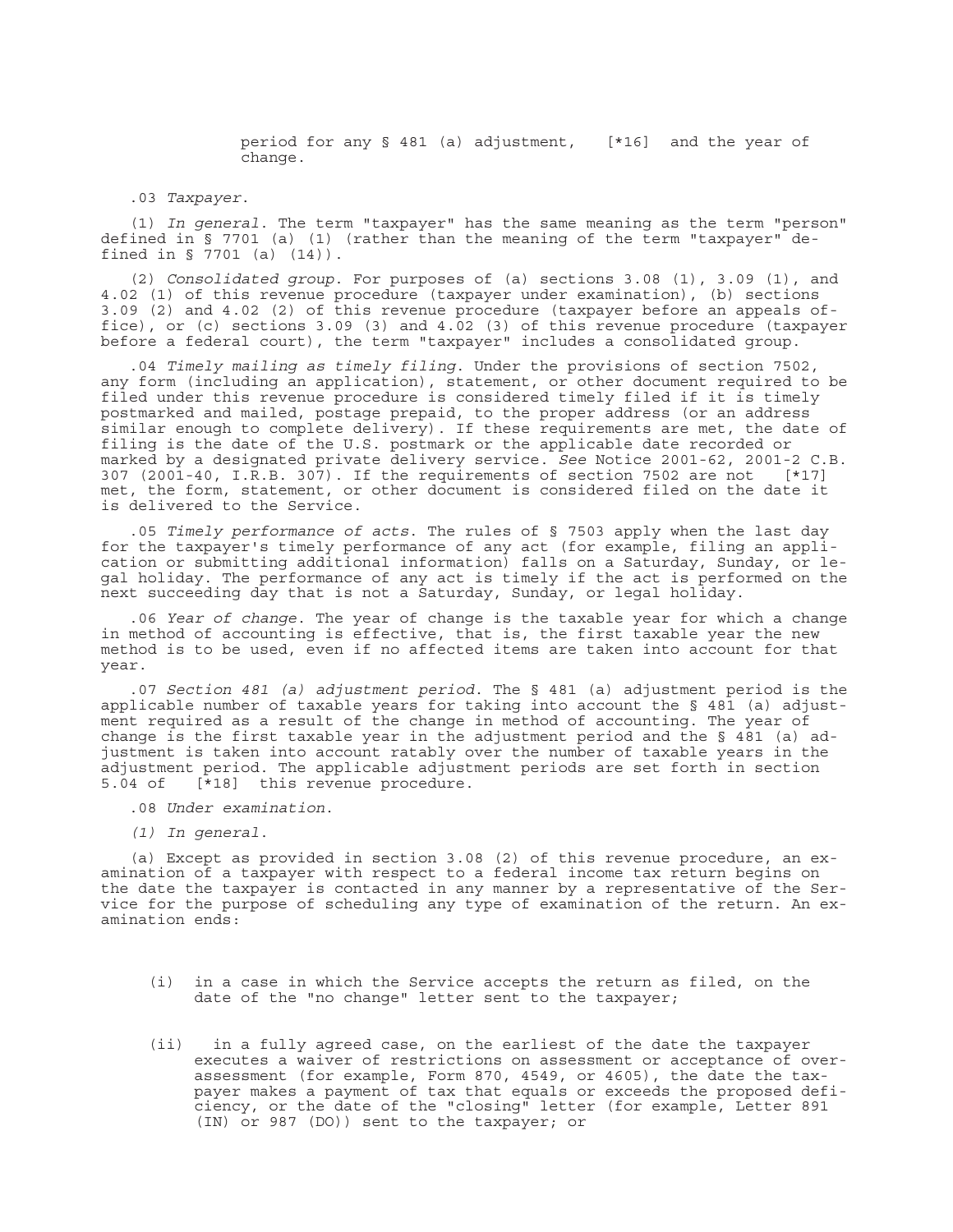period for any § 481 (a) adjustment, [\*16] and the year of change.

.03 *Taxpayer*.

(1) *In general*. The term "taxpayer" has the same meaning as the term "person" defined in § 7701 (a) (1) (rather than the meaning of the term "taxpayer" defined in § 7701 (a) (14)).

(2) *Consolidated group*. For purposes of (a) sections 3.08 (1), 3.09 (1), and 4.02 (1) of this revenue procedure (taxpayer under examination), (b) sections 3.09 (2) and 4.02 (2) of this revenue procedure (taxpayer before an appeals office), or (c) sections 3.09 (3) and 4.02 (3) of this revenue procedure (taxpayer before a federal court), the term "taxpayer" includes a consolidated group.

.04 *Timely mailing as timely filing*. Under the provisions of section 7502, any form (including an application), statement, or other document required to be filed under this revenue procedure is considered timely filed if it is timely postmarked and mailed, postage prepaid, to the proper address (or an address similar enough to complete delivery). If these requirements are met, the date of filing is the date of the U.S. postmark or the applicable date recorded or marked by a designated private delivery service. *See* Notice 2001-62, 2001-2 C.B. 307 (2001-40, I.R.B. 307). If the requirements of section 7502 are not [\*17] met, the form, statement, or other document is considered filed on the date it is delivered to the Service.

.05 *Timely performance of acts*. The rules of § 7503 apply when the last day for the taxpayer's timely performance of any act (for example, filing an application or submitting additional information) falls on a Saturday, Sunday, or legal holiday. The performance of any act is timely if the act is performed on the next succeeding day that is not a Saturday, Sunday, or legal holiday.

.06 *Year of change*. The year of change is the taxable year for which a change in method of accounting is effective, that is, the first taxable year the new method is to be used, even if no affected items are taken into account for that year.

.07 *Section 481 (a) adjustment period*. The § 481 (a) adjustment period is the applicable number of taxable years for taking into account the § 481 (a) adjustment required as a result of the change in method of accounting. The year of change is the first taxable year in the adjustment period and the  $\S$  481 (a) adjustment is taken into account ratably over the number of taxable years in the adjustment period. The applicable adjustment periods are set forth in section 5.04 of [\*18] this revenue procedure.

- .08 *Under examination*.
- *(1) In general*.

(a) Except as provided in section 3.08 (2) of this revenue procedure, an examination of a taxpayer with respect to a federal income tax return begins on the date the taxpayer is contacted in any manner by a representative of the Service for the purpose of scheduling any type of examination of the return. An examination ends:

- (i) in a case in which the Service accepts the return as filed, on the date of the "no change" letter sent to the taxpayer;
- (ii) in a fully agreed case, on the earliest of the date the taxpayer executes a waiver of restrictions on assessment or acceptance of overassessment (for example, Form 870, 4549, or 4605), the date the taxpayer makes a payment of tax that equals or exceeds the proposed deficiency, or the date of the "closing" letter (for example, Letter 891 (IN) or 987 (DO)) sent to the taxpayer; or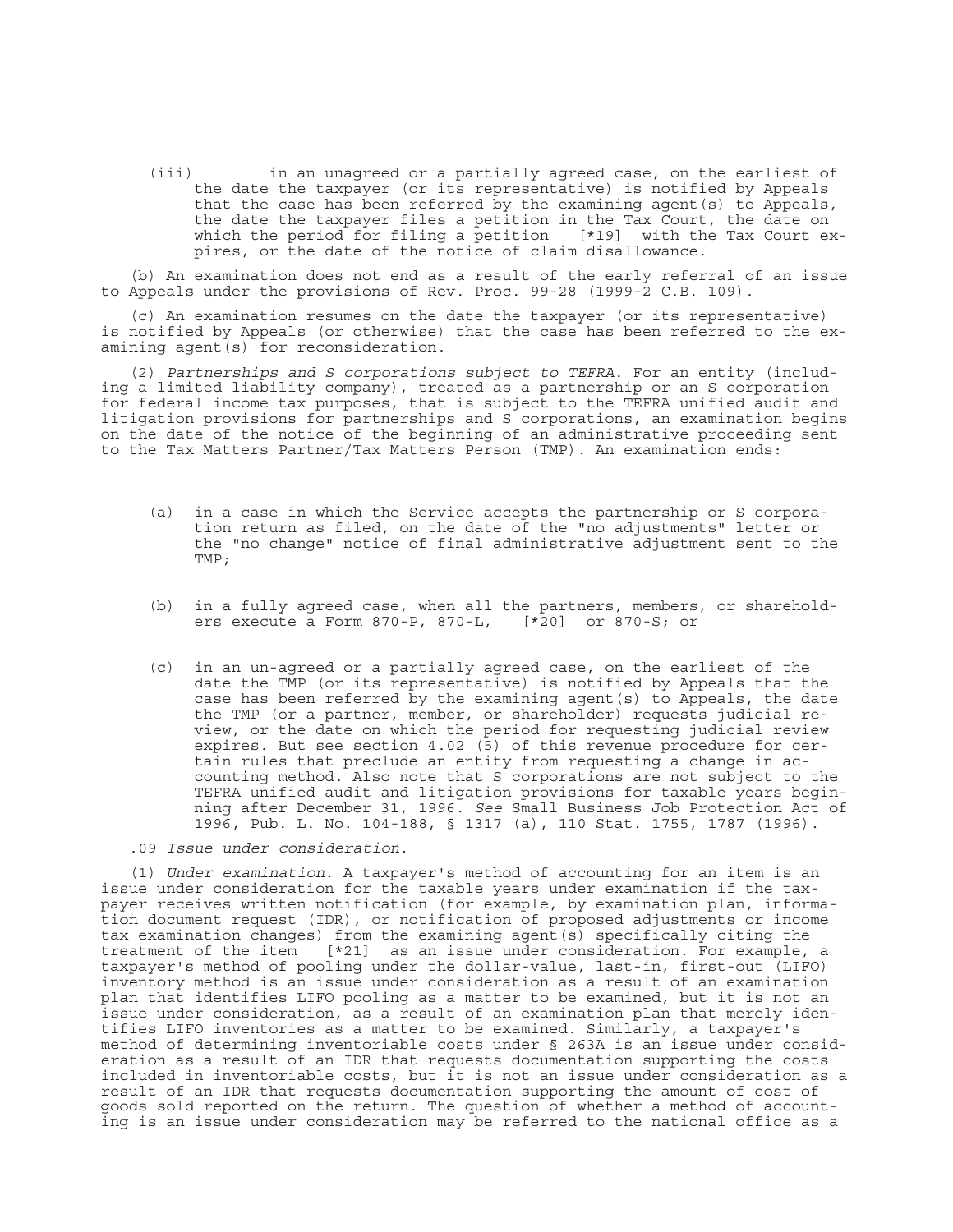(iii) in an unagreed or a partially agreed case, on the earliest of the date the taxpayer (or its representative) is notified by Appeals that the case has been referred by the examining agent(s) to Appeals, the date the taxpayer files a petition in the Tax Court, the date on which the period for filing a petition [\*19] with the Tax Court expires, or the date of the notice of claim disallowance.

(b) An examination does not end as a result of the early referral of an issue to Appeals under the provisions of Rev. Proc. 99-28 (1999-2 C.B. 109).

(c) An examination resumes on the date the taxpayer (or its representative) is notified by Appeals (or otherwise) that the case has been referred to the examining agent(s) for reconsideration.

(2) *Partnerships and S corporations subject to TEFRA*. For an entity (including a limited liability company), treated as a partnership or an S corporation for federal income tax purposes, that is subject to the TEFRA unified audit and litigation provisions for partnerships and S corporations, an examination begins on the date of the notice of the beginning of an administrative proceeding sent to the Tax Matters Partner/Tax Matters Person (TMP). An examination ends:

- (a) in a case in which the Service accepts the partnership or S corporation return as filed, on the date of the "no adjustments" letter or the "no change" notice of final administrative adjustment sent to the TMP;
- (b) in a fully agreed case, when all the partners, members, or shareholders execute a Form 870-P, 870-L, [\*20] or 870-S; or
- (c) in an un-agreed or a partially agreed case, on the earliest of the date the TMP (or its representative) is notified by Appeals that the case has been referred by the examining agent  $(s)$  to Appeals, the date the TMP (or a partner, member, or shareholder) requests judicial review, or the date on which the period for requesting judicial review expires. But see section 4.02 (5) of this revenue procedure for certain rules that preclude an entity from requesting a change in accounting method. Also note that S corporations are not subject to the TEFRA unified audit and litigation provisions for taxable years beginning after December 31, 1996. *See* Small Business Job Protection Act of 1996, Pub. L. No. 104-188, § 1317 (a), 110 Stat. 1755, 1787 (1996).

.09 *Issue under consideration*.

(1) *Under examination*. A taxpayer's method of accounting for an item is an issue under consideration for the taxable years under examination if the taxpayer receives written notification (for example, by examination plan, information document request (IDR), or notification of proposed adjustments or income tax examination changes) from the examining agent(s) specifically citing the treatment of the item [\*21] as an issue under consideration. For example, a taxpayer's method of pooling under the dollar-value, last-in, first-out (LIFO) inventory method is an issue under consideration as a result of an examination plan that identifies LIFO pooling as a matter to be examined, but it is not an issue under consideration, as a result of an examination plan that merely identifies LIFO inventories as a matter to be examined. Similarly, a taxpayer's method of determining inventoriable costs under § 263A is an issue under consideration as a result of an IDR that requests documentation supporting the costs included in inventoriable costs, but it is not an issue under consideration as a result of an IDR that requests documentation supporting the amount of cost of goods sold reported on the return. The question of whether a method of accounting is an issue under consideration may be referred to the national office as a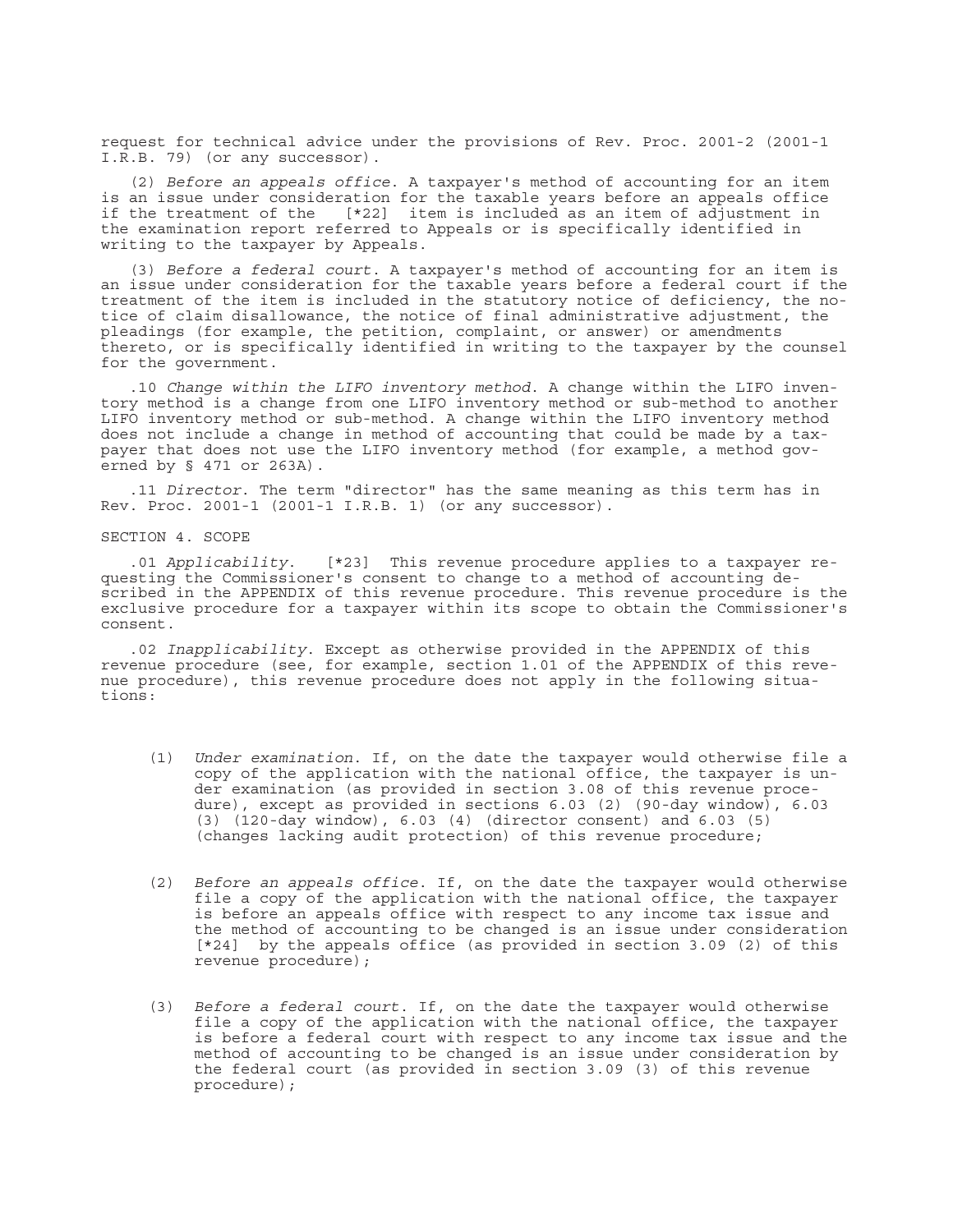request for technical advice under the provisions of Rev. Proc. 2001-2 (2001-1 I.R.B. 79) (or any successor).

(2) *Before an appeals office*. A taxpayer's method of accounting for an item is an issue under consideration for the taxable years before an appeals office if the treatment of the [\*22] item is included as an item of adjustment in the examination report referred to Appeals or is specifically identified in writing to the taxpayer by Appeals.

(3) *Before a federal court*. A taxpayer's method of accounting for an item is an issue under consideration for the taxable years before a federal court if the treatment of the item is included in the statutory notice of deficiency, the notice of claim disallowance, the notice of final administrative adjustment, the pleadings (for example, the petition, complaint, or answer) or amendments thereto, or is specifically identified in writing to the taxpayer by the counsel for the government.

.10 *Change within the LIFO inventory method*. A change within the LIFO inventory method is a change from one LIFO inventory method or sub-method to another LIFO inventory method or sub-method. A change within the LIFO inventory method does not include a change in method of accounting that could be made by a taxpayer that does not use the LIFO inventory method (for example, a method governed by § 471 or 263A).

.11 *Director*. The term "director" has the same meaning as this term has in Rev. Proc. 2001-1 (2001-1 I.R.B. 1) (or any successor).

SECTION 4. SCOPE

.01 *Applicability*. [\*23] This revenue procedure applies to a taxpayer requesting the Commissioner's consent to change to a method of accounting described in the APPENDIX of this revenue procedure. This revenue procedure is the exclusive procedure for a taxpayer within its scope to obtain the Commissioner's consent.

.02 *Inapplicability*. Except as otherwise provided in the APPENDIX of this revenue procedure (see, for example, section 1.01 of the APPENDIX of this revenue procedure), this revenue procedure does not apply in the following situations:

- (1) *Under examination*. If, on the date the taxpayer would otherwise file a copy of the application with the national office, the taxpayer is under examination (as provided in section 3.08 of this revenue procedure), except as provided in sections 6.03 (2) (90-day window), 6.03 (3) (120-day window), 6.03 (4) (director consent) and 6.03 (5) (changes lacking audit protection) of this revenue procedure;
- (2) *Before an appeals office*. If, on the date the taxpayer would otherwise file a copy of the application with the national office, the taxpayer is before an appeals office with respect to any income tax issue and the method of accounting to be changed is an issue under consideration [\*24] by the appeals office (as provided in section 3.09 (2) of this revenue procedure);
- (3) *Before a federal court*. If, on the date the taxpayer would otherwise file a copy of the application with the national office, the taxpayer is before a federal court with respect to any income tax issue and the method of accounting to be changed is an issue under consideration by the federal court (as provided in section 3.09 (3) of this revenue procedure);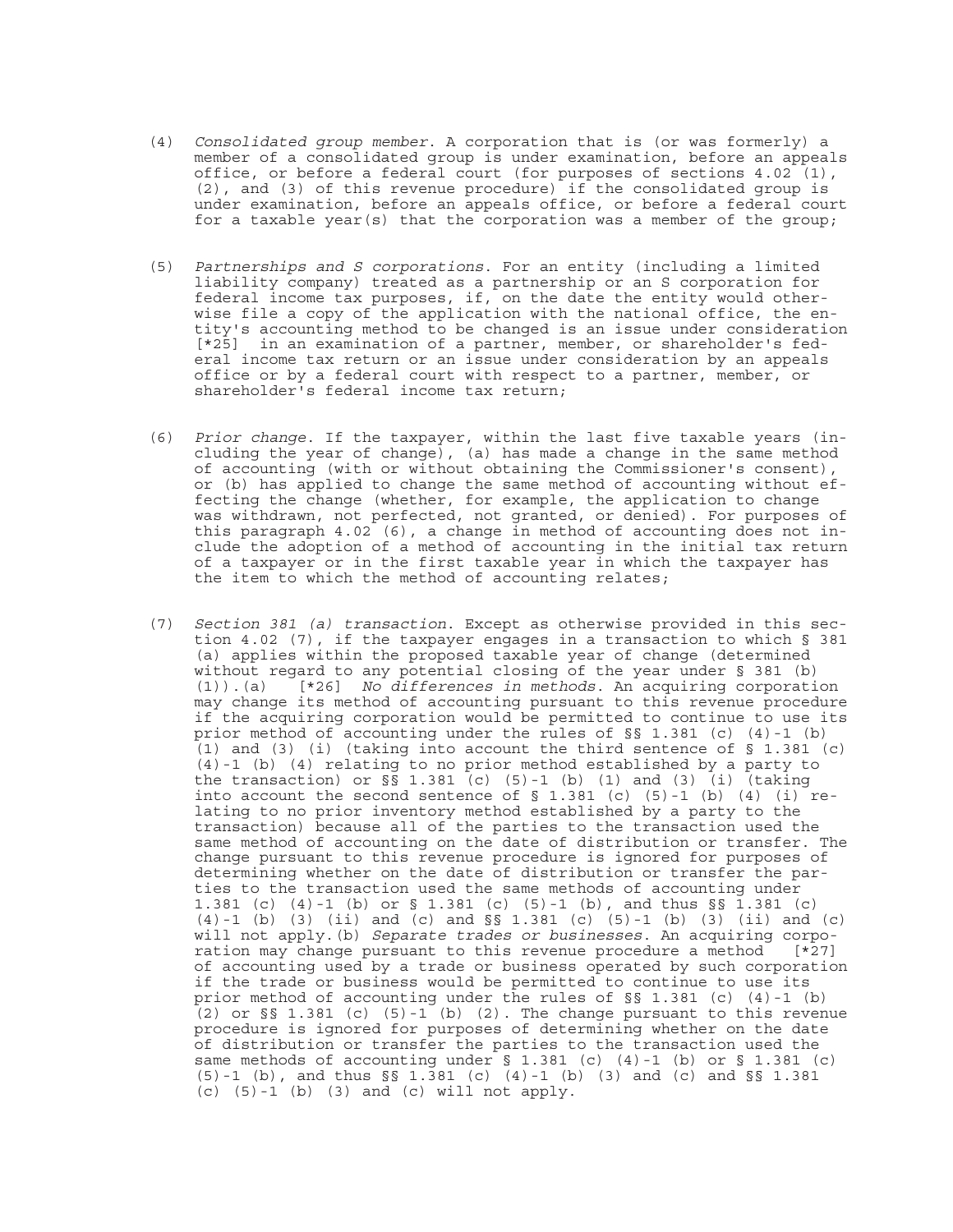- (4) *Consolidated group member*. A corporation that is (or was formerly) a member of a consolidated group is under examination, before an appeals office, or before a federal court (for purposes of sections 4.02 (1), (2), and (3) of this revenue procedure) if the consolidated group is under examination, before an appeals office, or before a federal court for a taxable year(s) that the corporation was a member of the group;
- (5) *Partnerships and S corporations*. For an entity (including a limited liability company) treated as a partnership or an S corporation for federal income tax purposes, if, on the date the entity would otherwise file a copy of the application with the national office, the entity's accounting method to be changed is an issue under consideration [\*25] in an examination of a partner, member, or shareholder's federal income tax return or an issue under consideration by an appeals office or by a federal court with respect to a partner, member, or shareholder's federal income tax return;
- (6) *Prior change*. If the taxpayer, within the last five taxable years (including the year of change), (a) has made a change in the same method of accounting (with or without obtaining the Commissioner's consent), or (b) has applied to change the same method of accounting without effecting the change (whether, for example, the application to change was withdrawn, not perfected, not granted, or denied). For purposes of this paragraph 4.02 (6), a change in method of accounting does not include the adoption of a method of accounting in the initial tax return of a taxpayer or in the first taxable year in which the taxpayer has the item to which the method of accounting relates;
- (7) *Section 381 (a) transaction*. Except as otherwise provided in this section 4.02 (7), if the taxpayer engages in a transaction to which § 381 (a) applies within the proposed taxable year of change (determined without regard to any potential closing of the year under § 381 (b) (1)).(a) [\*26] *No differences in methods*. An acquiring corporation may change its method of accounting pursuant to this revenue procedure if the acquiring corporation would be permitted to continue to use its prior method of accounting under the rules of §§ 1.381 (c) (4)-1 (b) (1) and (3) (i) (taking into account the third sentence of  $\S$  1.381 (c) (4)-1 (b) (4) relating to no prior method established by a party to the transaction) or  $\S$ § 1.381 (c) (5)-1 (b) (1) and (3) (i) (taking into account the second sentence of  $\S$  1.381 (c) (5)-1 (b) (4) (i) relating to no prior inventory method established by a party to the transaction) because all of the parties to the transaction used the same method of accounting on the date of distribution or transfer. The change pursuant to this revenue procedure is ignored for purposes of determining whether on the date of distribution or transfer the parties to the transaction used the same methods of accounting under 1.381 (c) (4)-1 (b) or § 1.381 (c) (5)-1 (b), and thus §§ 1.381 (c) (4)-1 (b) (3) (ii) and (c) and §§ 1.381 (c) (5)-1 (b) (3) (ii) and (c) will not apply.(b) *Separate trades or businesses*. An acquiring corporation may change pursuant to this revenue procedure a method [\*27] of accounting used by a trade or business operated by such corporation if the trade or business would be permitted to continue to use its prior method of accounting under the rules of §§ 1.381 (c) (4)-1 (b) (2) or  $\S$ § 1.381 (c) (5)-1 (b) (2). The change pursuant to this revenue procedure is ignored for purposes of determining whether on the date of distribution or transfer the parties to the transaction used the same methods of accounting under § 1.381 (c) (4)-1 (b) or § 1.381 (c) (5)-1 (b), and thus §§ 1.381 (c) (4)-1 (b) (3) and (c) and §§ 1.381  $(c)$   $(5)-1$   $(b)$   $(3)$  and  $(c)$  will not apply.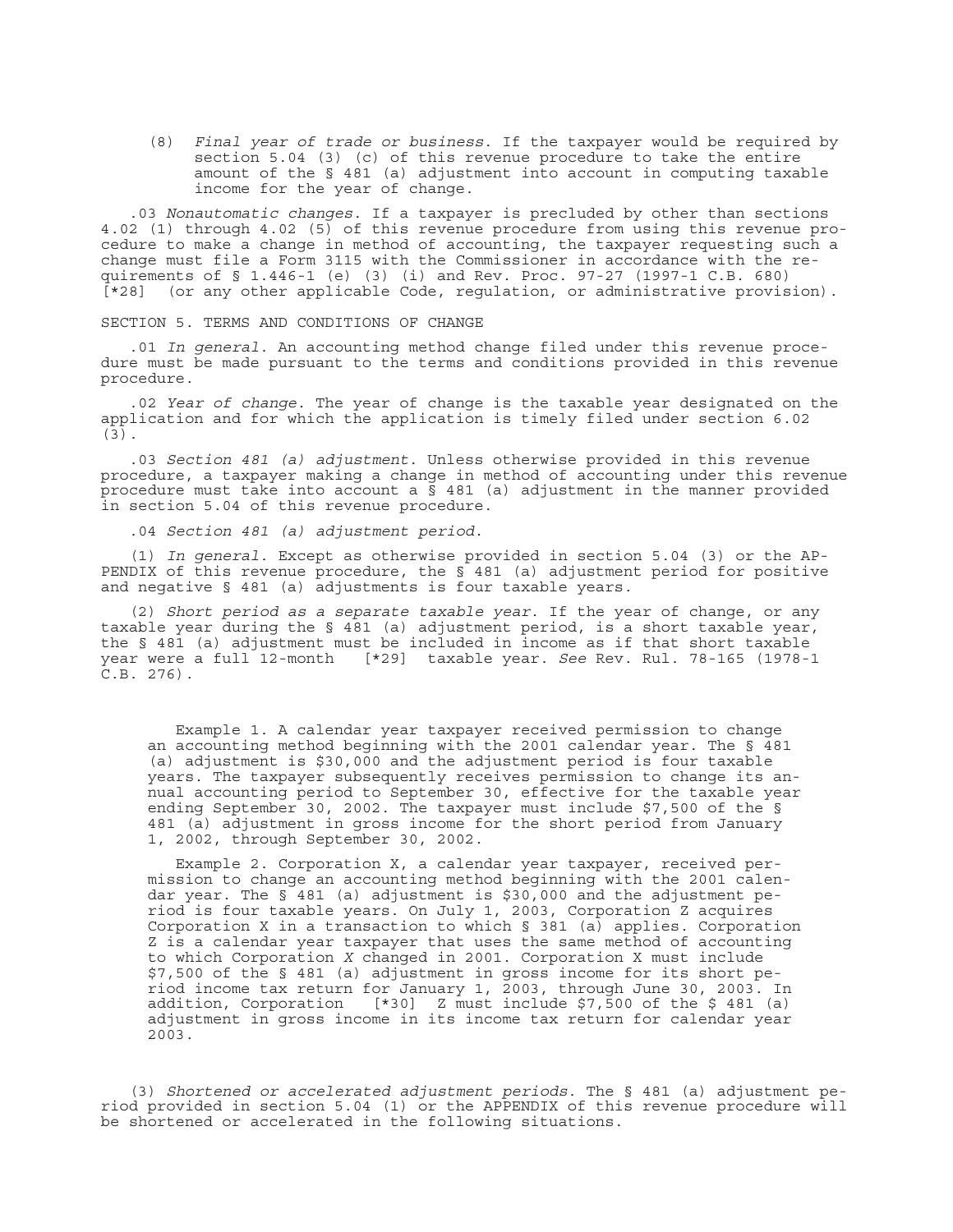(8) *Final year of trade or business*. If the taxpayer would be required by section 5.04 (3) (c) of this revenue procedure to take the entire amount of the § 481 (a) adjustment into account in computing taxable income for the year of change.

.03 *Nonautomatic changes*. If a taxpayer is precluded by other than sections 4.02 (1) through 4.02 (5) of this revenue procedure from using this revenue procedure to make a change in method of accounting, the taxpayer requesting such a change must file a Form 3115 with the Commissioner in accordance with the requirements of § 1.446-1 (e) (3) (i) and Rev. Proc. 97-27 (1997-1 C.B. 680) [\*28] (or any other applicable Code, regulation, or administrative provision).

SECTION 5. TERMS AND CONDITIONS OF CHANGE

.01 *In general*. An accounting method change filed under this revenue procedure must be made pursuant to the terms and conditions provided in this revenue procedure.

.02 *Year of change*. The year of change is the taxable year designated on the application and for which the application is timely filed under section 6.02 (3).

.03 *Section 481 (a) adjustment*. Unless otherwise provided in this revenue procedure, a taxpayer making a change in method of accounting under this revenue procedure must take into account a  $\bar{s}$  481 (a) adjustment in the manner provided in section 5.04 of this revenue procedure.

.04 *Section 481 (a) adjustment period*.

(1) *In general*. Except as otherwise provided in section 5.04 (3) or the AP-PENDIX of this revenue procedure, the  $\overline{S}$  481 (a) adjustment period for positive and negative § 481 (a) adjustments is four taxable years.

(2) *Short period as a separate taxable year*. If the year of change, or any taxable year during the § 481 (a) adjustment period, is a short taxable year, the § 481 (a) adjustment must be included in income as if that short taxable year were a full 12-month [\*29] taxable year. *See* Rev. Rul. 78-165 (1978-1 C.B. 276).

Example 1. A calendar year taxpayer received permission to change an accounting method beginning with the 2001 calendar year. The § 481 (a) adjustment is \$30,000 and the adjustment period is four taxable years. The taxpayer subsequently receives permission to change its annual accounting period to September 30, effective for the taxable year ending September 30, 2002. The taxpayer must include \$7,500 of the § 481 (a) adjustment in gross income for the short period from January 1, 2002, through September 30, 2002.

Example 2. Corporation X, a calendar year taxpayer, received permission to change an accounting method beginning with the 2001 calendar year. The § 481 (a) adjustment is \$30,000 and the adjustment period is four taxable years. On July 1, 2003, Corporation Z acquires Corporation X in a transaction to which  $\S$  381 (a) applies. Corporation Z is a calendar year taxpayer that uses the same method of accounting to which Corporation *X* changed in 2001. Corporation X must include \$7,500 of the § 481 (a) adjustment in gross income for its short period income tax return for January 1, 2003, through June 30, 2003. In addition, Corporation  $[*30]$  Z must include \$7,500 of the \$481 (a) adjustment in gross income in its income tax return for calendar year 2003.

(3) *Shortened or accelerated adjustment periods*. The § 481 (a) adjustment period provided in section 5.04 (1) or the APPENDIX of this revenue procedure will be shortened or accelerated in the following situations.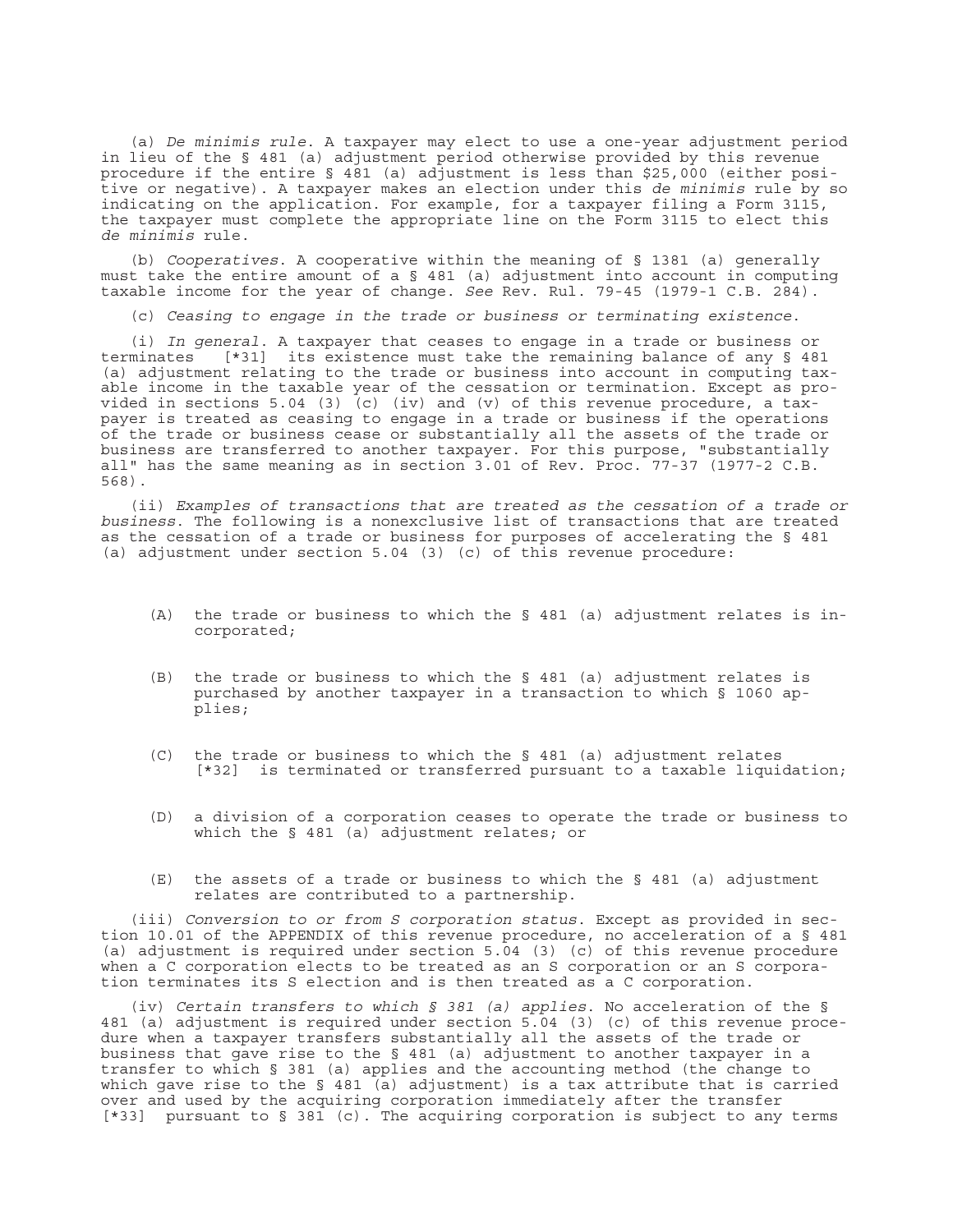(a) *De minimis rule*. A taxpayer may elect to use a one-year adjustment period in lieu of the § 481 (a) adjustment period otherwise provided by this revenue procedure if the entire § 481 (a) adjustment is less than \$25,000 (either positive or negative). A taxpayer makes an election under this *de minimis* rule by so indicating on the application. For example, for a taxpayer filing a Form 3115, the taxpayer must complete the appropriate line on the Form 3115 to elect this *de minimis* rule.

(b) *Cooperatives*. A cooperative within the meaning of § 1381 (a) generally must take the entire amount of a § 481 (a) adjustment into account in computing taxable income for the year of change. *See* Rev. Rul. 79-45 (1979-1 C.B. 284).

(c) *Ceasing to engage in the trade or business or terminating existence*.

(i) *In general*. A taxpayer that ceases to engage in a trade or business or terminates [\*31] its existence must take the remaining balance of any § 481 (a) adjustment relating to the trade or business into account in computing taxable income in the taxable year of the cessation or termination. Except as provided in sections 5.04 (3) (c) (iv) and (v) of this revenue procedure, a taxpayer is treated as ceasing to engage in a trade or business if the operations of the trade or business cease or substantially all the assets of the trade or business are transferred to another taxpayer. For this purpose, "substantially all" has the same meaning as in section 3.01 of Rev. Proc. 77-37 (1977-2 C.B. 568).

(ii) *Examples of transactions that are treated as the cessation of a trade or business*. The following is a nonexclusive list of transactions that are treated as the cessation of a trade or business for purposes of accelerating the § 481 (a) adjustment under section 5.04 (3) (c) of this revenue procedure:

- (A) the trade or business to which the § 481 (a) adjustment relates is incorporated;
- (B) the trade or business to which the § 481 (a) adjustment relates is purchased by another taxpayer in a transaction to which § 1060 applies;
- (C) the trade or business to which the § 481 (a) adjustment relates [\*32] is terminated or transferred pursuant to a taxable liquidation;
- (D) a division of a corporation ceases to operate the trade or business to which the § 481 (a) adjustment relates; or
- (E) the assets of a trade or business to which the § 481 (a) adjustment relates are contributed to a partnership.

(iii) *Conversion to or from S corporation status*. Except as provided in section 10.01 of the APPENDIX of this revenue procedure, no acceleration of a § 481 (a) adjustment is required under section 5.04 (3) (c) of this revenue procedure when a C corporation elects to be treated as an S corporation or an S corporation terminates its S election and is then treated as a C corporation.

(iv) *Certain transfers to which § 381 (a) applies*. No acceleration of the § 481 (a) adjustment is required under section 5.04 (3) (c) of this revenue procedure when a taxpayer transfers substantially all the assets of the trade or business that gave rise to the § 481 (a) adjustment to another taxpayer in a transfer to which § 381 (a) applies and the accounting method (the change to which gave rise to the § 481 (a) adjustment) is a tax attribute that is carried over and used by the acquiring corporation immediately after the transfer [\*33] pursuant to § 381 (c). The acquiring corporation is subject to any terms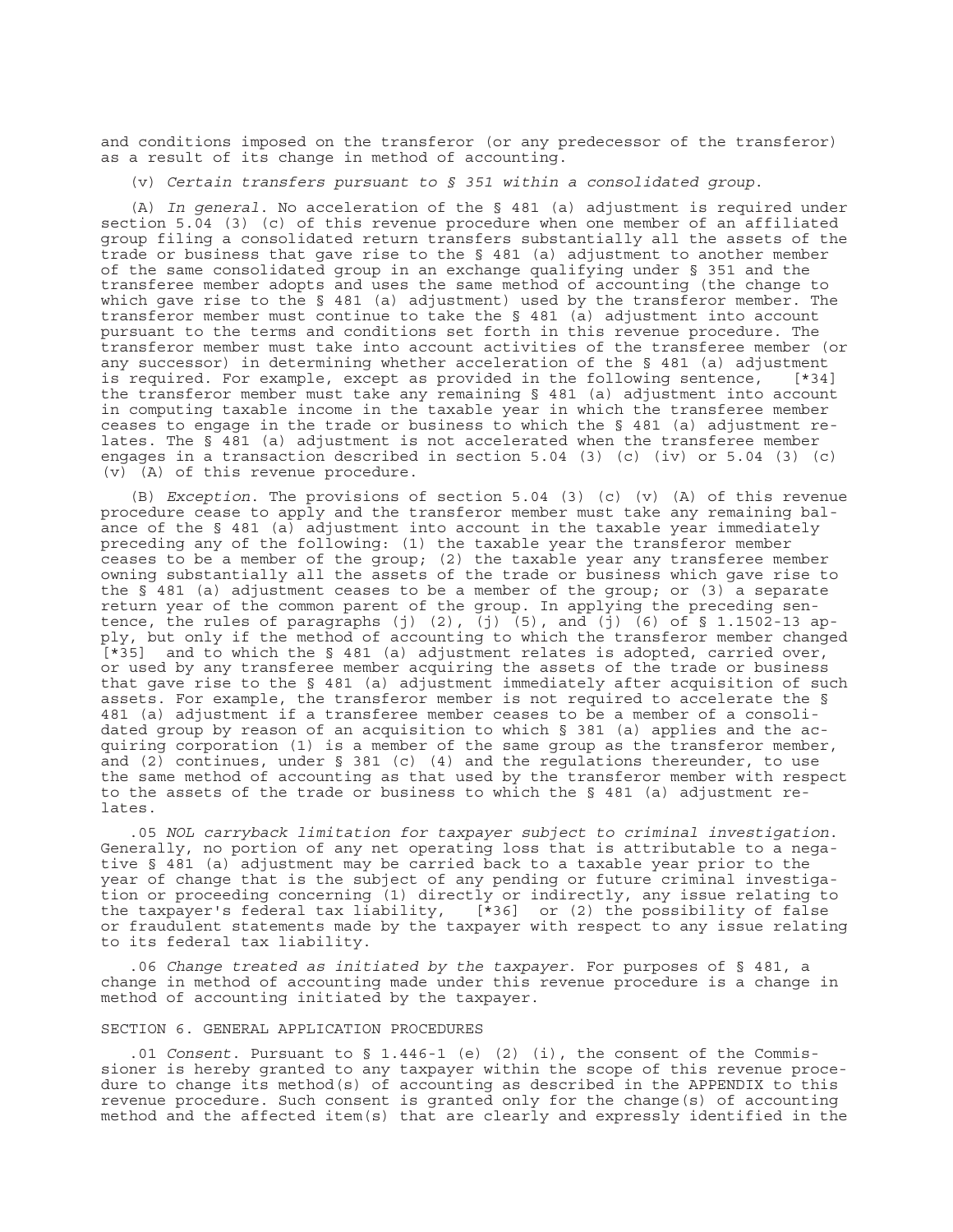and conditions imposed on the transferor (or any predecessor of the transferor) as a result of its change in method of accounting.

(v) *Certain transfers pursuant to § 351 within a consolidated group*.

(A) *In general*. No acceleration of the § 481 (a) adjustment is required under section 5.04 (3) (c) of this revenue procedure when one member of an affiliated group filing a consolidated return transfers substantially all the assets of the trade or business that gave rise to the § 481 (a) adjustment to another member of the same consolidated group in an exchange qualifying under § 351 and the transferee member adopts and uses the same method of accounting (the change to which gave rise to the § 481 (a) adjustment) used by the transferor member. The transferor member must continue to take the § 481 (a) adjustment into account pursuant to the terms and conditions set forth in this revenue procedure. The transferor member must take into account activities of the transferee member (or any successor) in determining whether acceleration of the § 481 (a) adjustment is required. For example, except as provided in the following sentence, [\*34] the transferor member must take any remaining § 481 (a) adjustment into account in computing taxable income in the taxable year in which the transferee member ceases to engage in the trade or business to which the § 481 (a) adjustment relates. The § 481 (a) adjustment is not accelerated when the transferee member engages in a transaction described in section  $5.04$  (3) (c) (iv) or  $5.04$  (3) (c) (v) (A) of this revenue procedure.

(B) *Exception*. The provisions of section 5.04 (3) (c) (v) (A) of this revenue procedure cease to apply and the transferor member must take any remaining balance of the § 481 (a) adjustment into account in the taxable year immediately preceding any of the following: (1) the taxable year the transferor member ceases to be a member of the group; (2) the taxable year any transferee member owning substantially all the assets of the trade or business which gave rise to the  $\frac{1}{2}$  481 (a) adjustment ceases to be a member of the group; or (3) a separate return year of the common parent of the group. In applying the preceding sentence, the rules of paragraphs (j) (2), (j) (5), and (j) (6) of § 1.1502-13 apply, but only if the method of accounting to which the transferor member changed [\*35] and to which the § 481 (a) adjustment relates is adopted, carried over, or used by any transferee member acquiring the assets of the trade or business that gave rise to the § 481 (a) adjustment immediately after acquisition of such assets. For example, the transferor member is not required to accelerate the § 481 (a) adjustment if a transferee member ceases to be a member of a consolidated group by reason of an acquisition to which § 381 (a) applies and the acquiring corporation (1) is a member of the same group as the transferor member, and (2) continues, under § 381 (c) (4) and the regulations thereunder, to use the same method of accounting as that used by the transferor member with respect to the assets of the trade or business to which the § 481 (a) adjustment relates.

.05 *NOL carryback limitation for taxpayer subject to criminal investigation*. Generally, no portion of any net operating loss that is attributable to a negative § 481 (a) adjustment may be carried back to a taxable year prior to the year of change that is the subject of any pending or future criminal investigation or proceeding concerning (1) directly or indirectly, any issue relating to the taxpayer's federal tax liability, [\*36] or (2) the possibility of false or fraudulent statements made by the taxpayer with respect to any issue relating to its federal tax liability.

.06 *Change treated as initiated by the taxpayer*. For purposes of § 481, a change in method of accounting made under this revenue procedure is a change in method of accounting initiated by the taxpayer.

#### SECTION 6. GENERAL APPLICATION PROCEDURES

.01 *Consent*. Pursuant to § 1.446-1 (e) (2) (i), the consent of the Commissioner is hereby granted to any taxpayer within the scope of this revenue procedure to change its method(s) of accounting as described in the APPENDIX to this revenue procedure. Such consent is granted only for the change(s) of accounting method and the affected item(s) that are clearly and expressly identified in the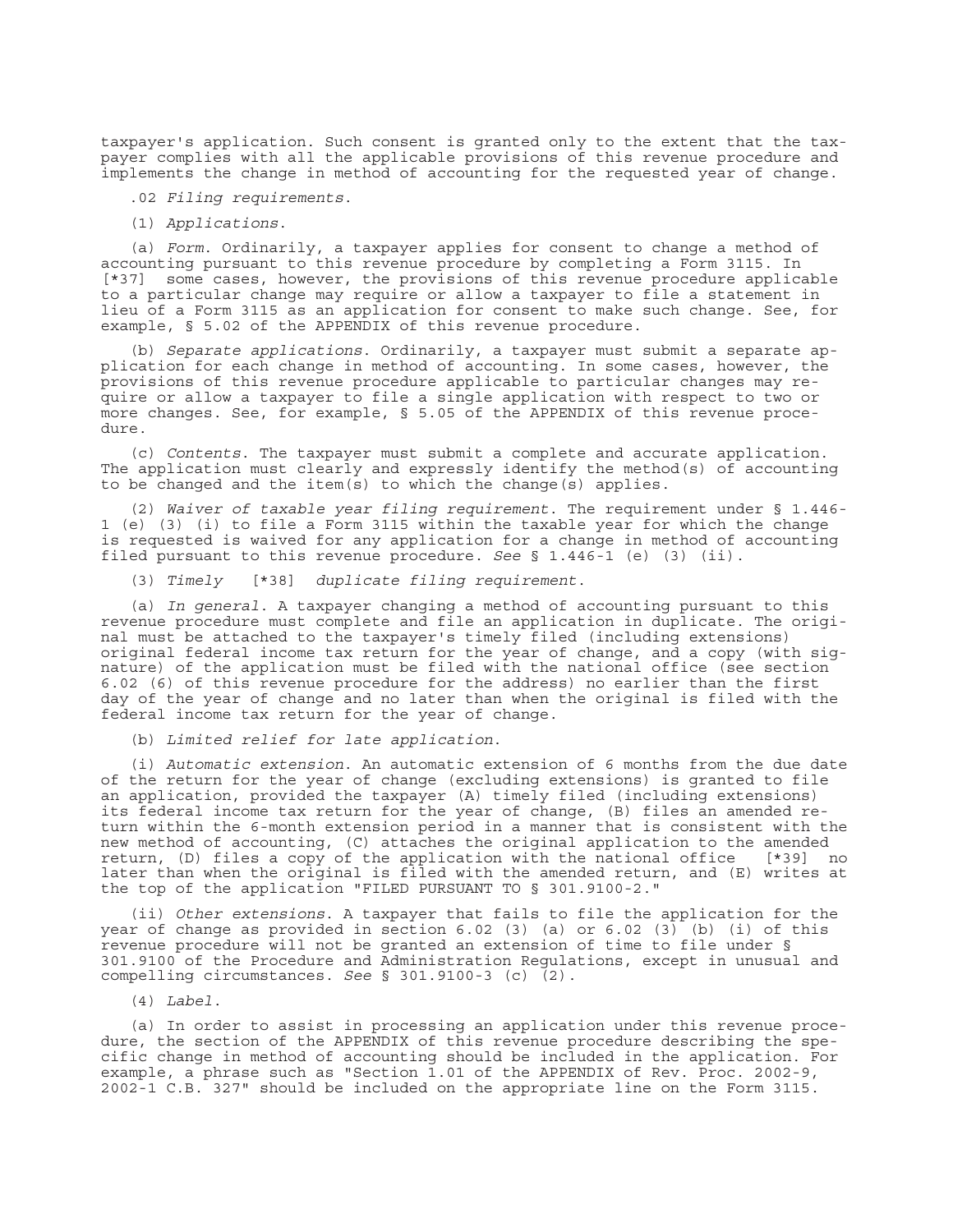taxpayer's application. Such consent is granted only to the extent that the taxpayer complies with all the applicable provisions of this revenue procedure and implements the change in method of accounting for the requested year of change.

.02 *Filing requirements*.

(1) *Applications*.

(a) *Form*. Ordinarily, a taxpayer applies for consent to change a method of accounting pursuant to this revenue procedure by completing a Form 3115. In [\*37] some cases, however, the provisions of this revenue procedure applicable to a particular change may require or allow a taxpayer to file a statement in lieu of a Form 3115 as an application for consent to make such change. See, for example, § 5.02 of the APPENDIX of this revenue procedure.

(b) *Separate applications*. Ordinarily, a taxpayer must submit a separate application for each change in method of accounting. In some cases, however, the provisions of this revenue procedure applicable to particular changes may require or allow a taxpayer to file a single application with respect to two or more changes. See, for example, § 5.05 of the APPENDIX of this revenue procedure.

(c) *Contents*. The taxpayer must submit a complete and accurate application. The application must clearly and expressly identify the method(s) of accounting to be changed and the item(s) to which the change(s) applies.

(2) *Waiver of taxable year filing requirement*. The requirement under § 1.446- 1 (e) (3) (i) to file a Form 3115 within the taxable year for which the change is requested is waived for any application for a change in method of accounting filed pursuant to this revenue procedure. *See* § 1.446-1 (e) (3) (ii).

(3) *Timely* [\*38] *duplicate filing requirement*.

(a) *In general*. A taxpayer changing a method of accounting pursuant to this revenue procedure must complete and file an application in duplicate. The original must be attached to the taxpayer's timely filed (including extensions) original federal income tax return for the year of change, and a copy (with signature) of the application must be filed with the national office (see section 6.02 (6) of this revenue procedure for the address) no earlier than the first day of the year of change and no later than when the original is filed with the federal income tax return for the year of change.

(b) *Limited relief for late application*.

(i) *Automatic extension*. An automatic extension of 6 months from the due date of the return for the year of change (excluding extensions) is granted to file an application, provided the taxpayer (A) timely filed (including extensions) its federal income tax return for the year of change, (B) files an amended return within the 6-month extension period in a manner that is consistent with the new method of accounting, (C) attaches the original application to the amended return, (D) files a copy of the application with the national office [\*39] no later than when the original is filed with the amended return, and (E) writes at the top of the application "FILED PURSUANT TO § 301.9100-2."

(ii) *Other extensions*. A taxpayer that fails to file the application for the year of change as provided in section 6.02 (3) (a) or 6.02 (3) (b) (i) of this revenue procedure will not be granted an extension of time to file under § 301.9100 of the Procedure and Administration Regulations, except in unusual and compelling circumstances. *See* § 301.9100-3 (c) (2).

(4) *Label*.

(a) In order to assist in processing an application under this revenue procedure, the section of the APPENDIX of this revenue procedure describing the specific change in method of accounting should be included in the application. For example, a phrase such as "Section  $1.01$  of the APPENDIX of Rev. Proc. 2002-9, 2002-1 C.B. 327" should be included on the appropriate line on the Form 3115.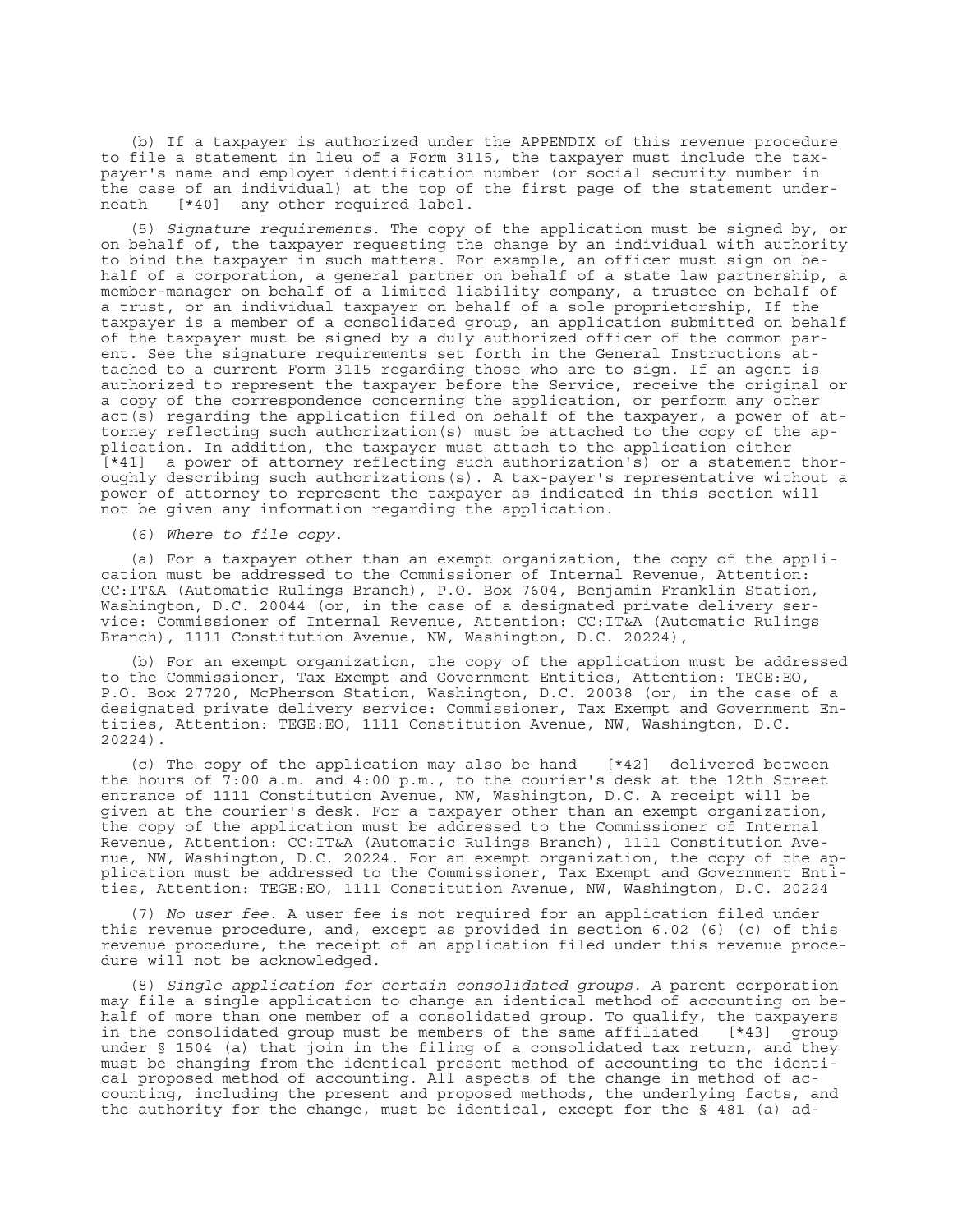(b) If a taxpayer is authorized under the APPENDIX of this revenue procedure to file a statement in lieu of a Form 3115, the taxpayer must include the taxpayer's name and employer identification number (or social security number in the case of an individual) at the top of the first page of the statement underneath [\*40] any other required label.

(5) *Signature requirements*. The copy of the application must be signed by, or on behalf of, the taxpayer requesting the change by an individual with authority to bind the taxpayer in such matters. For example, an officer must sign on behalf of a corporation, a general partner on behalf of a state law partnership, a member-manager on behalf of a limited liability company, a trustee on behalf of a trust, or an individual taxpayer on behalf of a sole proprietorship, If the taxpayer is a member of a consolidated group, an application submitted on behalf of the taxpayer must be signed by a duly authorized officer of the common parent. See the signature requirements set forth in the General Instructions attached to a current Form 3115 regarding those who are to sign. If an agent is authorized to represent the taxpayer before the Service, receive the original or a copy of the correspondence concerning the application, or perform any other  $act(s)$  regarding the application filed on behalf of the taxpayer, a power of attorney reflecting such authorization(s) must be attached to the copy of the application. In addition, the taxpayer must attach to the application either [\*41] a power of attorney reflecting such authorization's) or a statement thoroughly describing such authorizations(s). A tax-payer's representative without a power of attorney to represent the taxpayer as indicated in this section will not be given any information regarding the application.

(6) *Where to file copy*.

(a) For a taxpayer other than an exempt organization, the copy of the application must be addressed to the Commissioner of Internal Revenue, Attention: CC:IT&A (Automatic Rulings Branch), P.O. Box 7604, Benjamin Franklin Station, Washington, D.C. 20044 (or, in the case of a designated private delivery service: Commissioner of Internal Revenue, Attention: CC:IT&A (Automatic Rulings Branch), 1111 Constitution Avenue, NW, Washington, D.C. 20224),

(b) For an exempt organization, the copy of the application must be addressed to the Commissioner, Tax Exempt and Government Entities, Attention: TEGE:EO, P.O. Box 27720, McPherson Station, Washington, D.C. 20038 (or, in the case of a designated private delivery service: Commissioner, Tax Exempt and Government Entities, Attention: TEGE:EO, 1111 Constitution Avenue, NW, Washington, D.C. 20224).

(c) The copy of the application may also be hand [\*42] delivered between the hours of 7:00 a.m. and 4:00 p.m., to the courier's desk at the 12th Street entrance of 1111 Constitution Avenue, NW, Washington, D.C. A receipt will be given at the courier's desk. For a taxpayer other than an exempt organization, the copy of the application must be addressed to the Commissioner of Internal Revenue, Attention: CC:IT&A (Automatic Rulings Branch), 1111 Constitution Avenue, NW, Washington, D.C. 20224. For an exempt organization, the copy of the application must be addressed to the Commissioner, Tax Exempt and Government Entities, Attention: TEGE:EO, 1111 Constitution Avenue, NW, Washington, D.C. 20224

(7) *No user fee*. A user fee is not required for an application filed under this revenue procedure, and, except as provided in section 6.02 (6) (c) of this revenue procedure, the receipt of an application filed under this revenue procedure will not be acknowledged.

(8) *Single application for certain consolidated groups. A* parent corporation may file a single application to change an identical method of accounting on behalf of more than one member of a consolidated group. To qualify, the taxpayers in the consolidated group must be members of the same affiliated [\*43] group under § 1504 (a) that join in the filing of a consolidated tax return, and they must be changing from the identical present method of accounting to the identical proposed method of accounting. All aspects of the change in method of accounting, including the present and proposed methods, the underlying facts, and the authority for the change, must be identical, except for the § 481 (a) ad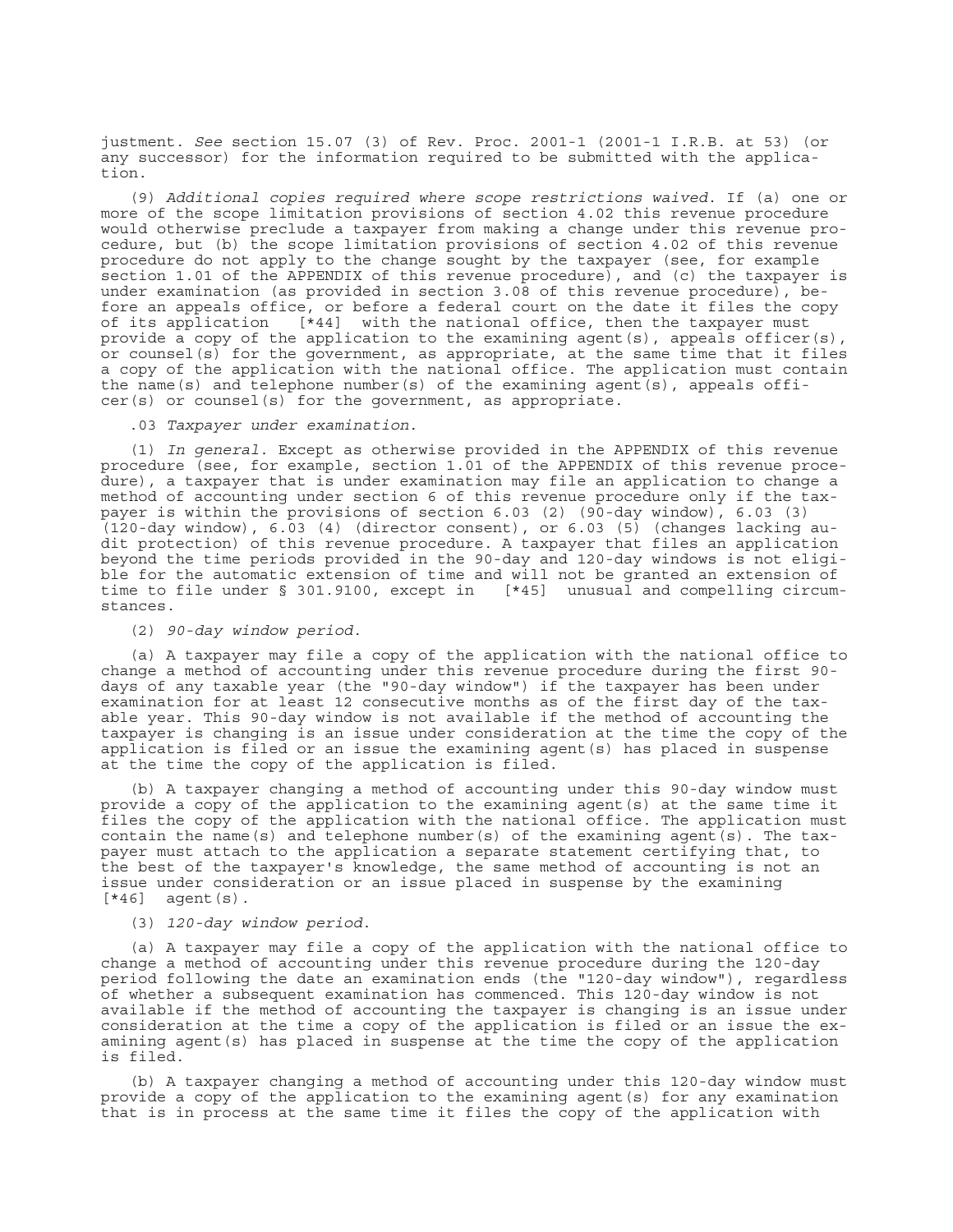justment. *See* section 15.07 (3) of Rev. Proc. 2001-1 (2001-1 I.R.B. at 53) (or any successor) for the information required to be submitted with the application.

(9) *Additional copies required where scope restrictions waived*. If (a) one or more of the scope limitation provisions of section 4.02 this revenue procedure would otherwise preclude a taxpayer from making a change under this revenue procedure, but (b) the scope limitation provisions of section 4.02 of this revenue procedure do not apply to the change sought by the taxpayer (see, for example section 1.01 of the APPENDIX of this revenue procedure), and (c) the taxpayer is under examination (as provided in section 3.08 of this revenue procedure), before an appeals office, or before a federal court on the date it files the copy of its application [\*44] with the national office, then the taxpayer must provide a copy of the application to the examining agent(s), appeals officer(s), or counsel(s) for the government, as appropriate, at the same time that it files a copy of the application with the national office. The application must contain the name(s) and telephone number(s) of the examining agent(s), appeals offi $cer(s)$  or counsel(s) for the government, as appropriate.

.03 *Taxpayer under examination*.

(1) *In general*. Except as otherwise provided in the APPENDIX of this revenue procedure (see, for example, section 1.01 of the APPENDIX of this revenue procedure), a taxpayer that is under examination may file an application to change a method of accounting under section 6 of this revenue procedure only if the taxpayer is within the provisions of section 6.03 (2) (90-day window), 6.03 (3) (120-day window), 6.03 (4) (director consent), or 6.03 (5) (changes lacking audit protection) of this revenue procedure. A taxpayer that files an application beyond the time periods provided in the 90-day and 120-day windows is not eligible for the automatic extension of time and will not be granted an extension of time to file under § 301.9100, except in [\*45] unusual and compelling circumstances.

(2) *90-day window period*.

(a) A taxpayer may file a copy of the application with the national office to change a method of accounting under this revenue procedure during the first 90 days of any taxable year (the "90-day window") if the taxpayer has been under examination for at least 12 consecutive months as of the first day of the taxable year. This 90-day window is not available if the method of accounting the taxpayer is changing is an issue under consideration at the time the copy of the application is filed or an issue the examining agent(s) has placed in suspense at the time the copy of the application is filed.

(b) A taxpayer changing a method of accounting under this 90-day window must provide a copy of the application to the examining agent(s) at the same time it files the copy of the application with the national office. The application must contain the name(s) and telephone number(s) of the examining agent(s). The taxpayer must attach to the application a separate statement certifying that, to the best of the taxpayer's knowledge, the same method of accounting is not an issue under consideration or an issue placed in suspense by the examining  $[*46]$  agent(s).

(3) *120-day window period*.

(a) A taxpayer may file a copy of the application with the national office to change a method of accounting under this revenue procedure during the 120-day period following the date an examination ends (the "120-day window"), regardless of whether a subsequent examination has commenced. This 120-day window is not available if the method of accounting the taxpayer is changing is an issue under consideration at the time a copy of the application is filed or an issue the examining agent(s) has placed in suspense at the time the copy of the application is filed.

(b) A taxpayer changing a method of accounting under this 120-day window must provide a copy of the application to the examining agent(s) for any examination that is in process at the same time it files the copy of the application with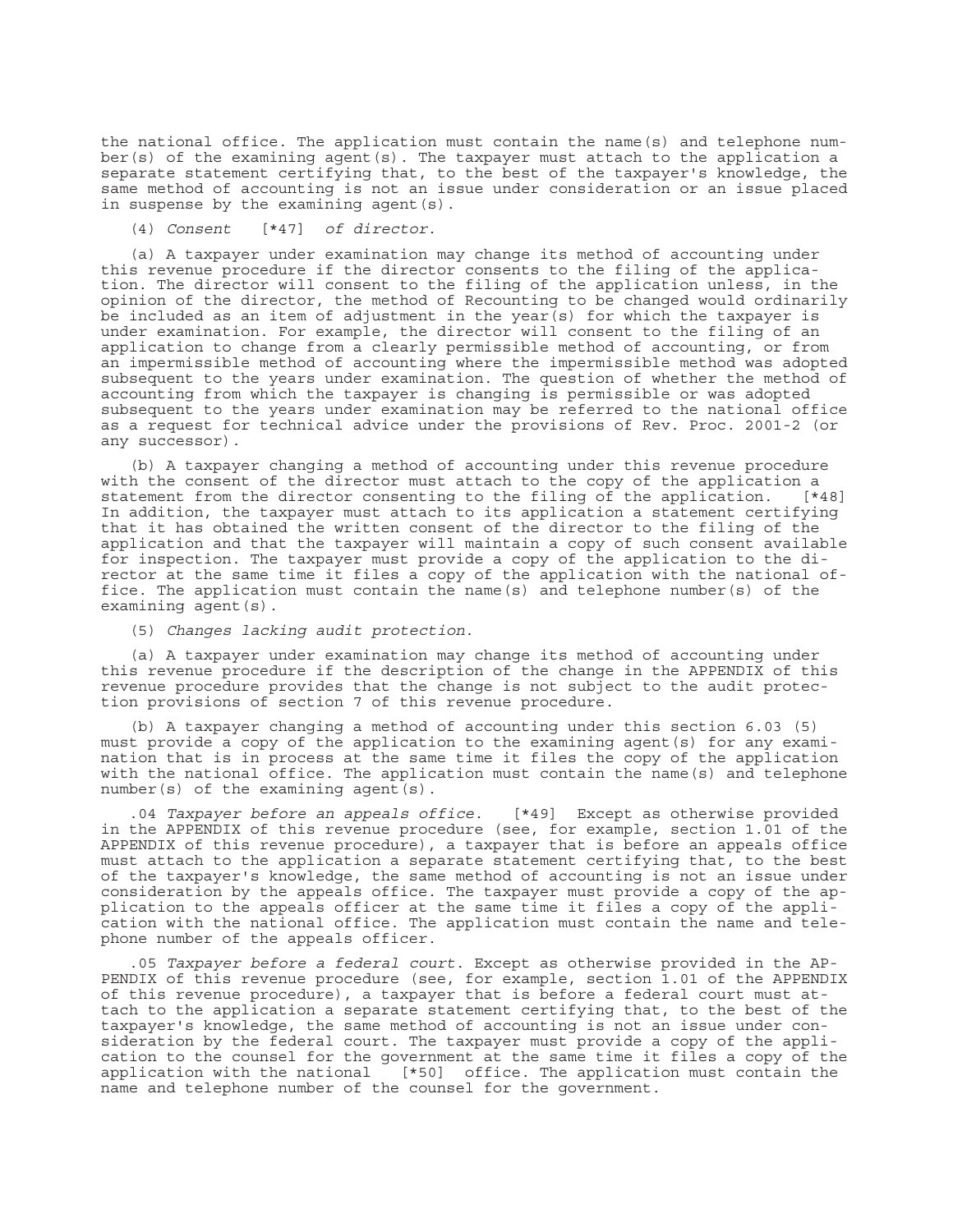the national office. The application must contain the name(s) and telephone number(s) of the examining agent(s). The taxpayer must attach to the application a separate statement certifying that, to the best of the taxpayer's knowledge, the same method of accounting is not an issue under consideration or an issue placed in suspense by the examining agent (s).

(4) *Consent* [\*47] *of director*.

(a) A taxpayer under examination may change its method of accounting under this revenue procedure if the director consents to the filing of the application. The director will consent to the filing of the application unless, in the opinion of the director, the method of Recounting to be changed would ordinarily be included as an item of adjustment in the year(s) for which the taxpayer is under examination. For example, the director will consent to the filing of an application to change from a clearly permissible method of accounting, or from an impermissible method of accounting where the impermissible method was adopted subsequent to the years under examination. The question of whether the method of accounting from which the taxpayer is changing is permissible or was adopted subsequent to the years under examination may be referred to the national office as a request for technical advice under the provisions of Rev. Proc. 2001-2 (or any successor).

(b) A taxpayer changing a method of accounting under this revenue procedure with the consent of the director must attach to the copy of the application a statement from the director consenting to the filing of the application. [\*48] In addition, the taxpayer must attach to its application a statement certifying that it has obtained the written consent of the director to the filing of the application and that the taxpayer will maintain a copy of such consent available for inspection. The taxpayer must provide a copy of the application to the director at the same time it files a copy of the application with the national office. The application must contain the name(s) and telephone number(s) of the examining agent(s).

(5) *Changes lacking audit protection*.

(a) A taxpayer under examination may change its method of accounting under this revenue procedure if the description of the change in the APPENDIX of this revenue procedure provides that the change is not subject to the audit protection provisions of section 7 of this revenue procedure.

(b) A taxpayer changing a method of accounting under this section 6.03 (5) must provide a copy of the application to the examining agent(s) for any examination that is in process at the same time it files the copy of the application with the national office. The application must contain the name(s) and telephone  $number(s)$  of the examining agent  $(s)$ .

.04 *Taxpayer before an appeals office*. [\*49] Except as otherwise provided in the APPENDIX of this revenue procedure (see, for example, section 1.01 of the APPENDIX of this revenue procedure), a taxpayer that is before an appeals office must attach to the application a separate statement certifying that, to the best of the taxpayer's knowledge, the same method of accounting is not an issue under consideration by the appeals office. The taxpayer must provide a copy of the application to the appeals officer at the same time it files a copy of the application with the national office. The application must contain the name and telephone number of the appeals officer.

.05 *Taxpayer before a federal court*. Except as otherwise provided in the AP-PENDIX of this revenue procedure (see, for example, section 1.01 of the APPENDIX of this revenue procedure), a taxpayer that is before a federal court must attach to the application a separate statement certifying that, to the best of the taxpayer's knowledge, the same method of accounting is not an issue under consideration by the federal court. The taxpayer must provide a copy of the application to the counsel for the government at the same time it files a copy of the application with the national [\*50] office. The application must contain the name and telephone number of the counsel for the government.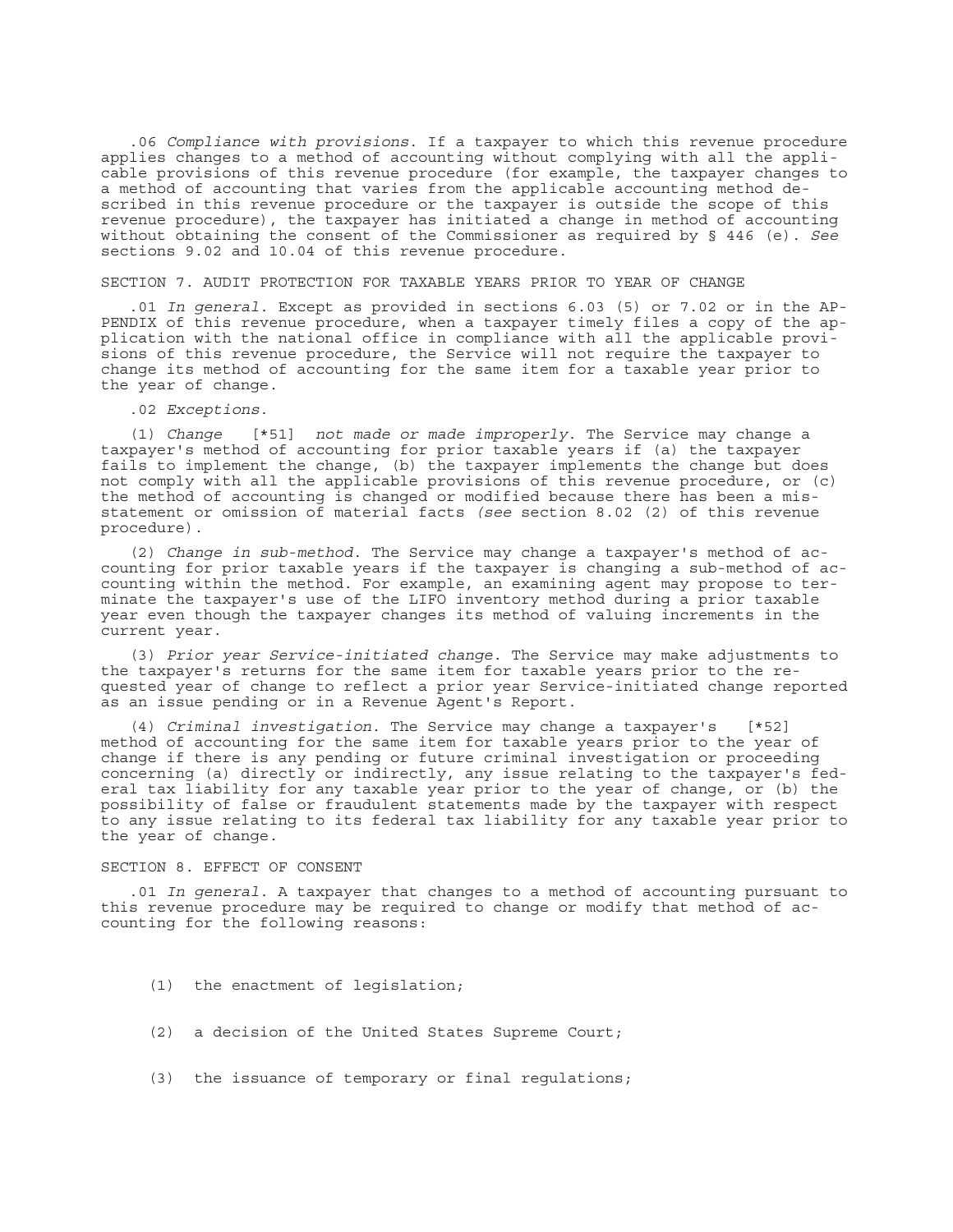.06 *Compliance with provisions*. If a taxpayer to which this revenue procedure applies changes to a method of accounting without complying with all the applicable provisions of this revenue procedure (for example, the taxpayer changes to a method of accounting that varies from the applicable accounting method described in this revenue procedure or the taxpayer is outside the scope of this revenue procedure), the taxpayer has initiated a change in method of accounting without obtaining the consent of the Commissioner as required by § 446 (e). *See* sections 9.02 and 10.04 of this revenue procedure.

#### SECTION 7. AUDIT PROTECTION FOR TAXABLE YEARS PRIOR TO YEAR OF CHANGE

.01 *In general*. Except as provided in sections 6.03 (5) or 7.02 or in the AP-PENDIX of this revenue procedure, when a taxpayer timely files a copy of the application with the national office in compliance with all the applicable provisions of this revenue procedure, the Service will not require the taxpayer to change its method of accounting for the same item for a taxable year prior to the year of change.

#### .02 *Exceptions*.

(1) *Change* [\*51] *not made or made improperly*. The Service may change a taxpayer's method of accounting for prior taxable years if (a) the taxpayer fails to implement the change, (b) the taxpayer implements the change but does not comply with all the applicable provisions of this revenue procedure, or (c) the method of accounting is changed or modified because there has been a misstatement or omission of material facts *(see* section 8.02 (2) of this revenue procedure).

(2) *Change in sub-method*. The Service may change a taxpayer's method of accounting for prior taxable years if the taxpayer is changing a sub-method of accounting within the method. For example, an examining agent may propose to terminate the taxpayer's use of the LIFO inventory method during a prior taxable year even though the taxpayer changes its method of valuing increments in the current year.

(3) *Prior year Service-initiated change*. The Service may make adjustments to the taxpayer's returns for the same item for taxable years prior to the requested year of change to reflect a prior year Service-initiated change reported as an issue pending or in a Revenue Agent's Report.

(4) *Criminal investigation*. The Service may change a taxpayer's [\*52] method of accounting for the same item for taxable years prior to the year of change if there is any pending or future criminal investigation or proceeding concerning (a) directly or indirectly, any issue relating to the taxpayer's federal tax liability for any taxable year prior to the year of change, or (b) the possibility of false or fraudulent statements made by the taxpayer with respect to any issue relating to its federal tax liability for any taxable year prior to the year of change.

#### SECTION 8. EFFECT OF CONSENT

.01 *In general*. A taxpayer that changes to a method of accounting pursuant to this revenue procedure may be required to change or modify that method of accounting for the following reasons:

- (1) the enactment of legislation;
- (2) a decision of the United States Supreme Court;
- (3) the issuance of temporary or final regulations;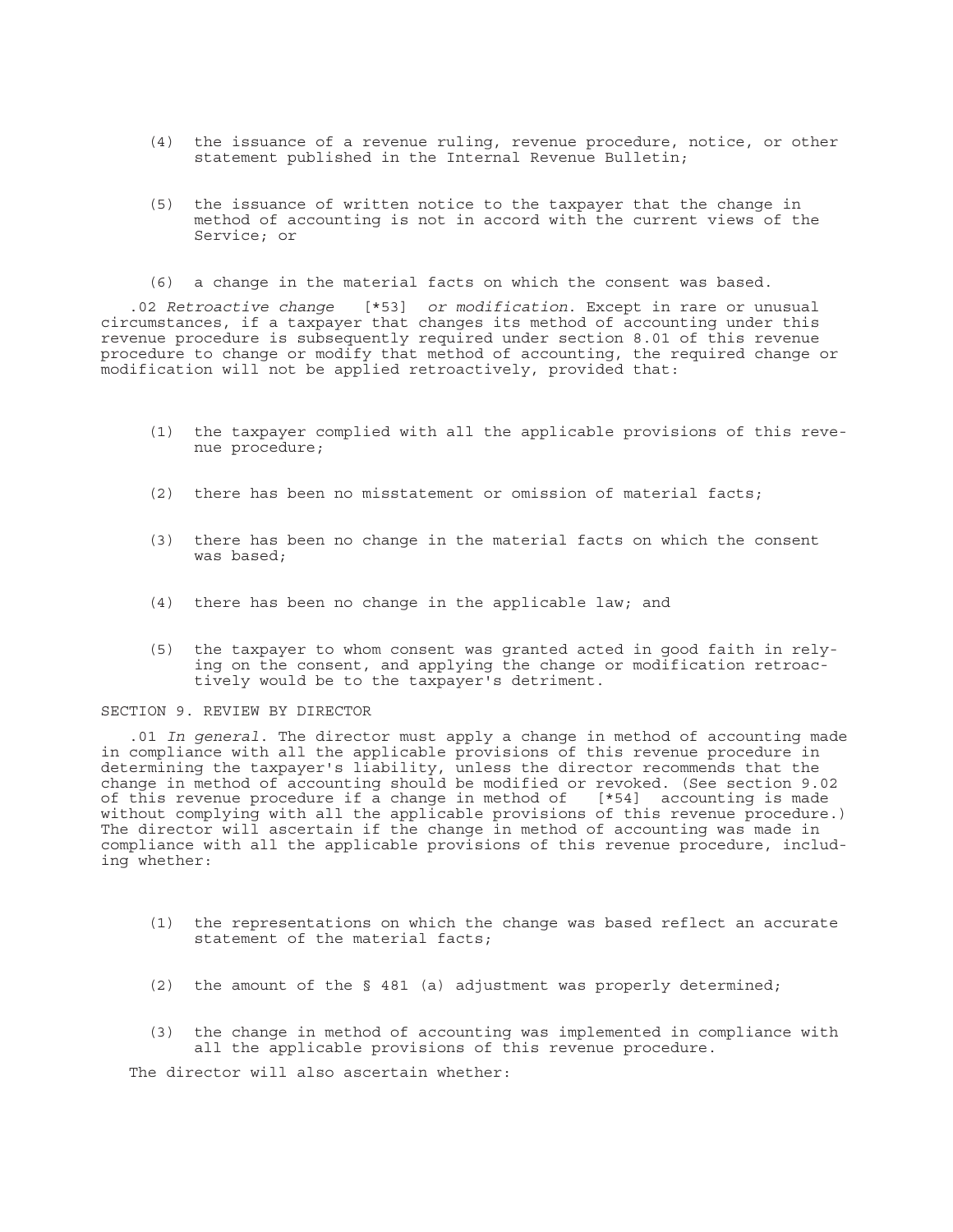- (4) the issuance of a revenue ruling, revenue procedure, notice, or other statement published in the Internal Revenue Bulletin;
- (5) the issuance of written notice to the taxpayer that the change in method of accounting is not in accord with the current views of the Service; or
- (6) a change in the material facts on which the consent was based.

.02 *Retroactive change* [\*53] *or modification*. Except in rare or unusual circumstances, if a taxpayer that changes its method of accounting under this revenue procedure is subsequently required under section 8.01 of this revenue procedure to change or modify that method of accounting, the required change or modification will not be applied retroactively, provided that:

- (1) the taxpayer complied with all the applicable provisions of this revenue procedure;
- (2) there has been no misstatement or omission of material facts;
- (3) there has been no change in the material facts on which the consent was based;
- (4) there has been no change in the applicable law; and
- (5) the taxpayer to whom consent was granted acted in good faith in relying on the consent, and applying the change or modification retroactively would be to the taxpayer's detriment.

#### SECTION 9. REVIEW BY DIRECTOR

.01 *In general*. The director must apply a change in method of accounting made in compliance with all the applicable provisions of this revenue procedure in determining the taxpayer's liability, unless the director recommends that the change in method of accounting should be modified or revoked. (See section 9.02 of this revenue procedure if a change in method of [\*54] accounting is made without complying with all the applicable provisions of this revenue procedure.) The director will ascertain if the change in method of accounting was made in compliance with all the applicable provisions of this revenue procedure, including whether:

- (1) the representations on which the change was based reflect an accurate statement of the material facts;
- (2) the amount of the § 481 (a) adjustment was properly determined;
- (3) the change in method of accounting was implemented in compliance with all the applicable provisions of this revenue procedure.

The director will also ascertain whether: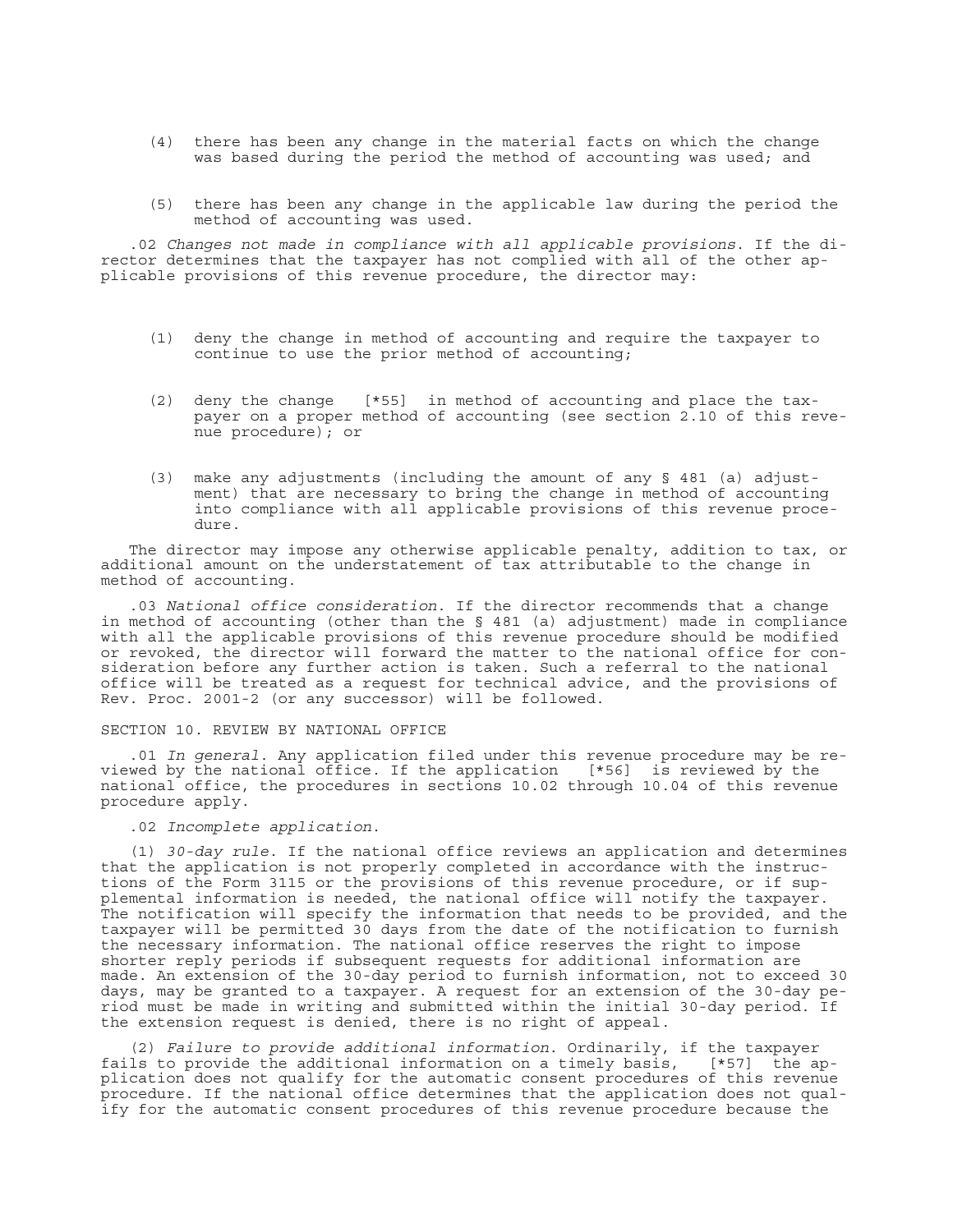- (4) there has been any change in the material facts on which the change was based during the period the method of accounting was used; and
- (5) there has been any change in the applicable law during the period the method of accounting was used.

.02 *Changes not made in compliance with all applicable provisions*. If the director determines that the taxpayer has not complied with all of the other applicable provisions of this revenue procedure, the director may:

- (1) deny the change in method of accounting and require the taxpayer to continue to use the prior method of accounting;
- (2) deny the change [\*55] in method of accounting and place the taxpayer on a proper method of accounting (see section 2.10 of this revenue procedure); or
- (3) make any adjustments (including the amount of any § 481 (a) adjustment) that are necessary to bring the change in method of accounting into compliance with all applicable provisions of this revenue procedure.

The director may impose any otherwise applicable penalty, addition to tax, or additional amount on the understatement of tax attributable to the change in method of accounting.

.03 *National office consideration*. If the director recommends that a change in method of accounting (other than the § 481 (a) adjustment) made in compliance with all the applicable provisions of this revenue procedure should be modified or revoked, the director will forward the matter to the national office for consideration before any further action is taken. Such a referral to the national office will be treated as a request for technical advice, and the provisions of Rev. Proc. 2001-2 (or any successor) will be followed.

## SECTION 10. REVIEW BY NATIONAL OFFICE

.01 *In general*. Any application filed under this revenue procedure may be reviewed by the national office. If the application [\*56] is reviewed by the national office, the procedures in sections 10.02 through 10.04 of this revenue procedure apply.

.02 *Incomplete application*.

(1) *30-day rule*. If the national office reviews an application and determines that the application is not properly completed in accordance with the instructions of the Form 3115 or the provisions of this revenue procedure, or if supplemental information is needed, the national office will notify the taxpayer. The notification will specify the information that needs to be provided, and the taxpayer will be permitted 30 days from the date of the notification to furnish the necessary information. The national office reserves the right to impose shorter reply periods if subsequent requests for additional information are made. An extension of the 30-day period to furnish information, not to exceed 30 days, may be granted to a taxpayer. A request for an extension of the 30-day period must be made in writing and submitted within the initial 30-day period. If the extension request is denied, there is no right of appeal.

(2) *Failure to provide additional information*. Ordinarily, if the taxpayer fails to provide the additional information on a timely basis, [\*57] the application does not qualify for the automatic consent procedures of this revenue procedure. If the national office determines that the application does not qualify for the automatic consent procedures of this revenue procedure because the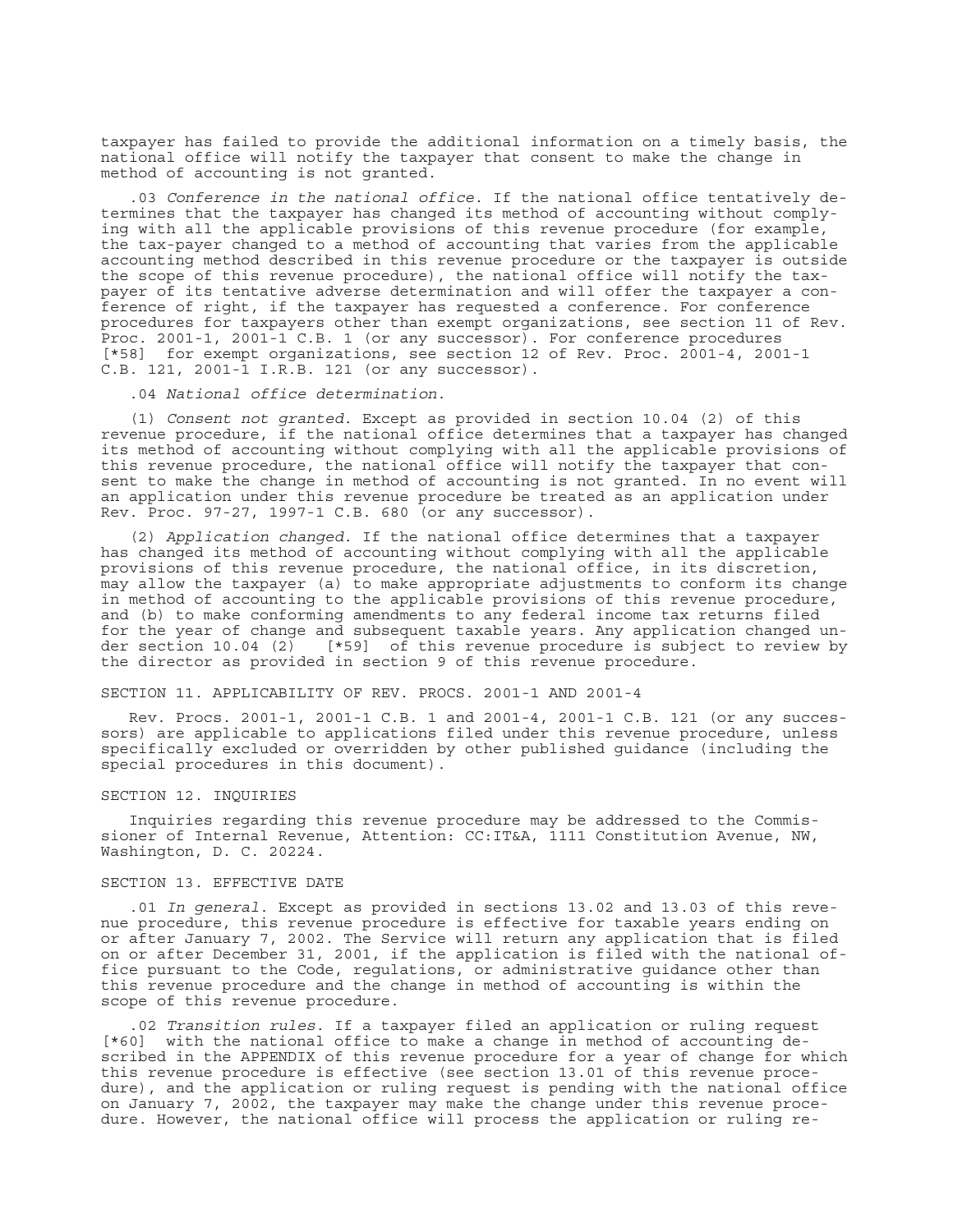taxpayer has failed to provide the additional information on a timely basis, the national office will notify the taxpayer that consent to make the change in method of accounting is not granted.

.03 *Conference in the national office*. If the national office tentatively determines that the taxpayer has changed its method of accounting without complying with all the applicable provisions of this revenue procedure (for example, the tax-payer changed to a method of accounting that varies from the applicable accounting method described in this revenue procedure or the taxpayer is outside the scope of this revenue procedure), the national office will notify the taxpayer of its tentative adverse determination and will offer the taxpayer a conference of right, if the taxpayer has requested a conference. For conference procedures for taxpayers other than exempt organizations, see section 11 of Rev. Proc. 2001-1, 2001-1 C.B. 1 (or any successor). For conference procedures [\*58] for exempt organizations, see section 12 of Rev. Proc. 2001-4, 2001-1 C.B. 121, 2001-1 I.R.B. 121 (or any successor).

.04 *National office determination*.

(1) *Consent not granted*. Except as provided in section 10.04 (2) of this revenue procedure, if the national office determines that a taxpayer has changed its method of accounting without complying with all the applicable provisions of this revenue procedure, the national office will notify the taxpayer that consent to make the change in method of accounting is not granted. In no event will an application under this revenue procedure be treated as an application under Rev. Proc. 97-27, 1997-1 C.B. 680 (or any successor).

(2) *Application changed*. If the national office determines that a taxpayer has changed its method of accounting without complying with all the applicable provisions of this revenue procedure, the national office, in its discretion, may allow the taxpayer (a) to make appropriate adjustments to conform its change in method of accounting to the applicable provisions of this revenue procedure, and (b) to make conforming amendments to any federal income tax returns filed for the year of change and subsequent taxable years. Any application changed under section 10.04 (2) [\*59] of this revenue procedure is subject to review by the director as provided in section 9 of this revenue procedure.

SECTION 11. APPLICABILITY OF REV. PROCS. 2001-1 AND 2001-4

Rev. Procs. 2001-1, 2001-1 C.B. 1 and 2001-4, 2001-1 C.B. 121 (or any successors) are applicable to applications filed under this revenue procedure, unless specifically excluded or overridden by other published guidance (including the special procedures in this document).

### SECTION 12. INQUIRIES

Inquiries regarding this revenue procedure may be addressed to the Commissioner of Internal Revenue, Attention: CC:IT&A, 1111 Constitution Avenue, NW, Washington, D. C. 20224.

## SECTION 13. EFFECTIVE DATE

.01 *In general*. Except as provided in sections 13.02 and 13.03 of this revenue procedure, this revenue procedure is effective for taxable years ending on or after January 7, 2002. The Service will return any application that is filed on or after December 31, 2001, if the application is filed with the national office pursuant to the Code, regulations, or administrative guidance other than this revenue procedure and the change in method of accounting is within the scope of this revenue procedure.

.02 *Transition rules*. If a taxpayer filed an application or ruling request [\*60] with the national office to make a change in method of accounting described in the APPENDIX of this revenue procedure for a year of change for which this revenue procedure is effective (see section 13.01 of this revenue procedure), and the application or ruling request is pending with the national office on January 7, 2002, the taxpayer may make the change under this revenue procedure. However, the national office will process the application or ruling re-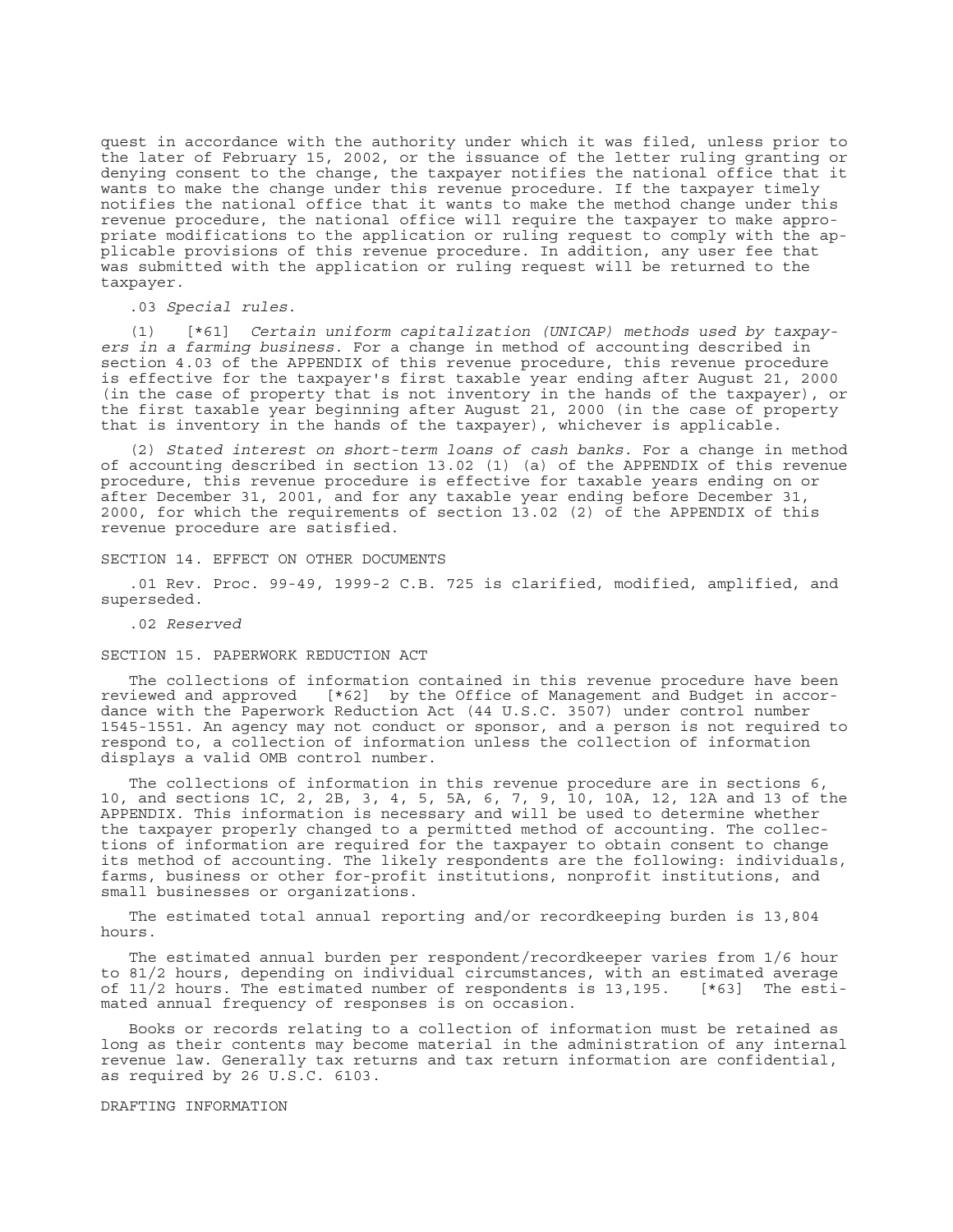quest in accordance with the authority under which it was filed, unless prior to the later of February 15, 2002, or the issuance of the letter ruling granting or denying consent to the change, the taxpayer notifies the national office that it wants to make the change under this revenue procedure. If the taxpayer timely notifies the national office that it wants to make the method change under this revenue procedure, the national office will require the taxpayer to make appropriate modifications to the application or ruling request to comply with the applicable provisions of this revenue procedure. In addition, any user fee that was submitted with the application or ruling request will be returned to the taxpayer.

.03 *Special rules*.

(1) [\*61] *Certain uniform capitalization (UNICAP) methods used by taxpayers in a farming business*. For a change in method of accounting described in section 4.03 of the APPENDIX of this revenue procedure, this revenue procedure is effective for the taxpayer's first taxable year ending after August 21, 2000 (in the case of property that is not inventory in the hands of the taxpayer), or the first taxable year beginning after August 21, 2000 (in the case of property that is inventory in the hands of the taxpayer), whichever is applicable.

(2) *Stated interest on short-term loans of cash banks*. For a change in method of accounting described in section 13.02 (1) (a) of the APPENDIX of this revenue procedure, this revenue procedure is effective for taxable years ending on or after December 31, 2001, and for any taxable year ending before December 31, 2000, for which the requirements of section 13.02 (2) of the APPENDIX of this revenue procedure are satisfied.

#### SECTION 14. EFFECT ON OTHER DOCUMENTS

.01 Rev. Proc. 99-49, 1999-2 C.B. 725 is clarified, modified, amplified, and superseded.

.02 *Reserved*

## SECTION 15. PAPERWORK REDUCTION ACT

The collections of information contained in this revenue procedure have been reviewed and approved [\*62] by the Office of Management and Budget in accordance with the Paperwork Reduction Act (44 U.S.C. 3507) under control number 1545-1551. An agency may not conduct or sponsor, and a person is not required to respond to, a collection of information unless the collection of information displays a valid OMB control number.

The collections of information in this revenue procedure are in sections 6, 10, and sections 1C, 2, 2B, 3, 4, 5, 5A, 6, 7, 9, 10, 10A, 12, 12A and 13 of the APPENDIX. This information is necessary and will be used to determine whether the taxpayer properly changed to a permitted method of accounting. The collections of information are required for the taxpayer to obtain consent to change its method of accounting. The likely respondents are the following: individuals, farms, business or other for-profit institutions, nonprofit institutions, and small businesses or organizations.

The estimated total annual reporting and/or recordkeeping burden is 13,804 hours.

The estimated annual burden per respondent/recordkeeper varies from 1/6 hour to 81/2 hours, depending on individual circumstances, with an estimated average of 11/2 hours. The estimated number of respondents is 13,195. [\*63] The estimated annual frequency of responses is on occasion.

Books or records relating to a collection of information must be retained as long as their contents may become material in the administration of any internal revenue law. Generally tax returns and tax return information are confidential, as required by 26 U.S.C. 6103.

DRAFTING INFORMATION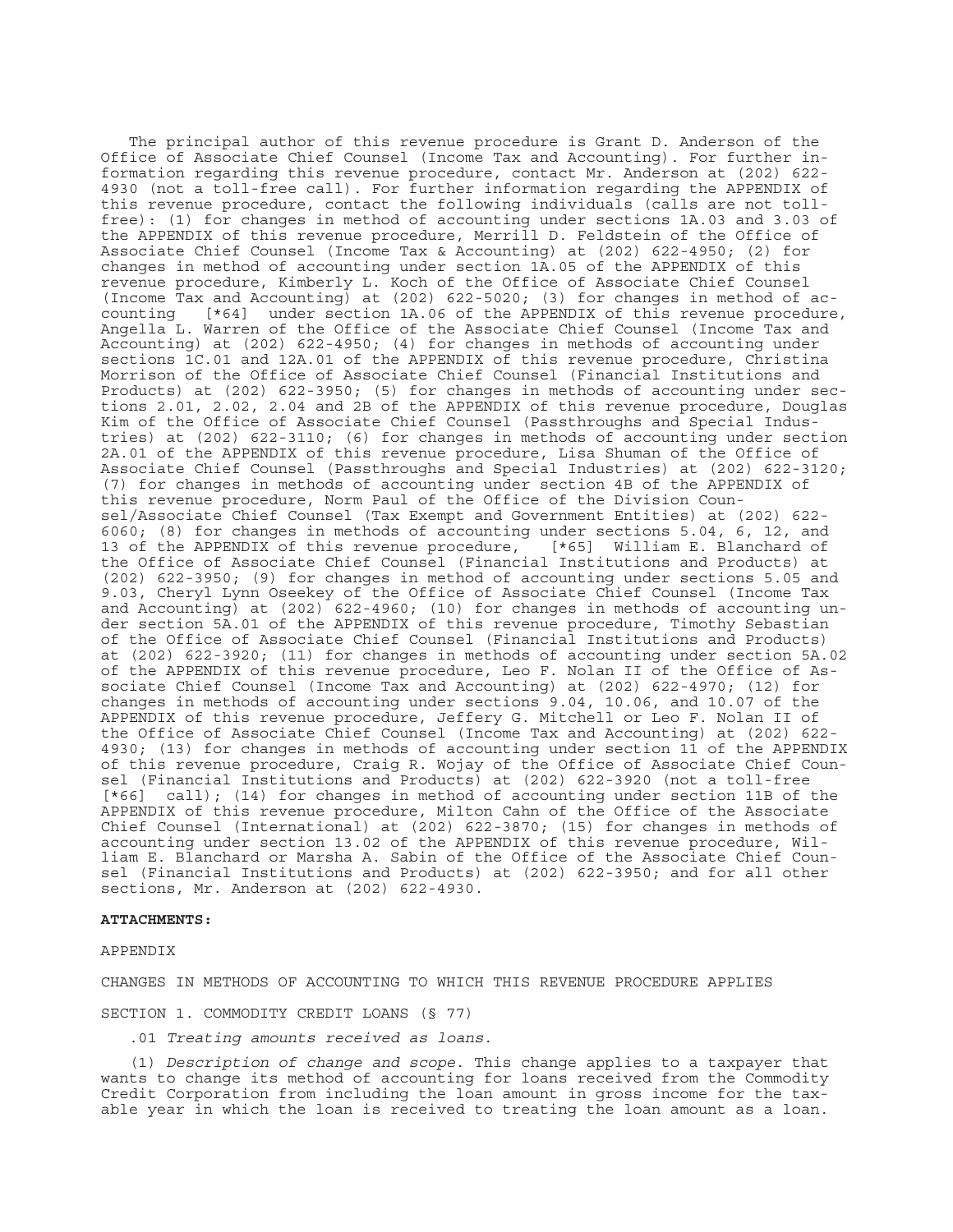The principal author of this revenue procedure is Grant D. Anderson of the Office of Associate Chief Counsel (Income Tax and Accounting). For further information regarding this revenue procedure, contact Mr. Anderson at (202) 622- 4930 (not a toll-free call). For further information regarding the APPENDIX of this revenue procedure, contact the following individuals (calls are not tollfree): (1) for changes in method of accounting under sections 1A.03 and 3.03 of the APPENDIX of this revenue procedure, Merrill D. Feldstein of the Office of Associate Chief Counsel (Income Tax & Accounting) at (202) 622-4950; (2) for changes in method of accounting under section 1A.05 of the APPENDIX of this revenue procedure, Kimberly L. Koch of the Office of Associate Chief Counsel (Income Tax and Accounting) at (202) 622-5020; (3) for changes in method of accounting  $\lceil *64 \rceil$  under section 1A.06 of the APPENDIX of this revenue procedure [\*64] under section 1A.06 of the APPENDIX of this revenue procedure, Angella L. Warren of the Office of the Associate Chief Counsel (Income Tax and Accounting) at (202) 622-4950; (4) for changes in methods of accounting under sections 1C.01 and 12A.01 of the APPENDIX of this revenue procedure, Christina Morrison of the Office of Associate Chief Counsel (Financial Institutions and Products) at (202) 622-3950; (5) for changes in methods of accounting under sections 2.01, 2.02, 2.04 and 2B of the APPENDIX of this revenue procedure, Douglas Kim of the Office of Associate Chief Counsel (Passthroughs and Special Industries) at (202) 622-3110; (6) for changes in methods of accounting under section 2A.01 of the APPENDIX of this revenue procedure, Lisa Shuman of the Office of Associate Chief Counsel (Passthroughs and Special Industries) at (202) 622-3120; (7) for changes in methods of accounting under section 4B of the APPENDIX of this revenue procedure, Norm Paul of the Office of the Division Counsel/Associate Chief Counsel (Tax Exempt and Government Entities) at (202) 622- 6060; (8) for changes in methods of accounting under sections 5.04, 6, 12, and 13 of the APPENDIX of this revenue procedure,  $\lceil *65 \rceil$  William E. Blanchard of 13 of the APPENDIX of this revenue procedure, the Office of Associate Chief Counsel (Financial Institutions and Products) at (202) 622-3950; (9) for changes in method of accounting under sections 5.05 and 9.03, Cheryl Lynn Oseekey of the Office of Associate Chief Counsel (Income Tax and Accounting) at (202) 622-4960; (10) for changes in methods of accounting under section 5A.01 of the APPENDIX of this revenue procedure, Timothy Sebastian of the Office of Associate Chief Counsel (Financial Institutions and Products) at (202) 622-3920; (11) for changes in methods of accounting under section 5A.02 of the APPENDIX of this revenue procedure, Leo F. Nolan II of the Office of Associate Chief Counsel (Income Tax and Accounting) at (202) 622-4970; (12) for changes in methods of accounting under sections 9.04, 10.06, and 10.07 of the APPENDIX of this revenue procedure, Jeffery G. Mitchell or Leo F. Nolan II of the Office of Associate Chief Counsel (Income Tax and Accounting) at (202) 622- 4930; (13) for changes in methods of accounting under section 11 of the APPENDIX of this revenue procedure, Craig R. Wojay of the Office of Associate Chief Counsel (Financial Institutions and Products) at (202) 622-3920 (not a toll-free [\*66] call); (14) for changes in method of accounting under section 11B of the APPENDIX of this revenue procedure, Milton Cahn of the Office of the Associate Chief Counsel (International) at (202) 622-3870; (15) for changes in methods of accounting under section 13.02 of the APPENDIX of this revenue procedure, William E. Blanchard or Marsha A. Sabin of the Office of the Associate Chief Counsel (Financial Institutions and Products) at (202) 622-3950; and for all other sections, Mr. Anderson at (202) 622-4930.

#### **ATTACHMENTS:**

APPENDIX

CHANGES IN METHODS OF ACCOUNTING TO WHICH THIS REVENUE PROCEDURE APPLIES

SECTION 1. COMMODITY CREDIT LOANS (§ 77)

.01 *Treating amounts received as loans*.

(1) *Description of change and scope*. This change applies to a taxpayer that wants to change its method of accounting for loans received from the Commodity Credit Corporation from including the loan amount in gross income for the taxable year in which the loan is received to treating the loan amount as a loan.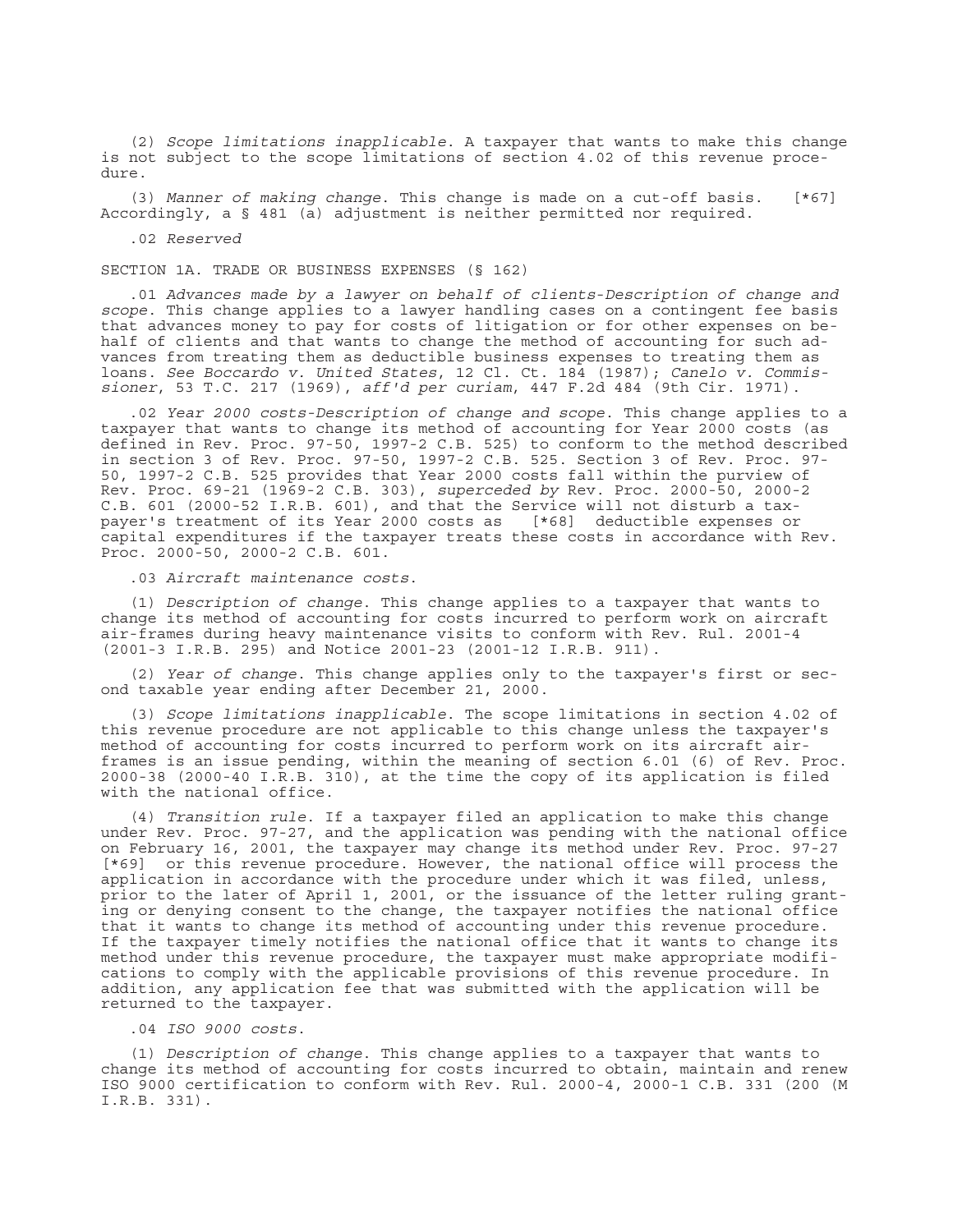(2) *Scope limitations inapplicable*. A taxpayer that wants to make this change is not subject to the scope limitations of section 4.02 of this revenue procedure.

(3) *Manner of making change*. This change is made on a cut-off basis. [\*67] Accordingly, a § 481 (a) adjustment is neither permitted nor required.

.02 *Reserved*

SECTION 1A. TRADE OR BUSINESS EXPENSES (§ 162)

.01 *Advances made by a lawyer on behalf of clients*-*Description of change and scope*. This change applies to a lawyer handling cases on a contingent fee basis that advances money to pay for costs of litigation or for other expenses on behalf of clients and that wants to change the method of accounting for such advances from treating them as deductible business expenses to treating them as loans. *See Boccardo v. United States*, 12 Cl. Ct. 184 (1987); *Canelo v. Commissioner*, 53 T.C. 217 (1969), *aff'd per curiam*, 447 F.2d 484 (9th Cir. 1971).

.02 *Year 2000 costs-Description of change and scope*. This change applies to a taxpayer that wants to change its method of accounting for Year 2000 costs (as defined in Rev. Proc. 97-50, 1997-2 C.B. 525) to conform to the method described in section 3 of Rev. Proc. 97-50, 1997-2 C.B. 525. Section 3 of Rev. Proc. 97- 50, 1997-2 C.B. 525 provides that Year 2000 costs fall within the purview of Rev. Proc. 69-21 (1969-2 C.B. 303), *superceded by* Rev. Proc. 2000-50, 2000-2 C.B. 601 (2000-52 I.R.B. 601), and that the Service will not disturb a taxpayer's treatment of its Year 2000 costs as [\*68] deductible expenses or capital expenditures if the taxpayer treats these costs in accordance with Rev. Proc. 2000-50, 2000-2 C.B. 601.

.03 *Aircraft maintenance costs*.

(1) *Description of change*. This change applies to a taxpayer that wants to change its method of accounting for costs incurred to perform work on aircraft air-frames during heavy maintenance visits to conform with Rev. Rul. 2001-4 (2001-3 I.R.B. 295) and Notice 2001-23 (2001-12 I.R.B. 911).

(2) *Year of change*. This change applies only to the taxpayer's first or second taxable year ending after December 21, 2000.

(3) *Scope limitations inapplicable*. The scope limitations in section 4.02 of this revenue procedure are not applicable to this change unless the taxpayer's method of accounting for costs incurred to perform work on its aircraft airframes is an issue pending, within the meaning of section 6.01 (6) of Rev. Proc. 2000-38 (2000-40 I.R.B. 310), at the time the copy of its application is filed with the national office.

(4) *Transition rule*. If a taxpayer filed an application to make this change under Rev. Proc. 97-27, and the application was pending with the national office on February 16, 2001, the taxpayer may change its method under Rev. Proc. 97-27 [\*69] or this revenue procedure. However, the national office will process the application in accordance with the procedure under which it was filed, unless, prior to the later of April 1, 2001, or the issuance of the letter ruling granting or denying consent to the change, the taxpayer notifies the national office that it wants to change its method of accounting under this revenue procedure. If the taxpayer timely notifies the national office that it wants to change its method under this revenue procedure, the taxpayer must make appropriate modifications to comply with the applicable provisions of this revenue procedure. In addition, any application fee that was submitted with the application will be returned to the taxpayer.

.04 *ISO 9000 costs*.

(1) *Description of change*. This change applies to a taxpayer that wants to change its method of accounting for costs incurred to obtain, maintain and renew ISO 9000 certification to conform with Rev. Rul. 2000-4, 2000-1 C.B. 331 (200 (M I.R.B. 331).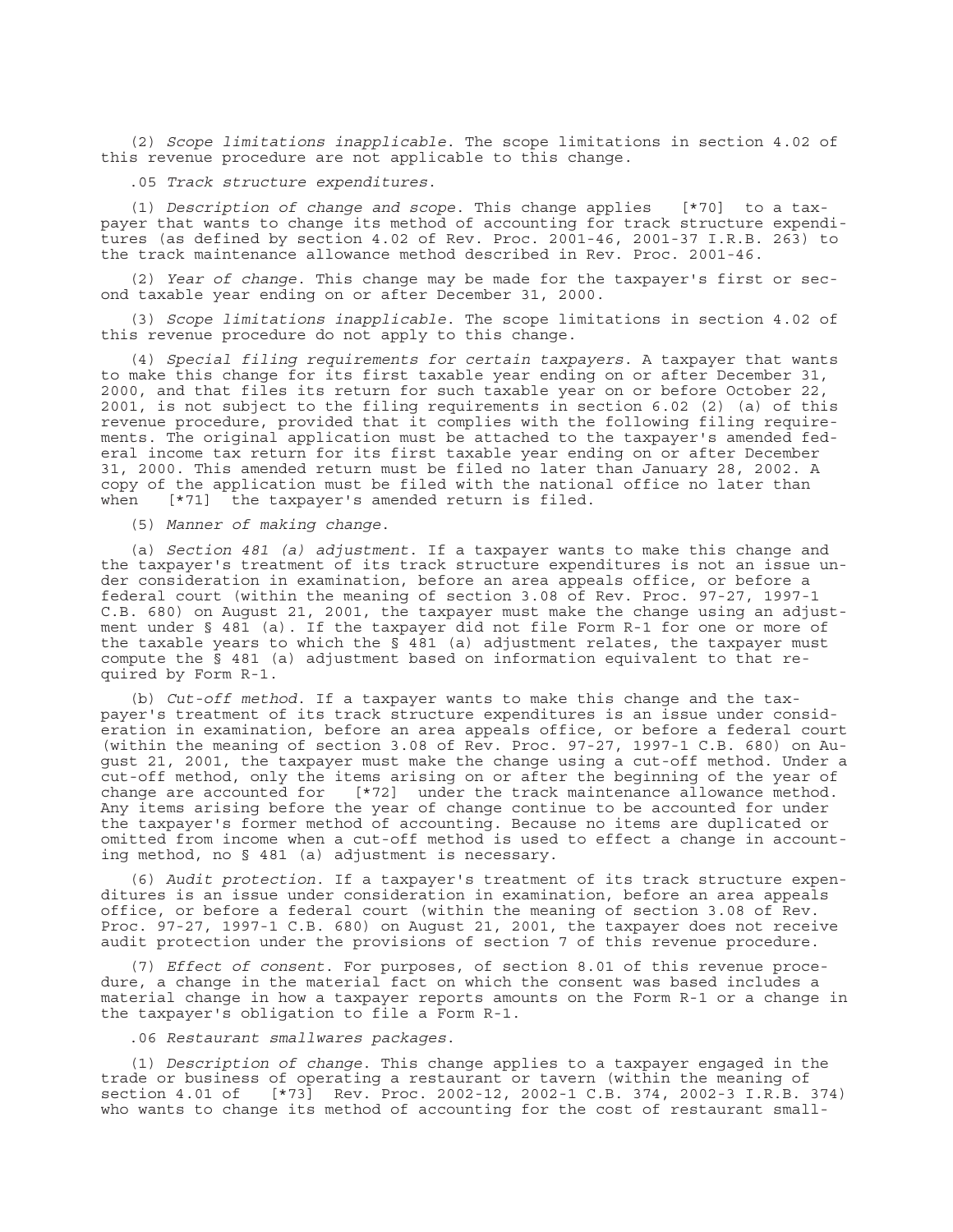(2) *Scope limitations inapplicable*. The scope limitations in section 4.02 of this revenue procedure are not applicable to this change.

.05 *Track structure expenditures*.

(1) *Description of change and scope*. This change applies [\*70] to a taxpayer that wants to change its method of accounting for track structure expenditures (as defined by section 4.02 of Rev. Proc. 2001-46, 2001-37 I.R.B. 263) to the track maintenance allowance method described in Rev. Proc. 2001-46.

(2) *Year of change*. This change may be made for the taxpayer's first or second taxable year ending on or after December 31, 2000.

(3) *Scope limitations inapplicable*. The scope limitations in section 4.02 of this revenue procedure do not apply to this change.

(4) *Special filing requirements for certain taxpayers*. A taxpayer that wants to make this change for its first taxable year ending on or after December 31, 2000, and that files its return for such taxable year on or before October 22, 2001, is not subject to the filing requirements in section 6.02 (2) (a) of this revenue procedure, provided that it complies with the following filing requirements. The original application must be attached to the taxpayer's amended federal income tax return for its first taxable year ending on or after December 31, 2000. This amended return must be filed no later than January 28, 2002. A copy of the application must be filed with the national office no later than when [\*71] the taxpayer's amended return is filed.

(5) *Manner of making change*.

(a) *Section 481 (a) adjustment*. If a taxpayer wants to make this change and the taxpayer's treatment of its track structure expenditures is not an issue under consideration in examination, before an area appeals office, or before a federal court (within the meaning of section 3.08 of Rev. Proc. 97-27, 1997-1 C.B. 680) on August 21, 2001, the taxpayer must make the change using an adjustment under § 481 (a). If the taxpayer did not file Form R-1 for one or more of the taxable years to which the  $\frac{1}{8}$  481 (a) adjustment relates, the taxpayer must compute the § 481 (a) adjustment based on information equivalent to that required by Form R-1.

(b) *Cut-off method*. If a taxpayer wants to make this change and the taxpayer's treatment of its track structure expenditures is an issue under consideration in examination, before an area appeals office, or before a federal court (within the meaning of section 3.08 of Rev. Proc. 97-27, 1997-1 C.B. 680) on August 21, 2001, the taxpayer must make the change using a cut-off method. Under a cut-off method, only the items arising on or after the beginning of the year of change are accounted for [\*72] under the track maintenance allowance method. Any items arising before the year of change continue to be accounted for under the taxpayer's former method of accounting. Because no items are duplicated or omitted from income when a cut-off method is used to effect a change in accounting method, no § 481 (a) adjustment is necessary.

(6) *Audit protection*. If a taxpayer's treatment of its track structure expenditures is an issue under consideration in examination, before an area appeals office, or before a federal court (within the meaning of section 3.08 of Rev. Proc. 97-27, 1997-1 C.B. 680) on August 21, 2001, the taxpayer does not receive audit protection under the provisions of section 7 of this revenue procedure.

(7) *Effect of consent*. For purposes, of section 8.01 of this revenue procedure, a change in the material fact on which the consent was based includes a material change in how a taxpayer reports amounts on the Form R-1 or a change in the taxpayer's obligation to file a Form R-1.

.06 *Restaurant smallwares packages*.

(1) *Description of change*. This change applies to a taxpayer engaged in the trade or business of operating a restaurant or tavern (within the meaning of section 4.01 of [\*73] Rev. Proc. 2002-12, 2002-1 C.B. 374, 2002-3 I.R.B. 374) who wants to change its method of accounting for the cost of restaurant small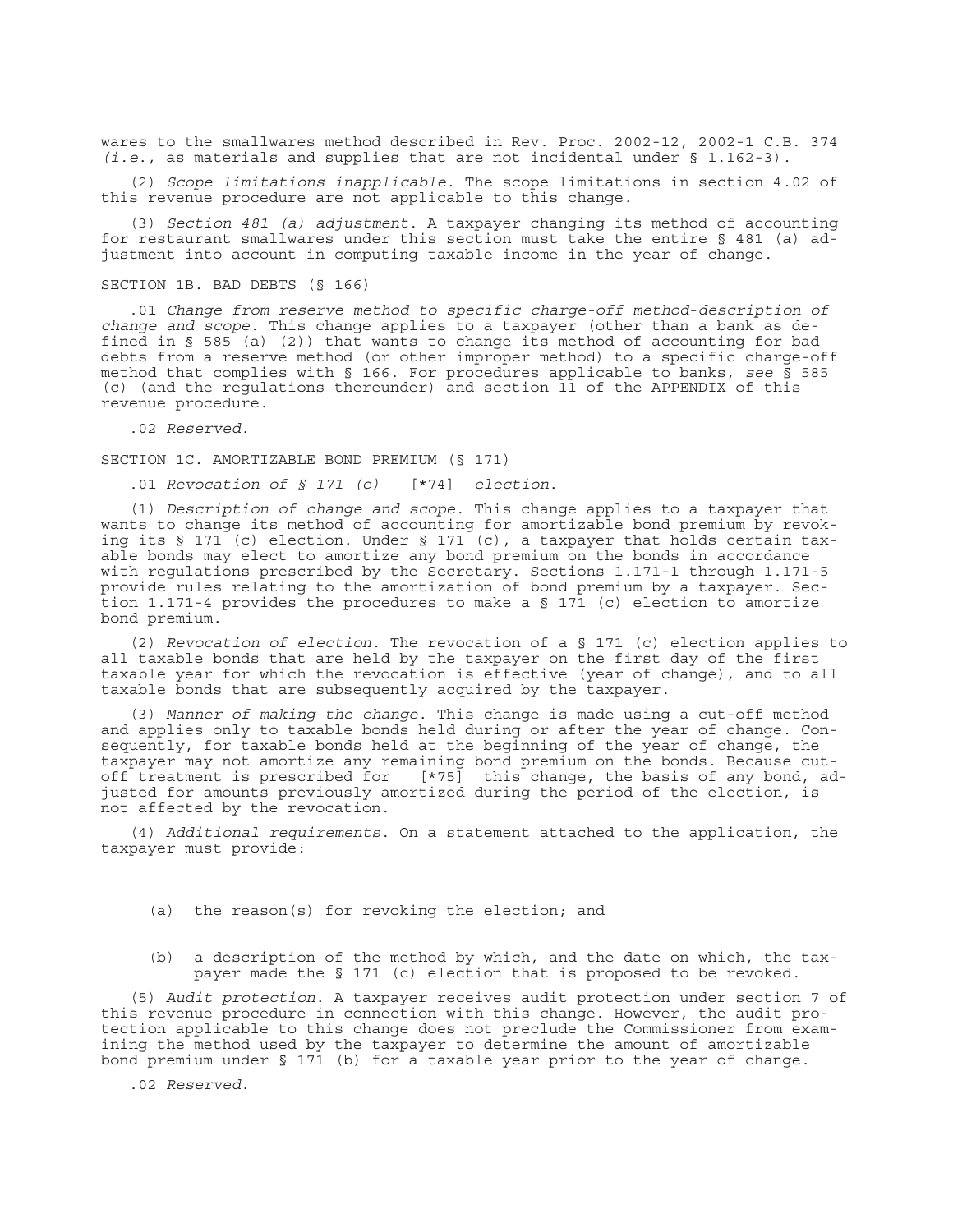wares to the smallwares method described in Rev. Proc. 2002-12, 2002-1 C.B. 374 *(i.e*., as materials and supplies that are not incidental under § 1.162-3).

(2) *Scope limitations inapplicable*. The scope limitations in section 4.02 of this revenue procedure are not applicable to this change.

(3) *Section 481 (a) adjustment*. A taxpayer changing its method of accounting for restaurant smallwares under this section must take the entire § 481 (a) adjustment into account in computing taxable income in the year of change.

#### SECTION 1B. BAD DEBTS (§ 166)

.01 *Change from reserve method to specific charge-off method*-*description of change and scope*. This change applies to a taxpayer (other than a bank as defined in § 585 (a) (2)) that wants to change its method of accounting for bad debts from a reserve method (or other improper method) to a specific charge-off method that complies with § 166. For procedures applicable to banks, *see* § 585 (c) (and the regulations thereunder) and section 11 of the APPENDIX of this revenue procedure.

.02 *Reserved*.

SECTION 1C. AMORTIZABLE BOND PREMIUM (§ 171)

.01 *Revocation of § 171 (c)* [\*74] *election*.

(1) *Description of change and scope*. This change applies to a taxpayer that wants to change its method of accounting for amortizable bond premium by revoking its  $\S 171$  (c) election. Under  $\S 171$  (c), a taxpayer that holds certain taxable bonds may elect to amortize any bond premium on the bonds in accordance with regulations prescribed by the Secretary. Sections 1.171-1 through 1.171-5 provide rules relating to the amortization of bond premium by a taxpayer. Section 1.171-4 provides the procedures to make a § 171 (c) election to amortize bond premium.

(2) *Revocation of election*. The revocation of a § 171 (c) election applies to all taxable bonds that are held by the taxpayer on the first day of the first taxable year for which the revocation is effective (year of change), and to all taxable bonds that are subsequently acquired by the taxpayer.

(3) *Manner of making the change*. This change is made using a cut-off method and applies only to taxable bonds held during or after the year of change. Consequently, for taxable bonds held at the beginning of the year of change, the taxpayer may not amortize any remaining bond premium on the bonds. Because cut-<br>off treatment is prescribed for [\*75] this change, the basis of any bond, ad [\*75] this change, the basis of any bond, adjusted for amounts previously amortized during the period of the election, is not affected by the revocation.

(4) *Additional requirements*. On a statement attached to the application, the taxpayer must provide:

- (a) the reason(s) for revoking the election; and
- (b) a description of the method by which, and the date on which, the taxpayer made the § 171 (c) election that is proposed to be revoked.

(5) *Audit protection*. A taxpayer receives audit protection under section 7 of this revenue procedure in connection with this change. However, the audit protection applicable to this change does not preclude the Commissioner from examining the method used by the taxpayer to determine the amount of amortizable bond premium under § 171 (b) for a taxable year prior to the year of change.

.02 *Reserved*.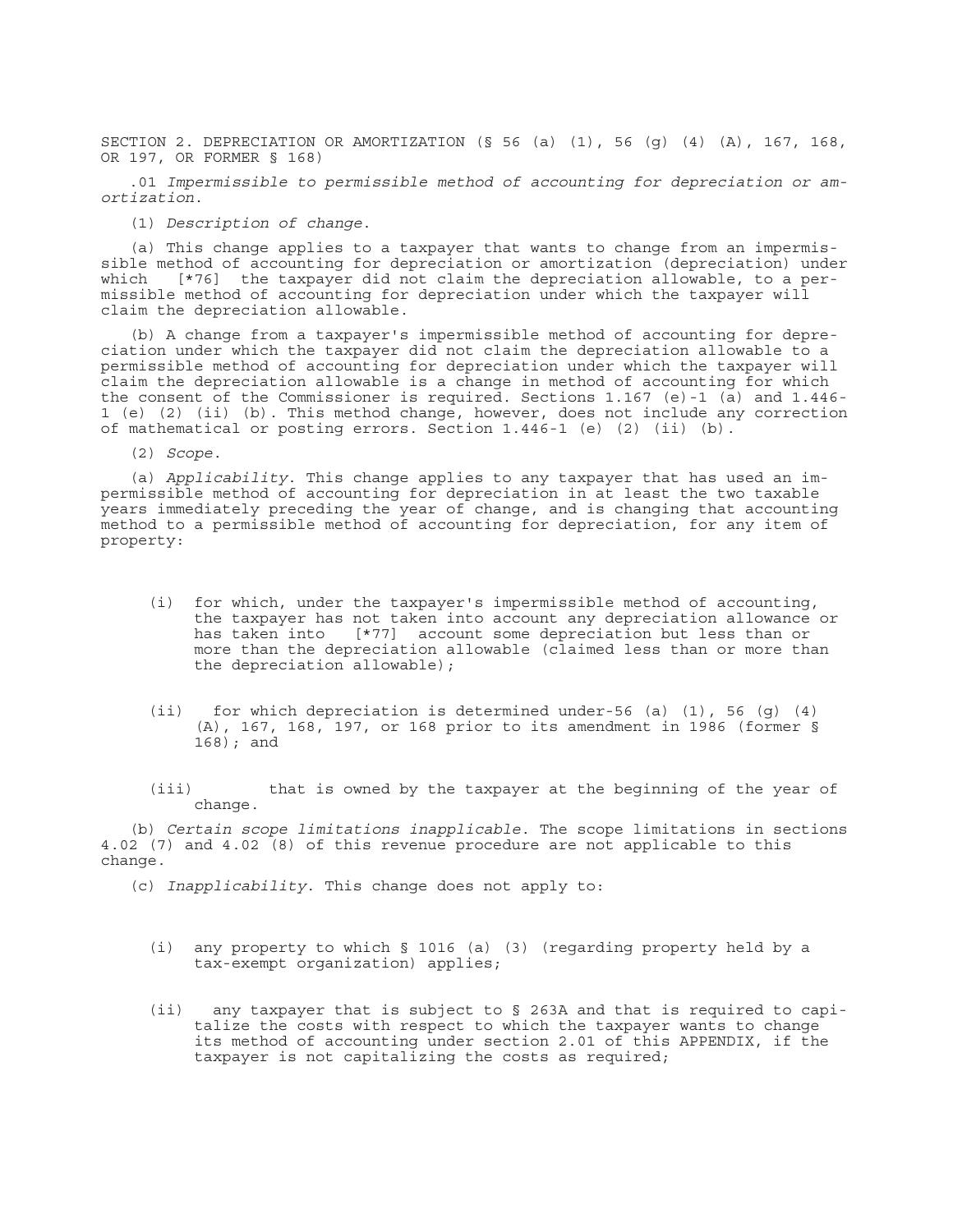SECTION 2. DEPRECIATION OR AMORTIZATION (§ 56 (a) (1), 56 (g) (4) (A), 167, 168, OR 197, OR FORMER § 168)

.01 *Impermissible to permissible method of accounting for depreciation or amortization*.

(1) *Description of change*.

(a) This change applies to a taxpayer that wants to change from an impermissible method of accounting for depreciation or amortization (depreciation) under which [\*76] the taxpayer did not claim the depreciation allowable, to a permissible method of accounting for depreciation under which the taxpayer will claim the depreciation allowable.

(b) A change from a taxpayer's impermissible method of accounting for depreciation under which the taxpayer did not claim the depreciation allowable to a permissible method of accounting for depreciation under which the taxpayer will claim the depreciation allowable is a change in method of accounting for which the consent of the Commissioner is required. Sections 1.167 (e)-1 (a) and 1.446- 1 (e) (2) (ii) (b). This method change, however, does not include any correction of mathematical or posting errors. Section 1.446-1 (e) (2) (ii) (b).

(2) *Scope*.

(a) *Applicability*. This change applies to any taxpayer that has used an impermissible method of accounting for depreciation in at least the two taxable years immediately preceding the year of change, and is changing that accounting method to a permissible method of accounting for depreciation, for any item of property:

- (i) for which, under the taxpayer's impermissible method of accounting, the taxpayer has not taken into account any depreciation allowance or has taken into [\*77] account some depreciation but less than or more than the depreciation allowable (claimed less than or more than the depreciation allowable);
- (ii) for which depreciation is determined under-56 (a) (1), 56 (g) (4) (A), 167, 168, 197, or 168 prior to its amendment in 1986 (former § 168); and
- (iii) that is owned by the taxpayer at the beginning of the year of change.

(b) *Certain scope limitations inapplicable*. The scope limitations in sections 4.02 (7) and 4.02 (8) of this revenue procedure are not applicable to this change.

(c) *Inapplicability*. This change does not apply to:

- (i) any property to which § 1016 (a) (3) (regarding property held by a tax-exempt organization) applies;
- (ii) any taxpayer that is subject to § 263A and that is required to capitalize the costs with respect to which the taxpayer wants to change its method of accounting under section 2.01 of this APPENDIX, if the taxpayer is not capitalizing the costs as required;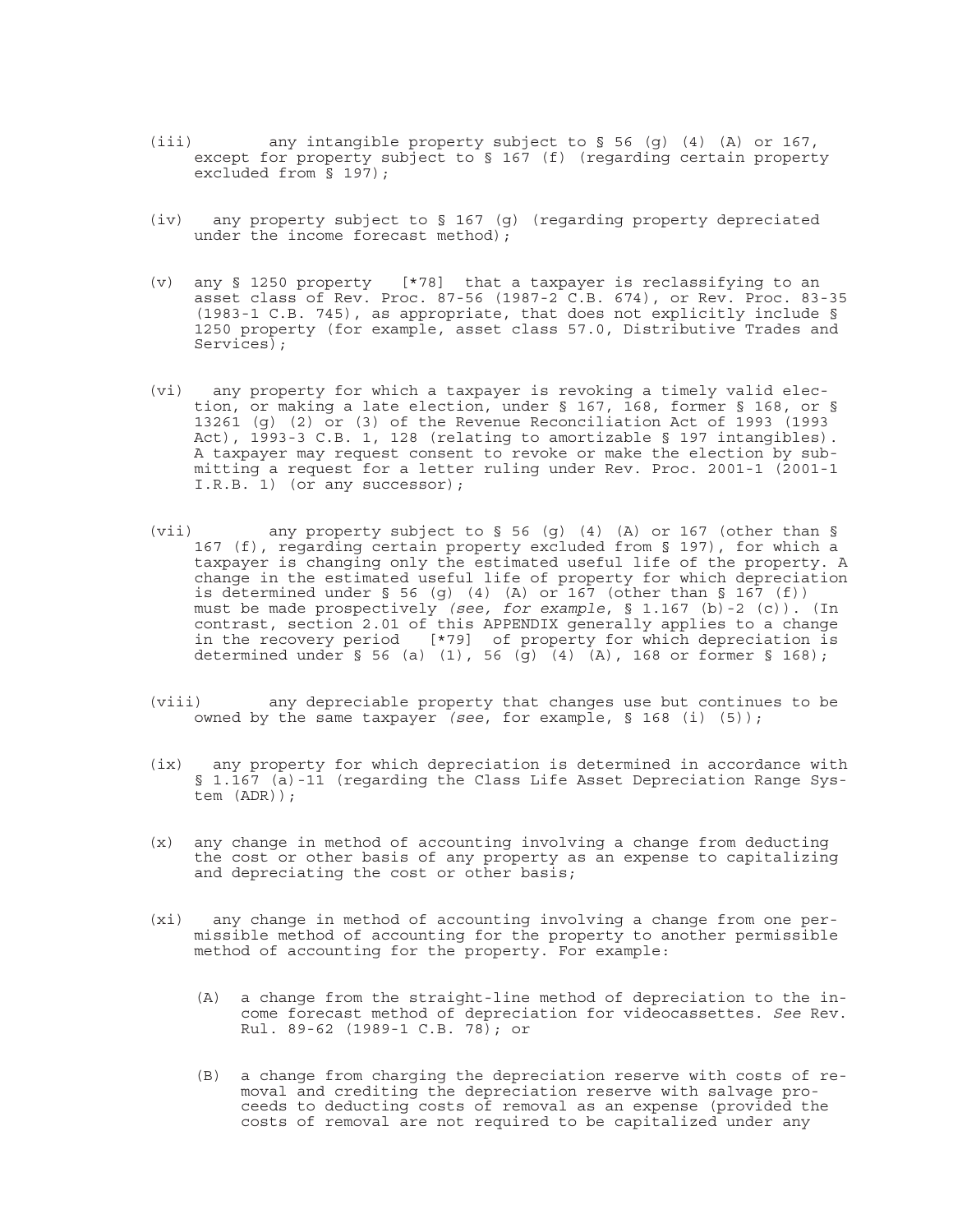- (iii) any intangible property subject to § 56 (g) (4) (A) or 167, except for property subject to § 167 (f) (regarding certain property excluded from § 197);
- (iv) any property subject to § 167 (g) (regarding property depreciated under the income forecast method);
- (v) any § 1250 property [\*78] that a taxpayer is reclassifying to an asset class of Rev. Proc. 87-56 (1987-2 C.B. 674), or Rev. Proc. 83-35 (1983-1 C.B. 745), as appropriate, that does not explicitly include § 1250 property (for example, asset class 57.0, Distributive Trades and Services);
- (vi) any property for which a taxpayer is revoking a timely valid election, or making a late election, under § 167, 168, former § 168, or § 13261 (g) (2) or (3) of the Revenue Reconciliation Act of 1993 (1993 Act), 1993-3 C.B. 1, 128 (relating to amortizable § 197 intangibles). A taxpayer may request consent to revoke or make the election by submitting a request for a letter ruling under Rev. Proc. 2001-1 (2001-1 I.R.B. 1) (or any successor);
- (vii) any property subject to § 56 (g) (4) (A) or 167 (other than § 167 (f), regarding certain property excluded from § 197), for which a taxpayer is changing only the estimated useful life of the property. A change in the estimated useful life of property for which depreciation is determined under  $\S$  56 (g) (4) (A) or 167 (other than  $\S$  167 (f)) must be made prospectively *(see, for example*, § 1.167 (b)-2 (c)). (In contrast, section 2.01 of this APPENDIX generally applies to a change in the recovery period [\*79] of property for which depreciation is determined under § 56 (a) (1), 56 (g) (4) (A), 168 or former § 168);
- (viii) any depreciable property that changes use but continues to be owned by the same taxpayer *(see*, for example, § 168 (i) (5));
- (ix) any property for which depreciation is determined in accordance with § 1.167 (a)-11 (regarding the Class Life Asset Depreciation Range System (ADR));
- (x) any change in method of accounting involving a change from deducting the cost or other basis of any property as an expense to capitalizing and depreciating the cost or other basis;
- (xi) any change in method of accounting involving a change from one permissible method of accounting for the property to another permissible method of accounting for the property. For example:
	- (A) a change from the straight-line method of depreciation to the income forecast method of depreciation for videocassettes. *See* Rev. Rul. 89-62 (1989-1 C.B. 78); or
	- (B) a change from charging the depreciation reserve with costs of removal and crediting the depreciation reserve with salvage proceeds to deducting costs of removal as an expense (provided the costs of removal are not required to be capitalized under any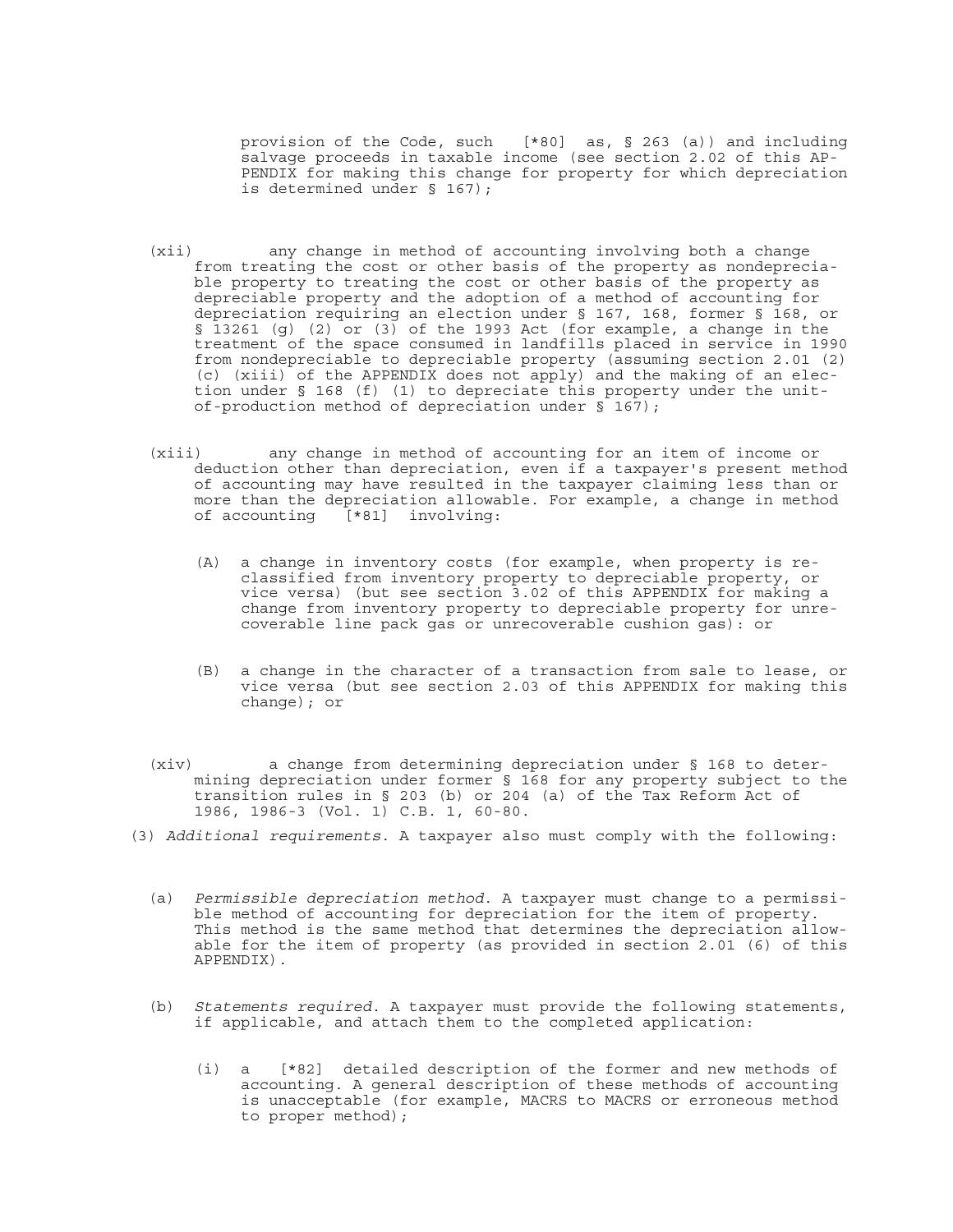provision of the Code, such [\*80] as, § 263 (a)) and including salvage proceeds in taxable income (see section 2.02 of this AP-PENDIX for making this change for property for which depreciation is determined under § 167);

- (xii) any change in method of accounting involving both a change from treating the cost or other basis of the property as nondepreciable property to treating the cost or other basis of the property as depreciable property and the adoption of a method of accounting for depreciation requiring an election under § 167, 168, former § 168, or § 13261 (g) (2) or (3) of the 1993 Act (for example, a change in the treatment of the space consumed in landfills placed in service in 1990 from nondepreciable to depreciable property (assuming section 2.01 (2) (c) (xiii) of the APPENDIX does not apply) and the making of an election under § 168 (f) (1) to depreciate this property under the unitof-production method of depreciation under  $\frac{1}{8}$  167);
- (xiii) any change in method of accounting for an item of income or deduction other than depreciation, even if a taxpayer's present method of accounting may have resulted in the taxpayer claiming less than or more than the depreciation allowable. For example, a change in method of accounting [\*81] involving:
	- (A) a change in inventory costs (for example, when property is reclassified from inventory property to depreciable property, or vice versa) (but see section 3.02 of this APPENDIX for making a change from inventory property to depreciable property for unrecoverable line pack gas or unrecoverable cushion gas): or
	- (B) a change in the character of a transaction from sale to lease, or vice versa (but see section 2.03 of this APPENDIX for making this change); or
- (xiv) a change from determining depreciation under § 168 to determining depreciation under former § 168 for any property subject to the transition rules in § 203 (b) or 204 (a) of the Tax Reform Act of 1986, 1986-3 (Vol. 1) C.B. 1, 60-80.
- (3) *Additional requirements*. A taxpayer also must comply with the following:
	- (a) *Permissible depreciation method*. A taxpayer must change to a permissible method of accounting for depreciation for the item of property. This method is the same method that determines the depreciation allowable for the item of property (as provided in section 2.01 (6) of this APPENDIX).
	- (b) *Statements required*. A taxpayer must provide the following statements, if applicable, and attach them to the completed application:
		- (i) a [\*82] detailed description of the former and new methods of accounting. A general description of these methods of accounting is unacceptable (for example, MACRS to MACRS or erroneous method to proper method);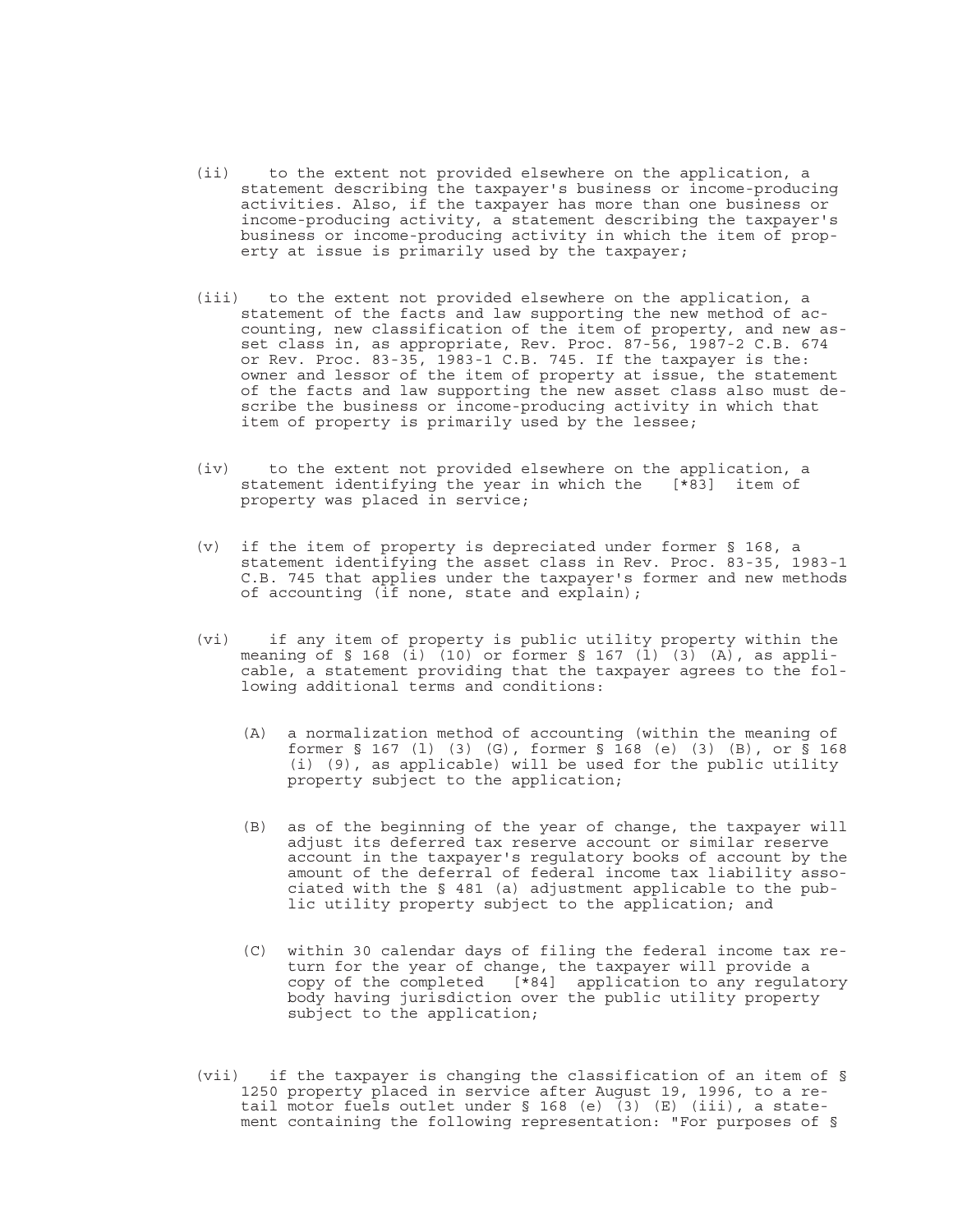- (ii) to the extent not provided elsewhere on the application, a statement describing the taxpayer's business or income-producing activities. Also, if the taxpayer has more than one business or income-producing activity, a statement describing the taxpayer's business or income-producing activity in which the item of property at issue is primarily used by the taxpayer;
- (iii) to the extent not provided elsewhere on the application, a statement of the facts and law supporting the new method of accounting, new classification of the item of property, and new asset class in, as appropriate, Rev. Proc. 87-56, 1987-2 C.B. 674 or Rev. Proc. 83-35, 1983-1 C.B. 745. If the taxpayer is the: owner and lessor of the item of property at issue, the statement of the facts and law supporting the new asset class also must describe the business or income-producing activity in which that item of property is primarily used by the lessee;
- (iv) to the extent not provided elsewhere on the application, a statement identifying the year in which the [\*83] item of property was placed in service;
- (v) if the item of property is depreciated under former § 168, a statement identifying the asset class in Rev. Proc. 83-35, 1983-1 C.B. 745 that applies under the taxpayer's former and new methods of accounting (if none, state and explain);
- (vi) if any item of property is public utility property within the meaning of § 168 (i)  $(10)$  or former § 167 (1)  $(3)$  (A), as applicable, a statement providing that the taxpayer agrees to the following additional terms and conditions:
	- (A) a normalization method of accounting (within the meaning of former § 167 (l) (3) (G), former § 168 (e) (3) (B), or § 168 (i) (9), as applicable) will be used for the public utility property subject to the application;
	- (B) as of the beginning of the year of change, the taxpayer will adjust its deferred tax reserve account or similar reserve account in the taxpayer's regulatory books of account by the amount of the deferral of federal income tax liability associated with the § 481 (a) adjustment applicable to the public utility property subject to the application; and
	- (C) within 30 calendar days of filing the federal income tax return for the year of change, the taxpayer will provide a copy of the completed [\*84] application to any regulatory body having jurisdiction over the public utility property subject to the application;
- (vii) if the taxpayer is changing the classification of an item of § 1250 property placed in service after August 19, 1996, to a retail motor fuels outlet under § 168 (e) (3) (E) (iii), a statement containing the following representation: "For purposes of §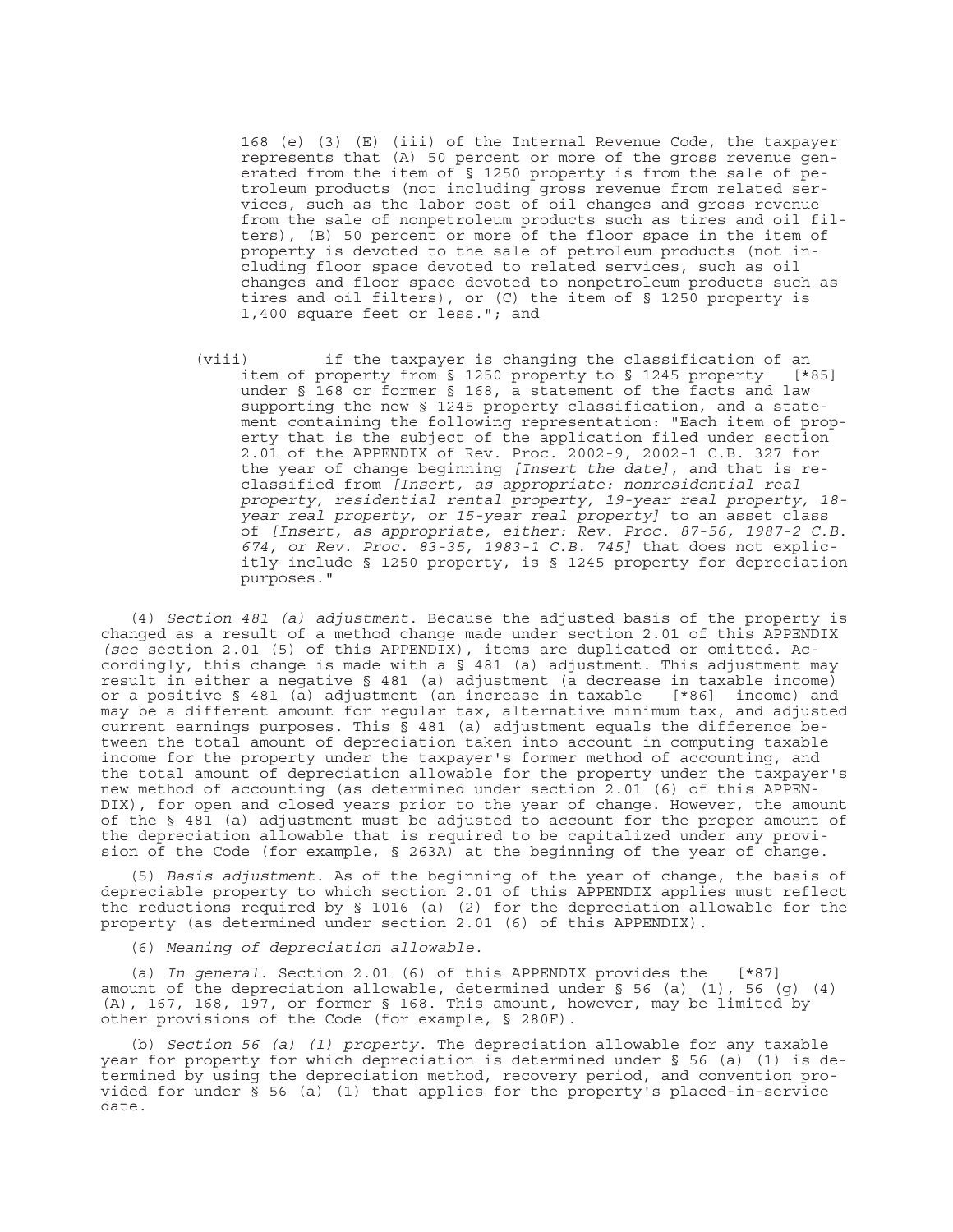168 (e) (3) (E) (iii) of the Internal Revenue Code, the taxpayer represents that (A) 50 percent or more of the gross revenue generated from the item of § 1250 property is from the sale of petroleum products (not including gross revenue from related services, such as the labor cost of oil changes and gross revenue from the sale of nonpetroleum products such as tires and oil filters), (B) 50 percent or more of the floor space in the item of property is devoted to the sale of petroleum products (not including floor space devoted to related services, such as oil changes and floor space devoted to nonpetroleum products such as tires and oil filters), or (C) the item of § 1250 property is 1,400 square feet or less."; and

(viii) if the taxpayer is changing the classification of an item of property from § 1250 property to § 1245 property [\*85] under § 168 or former § 168, a statement of the facts and law supporting the new § 1245 property classification, and a statement containing the following representation: "Each item of property that is the subject of the application filed under section 2.01 of the APPENDIX of Rev. Proc. 2002-9, 2002-1 C.B. 327 for the year of change beginning *[Insert the date]*, and that is reclassified from *[Insert, as appropriate: nonresidential real property, residential rental property, 19-year real property, 18 year real property, or 15-year real property]* to an asset class of *[Insert, as appropriate, either: Rev. Proc. 87-56, 1987-2 C.B. 674, or Rev. Proc. 83-35, 1983-1 C.B. 745]* that does not explicitly include § 1250 property, is § 1245 property for depreciation purposes."

(4) *Section 481 (a) adjustment*. Because the adjusted basis of the property is changed as a result of a method change made under section 2.01 of this APPENDIX *(see* section 2.01 (5) of this APPENDIX), items are duplicated or omitted. Accordingly, this change is made with a § 481 (a) adjustment. This adjustment may result in either a negative § 481 (a) adjustment (a decrease in taxable income) or a positive § 481 (a) adjustment (an increase in taxable [\*86] income) and may be a different amount for regular tax, alternative minimum tax, and adjusted current earnings purposes. This  $\bar{S}$  481 (a) adjustment equals the difference between the total amount of depreciation taken into account in computing taxable income for the property under the taxpayer's former method of accounting, and the total amount of depreciation allowable for the property under the taxpayer's new method of accounting (as determined under section 2.01 (6) of this APPEN-DIX), for open and closed years prior to the year of change. However, the amount of the § 481 (a) adjustment must be adjusted to account for the proper amount of the depreciation allowable that is required to be capitalized under any provision of the Code (for example, § 263A) at the beginning of the year of change.

(5) *Basis adjustment*. As of the beginning of the year of change, the basis of depreciable property to which section 2.01 of this APPENDIX applies must reflect the reductions required by § 1016 (a) (2) for the depreciation allowable for the property (as determined under section 2.01 (6) of this APPENDIX).

(6) *Meaning of depreciation allowable*.

(a) *In general*. Section 2.01 (6) of this APPENDIX provides the [\*87] amount of the depreciation allowable, determined under § 56 (a) (1), 56 (g) (4) (A), 167, 168, 197, or former § 168. This amount, however, may be limited by other provisions of the Code (for example, § 280F).

(b) *Section 56 (a) (1) property*. The depreciation allowable for any taxable year for property for which depreciation is determined under  $\S$  56 (a) (1) is determined by using the depreciation method, recovery period, and convention provided for under § 56 (a) (1) that applies for the property's placed-in-service date.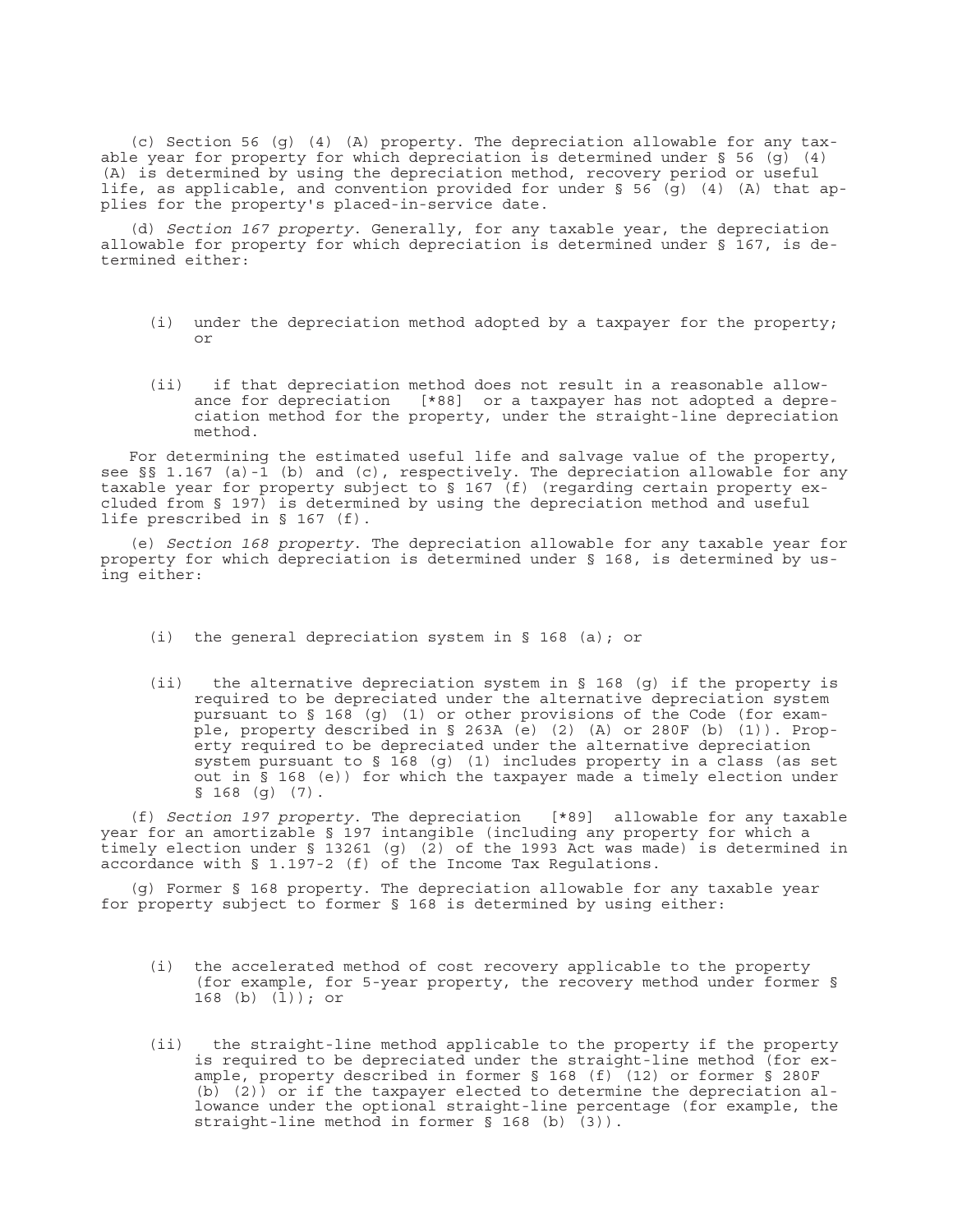(c) Section 56 (g) (4) (A) property. The depreciation allowable for any taxable year for property for which depreciation is determined under § 56 (g)  $(4)$ (A) is determined by using the depreciation method, recovery period or useful life, as applicable, and convention provided for under § 56 (g) (4) (A) that applies for the property's placed-in-service date.

(d) *Section 167 property*. Generally, for any taxable year, the depreciation allowable for property for which depreciation is determined under § 167, is determined either:

- (i) under the depreciation method adopted by a taxpayer for the property; or
- (ii) if that depreciation method does not result in a reasonable allowance for depreciation [\*88] or a taxpayer has not adopted a depreciation method for the property, under the straight-line depreciation method.

For determining the estimated useful life and salvage value of the property, see  $\S$ § 1.167 (a)-1 (b) and (c), respectively. The depreciation allowable for any taxable year for property subject to § 167 (f) (regarding certain property excluded from § 197) is determined by using the depreciation method and useful life prescribed in § 167 (f).

(e) *Section 168 property*. The depreciation allowable for any taxable year for property for which depreciation is determined under § 168, is determined by using either:

- (i) the general depreciation system in § 168 (a); or
- (ii) the alternative depreciation system in § 168 (g) if the property is required to be depreciated under the alternative depreciation system pursuant to § 168 (g) (1) or other provisions of the Code (for example, property described in § 263A (e) (2) (A) or 280F (b) (1)). Property required to be depreciated under the alternative depreciation system pursuant to § 168 (g) (1) includes property in a class (as set out in § 168 (e)) for which the taxpayer made a timely election under  $$168$  (q) (7).

(f) *Section 197 property*. The depreciation [\*89] allowable for any taxable year for an amortizable § 197 intangible (including any property for which a timely election under § 13261 (g) (2) of the 1993 Act was made) is determined in accordance with § 1.197-2 (f) of the Income Tax Regulations.

(g) Former § 168 property. The depreciation allowable for any taxable year for property subject to former § 168 is determined by using either:

- (i) the accelerated method of cost recovery applicable to the property (for example, for 5-year property, the recovery method under former § 168 (b) (l)); or
- (ii) the straight-line method applicable to the property if the property is required to be depreciated under the straight-line method (for example, property described in former § 168 (f) (12) or former § 280F (b) (2)) or if the taxpayer elected to determine the depreciation allowance under the optional straight-line percentage (for example, the straight-line method in former § 168 (b) (3)).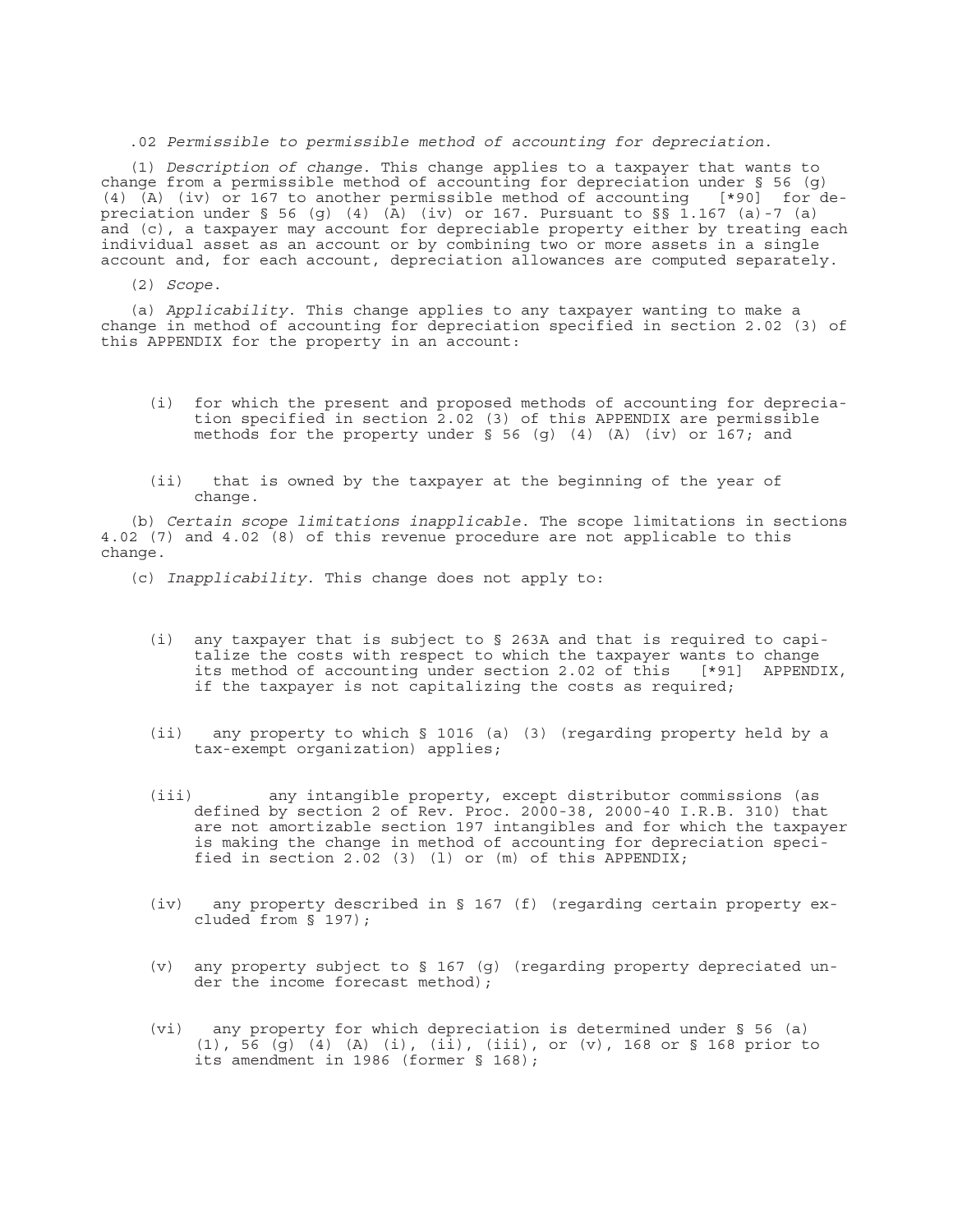#### .02 *Permissible to permissible method of accounting for depreciation*.

(1) *Description of change*. This change applies to a taxpayer that wants to change from a permissible method of accounting for depreciation under § 56 (g) (4) (A) (iv) or 167 to another permissible method of accounting [\*90] for depreciation under § 56 (g) (4) (A) (iv) or 167. Pursuant to §§ 1.167 (a)-7 (a) and (c), a taxpayer may account for depreciable property either by treating each individual asset as an account or by combining two or more assets in a single account and, for each account, depreciation allowances are computed separately.

(2) *Scope*.

(a) *Applicability*. This change applies to any taxpayer wanting to make a change in method of accounting for depreciation specified in section 2.02 (3) of this APPENDIX for the property in an account:

- (i) for which the present and proposed methods of accounting for depreciation specified in section 2.02 (3) of this APPENDIX are permissible methods for the property under § 56 (g) (4) (A) (iv) or 167; and
- (ii) that is owned by the taxpayer at the beginning of the year of change.

(b) *Certain scope limitations inapplicable*. The scope limitations in sections 4.02 (7) and 4.02 (8) of this revenue procedure are not applicable to this change.

(c) *Inapplicability*. This change does not apply to:

- (i) any taxpayer that is subject to § 263A and that is required to capitalize the costs with respect to which the taxpayer wants to change its method of accounting under section 2.02 of this [\*91] APPENDIX, if the taxpayer is not capitalizing the costs as required;
- (ii) any property to which § 1016 (a) (3) (regarding property held by a tax-exempt organization) applies;
- (iii) any intangible property, except distributor commissions (as defined by section 2 of Rev. Proc. 2000-38, 2000-40 I.R.B. 310) that are not amortizable section 197 intangibles and for which the taxpayer is making the change in method of accounting for depreciation specified in section 2.02 (3) (1) or  $(m)$  of this APPENDIX;
- (iv) any property described in § 167 (f) (regarding certain property excluded from § 197);
- (v) any property subject to § 167 (g) (regarding property depreciated under the income forecast method);
- (vi) any property for which depreciation is determined under § 56 (a) (1), 56 (g) (4) (A) (i), (ii), (iii), or (v), 168 or § 168 prior to its amendment in 1986 (former § 168);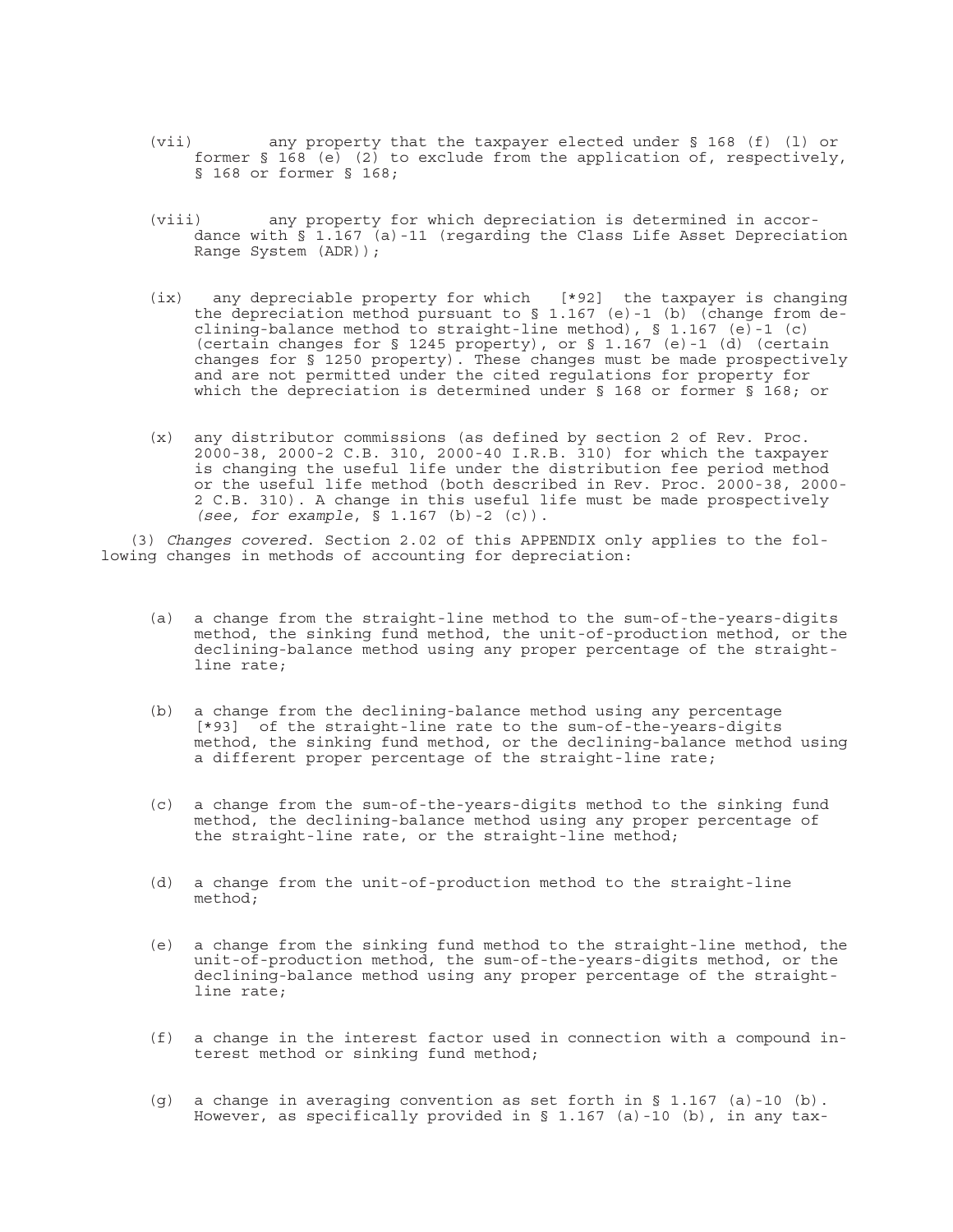- (vii) any property that the taxpayer elected under § 168 (f) (l) or former  $\S$  168 (e) (2) to exclude from the application of, respectively, § 168 or former § 168;
- (viii) any property for which depreciation is determined in accordance with § 1.167 (a)-11 (regarding the Class Life Asset Depreciation Range System (ADR));
- (ix) any depreciable property for which [\*92] the taxpayer is changing the depreciation method pursuant to  $\S$  1.167 (e)-1 (b) (change from declining-balance method to straight-line method), § 1.167 (e)-1 (c) (certain changes for § 1245 property), or § 1.167 (e)-1 (d) (certain changes for § 1250 property). These changes must be made prospectively and are not permitted under the cited regulations for property for which the depreciation is determined under § 168 or former § 168; or
- (x) any distributor commissions (as defined by section 2 of Rev. Proc. 2000-38, 2000-2 C.B. 310, 2000-40 I.R.B. 310) for which the taxpayer is changing the useful life under the distribution fee period method or the useful life method (both described in Rev. Proc. 2000-38, 2000- 2 C.B. 310). A change in this useful life must be made prospectively *(see, for example*, § 1.167 (b)-2 (c)).

(3) *Changes covered*. Section 2.02 of this APPENDIX only applies to the following changes in methods of accounting for depreciation:

- (a) a change from the straight-line method to the sum-of-the-years-digits method, the sinking fund method, the unit-of-production method, or the declining-balance method using any proper percentage of the straightline rate;
- (b) a change from the declining-balance method using any percentage [\*93] of the straight-line rate to the sum-of-the-years-digits method, the sinking fund method, or the declining-balance method using a different proper percentage of the straight-line rate;
- (c) a change from the sum-of-the-years-digits method to the sinking fund method, the declining-balance method using any proper percentage of the straight-line rate, or the straight-line method;
- (d) a change from the unit-of-production method to the straight-line method;
- (e) a change from the sinking fund method to the straight-line method, the unit-of-production method, the sum-of-the-years-digits method, or the declining-balance method using any proper percentage of the straightline rate;
- (f) a change in the interest factor used in connection with a compound interest method or sinking fund method;
- (g) a change in averaging convention as set forth in § 1.167 (a)-10 (b). However, as specifically provided in § 1.167 (a)-10 (b), in any tax-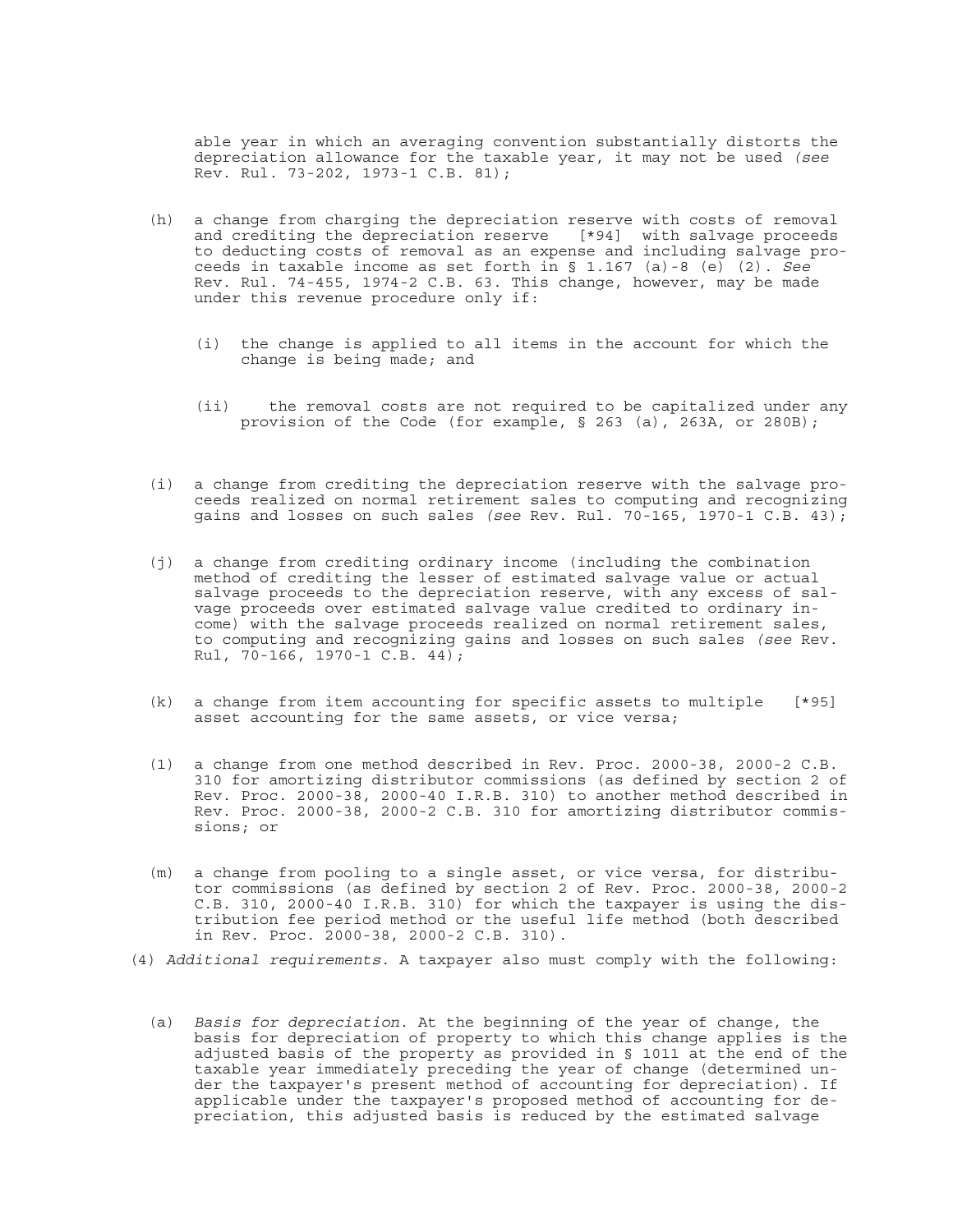able year in which an averaging convention substantially distorts the depreciation allowance for the taxable year, it may not be used *(see* Rev. Rul. 73-202, 1973-1 C.B. 81);

- (h) a change from charging the depreciation reserve with costs of removal and crediting the depreciation reserve [\*94] with salvage proceeds to deducting costs of removal as an expense and including salvage proceeds in taxable income as set forth in § 1.167 (a)-8 (e) (2). *See* Rev. Rul. 74-455, 1974-2 C.B. 63. This change, however, may be made under this revenue procedure only if:
	- (i) the change is applied to all items in the account for which the change is being made; and
	- (ii) the removal costs are not required to be capitalized under any provision of the Code (for example, § 263 (a), 263A, or 280B);
- (i) a change from crediting the depreciation reserve with the salvage proceeds realized on normal retirement sales to computing and recognizing gains and losses on such sales *(see* Rev. Rul. 70-165, 1970-1 C.B. 43);
- (j) a change from crediting ordinary income (including the combination method of crediting the lesser of estimated salvage value or actual salvage proceeds to the depreciation reserve, with any excess of salvage proceeds over estimated salvage value credited to ordinary income) with the salvage proceeds realized on normal retirement sales, to computing and recognizing gains and losses on such sales *(see* Rev. Rul,  $70-166$ , 1970-1 C.B. 44);
- (k) a change from item accounting for specific assets to multiple [\*95] asset accounting for the same assets, or vice versa;
- (1) a change from one method described in Rev. Proc. 2000-38, 2000-2 C.B. 310 for amortizing distributor commissions (as defined by section 2 of Rev. Proc. 2000-38, 2000-40 I.R.B. 310) to another method described in Rev. Proc. 2000-38, 2000-2 C.B. 310 for amortizing distributor commissions; or
- (m) a change from pooling to a single asset, or vice versa, for distributor commissions (as defined by section 2 of Rev. Proc. 2000-38, 2000-2 C.B. 310, 2000-40 I.R.B. 310) for which the taxpayer is using the distribution fee period method or the useful life method (both described in Rev. Proc. 2000-38, 2000-2 C.B. 310).
- (4) *Additional requirements*. A taxpayer also must comply with the following:
	- (a) *Basis for depreciation*. At the beginning of the year of change, the basis for depreciation of property to which this change applies is the adjusted basis of the property as provided in § 1011 at the end of the taxable year immediately preceding the year of change (determined under the taxpayer's present method of accounting for depreciation). If applicable under the taxpayer's proposed method of accounting for depreciation, this adjusted basis is reduced by the estimated salvage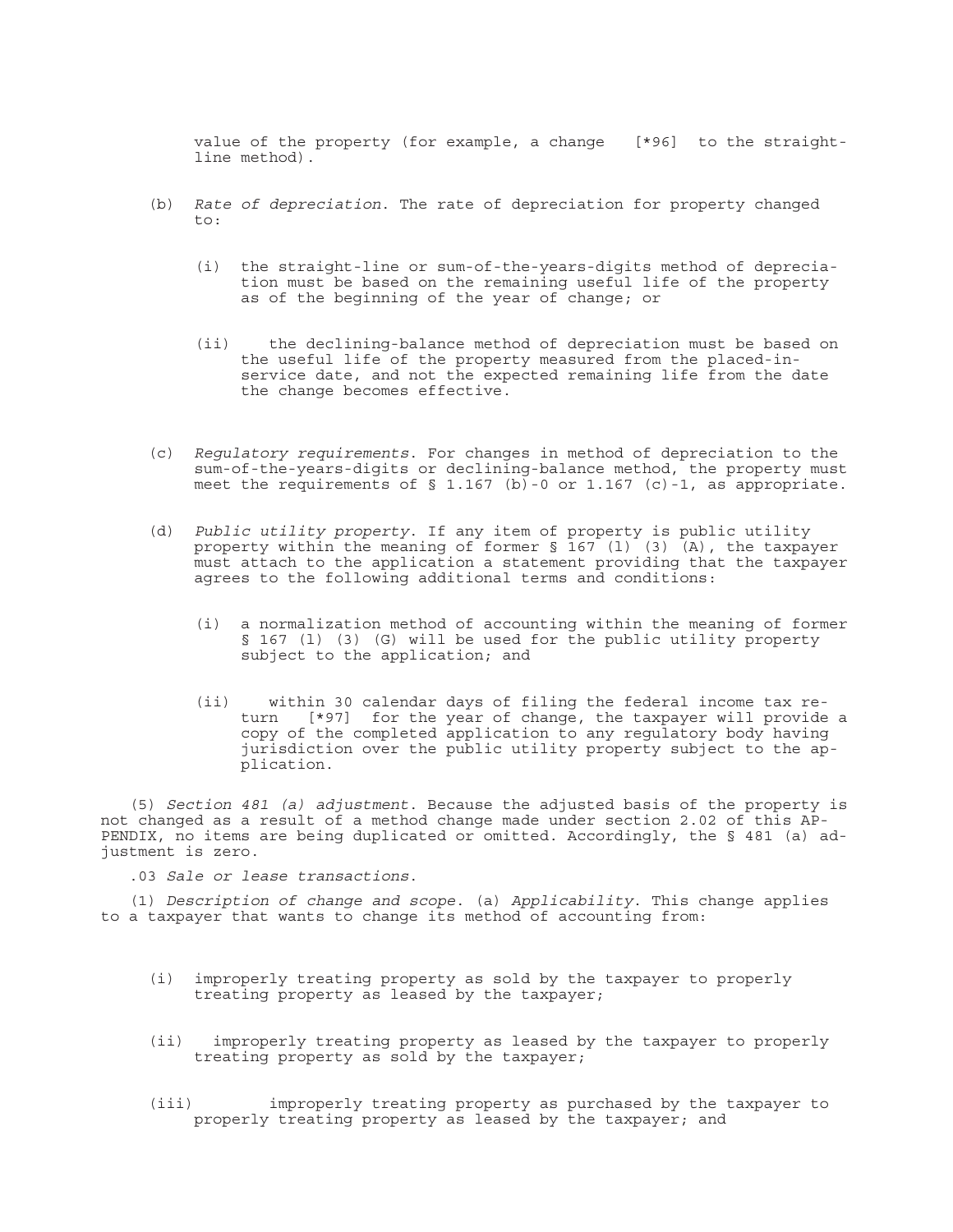value of the property (for example, a change [\*96] to the straightline method).

- (b) *Rate of depreciation*. The rate of depreciation for property changed  $t \cap t$ 
	- (i) the straight-line or sum-of-the-years-digits method of depreciation must be based on the remaining useful life of the property as of the beginning of the year of change; or
	- (ii) the declining-balance method of depreciation must be based on the useful life of the property measured from the placed-inservice date, and not the expected remaining life from the date the change becomes effective.
- (c) *Regulatory requirements*. For changes in method of depreciation to the sum-of-the-years-digits or declining-balance method, the property must meet the requirements of  $\S$  1.167 (b)-0 or 1.167 (c)-1, as appropriate.
- (d) *Public utility property*. If any item of property is public utility property within the meaning of former  $\S$  167 (1) (3) (A), the taxpayer must attach to the application a statement providing that the taxpayer agrees to the following additional terms and conditions:
	- (i) a normalization method of accounting within the meaning of former § 167 (1) (3) (G) will be used for the public utility property subject to the application; and
	- (ii) within 30 calendar days of filing the federal income tax return [\*97] for the year of change, the taxpayer will provide a copy of the completed application to any regulatory body having jurisdiction over the public utility property subject to the application.

(5) *Section 481 (a) adjustment*. Because the adjusted basis of the property is not changed as a result of a method change made under section 2.02 of this AP-PENDIX, no items are being duplicated or omitted. Accordingly, the § 481 (a) adjustment is zero.

.03 *Sale or lease transactions*.

(1) *Description of change and scope*. (a) *Applicability*. This change applies to a taxpayer that wants to change its method of accounting from:

- (i) improperly treating property as sold by the taxpayer to properly treating property as leased by the taxpayer;
- (ii) improperly treating property as leased by the taxpayer to properly treating property as sold by the taxpayer;
- (iii) improperly treating property as purchased by the taxpayer to properly treating property as leased by the taxpayer; and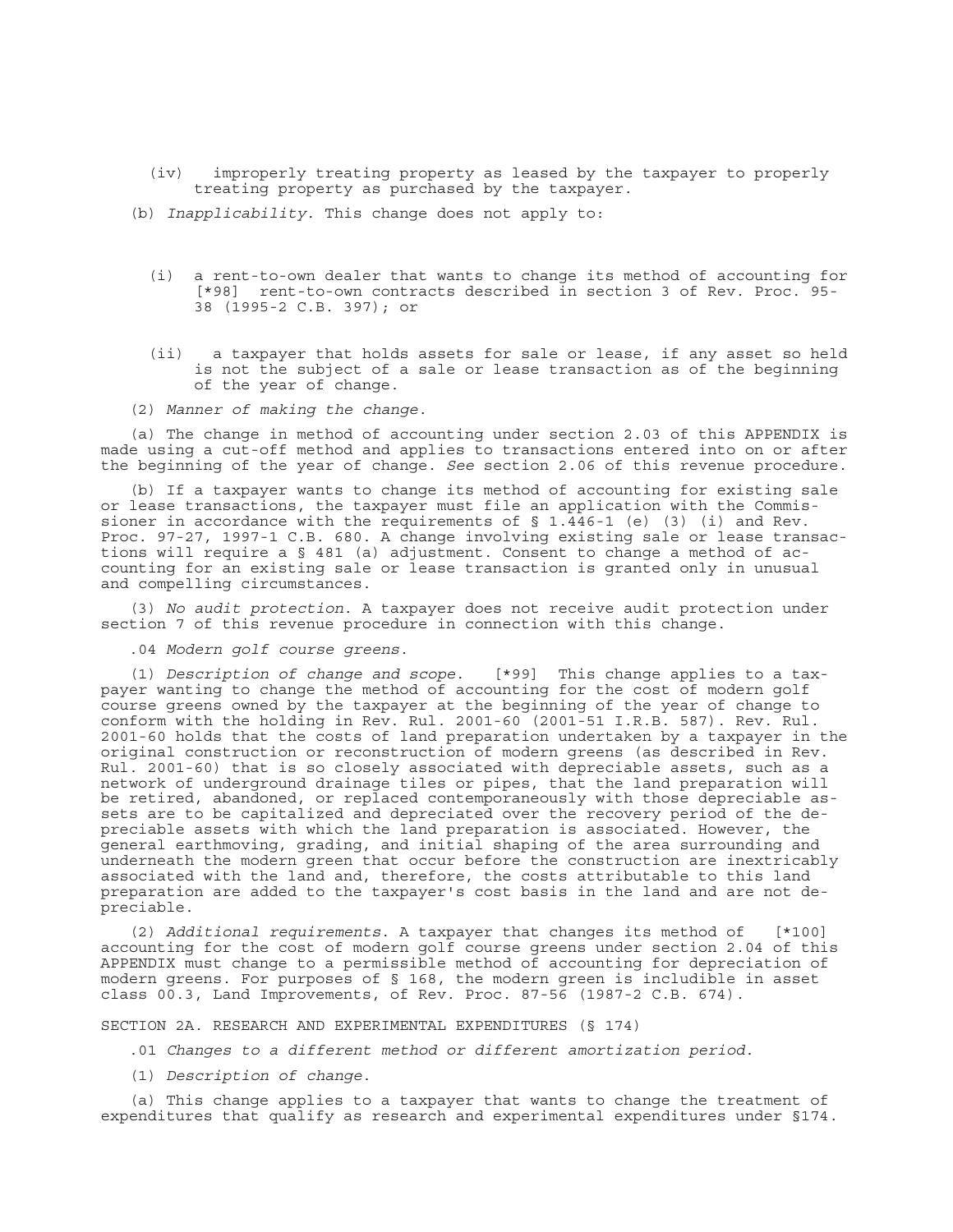- (iv) improperly treating property as leased by the taxpayer to properly treating property as purchased by the taxpayer.
- (b) *Inapplicability*. This change does not apply to:
	- (i) a rent-to-own dealer that wants to change its method of accounting for [\*98] rent-to-own contracts described in section 3 of Rev. Proc. 95- 38 (1995-2 C.B. 397); or
	- (ii) a taxpayer that holds assets for sale or lease, if any asset so held is not the subject of a sale or lease transaction as of the beginning of the year of change.
- (2) *Manner of making the change*.

(a) The change in method of accounting under section 2.03 of this APPENDIX is made using a cut-off method and applies to transactions entered into on or after the beginning of the year of change. *See* section 2.06 of this revenue procedure.

(b) If a taxpayer wants to change its method of accounting for existing sale or lease transactions, the taxpayer must file an application with the Commissioner in accordance with the requirements of  $\S$  1.446-1 (e) (3) (i) and Rev. Proc. 97-27, 1997-1 C.B. 680. A change involving existing sale or lease transactions will require a § 481 (a) adjustment. Consent to change a method of accounting for an existing sale or lease transaction is granted only in unusual and compelling circumstances.

(3) *No audit protection*. A taxpayer does not receive audit protection under section 7 of this revenue procedure in connection with this change.

.04 *Modern golf course greens*.

(1) *Description of change and scope*. [\*99] This change applies to a taxpayer wanting to change the method of accounting for the cost of modern golf course greens owned by the taxpayer at the beginning of the year of change to conform with the holding in Rev. Rul. 2001-60 (2001-51 I.R.B. 587). Rev. Rul. 2001-60 holds that the costs of land preparation undertaken by a taxpayer in the original construction or reconstruction of modern greens (as described in Rev. Rul. 2001-60) that is so closely associated with depreciable assets, such as a network of underground drainage tiles or pipes, that the land preparation will be retired, abandoned, or replaced contemporaneously with those depreciable assets are to be capitalized and depreciated over the recovery period of the depreciable assets with which the land preparation is associated. However, the general earthmoving, grading, and initial shaping of the area surrounding and underneath the modern green that occur before the construction are inextricably associated with the land and, therefore, the costs attributable to this land preparation are added to the taxpayer's cost basis in the land and are not depreciable.

(2) *Additional requirements*. A taxpayer that changes its method of [\*100] accounting for the cost of modern golf course greens under section 2.04 of this APPENDIX must change to a permissible method of accounting for depreciation of modern greens. For purposes of § 168, the modern green is includible in asset class 00.3, Land Improvements, of Rev. Proc. 87-56 (1987-2 C.B. 674).

SECTION 2A. RESEARCH AND EXPERIMENTAL EXPENDITURES (§ 174)

.01 *Changes to a different method or different amortization period*.

(1) *Description of change*.

(a) This change applies to a taxpayer that wants to change the treatment of expenditures that qualify as research and experimental expenditures under §174.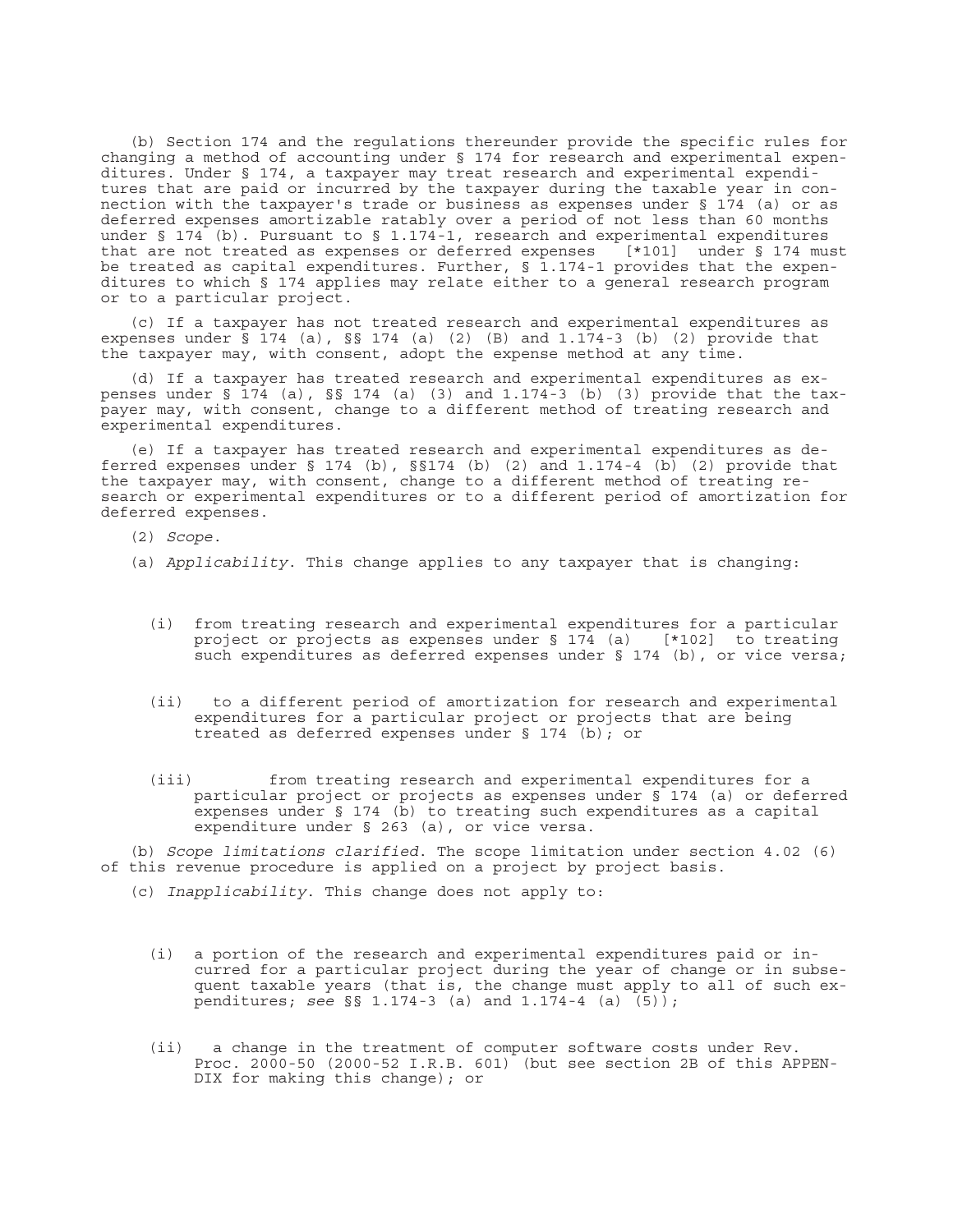(b) Section 174 and the regulations thereunder provide the specific rules for changing a method of accounting under § 174 for research and experimental expenditures. Under § 174, a taxpayer may treat research and experimental expenditures that are paid or incurred by the taxpayer during the taxable year in connection with the taxpayer's trade or business as expenses under § 174 (a) or as deferred expenses amortizable ratably over a period of not less than 60 months under § 174 (b). Pursuant to § 1.174-1, research and experimental expenditures that are not treated as expenses or deferred expenses [\*101] under § 174 must be treated as capital expenditures. Further, § 1.174-1 provides that the expenditures to which § 174 applies may relate either to a general research program or to a particular project.

(c) If a taxpayer has not treated research and experimental expenditures as expenses under  $\bar{S}$  174 (a),  $\bar{S}$  174 (a) (2) (B) and 1.174-3 (b) (2) provide that the taxpayer may, with consent, adopt the expense method at any time.

(d) If a taxpayer has treated research and experimental expenditures as expenses under §  $174$  (a), §§ 174 (a) (3) and 1.174-3 (b) (3) provide that the taxpayer may, with consent, change to a different method of treating research and experimental expenditures.

(e) If a taxpayer has treated research and experimental expenditures as deferred expenses under  $\S 174$  (b),  $\S 174$  (b) (2) and  $1.174-4$  (b) (2) provide that the taxpayer may, with consent, change to a different method of treating research or experimental expenditures or to a different period of amortization for deferred expenses.

(2) *Scope*.

- (a) *Applicability*. This change applies to any taxpayer that is changing:
	- (i) from treating research and experimental expenditures for a particular project or projects as expenses under § 174 (a) [\*102] to treating such expenditures as deferred expenses under § 174 (b), or vice versa;
	- (ii) to a different period of amortization for research and experimental expenditures for a particular project or projects that are being treated as deferred expenses under § 174 (b); or
	- (iii) from treating research and experimental expenditures for a particular project or projects as expenses under § 174 (a) or deferred expenses under § 174 (b) to treating such expenditures as a capital expenditure under § 263 (a), or vice versa.

(b) *Scope limitations clarified*. The scope limitation under section 4.02 (6) of this revenue procedure is applied on a project by project basis.

- (c) *Inapplicability*. This change does not apply to:
	- (i) a portion of the research and experimental expenditures paid or incurred for a particular project during the year of change or in subsequent taxable years (that is, the change must apply to all of such expenditures; *see* §§ 1.174-3 (a) and 1.174-4 (a) (5));
	- (ii) a change in the treatment of computer software costs under Rev. Proc. 2000-50 (2000-52 I.R.B. 601) (but see section 2B of this APPEN-DIX for making this change); or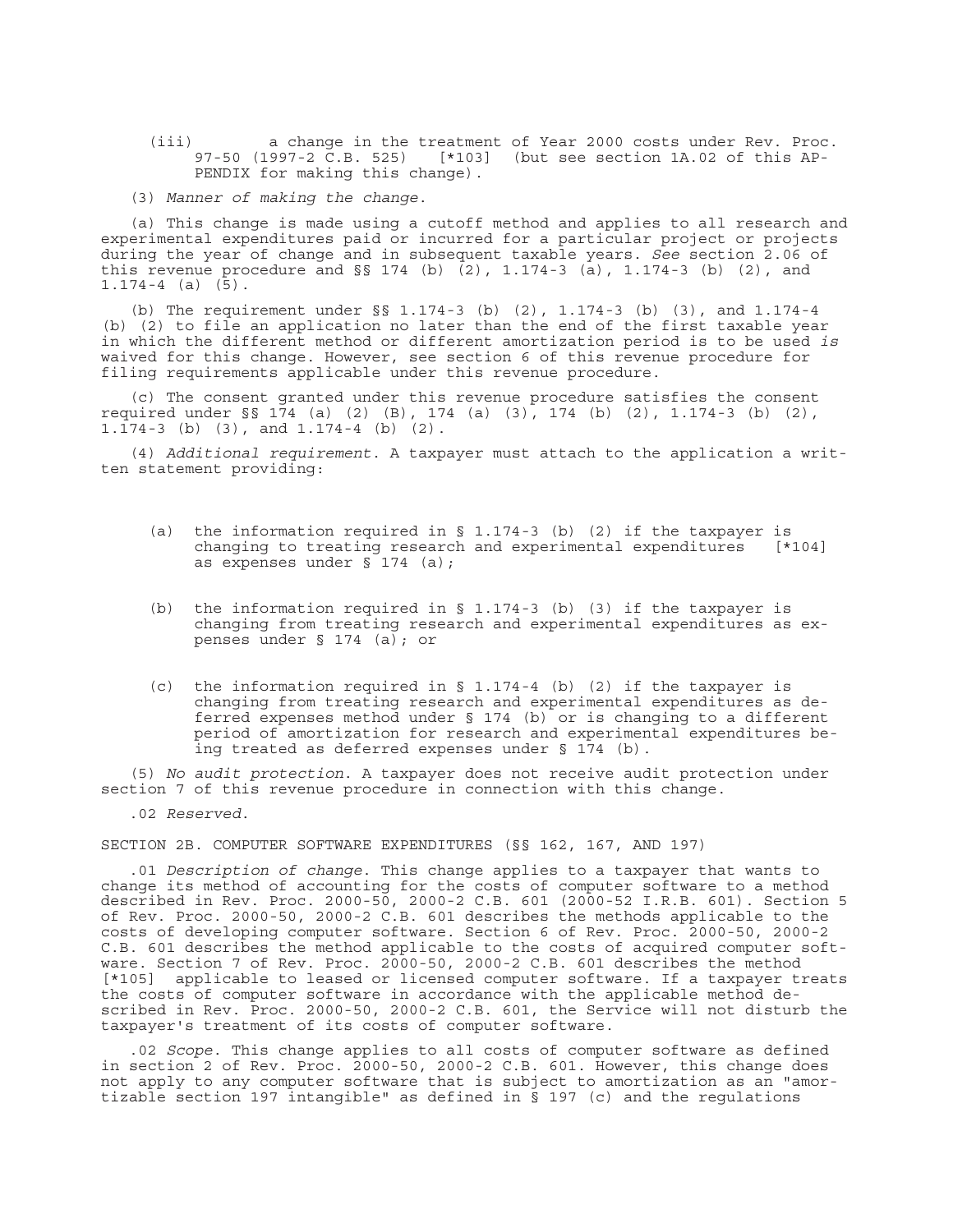(iii) a change in the treatment of Year 2000 costs under Rev. Proc. 97-50 (1997-2 C.B. 525) [\*103] (but see section 1A.02 of this AP-PENDIX for making this change).

(3) *Manner of making the change*.

(a) This change is made using a cutoff method and applies to all research and experimental expenditures paid or incurred for a particular project or projects during the year of change and in subsequent taxable years. *See* section 2.06 of this revenue procedure and §§ 174 (b) (2), 1.174-3 (a), 1.174-3 (b) (2), and  $1.174-4$  (a)  $(5)$ .

(b) The requirement under §§ 1.174-3 (b) (2), 1.174-3 (b) (3), and 1.174-4 (b) (2) to file an application no later than the end of the first taxable year in which the different method or different amortization period is to be used *is* waived for this change. However, see section 6 of this revenue procedure for filing requirements applicable under this revenue procedure.

(c) The consent granted under this revenue procedure satisfies the consent required under §§ 174 (a) (2) (B), 174 (a) (3), 174 (b) (2), 1.174-3 (b) (2), 1.174-3 (b) (3), and 1.174-4 (b) (2).

(4) *Additional requirement*. A taxpayer must attach to the application a written statement providing:

- (a) the information required in § 1.174-3 (b) (2) if the taxpayer is changing to treating research and experimental expenditures [\*104] as expenses under § 174 (a);
- (b) the information required in § 1.174-3 (b) (3) if the taxpayer is changing from treating research and experimental expenditures as expenses under § 174 (a); or
- (c) the information required in § 1.174-4 (b) (2) if the taxpayer is changing from treating research and experimental expenditures as deferred expenses method under § 174 (b) or is changing to a different period of amortization for research and experimental expenditures being treated as deferred expenses under § 174 (b).

(5) *No audit protection*. A taxpayer does not receive audit protection under section 7 of this revenue procedure in connection with this change.

.02 *Reserved*.

SECTION 2B. COMPUTER SOFTWARE EXPENDITURES (§§ 162, 167, AND 197)

.01 *Description of change*. This change applies to a taxpayer that wants to change its method of accounting for the costs of computer software to a method described in Rev. Proc. 2000-50, 2000-2 C.B. 601 (2000-52 I.R.B. 601). Section 5 of Rev. Proc. 2000-50, 2000-2 C.B. 601 describes the methods applicable to the costs of developing computer software. Section 6 of Rev. Proc. 2000-50, 2000-2 C.B. 601 describes the method applicable to the costs of acquired computer software. Section 7 of Rev. Proc. 2000-50, 2000-2 C.B. 601 describes the method [\*105] applicable to leased or licensed computer software. If a taxpayer treats the costs of computer software in accordance with the applicable method described in Rev. Proc. 2000-50, 2000-2 C.B. 601, the Service will not disturb the taxpayer's treatment of its costs of computer software.

.02 *Scope*. This change applies to all costs of computer software as defined in section 2 of Rev. Proc. 2000-50, 2000-2 C.B. 601. However, this change does not apply to any computer software that is subject to amortization as an "amortizable section 197 intangible" as defined in § 197 (c) and the regulations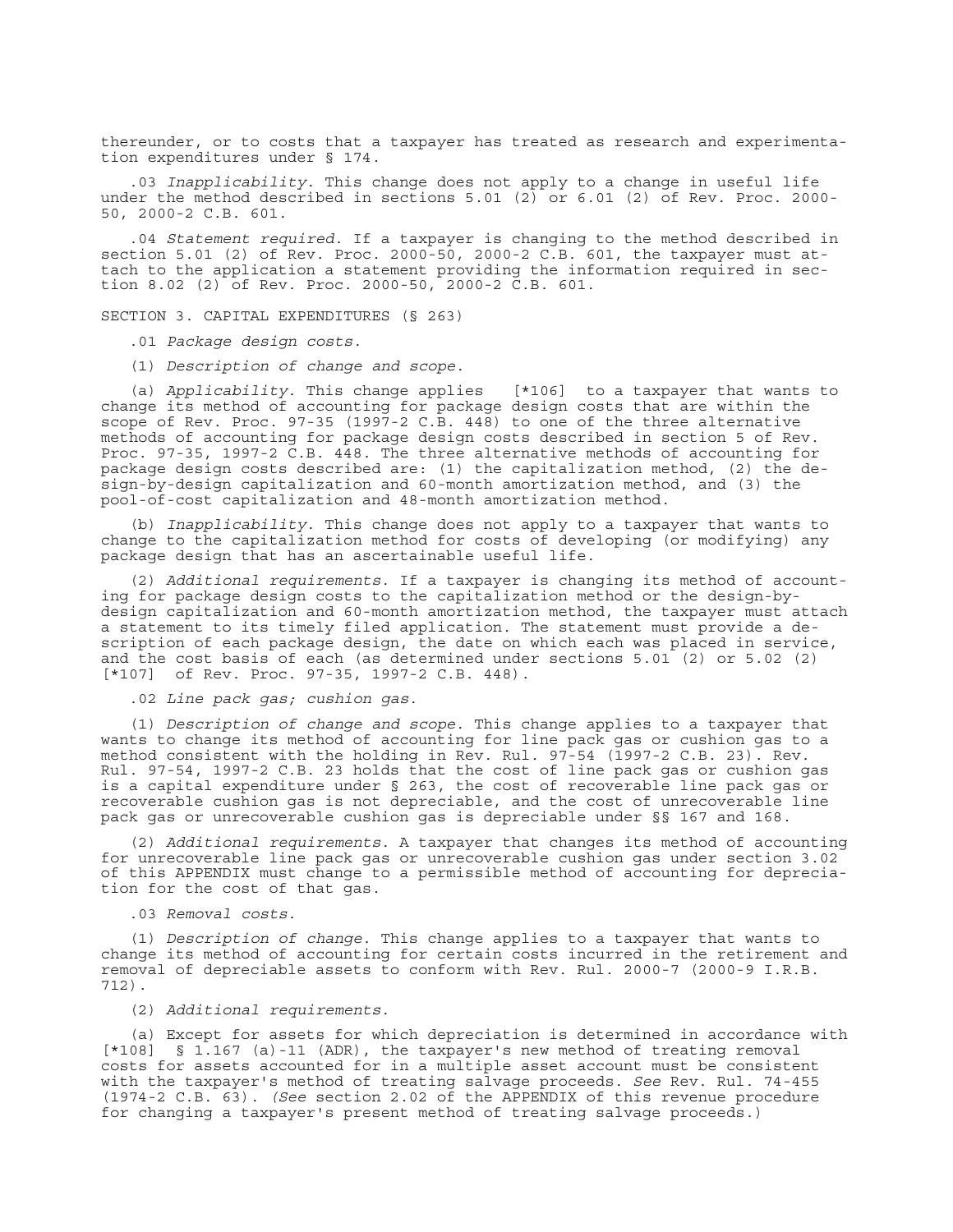thereunder, or to costs that a taxpayer has treated as research and experimentation expenditures under § 174.

.03 *Inapplicability*. This change does not apply to a change in useful life under the method described in sections 5.01  $(2)$  or 6.01 (2) of Rev. Proc. 2000-50, 2000-2 C.B. 601.

.04 *Statement required*. If a taxpayer is changing to the method described in section 5.01 (2) of Rev. Proc. 2000-50, 2000-2 C.B. 601, the taxpayer must attach to the application a statement providing the information required in section 8.02 (2) of Rev. Proc. 2000-50, 2000-2 C.B. 601.

SECTION 3. CAPITAL EXPENDITURES (§ 263)

.01 *Package design costs*.

(1) *Description of change and scope*.

(a) *Applicability*. This change applies [\*106] to a taxpayer that wants to change its method of accounting for package design costs that are within the scope of Rev. Proc. 97-35 (1997-2 C.B. 448) to one of the three alternative methods of accounting for package design costs described in section 5 of Rev. Proc. 97-35, 1997-2 C.B. 448. The three alternative methods of accounting for package design costs described are: (1) the capitalization method, (2) the design-by-design capitalization and 60-month amortization method, and (3) the pool-of-cost capitalization and 48-month amortization method.

(b) *Inapplicability*. This change does not apply to a taxpayer that wants to change to the capitalization method for costs of developing (or modifying) any package design that has an ascertainable useful life.

(2) *Additional requirements*. If a taxpayer is changing its method of accounting for package design costs to the capitalization method or the design-bydesign capitalization and 60-month amortization method, the taxpayer must attach a statement to its timely filed application. The statement must provide a description of each package design, the date on which each was placed in service, and the cost basis of each (as determined under sections 5.01 (2) or 5.02 (2) [\*107] of Rev. Proc. 97-35, 1997-2 C.B. 448).

.02 *Line pack gas; cushion gas*.

(1) *Description of change and scope*. This change applies to a taxpayer that wants to change its method of accounting for line pack gas or cushion gas to a method consistent with the holding in Rev. Rul. 97-54 (1997-2 C.B. 23). Rev. Rul. 97-54, 1997-2 C.B. 23 holds that the cost of line pack gas or cushion gas is a capital expenditure under § 263, the cost of recoverable line pack gas or recoverable cushion gas is not depreciable, and the cost of unrecoverable line pack gas or unrecoverable cushion gas is depreciable under §§ 167 and 168.

(2) *Additional requirements*. A taxpayer that changes its method of accounting for unrecoverable line pack gas or unrecoverable cushion gas under section 3.02 of this APPENDIX must change to a permissible method of accounting for depreciation for the cost of that gas.

.03 *Removal costs*.

(1) *Description of change*. This change applies to a taxpayer that wants to change its method of accounting for certain costs incurred in the retirement and removal of depreciable assets to conform with Rev. Rul. 2000-7 (2000-9 I.R.B. 712).

(2) *Additional requirements*.

(a) Except for assets for which depreciation is determined in accordance with [\*108] § 1.167 (a)-11 (ADR), the taxpayer's new method of treating removal costs for assets accounted for in a multiple asset account must be consistent with the taxpayer's method of treating salvage proceeds. *See* Rev. Rul. 74-455 (1974-2 C.B. 63). *(See* section 2.02 of the APPENDIX of this revenue procedure for changing a taxpayer's present method of treating salvage proceeds.)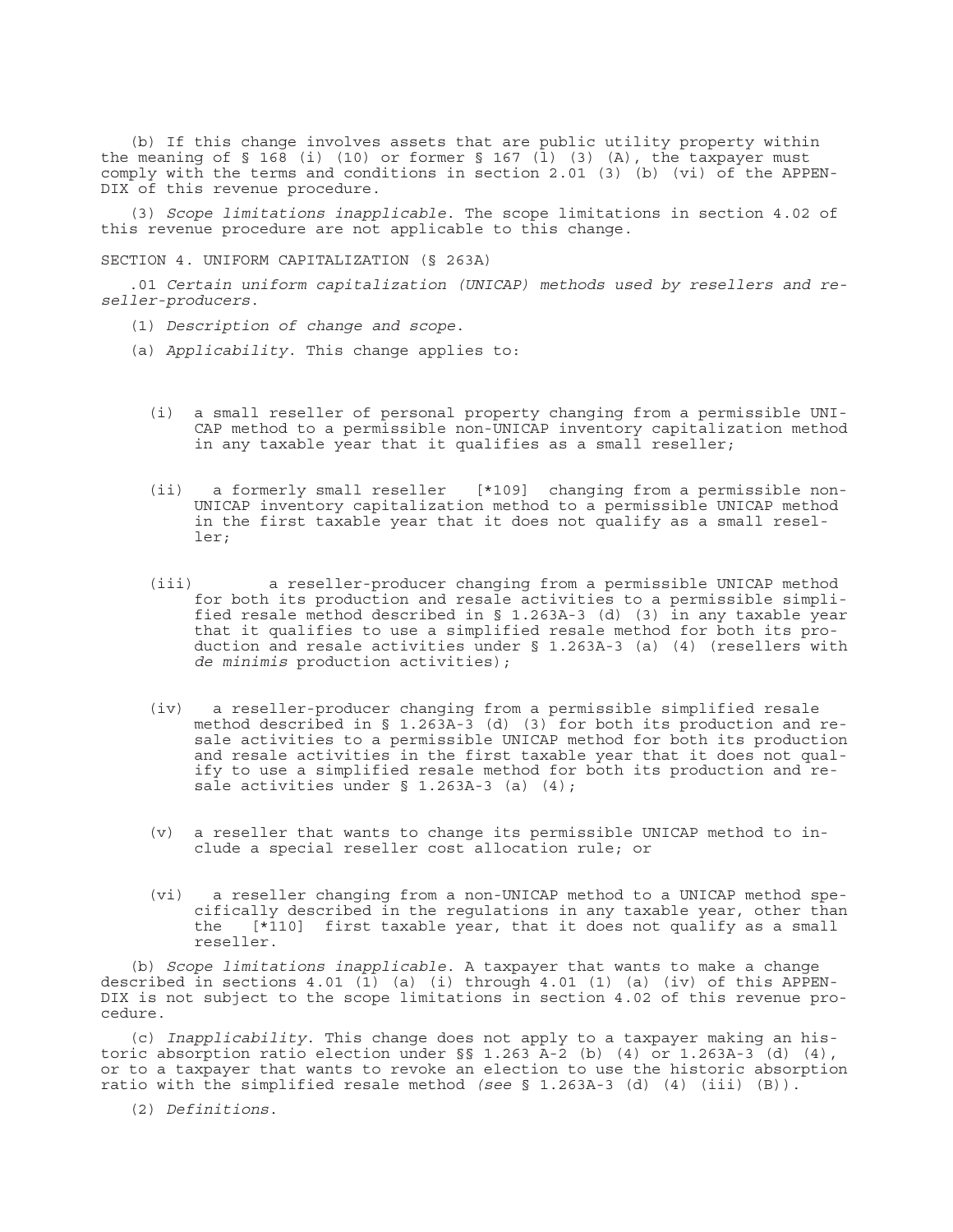(b) If this change involves assets that are public utility property within the meaning of § 168 (i) (10) or former § 167 (l) (3) (A), the taxpayer must comply with the terms and conditions in section 2.01 (3) (b) (vi) of the APPEN-DIX of this revenue procedure.

(3) *Scope limitations inapplicable*. The scope limitations in section 4.02 of this revenue procedure are not applicable to this change.

SECTION 4. UNIFORM CAPITALIZATION (§ 263A)

.01 *Certain uniform capitalization (UNICAP) methods used by resellers and reseller-producers*.

- (1) *Description of change and scope*.
- (a) *Applicability*. This change applies to:
	- (i) a small reseller of personal property changing from a permissible UNI-CAP method to a permissible non-UNICAP inventory capitalization method in any taxable year that it qualifies as a small reseller;
	- (ii) a formerly small reseller [\*109] changing from a permissible non-UNICAP inventory capitalization method to a permissible UNICAP method in the first taxable year that it does not qualify as a small reseller;
	- (iii) a reseller-producer changing from a permissible UNICAP method for both its production and resale activities to a permissible simplified resale method described in § 1.263A-3 (d) (3) in any taxable year that it qualifies to use a simplified resale method for both its production and resale activities under § 1.263A-3 (a) (4) (resellers with *de minimis* production activities);
	- (iv) a reseller-producer changing from a permissible simplified resale method described in § 1.263A-3 (d) (3) for both its production and resale activities to a permissible UNICAP method for both its production and resale activities in the first taxable year that it does not qualify to use a simplified resale method for both its production and resale activities under § 1.263A-3 (a) (4);
	- (v) a reseller that wants to change its permissible UNICAP method to include a special reseller cost allocation rule; or
	- (vi) a reseller changing from a non-UNICAP method to a UNICAP method specifically described in the regulations in any taxable year, other than the [\*110] first taxable year, that it does not qualify as a small reseller.

(b) *Scope limitations inapplicable*. A taxpayer that wants to make a change described in sections 4.01 (1) (a) (i) through 4.01 (1) (a) (iv) of this APPEN-DIX is not subject to the scope limitations in section 4.02 of this revenue procedure.

(c) *Inapplicability*. This change does not apply to a taxpayer making an historic absorption ratio election under  $\S$ § 1.263 A-2 (b) (4) or 1.263A-3 (d) (4), or to a taxpayer that wants to revoke an election to use the historic absorption ratio with the simplified resale method *(see* § 1.263A-3 (d) (4) (iii) (B)).

(2) *Definitions*.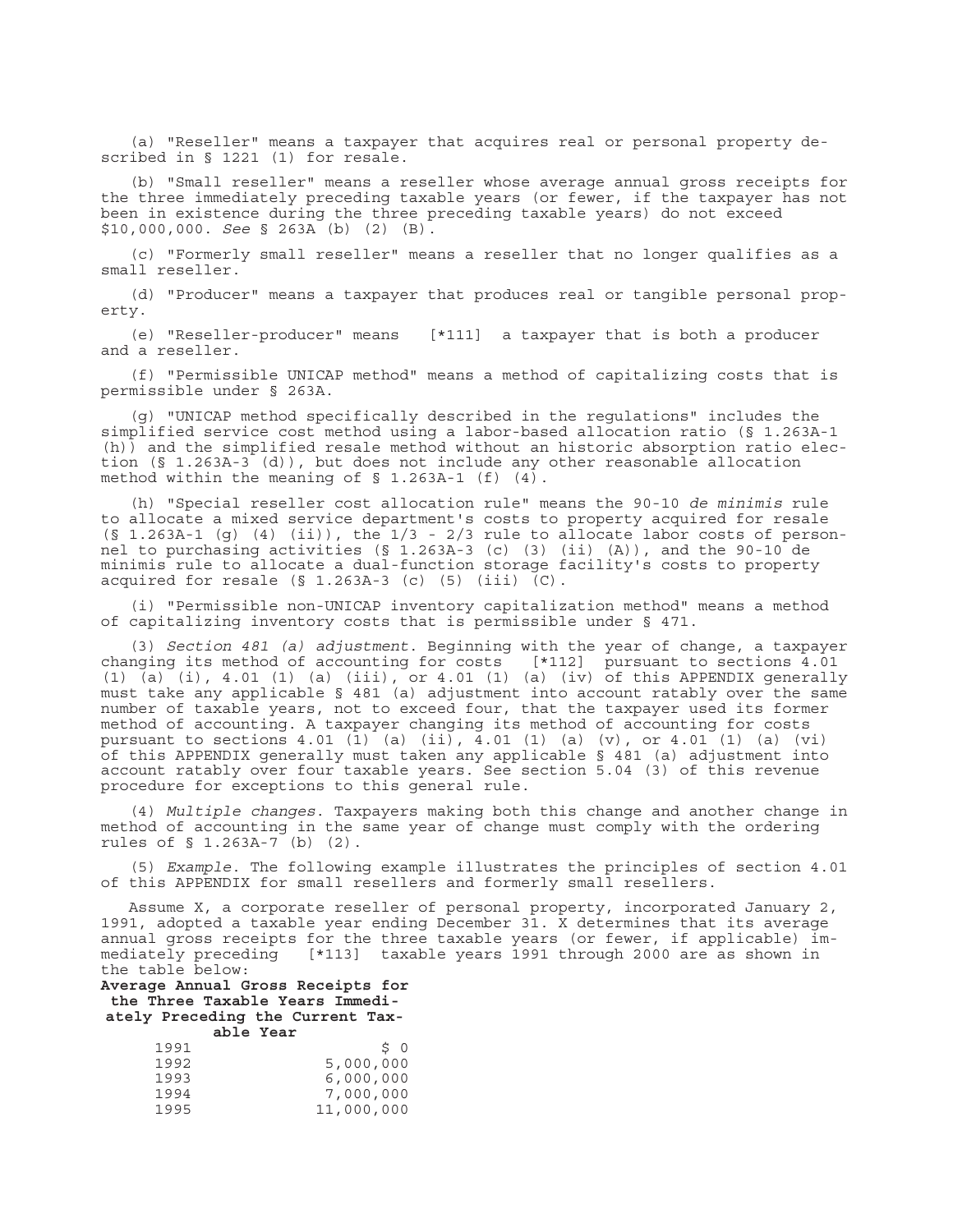(a) "Reseller" means a taxpayer that acquires real or personal property described in § 1221 (1) for resale.

(b) "Small reseller" means a reseller whose average annual gross receipts for the three immediately preceding taxable years (or fewer, if the taxpayer has not been in existence during the three preceding taxable years) do not exceed \$10,000,000. *See* § 263A (b) (2) (B).

(c) "Formerly small reseller" means a reseller that no longer qualifies as a small reseller.

(d) "Producer" means a taxpayer that produces real or tangible personal property.

(e) "Reseller-producer" means [\*111] a taxpayer that is both a producer and a reseller.

(f) "Permissible UNICAP method" means a method of capitalizing costs that is permissible under § 263A.

(g) "UNICAP method specifically described in the regulations" includes the simplified service cost method using a labor-based allocation ratio (§ 1.263A-1 (h)) and the simplified resale method without an historic absorption ratio election (§ 1.263A-3 (d)), but does not include any other reasonable allocation method within the meaning of § 1.263A-1 (f) (4).

(h) "Special reseller cost allocation rule" means the 90-10 *de minimis* rule to allocate a mixed service department's costs to property acquired for resale  $(S_1.263A-1 (g) (4) (ii))$ , the  $1/3 - 2/3$  rule to allocate labor costs of personnel to purchasing activities (§ 1.263A-3 (c) (3) (ii) (A)), and the 90-10 de minimis rule to allocate a dual-function storage facility's costs to property acquired for resale  $(S_1.263A-3(C)$  (5) (iii)  $(C)$ .

(i) "Permissible non-UNICAP inventory capitalization method" means a method of capitalizing inventory costs that is permissible under § 471.

(3) *Section 481 (a) adjustment*. Beginning with the year of change, a taxpayer changing its method of accounting for costs [\*112] pursuant to sections 4.01 (1) (a) (i), 4.01 (1) (a) (iii), or 4.01 (1) (a) (iv) of this APPENDIX generally must take any applicable § 481 (a) adjustment into account ratably over the same number of taxable years, not to exceed four, that the taxpayer used its former method of accounting. A taxpayer changing its method of accounting for costs pursuant to sections 4.01 (1) (a) (ii), 4.01 (1) (a) (v), or 4.01 (1) (a) (vi) of this APPENDIX generally must taken any applicable § 481 (a) adjustment into account ratably over four taxable years. See section 5.04 (3) of this revenue procedure for exceptions to this general rule.

(4) *Multiple changes*. Taxpayers making both this change and another change in method of accounting in the same year of change must comply with the ordering rules of § 1.263A-7 (b) (2).

(5) *Example*. The following example illustrates the principles of section 4.01 of this APPENDIX for small resellers and formerly small resellers.

Assume X, a corporate reseller of personal property, incorporated January 2, 1991, adopted a taxable year ending December 31. X determines that its average annual gross receipts for the three taxable years (or fewer, if applicable) immediately preceding [\*113] taxable years 1991 through 2000 are as shown in the table below:

**Average Annual Gross Receipts for the Three Taxable Years Immediately Preceding the Current Taxable Year**

| 1991 | S O        |
|------|------------|
| 1992 | 5,000,000  |
| 1993 | 6,000,000  |
| 1994 | 7,000,000  |
| 1995 | 11,000,000 |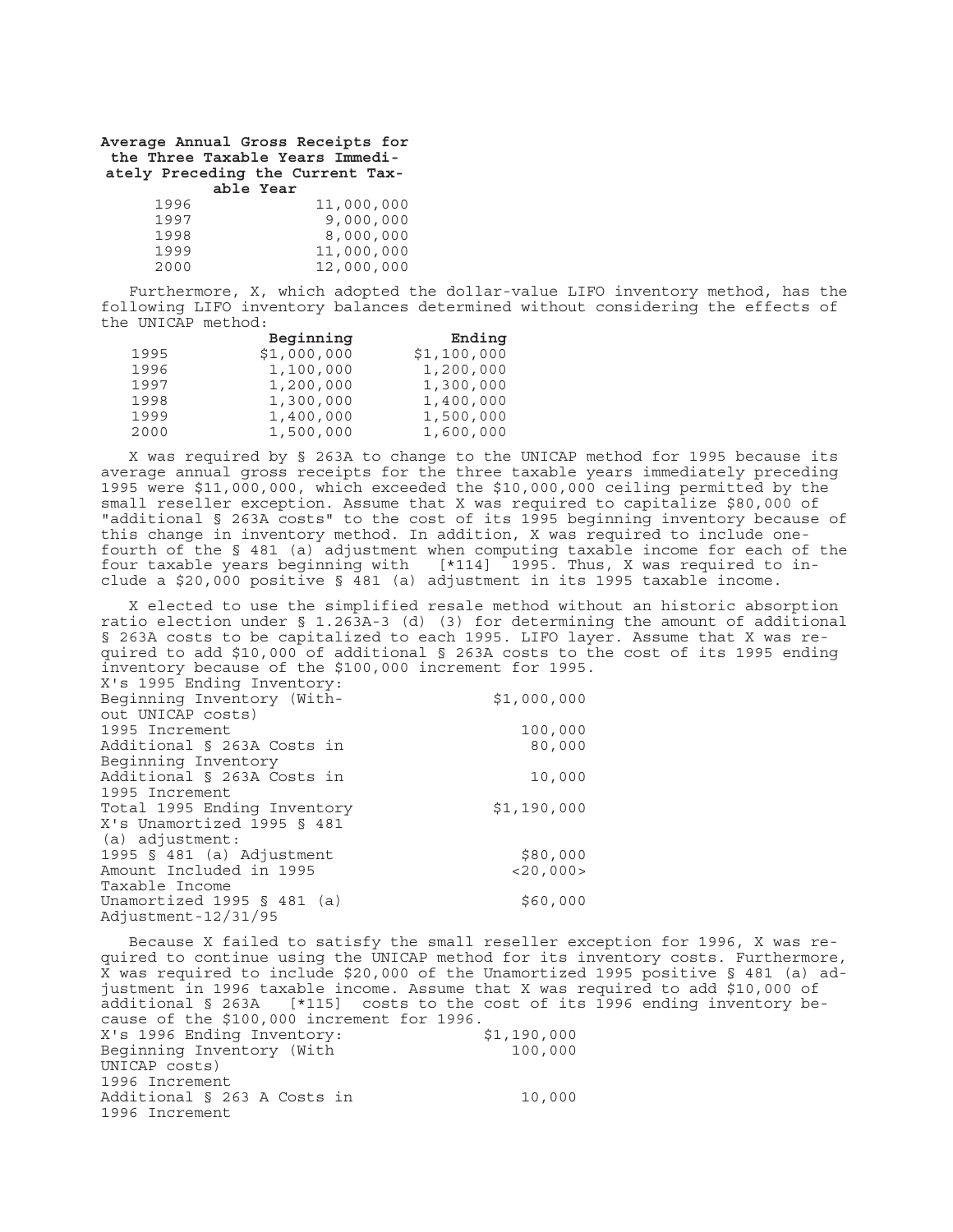**Average Annual Gross Receipts for the Three Taxable Years Immediately Preceding the Current Tax-**

|      | able Year |            |
|------|-----------|------------|
| 1996 |           | 11,000,000 |
| 1997 |           | 9,000,000  |
| 1998 |           | 8,000,000  |
| 1999 |           | 11,000,000 |
| 2000 |           | 12,000,000 |

Furthermore, X, which adopted the dollar-value LIFO inventory method, has the following LIFO inventory balances determined without considering the effects of the UNICAP method:

|      | Beginning   | Ending      |
|------|-------------|-------------|
| 1995 | \$1,000,000 | \$1,100,000 |
| 1996 | 1,100,000   | 1,200,000   |
| 1997 | 1,200,000   | 1,300,000   |
| 1998 | 1,300,000   | 1,400,000   |
| 1999 | 1,400,000   | 1,500,000   |
| 2000 | 1,500,000   | 1,600,000   |

X was required by § 263A to change to the UNICAP method for 1995 because its average annual gross receipts for the three taxable years immediately preceding 1995 were \$11,000,000, which exceeded the \$10,000,000 ceiling permitted by the small reseller exception. Assume that X was required to capitalize \$80,000 of "additional § 263A costs" to the cost of its 1995 beginning inventory because of this change in inventory method. In addition, X was required to include onefourth of the § 481 (a) adjustment when computing taxable income for each of the four taxable years beginning with [\*114] 1995. Thus, X was required to include a \$20,000 positive § 481 (a) adjustment in its 1995 taxable income.

X elected to use the simplified resale method without an historic absorption ratio election under § 1.263A-3 (d) (3) for determining the amount of additional § 263A costs to be capitalized to each 1995. LIFO layer. Assume that X was required to add \$10,000 of additional § 263A costs to the cost of its 1995 ending inventory because of the \$100,000 increment for 1995.

| X's 1995 Ending Inventory:   |                |
|------------------------------|----------------|
| Beginning Inventory (With-   | \$1,000,000    |
| out UNICAP costs)            |                |
| 1995 Increment               | 100,000        |
| Additional § 263A Costs in   | 80,000         |
| Beginning Inventory          |                |
| Additional § 263A Costs in   | 10,000         |
| 1995 Increment               |                |
| Total 1995 Ending Inventory  | \$1,190,000    |
| X's Unamortized 1995 § 481   |                |
| (a) adjustment:              |                |
| 1995 $\S$ 481 (a) Adjustment | \$80,000       |
| Amount Included in 1995      | $<$ 20,000 $>$ |
| Taxable Income               |                |
| Unamortized 1995 § 481 (a)   | \$60,000       |
| Adjustment-12/31/95          |                |

Because X failed to satisfy the small reseller exception for 1996, X was required to continue using the UNICAP method for its inventory costs. Furthermore, X was required to include \$20,000 of the Unamortized 1995 positive § 481 (a) adjustment in 1996 taxable income. Assume that X was required to add \$10,000 of additional § 263A [\*115] costs to the cost of its 1996 ending inventory because of the \$100,000 increment for 1996.<br>X's 1996 Ending Inventory: \$1,190,000 X's 1996 Ending Inventory: Beginning Inventory (With UNICAP costs) 100,000 1996 Increment Additional § 263 A Costs in 1996 Increment 10,000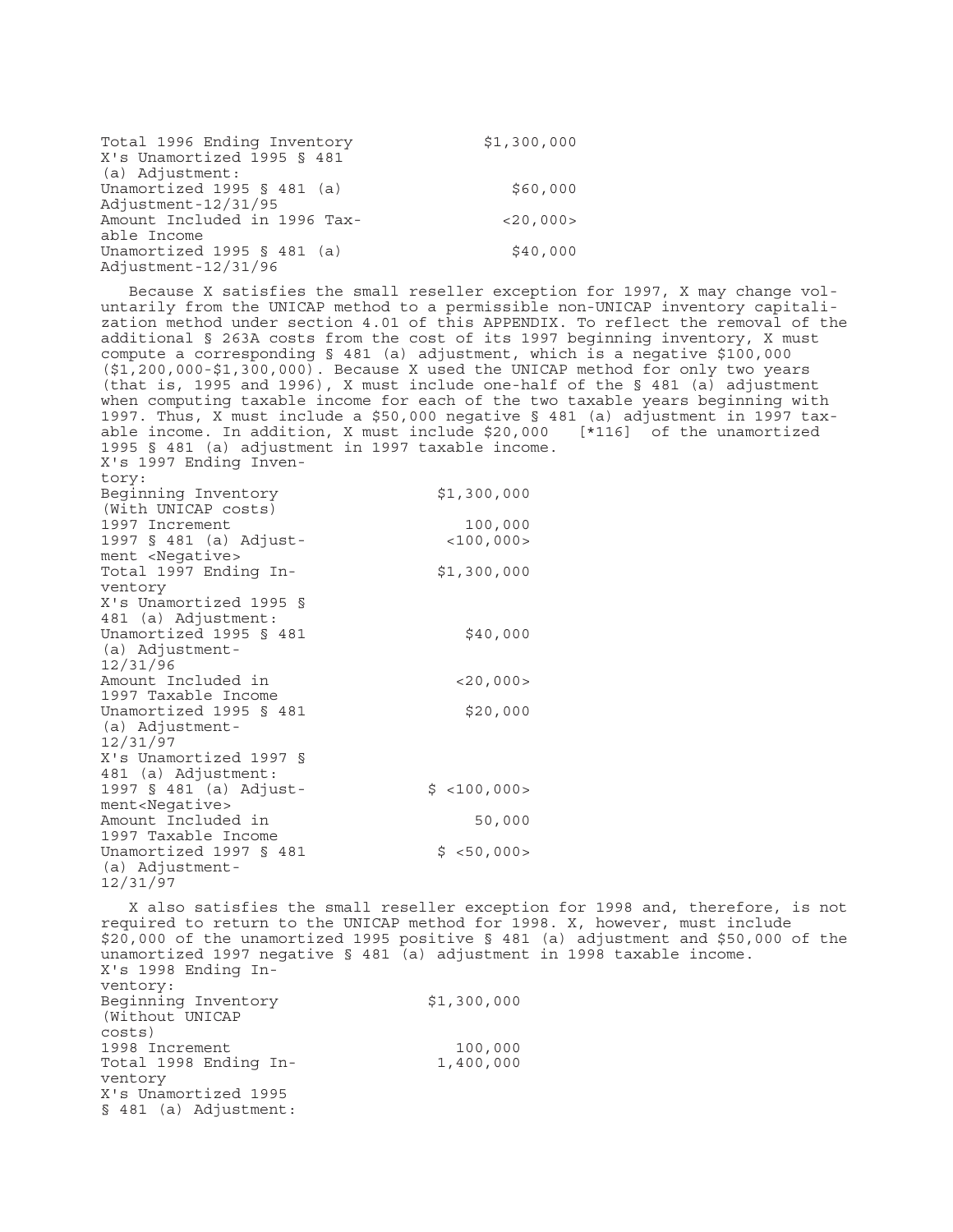| Total 1996 Ending Inventory<br>X's Unamortized 1995 § 481 | \$1,300,000    |
|-----------------------------------------------------------|----------------|
| (a) Adjustment:                                           |                |
| Unamortized 1995 § 481 (a)                                | \$60,000       |
| Adjustment-12/31/95                                       |                |
| Amount Included in 1996 Tax-                              | $<$ 20,000 $>$ |
| able Income                                               |                |
| Unamortized 1995 § 481 (a)                                | \$40,000       |
| Adjustment-12/31/96                                       |                |

12/31/97

Because X satisfies the small reseller exception for 1997, X may change voluntarily from the UNICAP method to a permissible non-UNICAP inventory capitalization method under section 4.01 of this APPENDIX. To reflect the removal of the additional § 263A costs from the cost of its 1997 beginning inventory, X must compute a corresponding § 481 (a) adjustment, which is a negative \$100,000 (\$1,200,000-\$1,300,000). Because X used the UNICAP method for only two years (that is, 1995 and 1996), X must include one-half of the  $\S$  481 (a) adjustment when computing taxable income for each of the two taxable years beginning with 1997. Thus, X must include a \$50,000 negative § 481 (a) adjustment in 1997 taxable income. In addition, X must include \$20,000 [\*116] of the unamortized 1995 § 481 (a) adjustment in 1997 taxable income. X's 1997 Ending Inventory: Beginning Inventory (With UNICAP costs) \$1,300,000 1997 Increment 100,000 1997 § 481 (a) Adjustment <Negative>  $<$ 100,000 $>$ Total 1997 Ending Inventory \$1,300,000 X's Unamortized 1995 § 481 (a) Adjustment: Unamortized 1995 § 481 (a) Adjustment-12/31/96 \$40,000 Amount Included in 1997 Taxable Income  $<$ 20,000 $>$ Unamortized 1995 § 481 (a) Adjustment-12/31/97 \$20,000 X's Unamortized 1997 § 481 (a) Adjustment: 1997 § 481 (a) Adjustment<Negative>  $$ <100,000>$ Amount Included in 1997 Taxable Income 50,000 Unamortized 1997 § 481 (a) Adjustment- $$ **50,000**$ 

X also satisfies the small reseller exception for 1998 and, therefore, is not required to return to the UNICAP method for 1998. X, however, must include \$20,000 of the unamortized 1995 positive § 481 (a) adjustment and \$50,000 of the unamortized 1997 negative § 481 (a) adjustment in 1998 taxable income. X's 1998 Ending Inventory: Beginning Inventory (Without UNICAP costs) \$1,300,000 1998 Increment 100,000 Total 1998 Ending Inventory 1,400,000 X's Unamortized 1995 § 481 (a) Adjustment: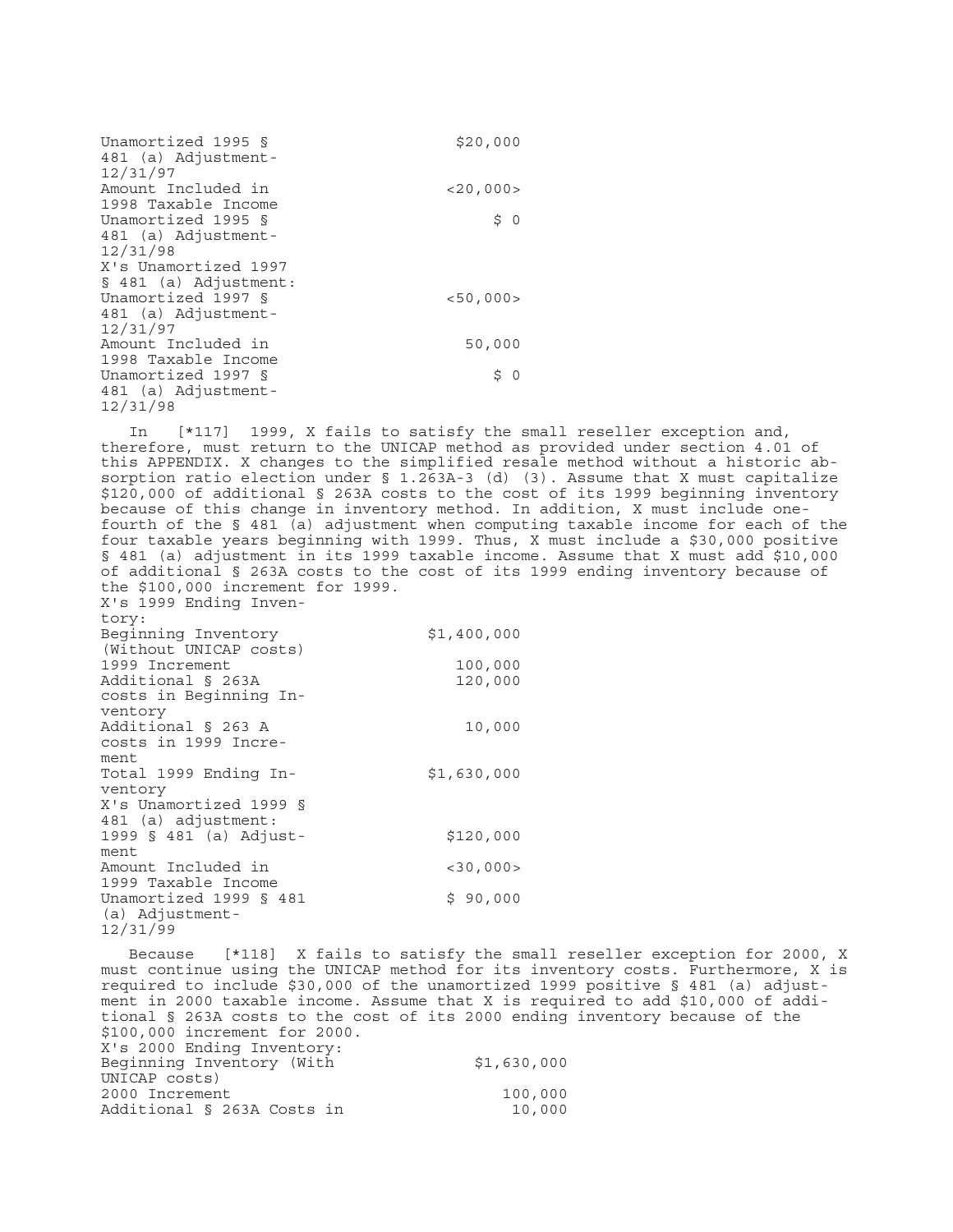| Unamortized 1995 §<br>481 (a) Adjustment-<br>12/31/97                | \$20,000       |
|----------------------------------------------------------------------|----------------|
| Amount Included in                                                   | $<$ 20,000 $>$ |
| 1998 Taxable Income<br>Unamortized 1995 §                            | \$ 0           |
| 481 (a) Adjustment-<br>12/31/98                                      |                |
| X's Unamortized 1997                                                 |                |
| $§ 481$ (a) Adjustment:<br>Unamortized 1997 §<br>481 (a) Adjustment- | < 50,000>      |
| 12/31/97<br>Amount Included in<br>1998 Taxable Income                | 50,000         |
| Unamortized 1997 §<br>481 (a) Adjustment-<br>12/31/98                | \$<br>$\circ$  |

In [\*117] 1999, X fails to satisfy the small reseller exception and, therefore, must return to the UNICAP method as provided under section 4.01 of this APPENDIX. X changes to the simplified resale method without a historic absorption ratio election under § 1.263A-3 (d) (3). Assume that X must capitalize \$120,000 of additional § 263A costs to the cost of its 1999 beginning inventory because of this change in inventory method. In addition, X must include onefourth of the § 481 (a) adjustment when computing taxable income for each of the four taxable years beginning with 1999. Thus, X must include a \$30,000 positive § 481 (a) adjustment in its 1999 taxable income. Assume that X must add \$10,000 of additional § 263A costs to the cost of its 1999 ending inventory because of the \$100,000 increment for 1999.

| tory:                                         |                |
|-----------------------------------------------|----------------|
| Beginning Inventory<br>(Without UNICAP costs) | \$1,400,000    |
| 1999 Increment                                | 100,000        |
| Additional § 263A                             | 120,000        |
| costs in Beginning In-                        |                |
| ventory                                       |                |
| Additional § 263 A                            | 10,000         |
| costs in 1999 Incre-                          |                |
| ment                                          |                |
| Total 1999 Ending In-                         | \$1,630,000    |
| ventory                                       |                |
| X's Unamortized 1999 §                        |                |
| 481 (a) adjustment:                           |                |
| 1999 § 481 (a) Adjust-                        | \$120,000      |
| ment                                          |                |
| Amount Included in                            | $<$ 30,000 $>$ |
| 1999 Taxable Income                           |                |
| Unamortized 1999 § 481                        | \$90,000       |
| (a) Adjustment-                               |                |
| 12/31/99                                      |                |

X's 1999 Ending Inven-

Because [\*118] X fails to satisfy the small reseller exception for 2000, X must continue using the UNICAP method for its inventory costs. Furthermore, X is required to include \$30,000 of the unamortized 1999 positive § 481 (a) adjustment in 2000 taxable income. Assume that X is required to add \$10,000 of additional § 263A costs to the cost of its 2000 ending inventory because of the \$100,000 increment for 2000. X's 2000 Ending Inventory: Beginning Inventory (With UNICAP costs) \$1,630,000 2000 Increment 100,000 Additional § 263A Costs in 10,000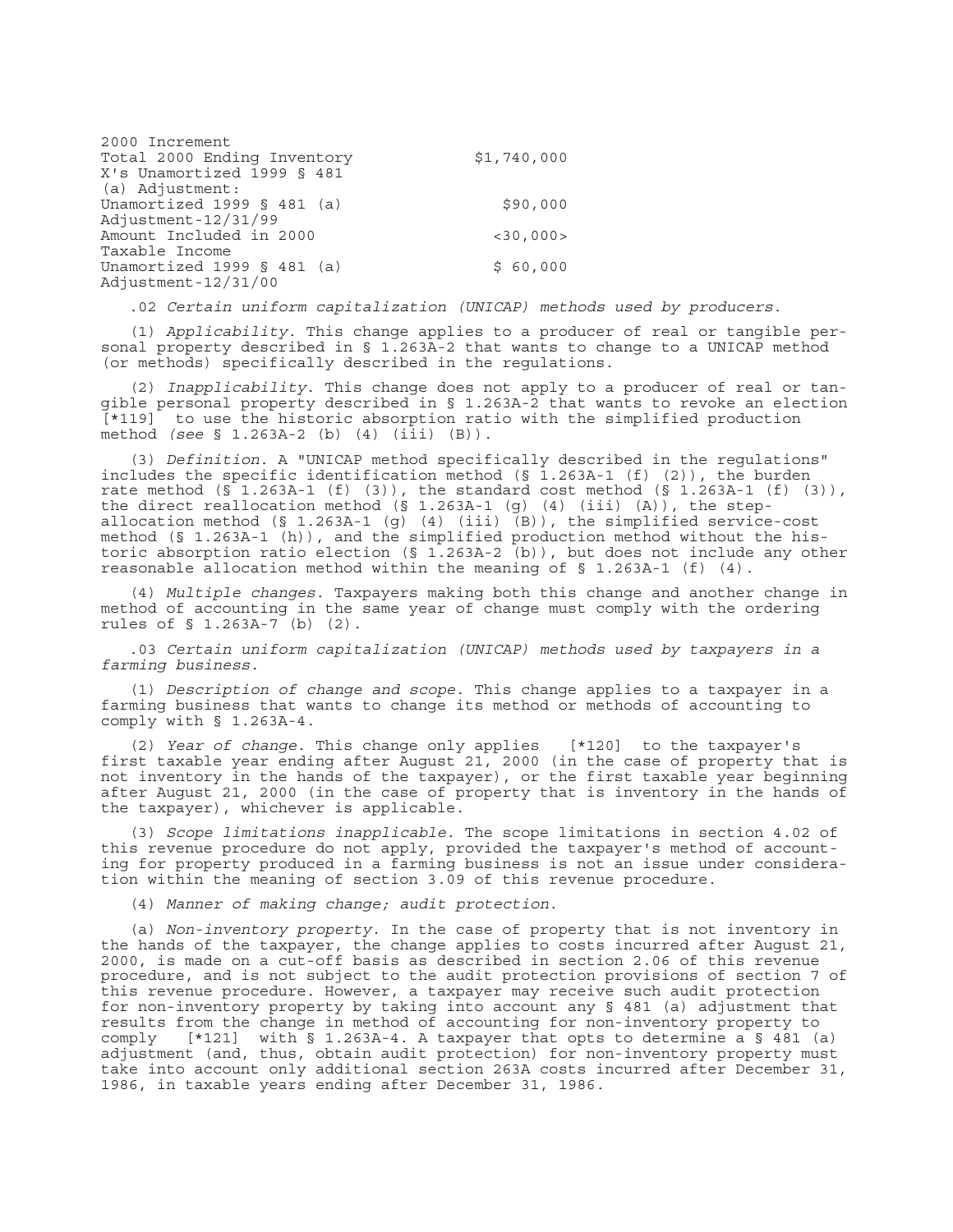| 2000 Increment              |                |
|-----------------------------|----------------|
| Total 2000 Ending Inventory | \$1,740,000    |
| X's Unamortized 1999 § 481  |                |
| (a) Adjustment:             |                |
| Unamortized 1999 § 481 (a)  | \$90,000       |
| Adjustment-12/31/99         |                |
| Amount Included in 2000     | $<$ 30,000 $>$ |
| Taxable Income              |                |
| Unamortized 1999 § 481 (a)  | \$60,000       |
| Adjustment-12/31/00         |                |

.02 *Certain uniform capitalization (UNICAP) methods used by producers*.

(1) *Applicability*. This change applies to a producer of real or tangible personal property described in § 1.263A-2 that wants to change to a UNICAP method (or methods) specifically described in the regulations.

(2) *Inapplicability*. This change does not apply to a producer of real or tangible personal property described in § 1.263A-2 that wants to revoke an election [\*119] to use the historic absorption ratio with the simplified production method *(see* § 1.263A-2 (b) (4) (iii) (B)).

(3) *Definition*. A "UNICAP method specifically described in the regulations" includes the specific identification method  $(S\ 1.263A-1\ (f)\ (2))$ , the burden rate method  $(\bar{S}$  1.263A-1 (f) (3)), the standard cost method ( $\bar{S}$  1.263A-1 (f) (3)), the direct reallocation method  $(S_1.263A-1 (g) (4) (iii) (A))$ , the stepallocation method (§ 1.263A-1 (g) (4) (iii) (B)), the simplified service-cost method (§ 1.263A-1 (h)), and the simplified production method without the historic absorption ratio election (§ 1.263A-2 (b)), but does not include any other reasonable allocation method within the meaning of § 1.263A-1 (f) (4).

(4) *Multiple changes*. Taxpayers making both this change and another change in method of accounting in the same year of change must comply with the ordering rules of § 1.263A-7 (b) (2).

.03 *Certain uniform capitalization (UNICAP) methods used by taxpayers in a farming business*.

(1) *Description of change and scope*. This change applies to a taxpayer in a farming business that wants to change its method or methods of accounting to comply with § 1.263A-4.

(2) *Year of change*. This change only applies [\*120] to the taxpayer's first taxable year ending after August 21, 2000 (in the case of property that is not inventory in the hands of the taxpayer), or the first taxable year beginning after August 21, 2000 (in the case of property that is inventory in the hands of the taxpayer), whichever is applicable.

(3) *Scope limitations inapplicable*. The scope limitations in section 4.02 of this revenue procedure do not apply, provided the taxpayer's method of accounting for property produced in a farming business is not an issue under consideration within the meaning of section 3.09 of this revenue procedure.

(4) *Manner of making change; audit protection*.

(a) *Non-inventory property*. In the case of property that is not inventory in the hands of the taxpayer, the change applies to costs incurred after August 21, 2000, is made on a cut-off basis as described in section 2.06 of this revenue procedure, and is not subject to the audit protection provisions of section 7 of this revenue procedure. However, a taxpayer may receive such audit protection for non-inventory property by taking into account any § 481 (a) adjustment that results from the change in method of accounting for non-inventory property to comply  $[*121]$  with § 1.263A-4. A taxpayer that opts to determine a § 481 (a) adjustment (and, thus, obtain audit protection) for non-inventory property must take into account only additional section 263A costs incurred after December 31, 1986, in taxable years ending after December 31, 1986.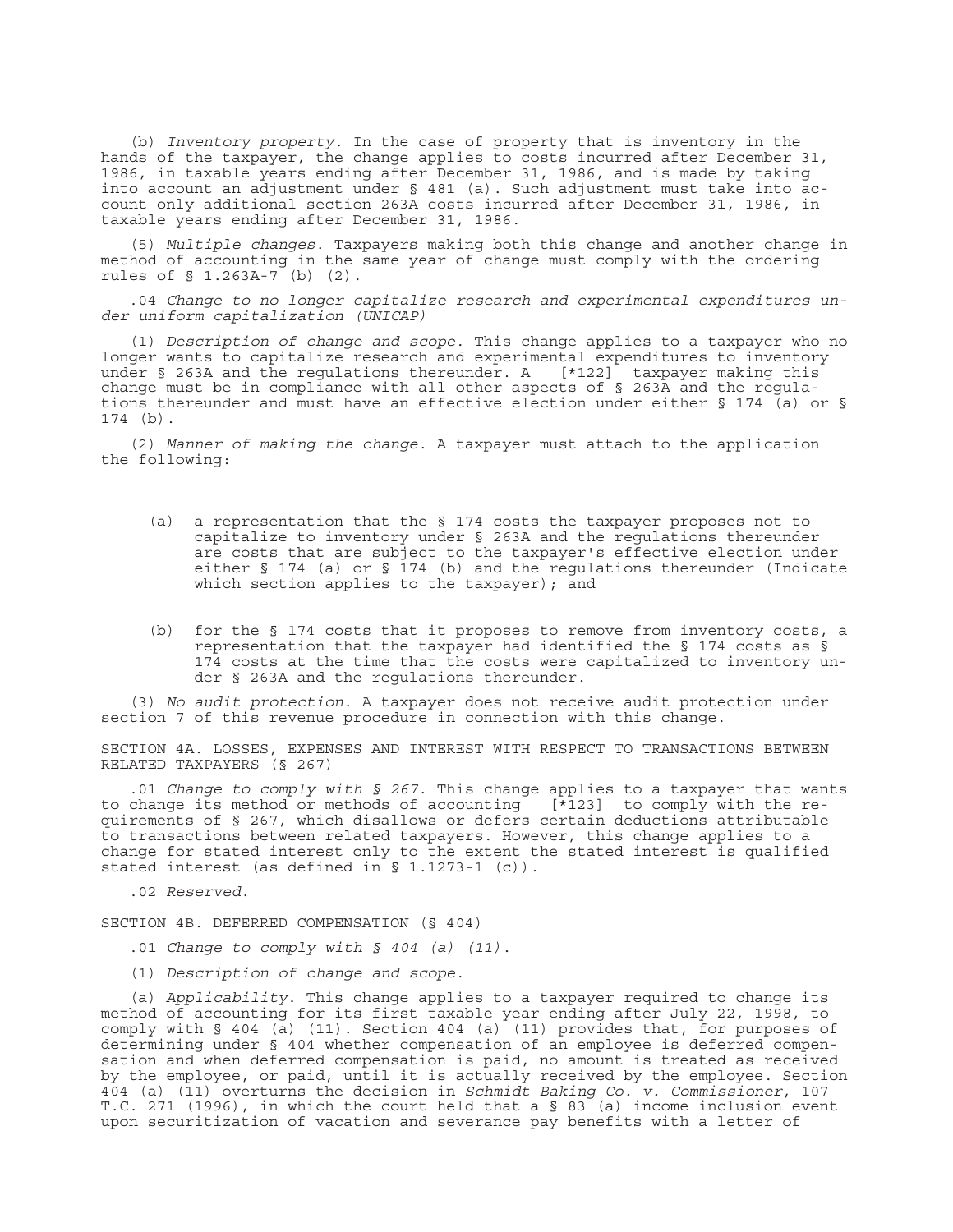(b) *Inventory property*. In the case of property that is inventory in the hands of the taxpayer, the change applies to costs incurred after December 31, 1986, in taxable years ending after December 31, 1986, and is made by taking into account an adjustment under § 481 (a). Such adjustment must take into account only additional section 263A costs incurred after December 31, 1986, in taxable years ending after December 31, 1986.

(5) *Multiple changes*. Taxpayers making both this change and another change in method of accounting in the same year of change must comply with the ordering rules of § 1.263A-7 (b) (2).

.04 *Change to no longer capitalize research and experimental expenditures under uniform capitalization (UNICAP)*

(1) *Description of change and scope*. This change applies to a taxpayer who no longer wants to capitalize research and experimental expenditures to inventory under § 263A and the regulations thereunder. A [\*122] taxpayer making this change must be in compliance with all other aspects of § 263A and the regulations thereunder and must have an effective election under either § 174 (a) or § 174 (b).

(2) *Manner of making the change*. A taxpayer must attach to the application the following:

- (a) a representation that the § 174 costs the taxpayer proposes not to capitalize to inventory under § 263A and the regulations thereunder are costs that are subject to the taxpayer's effective election under either § 174 (a) or § 174 (b) and the regulations thereunder (Indicate which section applies to the taxpayer); and
- (b) for the § 174 costs that it proposes to remove from inventory costs, a representation that the taxpayer had identified the § 174 costs as § 174 costs at the time that the costs were capitalized to inventory under § 263A and the regulations thereunder.

(3) *No audit protection*. A taxpayer does not receive audit protection under section 7 of this revenue procedure in connection with this change.

SECTION 4A. LOSSES, EXPENSES AND INTEREST WITH RESPECT TO TRANSACTIONS BETWEEN RELATED TAXPAYERS (§ 267)

.01 *Change to comply with § 267*. This change applies to a taxpayer that wants to change its method or methods of accounting  $[\overline{*}123]$  to comply with the requirements of § 267, which disallows or defers certain deductions attributable to transactions between related taxpayers. However, this change applies to a change for stated interest only to the extent the stated interest is qualified stated interest (as defined in § 1.1273-1 (c)).

.02 *Reserved*.

SECTION 4B. DEFERRED COMPENSATION (§ 404)

- .01 *Change to comply with § 404 (a) (11)*.
- (1) *Description of change and scope*.

(a) *Applicability*. This change applies to a taxpayer required to change its method of accounting for its first taxable year ending after July 22, 1998, to comply with § 404 (a) (11). Section 404 (a) (11) provides that, for purposes of determining under § 404 whether compensation of an employee is deferred compensation and when deferred compensation is paid, no amount is treated as received by the employee, or paid, until it is actually received by the employee. Section 404 (a) (11) overturns the decision in *Schmidt Baking Co. v. Commissioner*, 107 T.C. 271 (1996), in which the court held that a  $\S$  83 (a) income inclusion event upon securitization of vacation and severance pay benefits with a letter of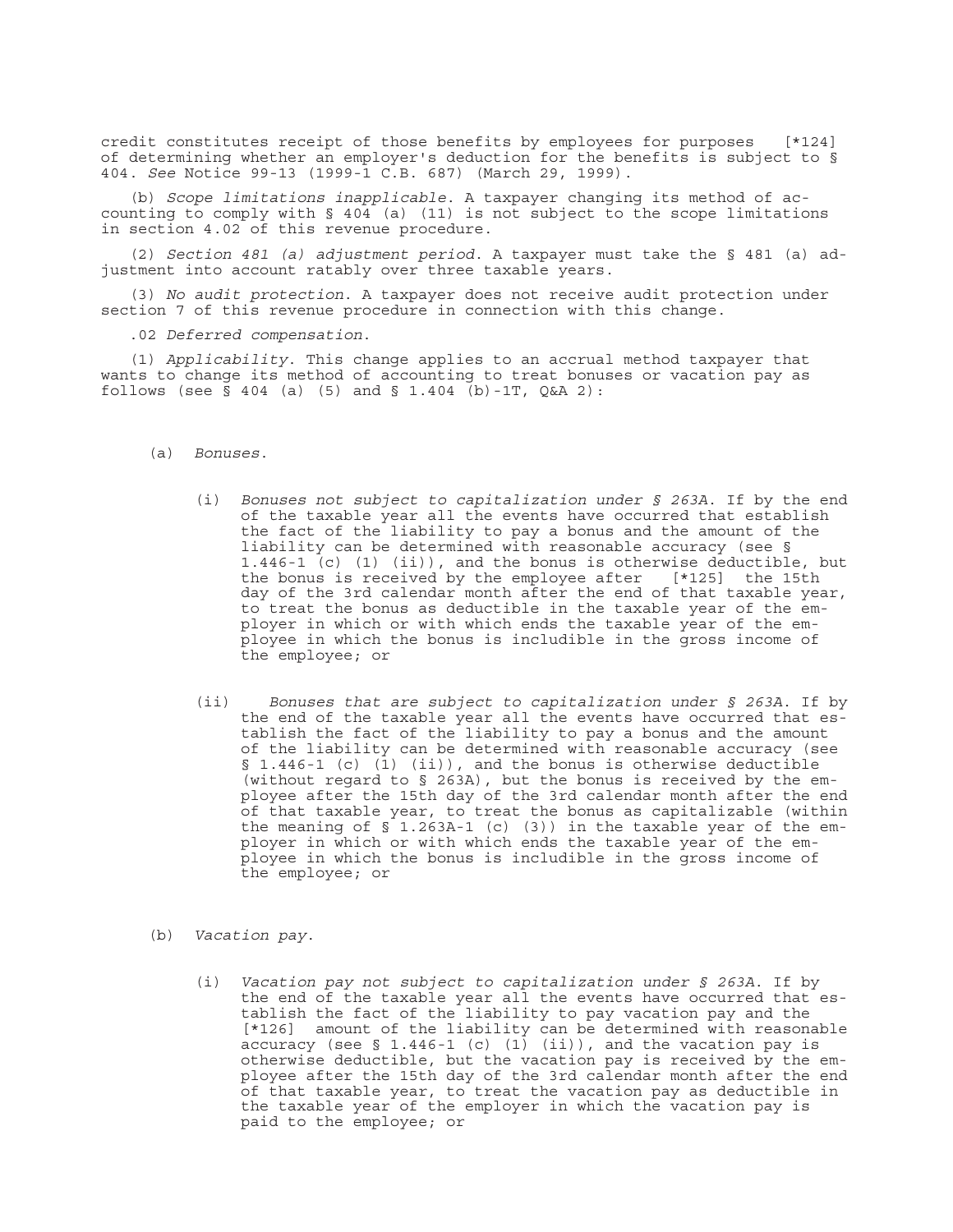credit constitutes receipt of those benefits by employees for purposes [\*124] of determining whether an employer's deduction for the benefits is subject to § 404. *See* Notice 99-13 (1999-1 C.B. 687) (March 29, 1999).

(b) *Scope limitations inapplicable*. A taxpayer changing its method of accounting to comply with  $\S$  404 (a) (11) is not subject to the scope limitations in section 4.02 of this revenue procedure.

(2) *Section 481 (a) adjustment period*. A taxpayer must take the § 481 (a) adjustment into account ratably over three taxable years.

(3) *No audit protection*. A taxpayer does not receive audit protection under section 7 of this revenue procedure in connection with this change.

.02 *Deferred compensation*.

(1) *Applicability*. This change applies to an accrual method taxpayer that wants to change its method of accounting to treat bonuses or vacation pay as follows (see  $\bar{S}$  404 (a) (5) and  $\bar{S}$  1.404 (b)-1T, Q&A 2):

- (a) *Bonuses*.
	- (i) *Bonuses not subject to capitalization under § 263A*. If by the end of the taxable year all the events have occurred that establish the fact of the liability to pay a bonus and the amount of the liability can be determined with reasonable accuracy (see § 1.446-1 (c) (1) (ii)), and the bonus is otherwise deductible, but the bonus is received by the employee after [\*125] the 15th day of the 3rd calendar month after the end of that taxable year, to treat the bonus as deductible in the taxable year of the employer in which or with which ends the taxable year of the employee in which the bonus is includible in the gross income of the employee; or
	- (ii) *Bonuses that are subject to capitalization under § 263A*. If by the end of the taxable year all the events have occurred that establish the fact of the liability to pay a bonus and the amount of the liability can be determined with reasonable accuracy (see § 1.446-1 (c) (1) (ii)), and the bonus is otherwise deductible (without regard to § 263A), but the bonus is received by the employee after the 15th day of the 3rd calendar month after the end of that taxable year, to treat the bonus as capitalizable (within the meaning of  $\sin 1.263A-1$  (c) (3)) in the taxable year of the employer in which or with which ends the taxable year of the employee in which the bonus is includible in the gross income of the employee; or
- (b) *Vacation pay*.
	- (i) *Vacation pay not subject to capitalization under § 263A*. If by the end of the taxable year all the events have occurred that establish the fact of the liability to pay vacation pay and the [\*126] amount of the liability can be determined with reasonable accuracy (see § 1.446-1 (c) (1) (ii)), and the vacation pay is otherwise deductible, but the vacation pay is received by the employee after the 15th day of the 3rd calendar month after the end of that taxable year, to treat the vacation pay as deductible in the taxable year of the employer in which the vacation pay is paid to the employee; or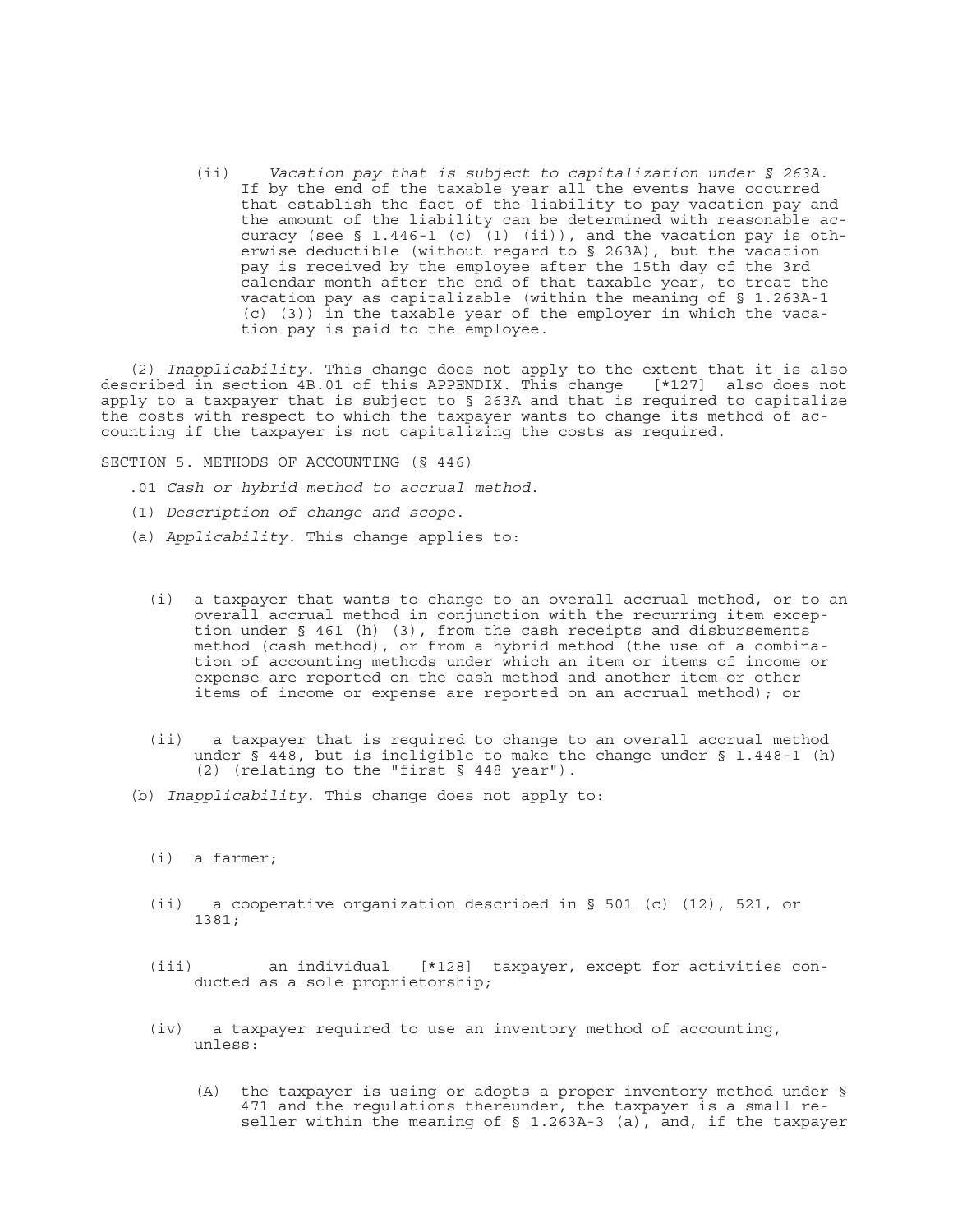(ii) *Vacation pay that is subject to capitalization under § 263A*. If by the end of the taxable year all the events have occurred that establish the fact of the liability to pay vacation pay and the amount of the liability can be determined with reasonable accuracy (see  $\S$  1.446-1 (c)  $(1)$  (ii)), and the vacation pay is otherwise deductible (without regard to § 263A), but the vacation pay is received by the employee after the 15th day of the 3rd calendar month after the end of that taxable year, to treat the vacation pay as capitalizable (within the meaning of § 1.263A-1 (c) (3)) in the taxable year of the employer in which the vacation pay is paid to the employee.

(2) *Inapplicability*. This change does not apply to the extent that it is also described in section  $4B.01$  of this APPENDIX. This change apply to a taxpayer that is subject to § 263A and that is required to capitalize the costs with respect to which the taxpayer wants to change its method of accounting if the taxpayer is not capitalizing the costs as required.

SECTION 5. METHODS OF ACCOUNTING (§ 446)

- .01 *Cash or hybrid method to accrual method*.
- (1) *Description of change and scope*.
- (a) *Applicability*. This change applies to:
	- (i) a taxpayer that wants to change to an overall accrual method, or to an overall accrual method in conjunction with the recurring item exception under § 461 (h) (3), from the cash receipts and disbursements method (cash method), or from a hybrid method (the use of a combination of accounting methods under which an item or items of income or expense are reported on the cash method and another item or other items of income or expense are reported on an accrual method); or
	- (ii) a taxpayer that is required to change to an overall accrual method under § 448, but is ineligible to make the change under § 1.448-1 (h) (2) (relating to the "first § 448 year").
- (b) *Inapplicability*. This change does not apply to:
	- (i) a farmer;
	- (ii) a cooperative organization described in § 501 (c) (12), 521, or 1381;
	- (iii) an individual [\*128] taxpayer, except for activities conducted as a sole proprietorship;
	- (iv) a taxpayer required to use an inventory method of accounting, unless:
		- (A) the taxpayer is using or adopts a proper inventory method under § 471 and the regulations thereunder, the taxpayer is a small reseller within the meaning of § 1.263A-3 (a), and, if the taxpayer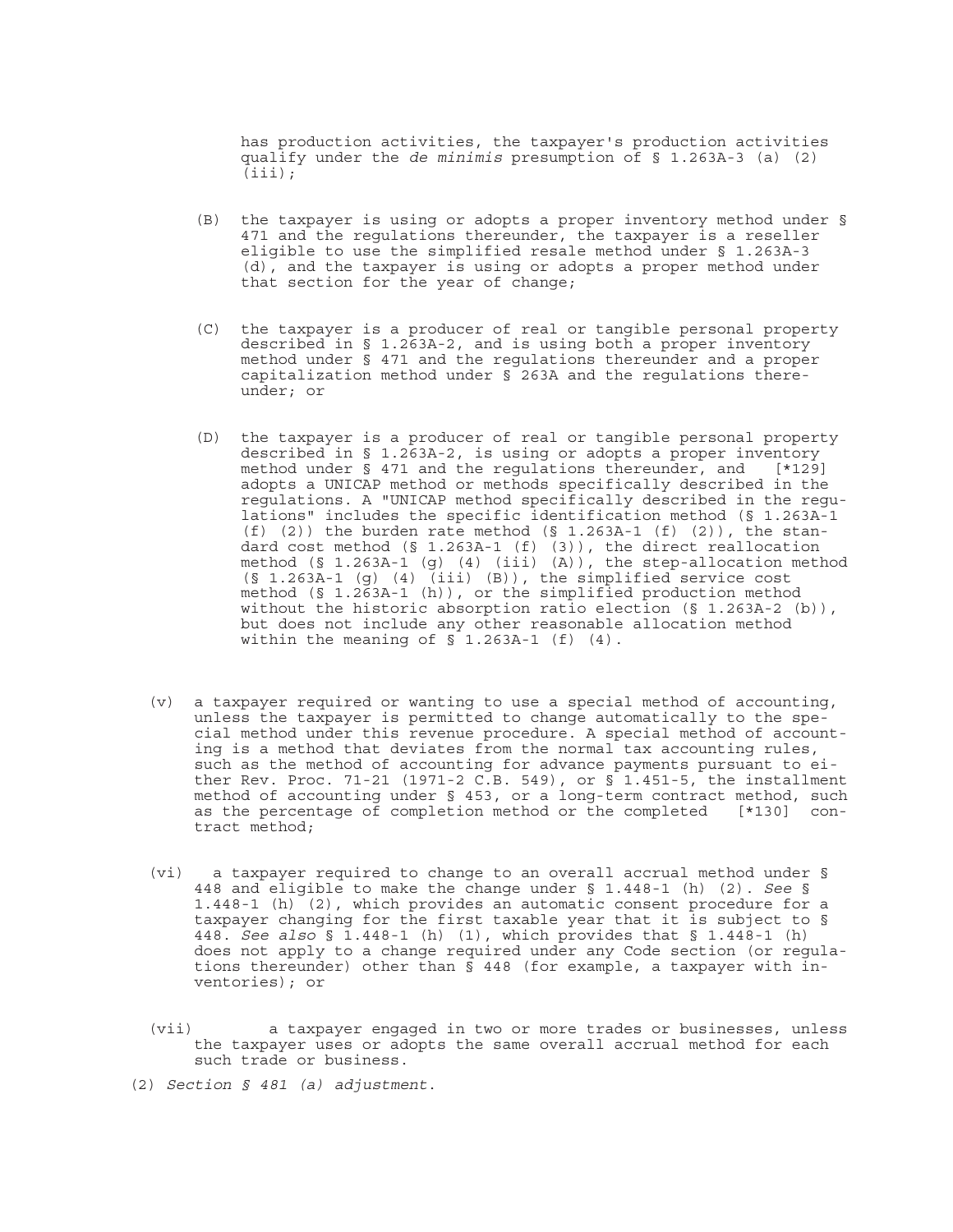has production activities, the taxpayer's production activities qualify under the *de minimis* presumption of § 1.263A-3 (a) (2)  $(iii);$ 

- (B) the taxpayer is using or adopts a proper inventory method under § 471 and the regulations thereunder, the taxpayer is a reseller eligible to use the simplified resale method under § 1.263A-3 (d), and the taxpayer is using or adopts a proper method under that section for the year of change;
- (C) the taxpayer is a producer of real or tangible personal property described in § 1.263A-2, and is using both a proper inventory method under § 471 and the regulations thereunder and a proper capitalization method under § 263A and the regulations thereunder; or
- (D) the taxpayer is a producer of real or tangible personal property described in § 1.263A-2, is using or adopts a proper inventory<br>method under § 471 and the regulations thereunder, and [\*129] method under  $§$  471 and the regulations thereunder, and adopts a UNICAP method or methods specifically described in the regulations. A "UNICAP method specifically described in the regulations" includes the specific identification method (§ 1.263A-1 (f) (2)) the burden rate method (§ 1.263A-1 (f) (2)), the standard cost method (§ 1.263A-1 (f) (3)), the direct reallocation method (§ 1.263A-1 (g) (4) (iii) (A)), the step-allocation method (§ 1.263A-1 (g) (4) (iii) (B)), the simplified service cost method (§ 1.263A-1 (h)), or the simplified production method without the historic absorption ratio election  $(S_11.263A-2 (b))$ , but does not include any other reasonable allocation method within the meaning of  $\overline{S}$  1.263A-1 (f) (4).
- (v) a taxpayer required or wanting to use a special method of accounting, unless the taxpayer is permitted to change automatically to the special method under this revenue procedure. A special method of accounting is a method that deviates from the normal tax accounting rules, such as the method of accounting for advance payments pursuant to either Rev. Proc. 71-21 (1971-2 C.B. 549), or § 1.451-5, the installment method of accounting under § 453, or a long-term contract method, such as the percentage of completion method or the completed [\*130] contract method;
- (vi) a taxpayer required to change to an overall accrual method under § 448 and eligible to make the change under § 1.448-1 (h) (2). *See* § 1.448-1 (h) (2), which provides an automatic consent procedure for a taxpayer changing for the first taxable year that it is subject to § 448. *See also* § 1.448-1 (h) (1), which provides that § 1.448-1 (h) does not apply to a change required under any Code section (or regulations thereunder) other than  $\frac{1}{5}$  448 (for example, a taxpayer with inventories); or
- (vii) a taxpayer engaged in two or more trades or businesses, unless the taxpayer uses or adopts the same overall accrual method for each such trade or business.
- (2) *Section § 481 (a) adjustment*.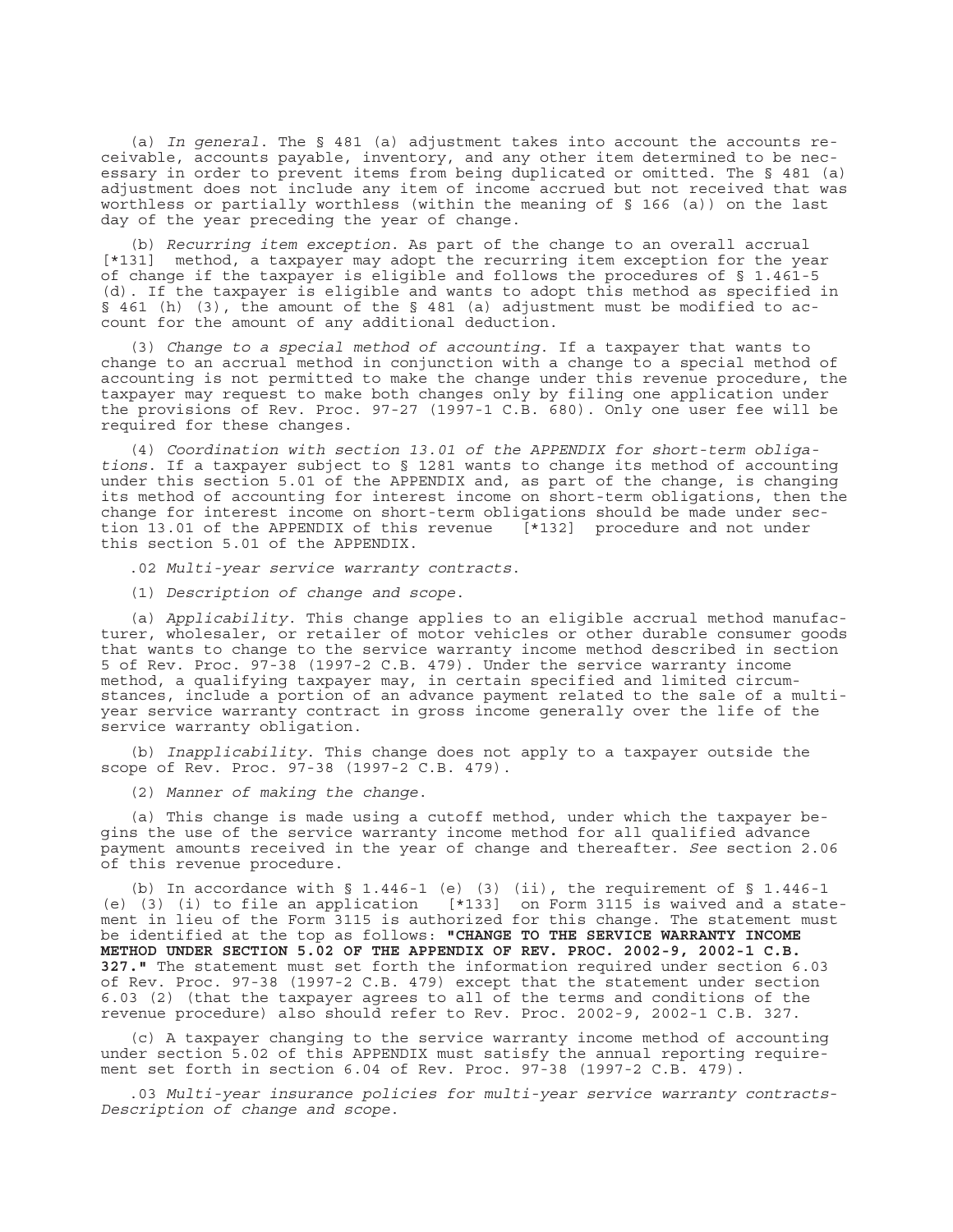(a) *In general*. The § 481 (a) adjustment takes into account the accounts receivable, accounts payable, inventory, and any other item determined to be necessary in order to prevent items from being duplicated or omitted. The § 481 (a) adjustment does not include any item of income accrued but not received that was worthless or partially worthless (within the meaning of § 166 (a)) on the last day of the year preceding the year of change.

(b) *Recurring item exception*. As part of the change to an overall accrual [\*131] method, a taxpayer may adopt the recurring item exception for the year of change if the taxpayer is eligible and follows the procedures of § 1.461-5 (d). If the taxpayer is eligible and wants to adopt this method as specified in § 461 (h) (3), the amount of the § 481 (a) adjustment must be modified to account for the amount of any additional deduction.

(3) *Change to a special method of accounting*. If a taxpayer that wants to change to an accrual method in conjunction with a change to a special method of accounting is not permitted to make the change under this revenue procedure, the taxpayer may request to make both changes only by filing one application under the provisions of Rev. Proc. 97-27 (1997-1 C.B. 680). Only one user fee will be required for these changes.

(4) *Coordination with section 13.01 of the APPENDIX for short-term obligations*. If a taxpayer subject to § 1281 wants to change its method of accounting under this section 5.01 of the APPENDIX and, as part of the change, is changing its method of accounting for interest income on short-term obligations, then the change for interest income on short-term obligations should be made under section 13.01 of the APPENDIX of this revenue [\*132] procedure and not under this section 5.01 of the APPENDIX.

.02 *Multi-year service warranty contracts*.

(1) *Description of change and scope*.

(a) *Applicability*. This change applies to an eligible accrual method manufacturer, wholesaler, or retailer of motor vehicles or other durable consumer goods that wants to change to the service warranty income method described in section 5 of Rev. Proc. 97-38 (1997-2 C.B. 479). Under the service warranty income method, a qualifying taxpayer may, in certain specified and limited circumstances, include a portion of an advance payment related to the sale of a multiyear service warranty contract in gross income generally over the life of the service warranty obligation.

(b) *Inapplicability*. This change does not apply to a taxpayer outside the scope of Rev. Proc. 97-38 (1997-2 C.B. 479).

(2) *Manner of making the change*.

(a) This change is made using a cutoff method, under which the taxpayer begins the use of the service warranty income method for all qualified advance payment amounts received in the year of change and thereafter. *See* section 2.06 of this revenue procedure.

(b) In accordance with  $\S$  1.446-1 (e) (3) (ii), the requirement of  $\S$  1.446-1 (e) (3) (i) to file an application [\*133] on Form 3115 is waived and a statement in lieu of the Form 3115 is authorized for this change. The statement must be identified at the top as follows: **"CHANGE TO THE SERVICE WARRANTY INCOME METHOD UNDER SECTION 5.02 OF THE APPENDIX OF REV. PROC. 2002-9, 2002-1 C.B. 327."** The statement must set forth the information required under section 6.03 of Rev. Proc. 97-38 (1997-2 C.B. 479) except that the statement under section 6.03 (2) (that the taxpayer agrees to all of the terms and conditions of the revenue procedure) also should refer to Rev. Proc. 2002-9, 2002-1 C.B. 327.

(c) A taxpayer changing to the service warranty income method of accounting under section 5.02 of this APPENDIX must satisfy the annual reporting requirement set forth in section 6.04 of Rev. Proc. 97-38 (1997-2 C.B. 479).

.03 *Multi-year insurance policies for multi-year service warranty contracts*-*Description of change and scope*.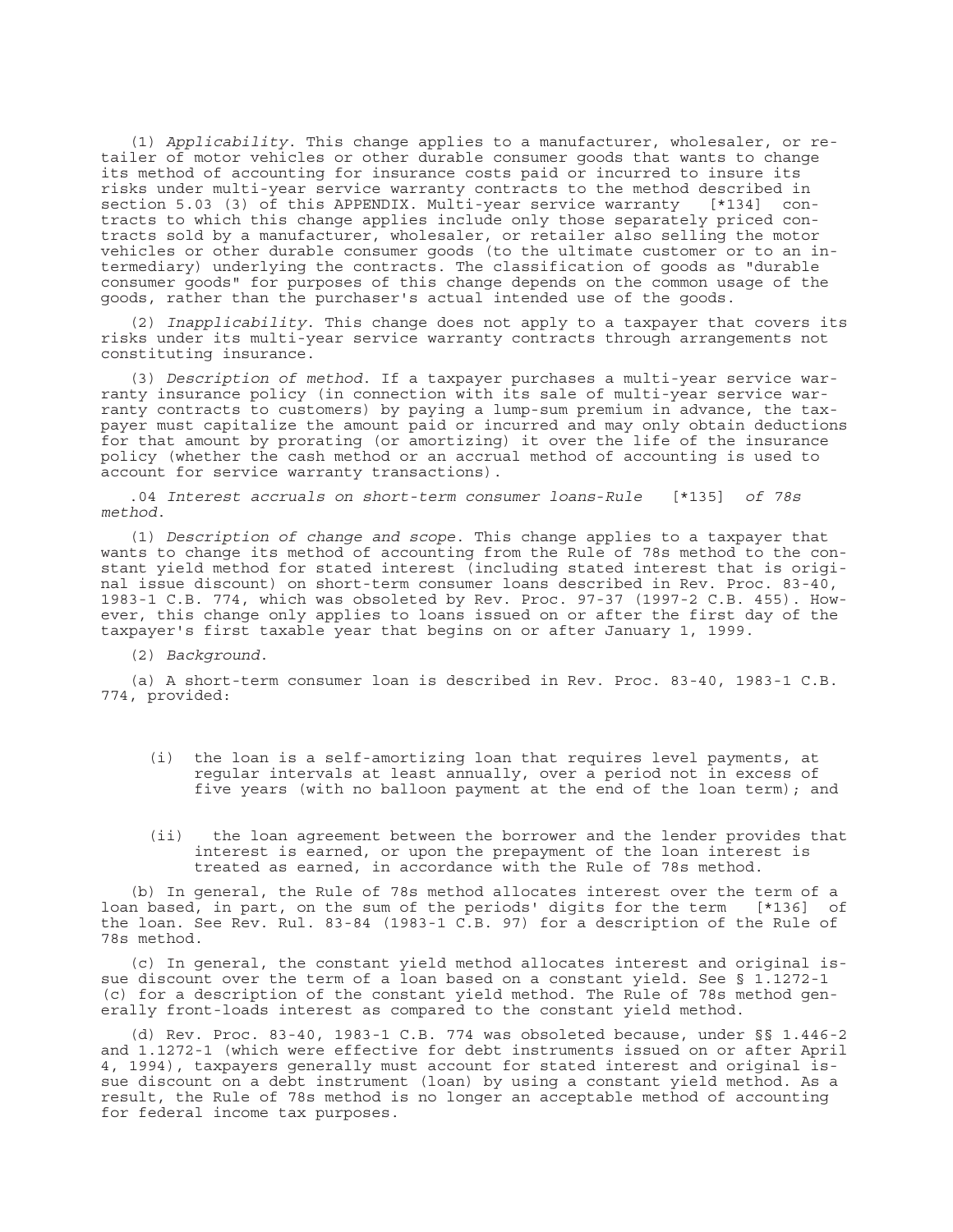(1) *Applicability*. This change applies to a manufacturer, wholesaler, or retailer of motor vehicles or other durable consumer goods that wants to change its method of accounting for insurance costs paid or incurred to insure its risks under multi-year service warranty contracts to the method described in section 5.03 (3) of this APPENDIX. Multi-year service warranty [\*134] contracts to which this change applies include only those separately priced contracts sold by a manufacturer, wholesaler, or retailer also selling the motor vehicles or other durable consumer goods (to the ultimate customer or to an intermediary) underlying the contracts. The classification of goods as "durable consumer goods" for purposes of this change depends on the common usage of the goods, rather than the purchaser's actual intended use of the goods.

(2) *Inapplicability*. This change does not apply to a taxpayer that covers its risks under its multi-year service warranty contracts through arrangements not constituting insurance.

(3) *Description of method*. If a taxpayer purchases a multi-year service warranty insurance policy (in connection with its sale of multi-year service warranty contracts to customers) by paying a lump-sum premium in advance, the taxpayer must capitalize the amount paid or incurred and may only obtain deductions for that amount by prorating (or amortizing) it over the life of the insurance policy (whether the cash method or an accrual method of accounting is used to account for service warranty transactions).

.04 *Interest accruals on short-term consumer loans*-*Rule* [\*135] *of 78s method*.

(1) *Description of change and scope*. This change applies to a taxpayer that wants to change its method of accounting from the Rule of 78s method to the constant yield method for stated interest (including stated interest that is original issue discount) on short-term consumer loans described in Rev. Proc. 83-40, 1983-1 C.B. 774, which was obsoleted by Rev. Proc. 97-37 (1997-2 C.B. 455). However, this change only applies to loans issued on or after the first day of the taxpayer's first taxable year that begins on or after January 1, 1999.

(2) *Background*.

(a) A short-term consumer loan is described in Rev. Proc. 83-40, 1983-1 C.B. 774, provided:

- (i) the loan is a self-amortizing loan that requires level payments, at regular intervals at least annually, over a period not in excess of five years (with no balloon payment at the end of the loan term); and
- (ii) the loan agreement between the borrower and the lender provides that interest is earned, or upon the prepayment of the loan interest is treated as earned, in accordance with the Rule of 78s method.

(b) In general, the Rule of 78s method allocates interest over the term of a loan based, in part, on the sum of the periods' digits for the term [\*136] of the loan. See Rev. Rul. 83-84 (1983-1 C.B. 97) for a description of the Rule of 78s method.

(c) In general, the constant yield method allocates interest and original issue discount over the term of a loan based on a constant yield. See § 1.1272-1 (c) for a description of the constant yield method. The Rule of 78s method generally front-loads interest as compared to the constant yield method.

(d) Rev. Proc. 83-40, 1983-1 C.B. 774 was obsoleted because, under §§ 1.446-2 and 1.1272-1 (which were effective for debt instruments issued on or after April 4, 1994), taxpayers generally must account for stated interest and original issue discount on a debt instrument (loan) by using a constant yield method. As a result, the Rule of 78s method is no longer an acceptable method of accounting for federal income tax purposes.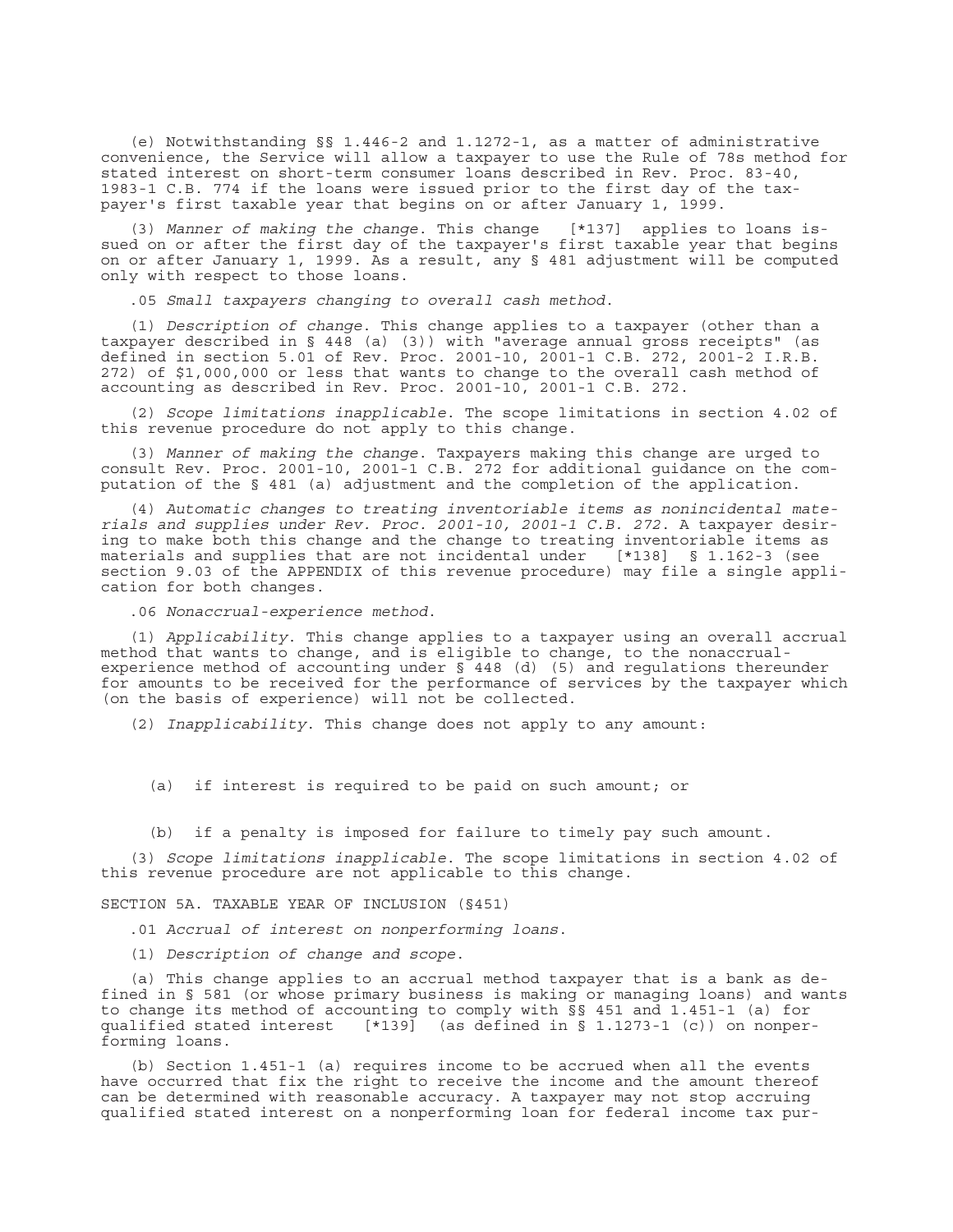(e) Notwithstanding §§ 1.446-2 and 1.1272-1, as a matter of administrative convenience, the Service will allow a taxpayer to use the Rule of 78s method for stated interest on short-term consumer loans described in Rev. Proc. 83-40, 1983-1 C.B. 774 if the loans were issued prior to the first day of the taxpayer's first taxable year that begins on or after January 1, 1999.

(3) *Manner of making the change*. This change [\*137] applies to loans issued on or after the first day of the taxpayer's first taxable year that begins on or after January 1, 1999. As a result, any § 481 adjustment will be computed only with respect to those loans.

.05 *Small taxpayers changing to overall cash method*.

(1) *Description of change*. This change applies to a taxpayer (other than a taxpayer described in § 448 (a) (3)) with "average annual gross receipts" (as defined in section 5.01 of Rev. Proc. 2001-10, 2001-1 C.B. 272, 2001-2 I.R.B. 272) of \$1,000,000 or less that wants to change to the overall cash method of accounting as described in Rev. Proc. 2001-10, 2001-1 C.B. 272.

(2) *Scope limitations inapplicable*. The scope limitations in section 4.02 of this revenue procedure do not apply to this change.

(3) *Manner of making the change*. Taxpayers making this change are urged to consult Rev. Proc. 2001-10, 2001-1 C.B. 272 for additional guidance on the computation of the § 481 (a) adjustment and the completion of the application.

(4) *Automatic changes to treating inventoriable items as nonincidental materials and supplies under Rev. Proc. 2001-10, 2001-1 C.B. 272*. A taxpayer desiring to make both this change and the change to treating inventoriable items as materials and supplies that are not incidental under [\*138] § 1.162-3 (see section 9.03 of the APPENDIX of this revenue procedure) may file a single application for both changes.

.06 *Nonaccrual-experience method*.

(1) *Applicability*. This change applies to a taxpayer using an overall accrual method that wants to change, and is eligible to change, to the nonaccrualexperience method of accounting under § 448 (d) (5) and regulations thereunder for amounts to be received for the performance of services by the taxpayer which (on the basis of experience) will not be collected.

(2) *Inapplicability*. This change does not apply to any amount:

(a) if interest is required to be paid on such amount; or

(b) if a penalty is imposed for failure to timely pay such amount.

(3) *Scope limitations inapplicable*. The scope limitations in section 4.02 of this revenue procedure are not applicable to this change.

SECTION 5A. TAXABLE YEAR OF INCLUSION (§451)

.01 *Accrual of interest on nonperforming loans*.

(1) *Description of change and scope*.

(a) This change applies to an accrual method taxpayer that is a bank as defined in § 581 (or whose primary business is making or managing loans) and wants to change its method of accounting to comply with §§ 451 and 1.451-1 (a) for qualified stated interest [\*139] (as defined in § 1.1273-1 (c)) on nonperforming loans.

(b) Section 1.451-1 (a) requires income to be accrued when all the events have occurred that fix the right to receive the income and the amount thereof can be determined with reasonable accuracy. A taxpayer may not stop accruing qualified stated interest on a nonperforming loan for federal income tax pur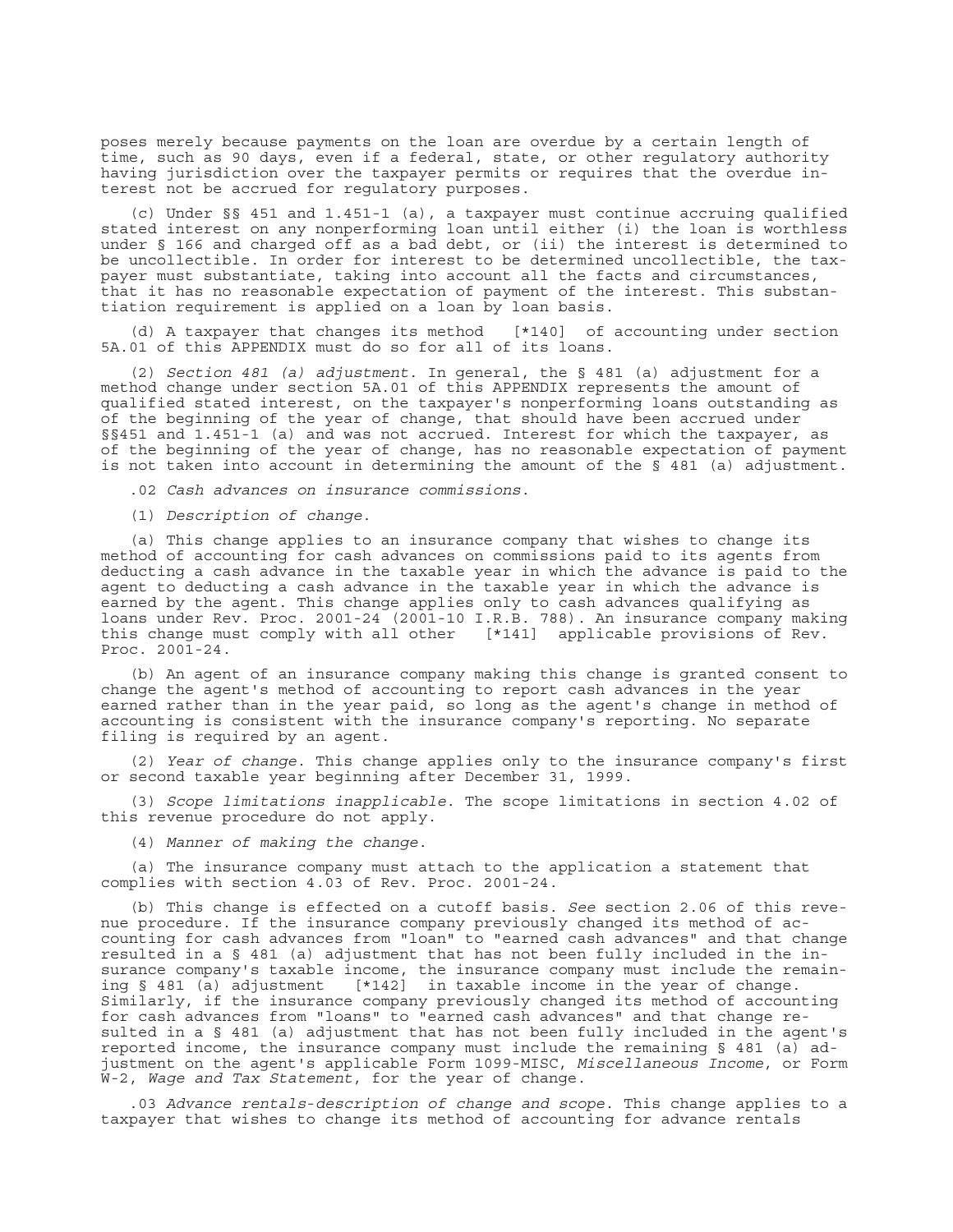poses merely because payments on the loan are overdue by a certain length of time, such as 90 days, even if a federal, state, or other regulatory authority having jurisdiction over the taxpayer permits or requires that the overdue interest not be accrued for regulatory purposes.

(c) Under §§ 451 and 1.451-1 (a), a taxpayer must continue accruing qualified stated interest on any nonperforming loan until either (i) the loan is worthless under § 166 and charged off as a bad debt, or (ii) the interest is determined to be uncollectible. In order for interest to be determined uncollectible, the taxpayer must substantiate, taking into account all the facts and circumstances, that it has no reasonable expectation of payment of the interest. This substantiation requirement is applied on a loan by loan basis.

(d) A taxpayer that changes its method [\*140] of accounting under section 5A.01 of this APPENDIX must do so for all of its loans.

(2) *Section 481 (a) adjustment*. In general, the § 481 (a) adjustment for a method change under section 5A.01 of this APPENDIX represents the amount of qualified stated interest, on the taxpayer's nonperforming loans outstanding as of the beginning of the year of change, that should have been accrued under §§451 and 1.451-1 (a) and was not accrued. Interest for which the taxpayer, as of the beginning of the year of change, has no reasonable expectation of payment is not taken into account in determining the amount of the  $\overline{S}$  481 (a) adjustment.

.02 *Cash advances on insurance commissions*.

(1) *Description of change*.

(a) This change applies to an insurance company that wishes to change its method of accounting for cash advances on commissions paid to its agents from deducting a cash advance in the taxable year in which the advance is paid to the agent to deducting a cash advance in the taxable year in which the advance is earned by the agent. This change applies only to cash advances qualifying as loans under Rev. Proc. 2001-24 (2001-10 I.R.B. 788). An insurance company making this change must comply with all other [\*141] applicable provisions of Rev. Proc. 2001-24.

(b) An agent of an insurance company making this change is granted consent to change the agent's method of accounting to report cash advances in the year earned rather than in the year paid, so long as the agent's change in method of accounting is consistent with the insurance company's reporting. No separate filing is required by an agent.

(2) *Year of change*. This change applies only to the insurance company's first or second taxable year beginning after December 31, 1999.

(3) *Scope limitations inapplicable*. The scope limitations in section 4.02 of this revenue procedure do not apply.

(4) *Manner of making the change*.

(a) The insurance company must attach to the application a statement that complies with section 4.03 of Rev. Proc. 2001-24.

(b) This change is effected on a cutoff basis. *See* section 2.06 of this revenue procedure. If the insurance company previously changed its method of accounting for cash advances from "loan" to "earned cash advances" and that change resulted in a § 481 (a) adjustment that has not been fully included in the insurance company's taxable income, the insurance company must include the remaining § 481 (a) adjustment [\*142] in taxable income in the year of change. Similarly, if the insurance company previously changed its method of accounting for cash advances from "loans" to "earned cash advances" and that change resulted in a § 481 (a) adjustment that has not been fully included in the agent's reported income, the insurance company must include the remaining § 481 (a) adjustment on the agent's applicable Form 1099-MISC, *Miscellaneous Income*, or Form W-2, *Wage and Tax Statement*, for the year of change.

.03 *Advance rentals*-*description of change and scope*. This change applies to a taxpayer that wishes to change its method of accounting for advance rentals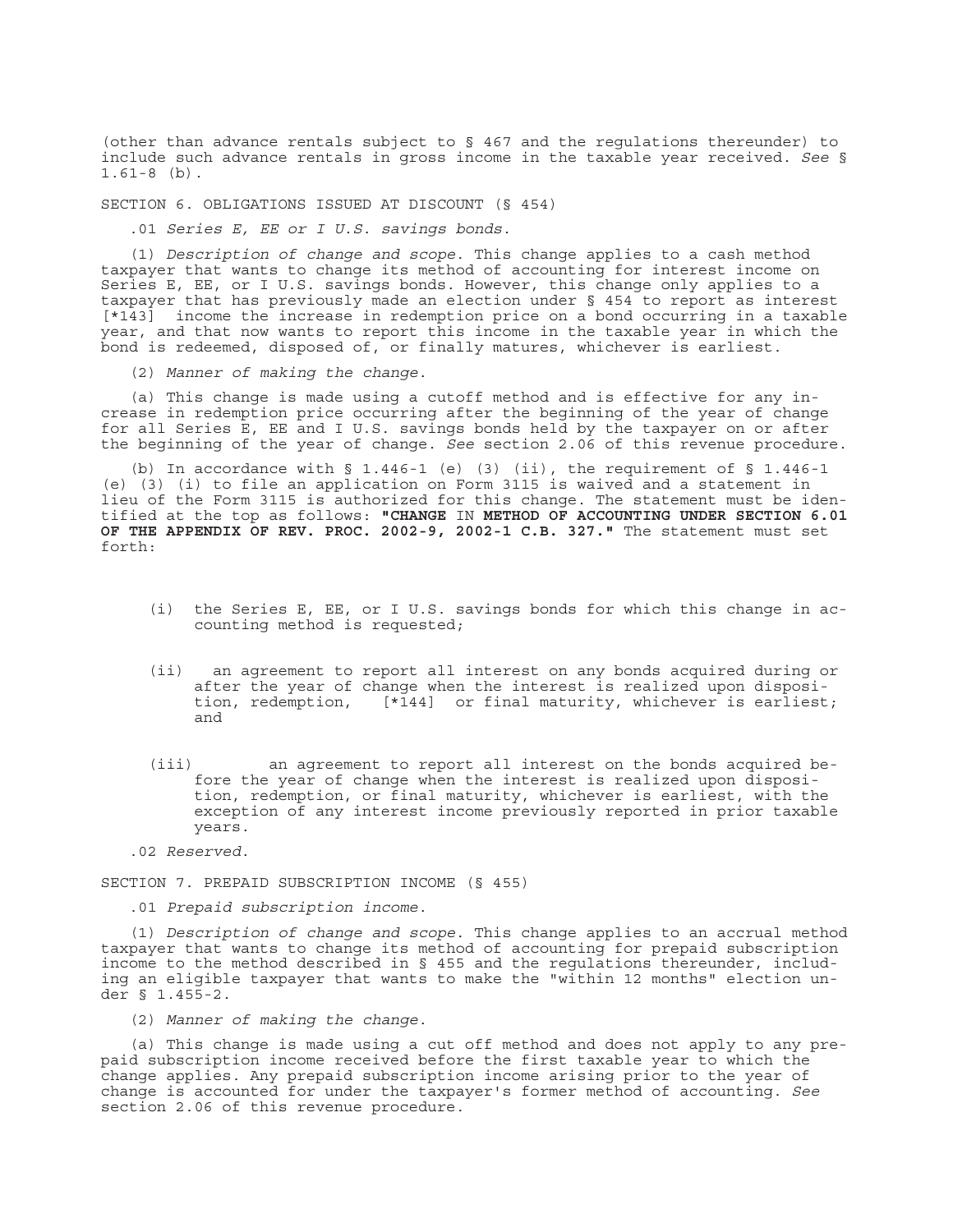(other than advance rentals subject to § 467 and the regulations thereunder) to include such advance rentals in gross income in the taxable year received. *See* § 1.61-8 (b).

SECTION 6. OBLIGATIONS ISSUED AT DISCOUNT (§ 454)

.01 *Series E, EE or I U.S. savings bonds*.

(1) *Description of change and scope*. This change applies to a cash method taxpayer that wants to change its method of accounting for interest income on Series E, EE, or I U.S. savings bonds. However, this change only applies to a taxpayer that has previously made an election under § 454 to report as interest [\*143] income the increase in redemption price on a bond occurring in a taxable year, and that now wants to report this income in the taxable year in which the bond is redeemed, disposed of, or finally matures, whichever is earliest.

(2) *Manner of making the change*.

(a) This change is made using a cutoff method and is effective for any increase in redemption price occurring after the beginning of the year of change for all Series E, EE and I U.S. savings bonds held by the taxpayer on or after the beginning of the year of change. *See* section 2.06 of this revenue procedure.

(b) In accordance with  $\S$  1.446-1 (e) (3) (ii), the requirement of  $\S$  1.446-1 (e) (3) (i) to file an application on Form 3115 is waived and a statement in lieu of the Form 3115 is authorized for this change. The statement must be identified at the top as follows: **"CHANGE** IN **METHOD OF ACCOUNTING UNDER SECTION 6.01 OF THE APPENDIX OF REV. PROC. 2002-9, 2002-1 C.B. 327."** The statement must set forth:

- (i) the Series E, EE, or I U.S. savings bonds for which this change in accounting method is requested;
- (ii) an agreement to report all interest on any bonds acquired during or after the year of change when the interest is realized upon disposition, redemption, [\*144] or final maturity, whichever is earliest; and
- (iii) an agreement to report all interest on the bonds acquired before the year of change when the interest is realized upon disposition, redemption, or final maturity, whichever is earliest, with the exception of any interest income previously reported in prior taxable years.

.02 *Reserved*.

SECTION 7. PREPAID SUBSCRIPTION INCOME (§ 455)

.01 *Prepaid subscription income*.

(1) *Description of change and scope*. This change applies to an accrual method taxpayer that wants to change its method of accounting for prepaid subscription income to the method described in § 455 and the regulations thereunder, including an eligible taxpayer that wants to make the "within 12 months" election under § 1.455-2.

(2) *Manner of making the change*.

(a) This change is made using a cut off method and does not apply to any prepaid subscription income received before the first taxable year to which the change applies. Any prepaid subscription income arising prior to the year of change is accounted for under the taxpayer's former method of accounting. *See* section 2.06 of this revenue procedure.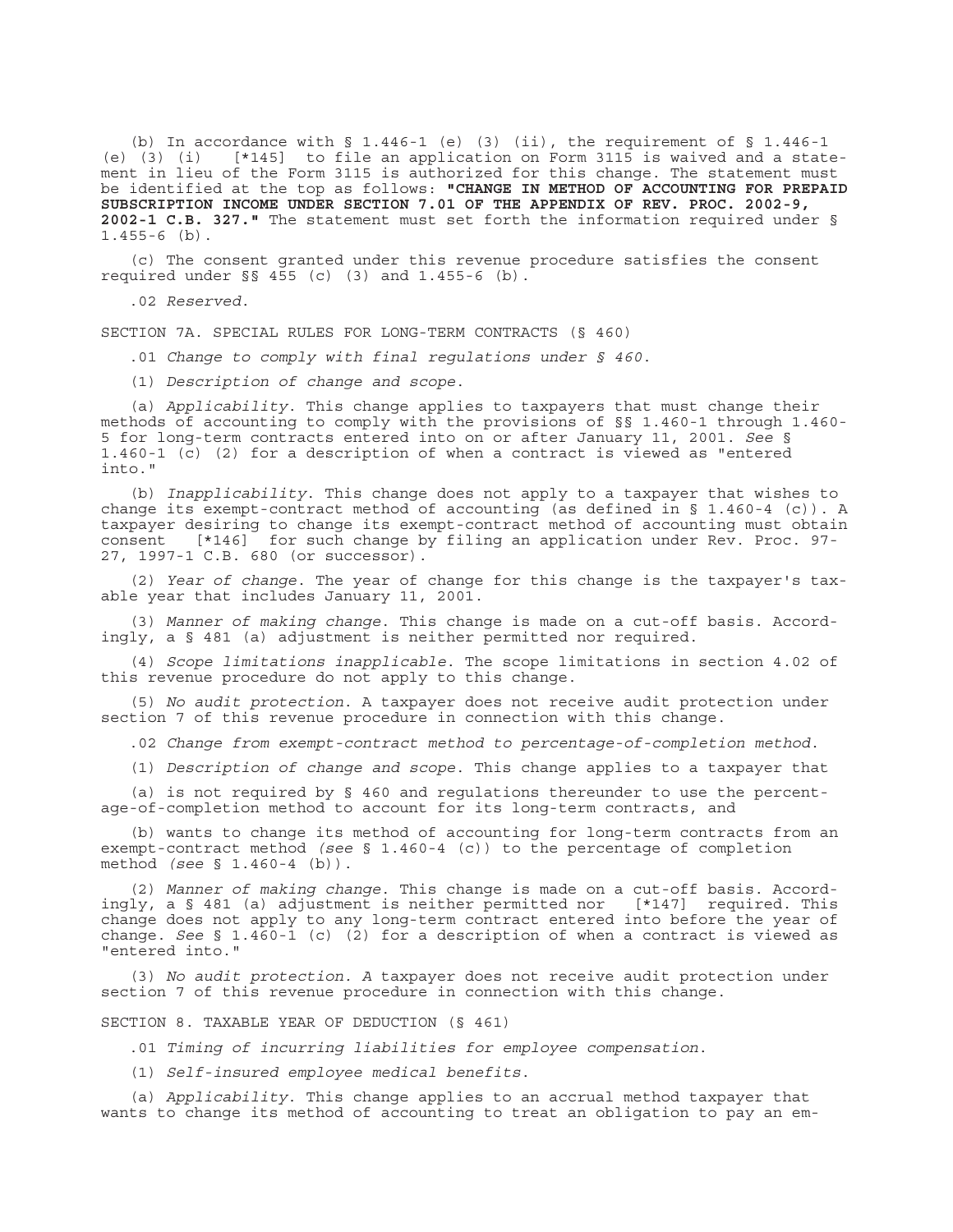(b) In accordance with  $\S$  1.446-1 (e) (3) (ii), the requirement of  $\S$  1.446-1 (e) (3) (i) [\*145] to file an application on Form 3115 is waived and a stat  $[*145]$  to file an application on Form 3115 is waived and a statement in lieu of the Form 3115 is authorized for this change. The statement must be identified at the top as follows: **"CHANGE IN METHOD OF ACCOUNTING FOR PREPAID SUBSCRIPTION INCOME UNDER SECTION 7.01 OF THE APPENDIX OF REV. PROC. 2002-9, 2002-1 C.B. 327."** The statement must set forth the information required under § 1.455-6 (b).

(c) The consent granted under this revenue procedure satisfies the consent required under §§ 455 (c) (3) and 1.455-6 (b).

.02 *Reserved*.

SECTION 7A. SPECIAL RULES FOR LONG-TERM CONTRACTS (§ 460)

.01 *Change to comply with final regulations under § 460*.

(1) *Description of change and scope*.

(a) *Applicability*. This change applies to taxpayers that must change their methods of accounting to comply with the provisions of §§ 1.460-1 through 1.460- 5 for long-term contracts entered into on or after January 11, 2001. *See* § 1.460-1 (c) (2) for a description of when a contract is viewed as "entered into."

(b) *Inapplicability*. This change does not apply to a taxpayer that wishes to change its exempt-contract method of accounting (as defined in § 1.460-4 (c)). A taxpayer desiring to change its exempt-contract method of accounting must obtain consent [\*146] for such change by filing an application under Rev. Proc. 97- 27, 1997-1 C.B. 680 (or successor).

(2) *Year of change*. The year of change for this change is the taxpayer's taxable year that includes January 11, 2001.

(3) *Manner of making change*. This change is made on a cut-off basis. Accordingly, a § 481 (a) adjustment is neither permitted nor required.

(4) *Scope limitations inapplicable*. The scope limitations in section 4.02 of this revenue procedure do not apply to this change.

(5) *No audit protection*. A taxpayer does not receive audit protection under section 7 of this revenue procedure in connection with this change.

.02 *Change from exempt-contract method to percentage-of-completion method*.

(1) *Description of change and scope*. This change applies to a taxpayer that

(a) is not required by § 460 and regulations thereunder to use the percentage-of-completion method to account for its long-term contracts, and

(b) wants to change its method of accounting for long-term contracts from an exempt-contract method *(see* § 1.460-4 (c)) to the percentage of completion method *(see* § 1.460-4 (b)).

(2) *Manner of making change*. This change is made on a cut-off basis. Accordingly, a § 481 (a) adjustment is neither permitted nor [\*147] required. This change does not apply to any long-term contract entered into before the year of change. *See* § 1.460-1 (c) (2) for a description of when a contract is viewed as "entered into."

(3) *No audit protection. A* taxpayer does not receive audit protection under section 7 of this revenue procedure in connection with this change.

## SECTION 8. TAXABLE YEAR OF DEDUCTION (§ 461)

.01 *Timing of incurring liabilities for employee compensation*.

(1) *Self-insured employee medical benefits*.

(a) *Applicability*. This change applies to an accrual method taxpayer that wants to change its method of accounting to treat an obligation to pay an em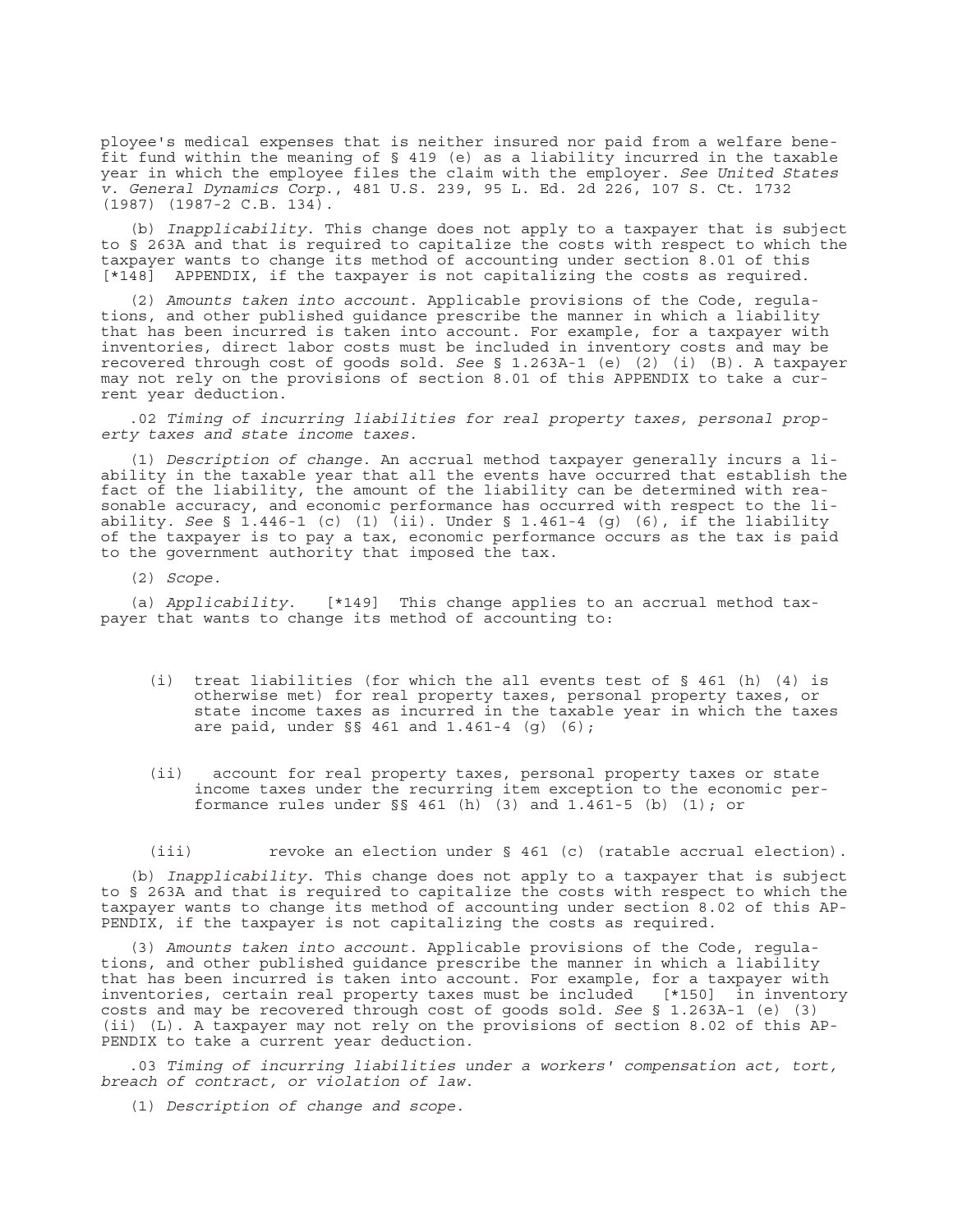ployee's medical expenses that is neither insured nor paid from a welfare benefit fund within the meaning of § 419 (e) as a liability incurred in the taxable year in which the employee files the claim with the employer. *See United States v. General Dynamics Corp*., 481 U.S. 239, 95 L. Ed. 2d 226, 107 S. Ct. 1732 (1987) (1987-2 C.B. 134).

(b) *Inapplicability*. This change does not apply to a taxpayer that is subject to § 263A and that is required to capitalize the costs with respect to which the taxpayer wants to change its method of accounting under section 8.01 of this [\*148] APPENDIX, if the taxpayer is not capitalizing the costs as required.

(2) *Amounts taken into account*. Applicable provisions of the Code, regulations, and other published guidance prescribe the manner in which a liability that has been incurred is taken into account. For example, for a taxpayer with inventories, direct labor costs must be included in inventory costs and may be recovered through cost of goods sold. *See* § 1.263A-1 (e) (2) (i) (B). A taxpayer may not rely on the provisions of section 8.01 of this APPENDIX to take a current year deduction.

.02 *Timing of incurring liabilities for real property taxes, personal property taxes and state income taxes*.

(1) *Description of change*. An accrual method taxpayer generally incurs a liability in the taxable year that all the events have occurred that establish the fact of the liability, the amount of the liability can be determined with reasonable accuracy, and economic performance has occurred with respect to the liability. *See* § 1.446-1 (c) (1) (ii). Under § 1.461-4 (g) (6), if the liability of the taxpayer is to pay a tax, economic performance occurs as the tax is paid to the government authority that imposed the tax.

(2) *Scope*.

(a) *Applicability*. [\*149] This change applies to an accrual method taxpayer that wants to change its method of accounting to:

- (i) treat liabilities (for which the all events test of § 461 (h) (4) is otherwise met) for real property taxes, personal property taxes, or state income taxes as incurred in the taxable year in which the taxes are paid, under §§ 461 and 1.461-4 (g) (6);
- (ii) account for real property taxes, personal property taxes or state income taxes under the recurring item exception to the economic performance rules under §§ 461 (h) (3) and 1.461-5 (b) (1); or

(iii) revoke an election under § 461 (c) (ratable accrual election).

(b) *Inapplicability*. This change does not apply to a taxpayer that is subject to § 263A and that is required to capitalize the costs with respect to which the taxpayer wants to change its method of accounting under section 8.02 of this AP-PENDIX, if the taxpayer is not capitalizing the costs as required.

(3) *Amounts taken into account*. Applicable provisions of the Code, regulations, and other published guidance prescribe the manner in which a liability that has been incurred is taken into account. For example, for a taxpayer with inventories, certain real property taxes must be included [\*150] in inventory costs and may be recovered through cost of goods sold. *See* § 1.263A-1 (e) (3) (ii) (L). A taxpayer may not rely on the provisions of section 8.02 of this AP-PENDIX to take a current year deduction.

.03 *Timing of incurring liabilities under a workers' compensation act, tort, breach of contract, or violation of law*.

(1) *Description of change and scope*.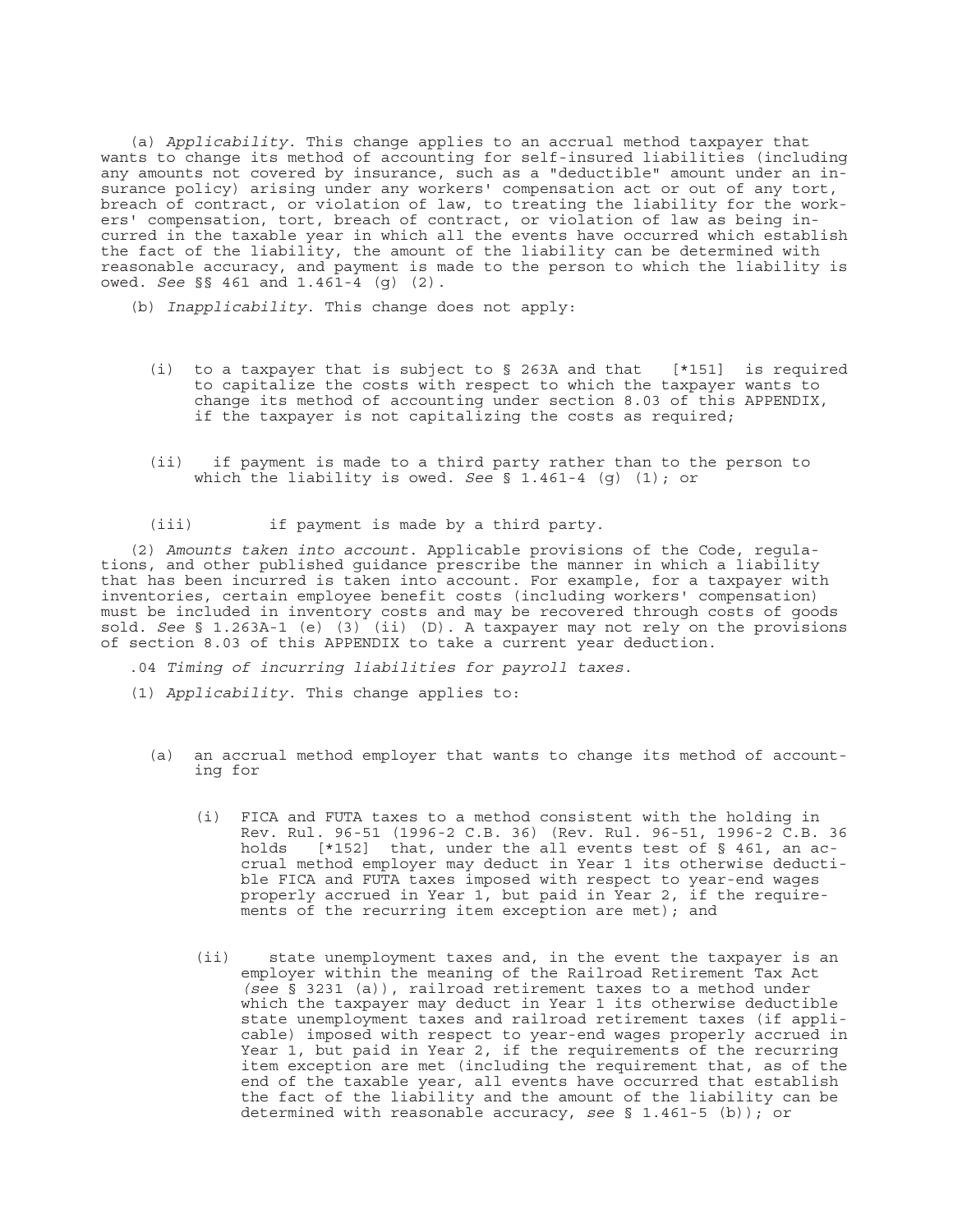(a) *Applicability*. This change applies to an accrual method taxpayer that wants to change its method of accounting for self-insured liabilities (including any amounts not covered by insurance, such as a "deductible" amount under an insurance policy) arising under any workers' compensation act or out of any tort, breach of contract, or violation of law, to treating the liability for the workers' compensation, tort, breach of contract, or violation of law as being incurred in the taxable year in which all the events have occurred which establish the fact of the liability, the amount of the liability can be determined with reasonable accuracy, and payment is made to the person to which the liability is owed. *See* §§ 461 and 1.461-4 (g) (2).

- (b) *Inapplicability*. This change does not apply:
	- (i) to a taxpayer that is subject to § 263A and that [\*151] is required to capitalize the costs with respect to which the taxpayer wants to change its method of accounting under section 8.03 of this APPENDIX, if the taxpayer is not capitalizing the costs as required;
	- (ii) if payment is made to a third party rather than to the person to which the liability is owed. *See* § 1.461-4 (g) (1); or
	- (iii) if payment is made by a third party.

(2) *Amounts taken into account*. Applicable provisions of the Code, regulations, and other published guidance prescribe the manner in which a liability that has been incurred is taken into account. For example, for a taxpayer with inventories, certain employee benefit costs (including workers' compensation) must be included in inventory costs and may be recovered through costs of goods sold. *See* § 1.263A-1 (e) (3) (ii) (D). A taxpayer may not rely on the provisions of section 8.03 of this APPENDIX to take a current year deduction.

.04 *Timing of incurring liabilities for payroll taxes*.

- (1) *Applicability*. This change applies to:
	- (a) an accrual method employer that wants to change its method of accounting for
		- (i) FICA and FUTA taxes to a method consistent with the holding in Rev. Rul. 96-51 (1996-2 C.B. 36) (Rev. Rul. 96-51, 1996-2 C.B. 36 holds [\*152] that, under the all events test of § 461, an accrual method employer may deduct in Year 1 its otherwise deductible FICA and FUTA taxes imposed with respect to year-end wages properly accrued in Year 1, but paid in Year 2, if the requirements of the recurring item exception are met); and
		- (ii) state unemployment taxes and, in the event the taxpayer is an employer within the meaning of the Railroad Retirement Tax Act *(see* § 3231 (a)), railroad retirement taxes to a method under which the taxpayer may deduct in Year 1 its otherwise deductible state unemployment taxes and railroad retirement taxes (if applicable) imposed with respect to year-end wages properly accrued in Year 1, but paid in Year 2, if the requirements of the recurring item exception are met (including the requirement that, as of the end of the taxable year, all events have occurred that establish the fact of the liability and the amount of the liability can be determined with reasonable accuracy, *see* § 1.461-5 (b)); or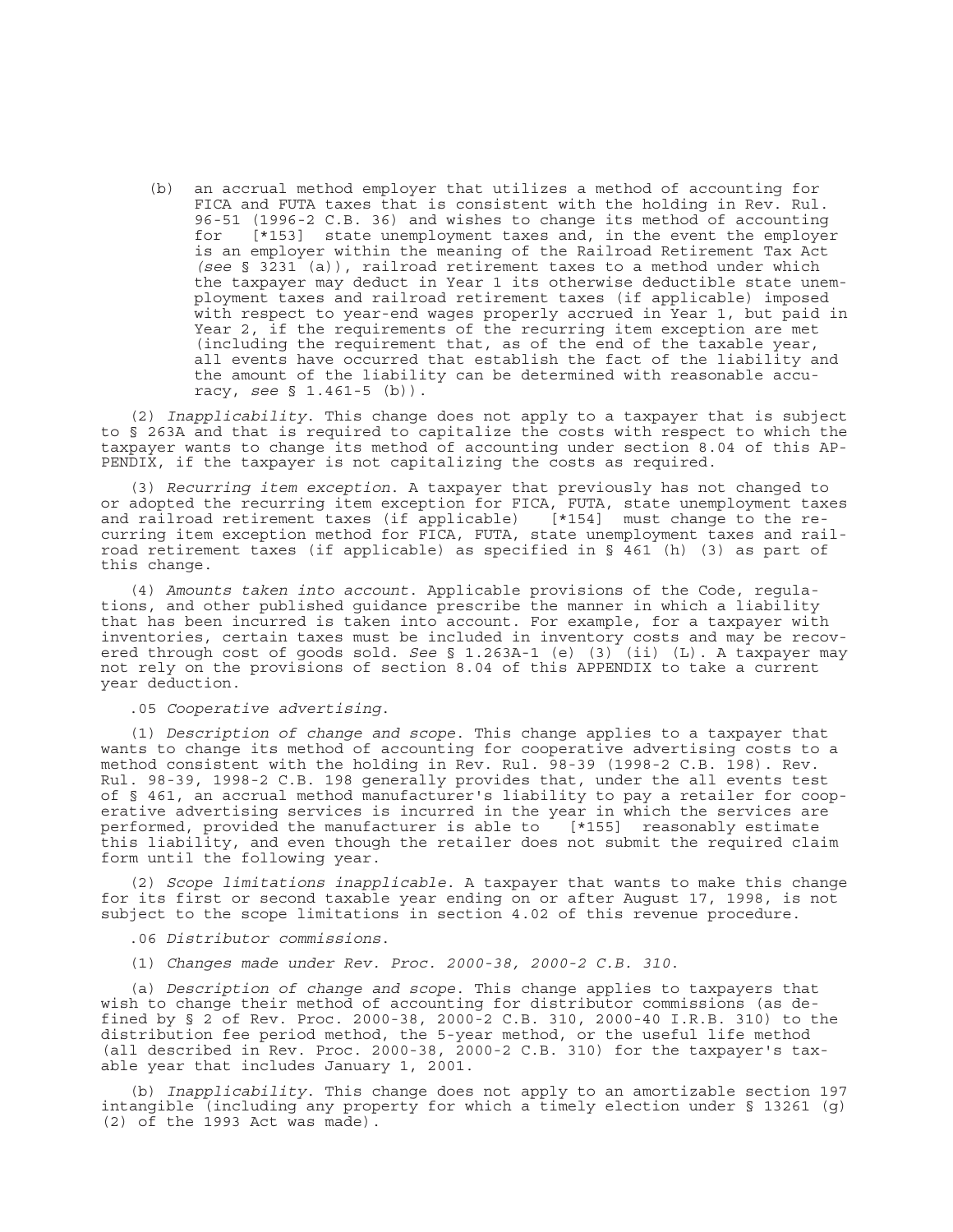(b) an accrual method employer that utilizes a method of accounting for FICA and FUTA taxes that is consistent with the holding in Rev. Rul. 96-51 (1996-2 C.B. 36) and wishes to change its method of accounting<br>for [\*153] state unemployment taxes and, in the event the employe: [\*153] state unemployment taxes and, in the event the employer is an employer within the meaning of the Railroad Retirement Tax Act *(see* § 3231 (a)), railroad retirement taxes to a method under which the taxpayer may deduct in Year 1 its otherwise deductible state unemployment taxes and railroad retirement taxes (if applicable) imposed with respect to year-end wages properly accrued in Year 1, but paid in Year 2, if the requirements of the recurring item exception are met (including the requirement that, as of the end of the taxable year, all events have occurred that establish the fact of the liability and the amount of the liability can be determined with reasonable accuracy, *see* § 1.461-5 (b)).

(2) *Inapplicability*. This change does not apply to a taxpayer that is subject to § 263A and that is required to capitalize the costs with respect to which the taxpayer wants to change its method of accounting under section 8.04 of this AP-PENDIX, if the taxpayer is not capitalizing the costs as required.

(3) *Recurring item exception*. A taxpayer that previously has not changed to or adopted the recurring item exception for FICA, FUTA, state unemployment taxes and railroad retirement taxes (if applicable) [\*154] must change to the reand railroad retirement taxes (if applicable) [\*154] must change to the re-<br>curring item exception method for FICA, FUTA, state unemployment taxes and railroad retirement taxes (if applicable) as specified in § 461 (h) (3) as part of this change.

(4) *Amounts taken into account*. Applicable provisions of the Code, regulations, and other published guidance prescribe the manner in which a liability that has been incurred is taken into account. For example, for a taxpayer with inventories, certain taxes must be included in inventory costs and may be recovered through cost of goods sold. *See* § 1.263A-1 (e) (3) (ii) (L). A taxpayer may not rely on the provisions of section 8.04 of this APPENDIX to take a current year deduction.

.05 *Cooperative advertising*.

(1) *Description of change and scope*. This change applies to a taxpayer that wants to change its method of accounting for cooperative advertising costs to a method consistent with the holding in Rev. Rul. 98-39 (1998-2 C.B. 198). Rev. Rul. 98-39, 1998-2 C.B. 198 generally provides that, under the all events test of § 461, an accrual method manufacturer's liability to pay a retailer for cooperative advertising services is incurred in the year in which the services are performed, provided the manufacturer is able to [\*155] reasonably estimate this liability, and even though the retailer does not submit the required claim form until the following year.

(2) *Scope limitations inapplicable*. A taxpayer that wants to make this change for its first or second taxable year ending on or after August 17, 1998, is not subject to the scope limitations in section 4.02 of this revenue procedure.

.06 *Distributor commissions*.

(1) *Changes made under Rev. Proc. 2000-38, 2000-2 C.B. 310*.

(a) *Description of change and scope*. This change applies to taxpayers that wish to change their method of accounting for distributor commissions (as defined by § 2 of Rev. Proc. 2000-38, 2000-2 C.B. 310, 2000-40 I.R.B. 310) to the distribution fee period method, the 5-year method, or the useful life method (all described in Rev. Proc. 2000-38, 2000-2 C.B. 310) for the taxpayer's taxable year that includes January 1, 2001.

(b) *Inapplicability*. This change does not apply to an amortizable section 197 intangible (including any property for which a timely election under § 13261 (g) (2) of the 1993 Act was made).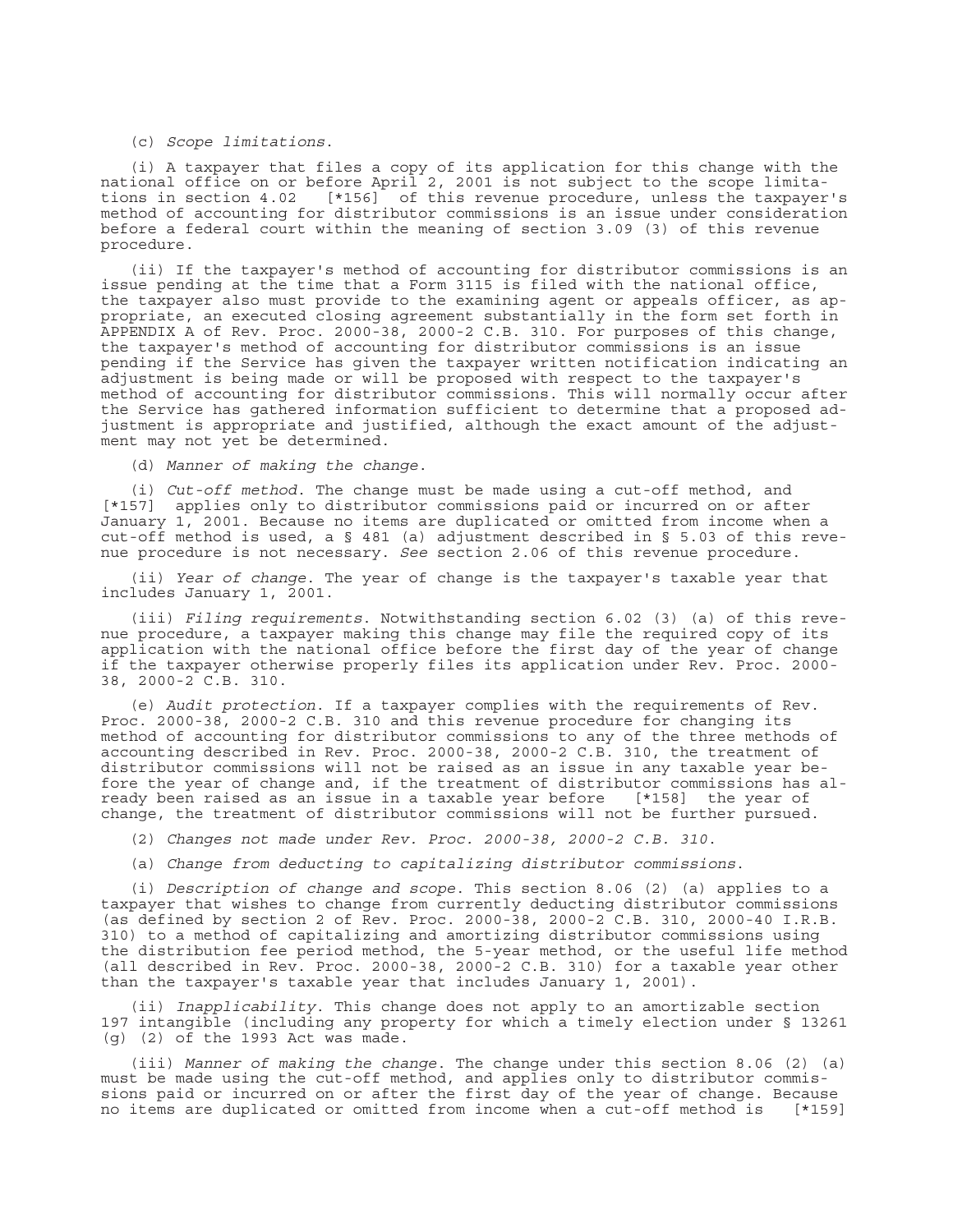#### (c) *Scope limitations*.

(i) A taxpayer that files a copy of its application for this change with the national office on or before April 2, 2001 is not subject to the scope limitations in section 4.02 [\*156] of this revenue procedure, unless the taxpayer's method of accounting for distributor commissions is an issue under consideration before a federal court within the meaning of section 3.09 (3) of this revenue procedure.

(ii) If the taxpayer's method of accounting for distributor commissions is an issue pending at the time that a Form 3115 is filed with the national office, the taxpayer also must provide to the examining agent or appeals officer, as appropriate, an executed closing agreement substantially in the form set forth in APPENDIX A of Rev. Proc. 2000-38, 2000-2 C.B. 310. For purposes of this change, the taxpayer's method of accounting for distributor commissions is an issue pending if the Service has given the taxpayer written notification indicating an adjustment is being made or will be proposed with respect to the taxpayer's method of accounting for distributor commissions. This will normally occur after the Service has gathered information sufficient to determine that a proposed adjustment is appropriate and justified, although the exact amount of the adjustment may not yet be determined.

(d) *Manner of making the change*.

(i) *Cut-off method*. The change must be made using a cut-off method, and [\*157] applies only to distributor commissions paid or incurred on or after January 1, 2001. Because no items are duplicated or omitted from income when a cut-off method is used, a § 481 (a) adjustment described in § 5.03 of this revenue procedure is not necessary. *See* section 2.06 of this revenue procedure.

(ii) *Year of change*. The year of change is the taxpayer's taxable year that includes January 1, 2001.

(iii) *Filing requirements*. Notwithstanding section 6.02 (3) (a) of this revenue procedure, a taxpayer making this change may file the required copy of its application with the national office before the first day of the year of change if the taxpayer otherwise properly files its application under Rev. Proc. 2000- 38, 2000-2 C.B. 310.

(e) *Audit protection*. If a taxpayer complies with the requirements of Rev. Proc. 2000-38, 2000-2 C.B. 310 and this revenue procedure for changing its method of accounting for distributor commissions to any of the three methods of accounting described in Rev. Proc. 2000-38, 2000-2 C.B. 310, the treatment of distributor commissions will not be raised as an issue in any taxable year before the year of change and, if the treatment of distributor commissions has already been raised as an issue in a taxable year before [\*158] the year of change, the treatment of distributor commissions will not be further pursued.

(2) *Changes not made under Rev. Proc. 2000-38, 2000-2 C.B. 310*.

(a) *Change from deducting to capitalizing distributor commissions*.

(i) *Description of change and scope*. This section 8.06 (2) (a) applies to a taxpayer that wishes to change from currently deducting distributor commissions (as defined by section 2 of Rev. Proc. 2000-38, 2000-2 C.B. 310, 2000-40 I.R.B. 310) to a method of capitalizing and amortizing distributor commissions using the distribution fee period method, the 5-year method, or the useful life method (all described in Rev. Proc. 2000-38, 2000-2 C.B. 310) for a taxable year other than the taxpayer's taxable year that includes January 1, 2001).

(ii) *Inapplicability*. This change does not apply to an amortizable section 197 intangible (including any property for which a timely election under § 13261 (g) (2) of the 1993 Act was made.

(iii) *Manner of making the change*. The change under this section 8.06 (2) (a) must be made using the cut-off method, and applies only to distributor commissions paid or incurred on or after the first day of the year of change. Because<br>no items are duplicated or omitted from income when a cut-off method is [\*159] no items are duplicated or omitted from income when a cut-off method is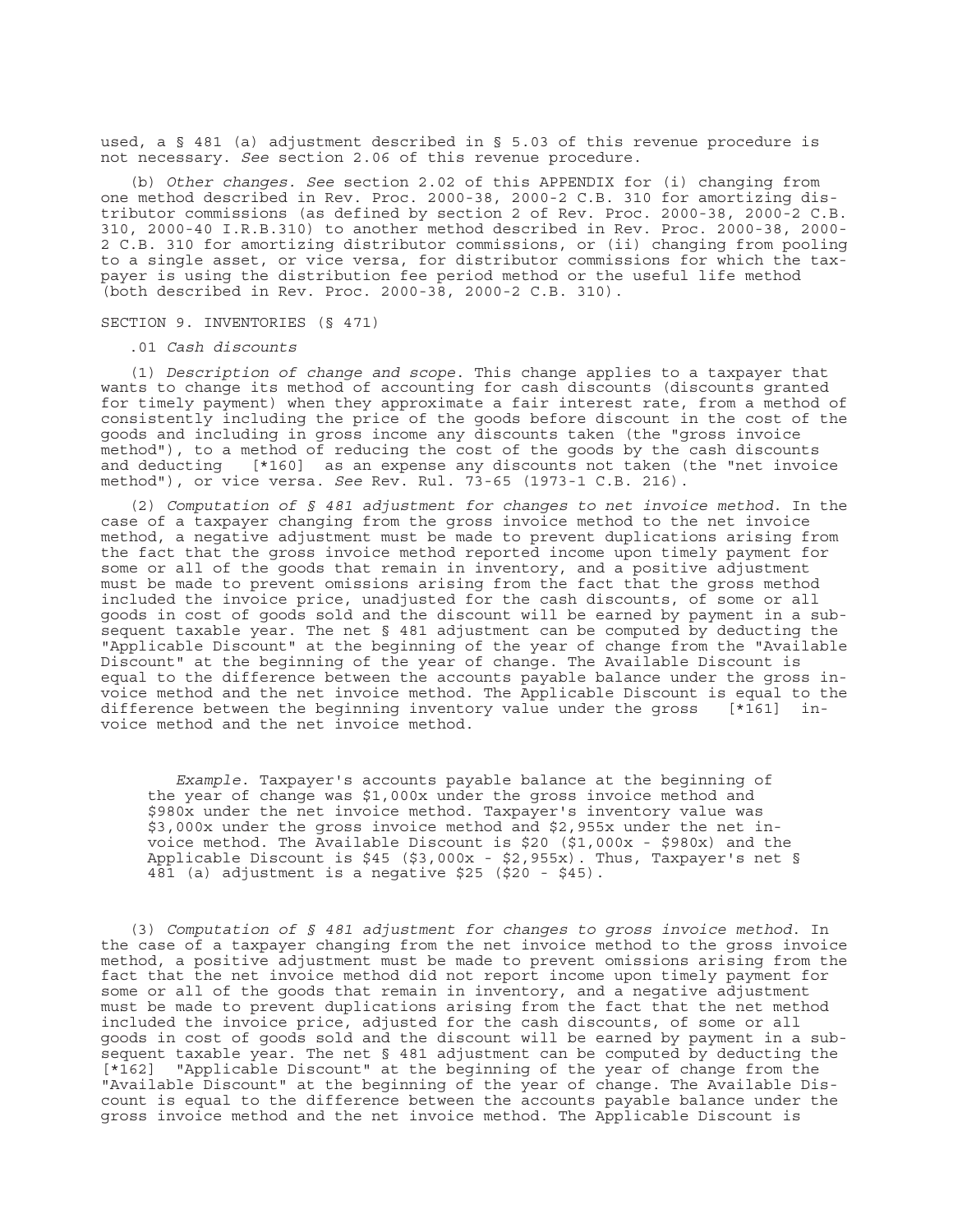used, a § 481 (a) adjustment described in § 5.03 of this revenue procedure is not necessary. *See* section 2.06 of this revenue procedure.

(b) *Other changes. See* section 2.02 of this APPENDIX for (i) changing from one method described in Rev. Proc. 2000-38, 2000-2 C.B. 310 for amortizing distributor commissions (as defined by section 2 of Rev. Proc. 2000-38, 2000-2 C.B. 310, 2000-40 I.R.B.310) to another method described in Rev. Proc. 2000-38, 2000- 2 C.B. 310 for amortizing distributor commissions, or (ii) changing from pooling to a single asset, or vice versa, for distributor commissions for which the taxpayer is using the distribution fee period method or the useful life method (both described in Rev. Proc. 2000-38, 2000-2 C.B. 310).

# SECTION 9. INVENTORIES (§ 471)

# .01 *Cash discounts*

(1) *Description of change and scope*. This change applies to a taxpayer that wants to change its method of accounting for cash discounts (discounts granted for timely payment) when they approximate a fair interest rate, from a method of consistently including the price of the goods before discount in the cost of the goods and including in gross income any discounts taken (the "gross invoice method"), to a method of reducing the cost of the goods by the cash discounts and deducting [\*160] as an expense any discounts not taken (the "net invoice method"), or vice versa. *See* Rev. Rul. 73-65 (1973-1 C.B. 216).

(2) *Computation of § 481 adjustment for changes to net invoice method*. In the case of a taxpayer changing from the gross invoice method to the net invoice method, a negative adjustment must be made to prevent duplications arising from the fact that the gross invoice method reported income upon timely payment for some or all of the goods that remain in inventory, and a positive adjustment must be made to prevent omissions arising from the fact that the gross method included the invoice price, unadjusted for the cash discounts, of some or all goods in cost of goods sold and the discount will be earned by payment in a subsequent taxable year. The net § 481 adjustment can be computed by deducting the "Applicable Discount" at the beginning of the year of change from the "Available Discount" at the beginning of the year of change. The Available Discount is equal to the difference between the accounts payable balance under the gross invoice method and the net invoice method. The Applicable Discount is equal to the difference between the beginning inventory value under the gross [\*161] invoice method and the net invoice method.

*Example*. Taxpayer's accounts payable balance at the beginning of the year of change was \$1,000x under the gross invoice method and \$980x under the net invoice method. Taxpayer's inventory value was \$3,000x under the gross invoice method and \$2,955x under the net invoice method. The Available Discount is \$20 (\$1,000x - \$980x) and the Applicable Discount is \$45 (\$3,000x - \$2,955x). Thus, Taxpayer's net § 481 (a) adjustment is a negative \$25 (\$20 - \$45).

(3) *Computation of § 481 adjustment for changes to gross invoice method*. In the case of a taxpayer changing from the net invoice method to the gross invoice method, a positive adjustment must be made to prevent omissions arising from the fact that the net invoice method did not report income upon timely payment for some or all of the goods that remain in inventory, and a negative adjustment must be made to prevent duplications arising from the fact that the net method included the invoice price, adjusted for the cash discounts, of some or all goods in cost of goods sold and the discount will be earned by payment in a subsequent taxable year. The net § 481 adjustment can be computed by deducting the [\*162] "Applicable Discount" at the beginning of the year of change from the "Available Discount" at the beginning of the year of change. The Available Discount is equal to the difference between the accounts payable balance under the gross invoice method and the net invoice method. The Applicable Discount is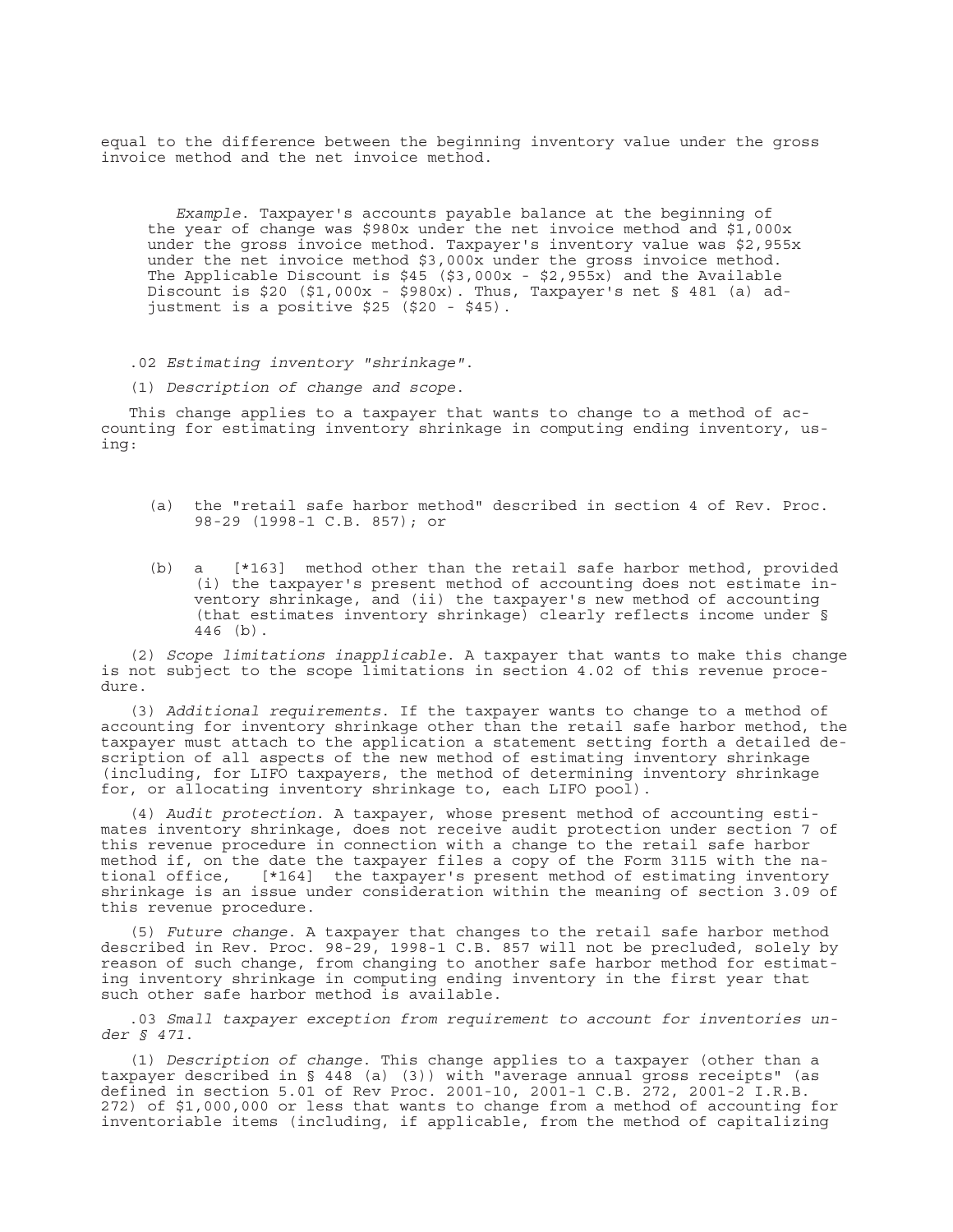equal to the difference between the beginning inventory value under the gross invoice method and the net invoice method.

*Example*. Taxpayer's accounts payable balance at the beginning of the year of change was \$980x under the net invoice method and \$1,000x under the gross invoice method. Taxpayer's inventory value was \$2,955x under the net invoice method \$3,000x under the gross invoice method. The Applicable Discount is  $$45$  ( $$3,000x - $2,955x)$  and the Available Discount is \$20 (\$1,000x - \$980x). Thus, Taxpayer's net § 481 (a) adjustment is a positive \$25 (\$20 - \$45).

.02 *Estimating inventory "shrinkage"*.

(1) *Description of change and scope*.

This change applies to a taxpayer that wants to change to a method of accounting for estimating inventory shrinkage in computing ending inventory, using:

- (a) the "retail safe harbor method" described in section 4 of Rev. Proc. 98-29 (1998-1 C.B. 857); or
- (b) a [\*163] method other than the retail safe harbor method, provided (i) the taxpayer's present method of accounting does not estimate inventory shrinkage, and (ii) the taxpayer's new method of accounting (that estimates inventory shrinkage) clearly reflects income under § 446 (b).

(2) *Scope limitations inapplicable*. A taxpayer that wants to make this change is not subject to the scope limitations in section 4.02 of this revenue procedure.

(3) *Additional requirements*. If the taxpayer wants to change to a method of accounting for inventory shrinkage other than the retail safe harbor method, the taxpayer must attach to the application a statement setting forth a detailed description of all aspects of the new method of estimating inventory shrinkage (including, for LIFO taxpayers, the method of determining inventory shrinkage for, or allocating inventory shrinkage to, each LIFO pool).

(4) *Audit protection*. A taxpayer, whose present method of accounting estimates inventory shrinkage, does not receive audit protection under section 7 of this revenue procedure in connection with a change to the retail safe harbor method if, on the date the taxpayer files a copy of the Form 3115 with the national office, [\*164] the taxpayer's present method of estimating inventory shrinkage is an issue under consideration within the meaning of section 3.09 of this revenue procedure.

(5) *Future change*. A taxpayer that changes to the retail safe harbor method described in Rev. Proc. 98-29, 1998-1 C.B. 857 will not be precluded, solely by reason of such change, from changing to another safe harbor method for estimating inventory shrinkage in computing ending inventory in the first year that such other safe harbor method is available.

.03 *Small taxpayer exception from requirement to account for inventories under § 471*.

(1) *Description of change*. This change applies to a taxpayer (other than a taxpayer described in § 448 (a) (3)) with "average annual gross receipts" (as defined in section 5.01 of Rev Proc. 2001-10, 2001-1 C.B. 272, 2001-2 I.R.B. 272) of \$1,000,000 or less that wants to change from a method of accounting for inventoriable items (including, if applicable, from the method of capitalizing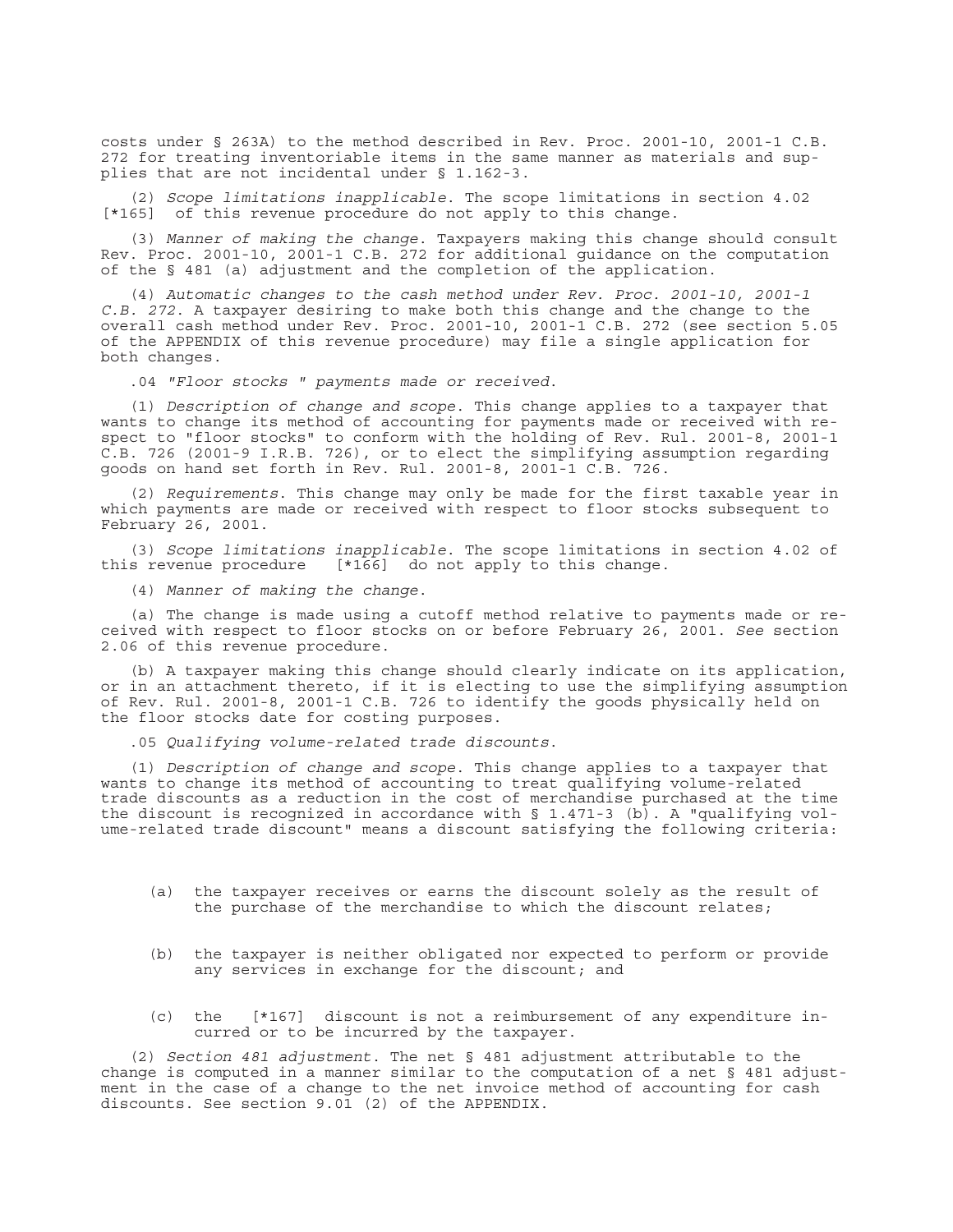costs under § 263A) to the method described in Rev. Proc. 2001-10, 2001-1 C.B. 272 for treating inventoriable items in the same manner as materials and supplies that are not incidental under § 1.162-3.

(2) *Scope limitations inapplicable*. The scope limitations in section 4.02 [\*165] of this revenue procedure do not apply to this change.

(3) *Manner of making the change*. Taxpayers making this change should consult Rev. Proc. 2001-10, 2001-1 C.B. 272 for additional guidance on the computation of the § 481 (a) adjustment and the completion of the application.

(4) *Automatic changes to the cash method under Rev. Proc. 2001-10, 2001-1 C.B. 272*. A taxpayer desiring to make both this change and the change to the overall cash method under Rev. Proc. 2001-10, 2001-1 C.B. 272 (see section 5.05 of the APPENDIX of this revenue procedure) may file a single application for both changes.

.04 *"Floor stocks " payments made or received*.

(1) *Description of change and scope*. This change applies to a taxpayer that wants to change its method of accounting for payments made or received with respect to "floor stocks" to conform with the holding of Rev. Rul. 2001-8, 2001-1 C.B. 726 (2001-9 I.R.B. 726), or to elect the simplifying assumption regarding goods on hand set forth in Rev. Rul. 2001-8, 2001-1 C.B. 726.

(2) *Requirements*. This change may only be made for the first taxable year in which payments are made or received with respect to floor stocks subsequent to February 26, 2001.

(3) *Scope limitations inapplicable*. The scope limitations in section 4.02 of  $[\cdot] 166$ ] do not apply to this change.

(4) *Manner of making the change*.

(a) The change is made using a cutoff method relative to payments made or received with respect to floor stocks on or before February 26, 2001. *See* section 2.06 of this revenue procedure.

(b) A taxpayer making this change should clearly indicate on its application, or in an attachment thereto, if it is electing to use the simplifying assumption of Rev. Rul. 2001-8, 2001-1 C.B. 726 to identify the goods physically held on the floor stocks date for costing purposes.

.05 *Qualifying volume-related trade discounts*.

(1) *Description of change and scope*. This change applies to a taxpayer that wants to change its method of accounting to treat qualifying volume-related trade discounts as a reduction in the cost of merchandise purchased at the time the discount is recognized in accordance with  $\S$  1.471-3 (b). A "qualifying volume-related trade discount" means a discount satisfying the following criteria:

- (a) the taxpayer receives or earns the discount solely as the result of the purchase of the merchandise to which the discount relates;
- (b) the taxpayer is neither obligated nor expected to perform or provide any services in exchange for the discount; and
- (c) the [\*167] discount is not a reimbursement of any expenditure incurred or to be incurred by the taxpayer.

(2) *Section 481 adjustment*. The net § 481 adjustment attributable to the change is computed in a manner similar to the computation of a net § 481 adjustment in the case of a change to the net invoice method of accounting for cash discounts. See section 9.01 (2) of the APPENDIX.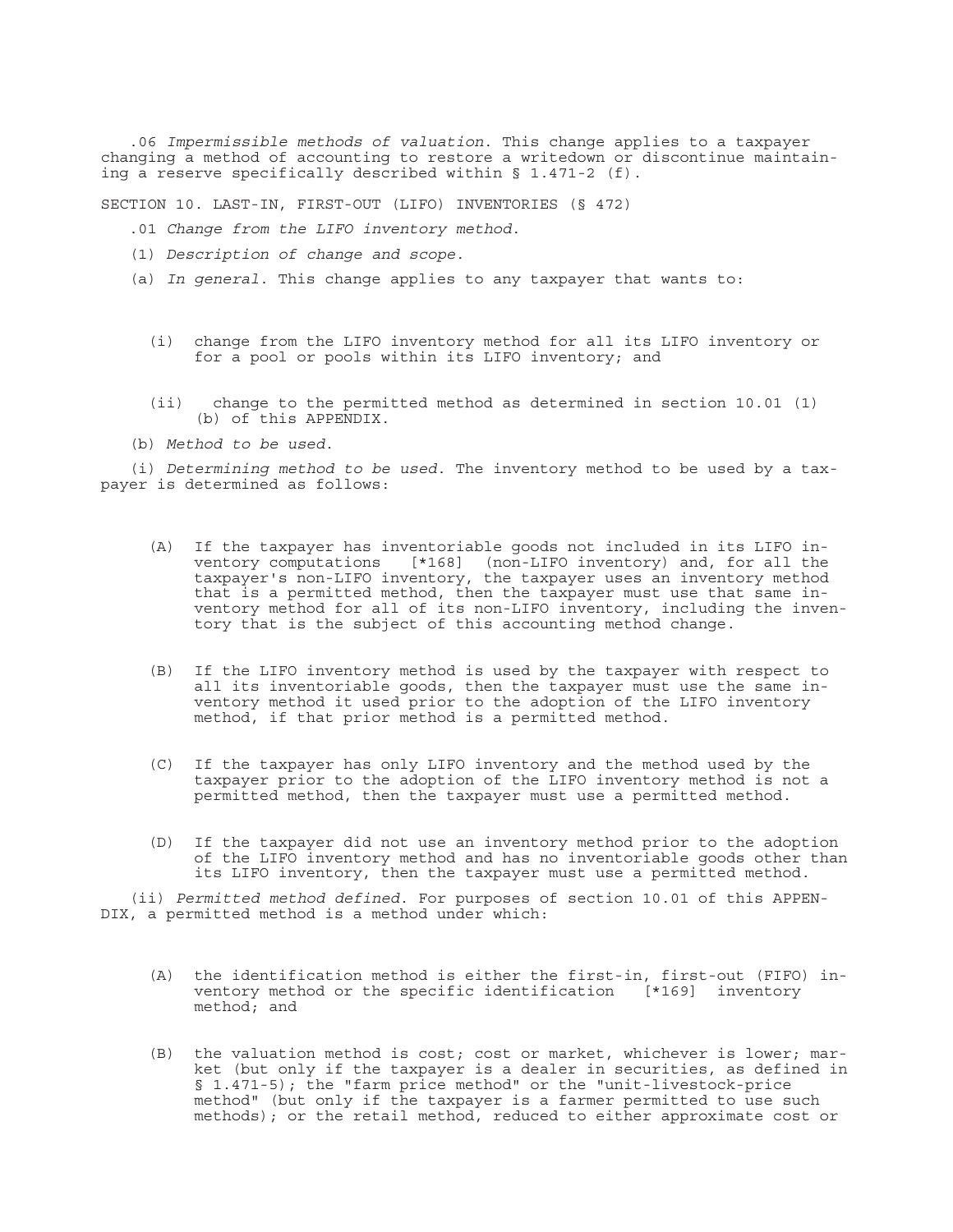.06 *Impermissible methods of valuation*. This change applies to a taxpayer changing a method of accounting to restore a writedown or discontinue maintaining a reserve specifically described within § 1.471-2 (f).

SECTION 10. LAST-IN, FIRST-OUT (LIFO) INVENTORIES (§ 472)

- .01 *Change from the LIFO inventory method*.
- (1) *Description of change and scope*.
- (a) *In general*. This change applies to any taxpayer that wants to:
	- (i) change from the LIFO inventory method for all its LIFO inventory or for a pool or pools within its LIFO inventory; and
	- (ii) change to the permitted method as determined in section 10.01 (1) (b) of this APPENDIX.
- (b) *Method to be used*.

(i) *Determining method to be used*. The inventory method to be used by a taxpayer is determined as follows:

- (A) If the taxpayer has inventoriable goods not included in its LIFO inventory computations [\*168] (non-LIFO inventory) and, for all the taxpayer's non-LIFO inventory, the taxpayer uses an inventory method that is a permitted method, then the taxpayer must use that same inventory method for all of its non-LIFO inventory, including the inventory that is the subject of this accounting method change.
- (B) If the LIFO inventory method is used by the taxpayer with respect to all its inventoriable goods, then the taxpayer must use the same inventory method it used prior to the adoption of the LIFO inventory method, if that prior method is a permitted method.
- (C) If the taxpayer has only LIFO inventory and the method used by the taxpayer prior to the adoption of the LIFO inventory method is not a permitted method, then the taxpayer must use a permitted method.
- (D) If the taxpayer did not use an inventory method prior to the adoption of the LIFO inventory method and has no inventoriable goods other than its LIFO inventory, then the taxpayer must use a permitted method.

(ii) *Permitted method defined*. For purposes of section 10.01 of this APPEN-DIX, a permitted method is a method under which:

- (A) the identification method is either the first-in, first-out (FIFO) inventory method or the specific identification [\*169] inventory method; and
- (B) the valuation method is cost; cost or market, whichever is lower; market (but only if the taxpayer is a dealer in securities, as defined in § 1.471-5); the "farm price method" or the "unit-livestock-price method" (but only if the taxpayer is a farmer permitted to use such methods); or the retail method, reduced to either approximate cost or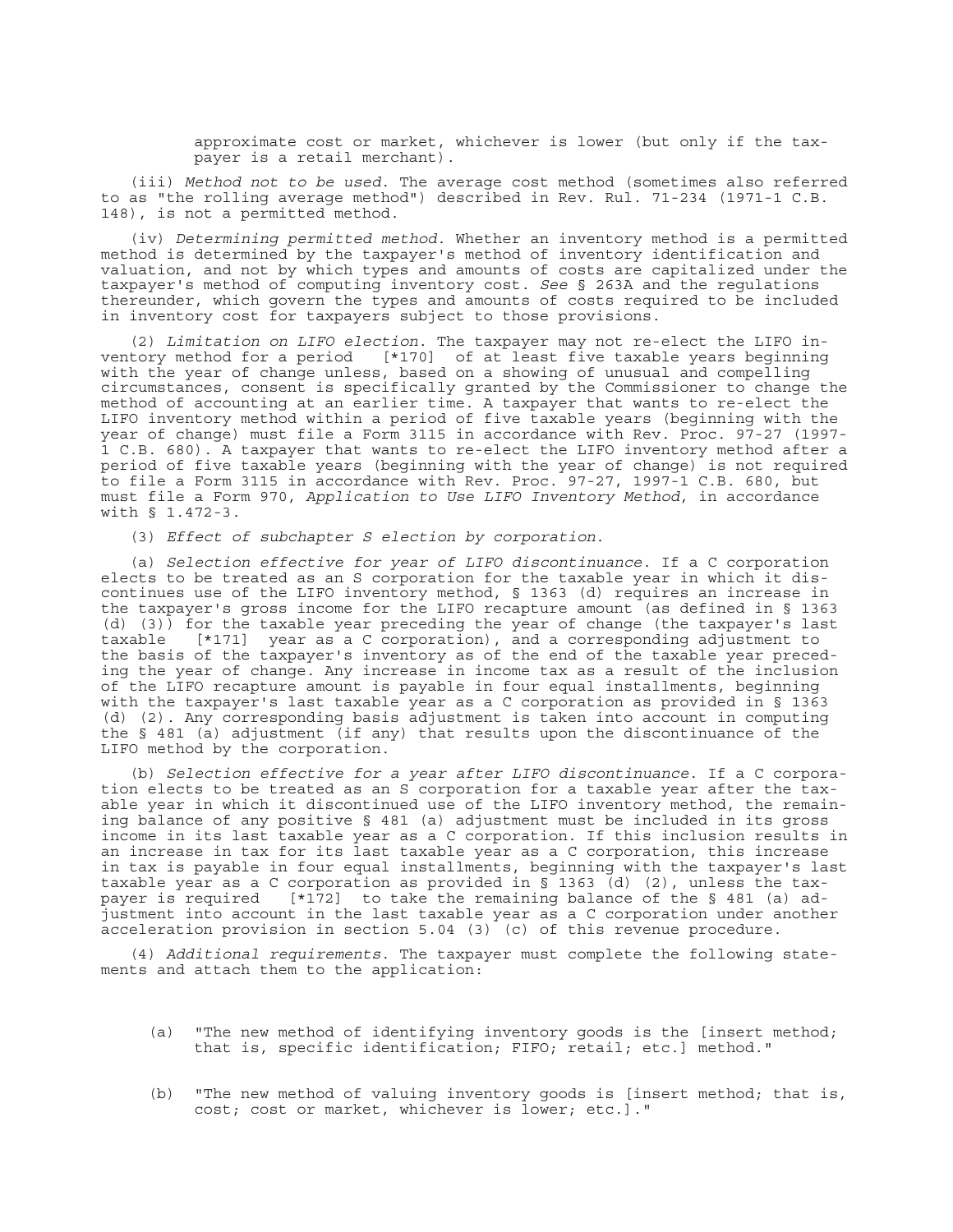approximate cost or market, whichever is lower (but only if the taxpayer is a retail merchant).

(iii) *Method not to be used*. The average cost method (sometimes also referred to as "the rolling average method") described in Rev. Rul. 71-234 (1971-1 C.B. 148), is not a permitted method.

(iv) *Determining permitted method*. Whether an inventory method is a permitted method is determined by the taxpayer's method of inventory identification and valuation, and not by which types and amounts of costs are capitalized under the taxpayer's method of computing inventory cost. *See* § 263A and the regulations thereunder, which govern the types and amounts of costs required to be included in inventory cost for taxpayers subject to those provisions.

(2) *Limitation on LIFO election*. The taxpayer may not re-elect the LIFO inventory method for a period [\*170] of at least five taxable years beginning with the year of change unless, based on a showing of unusual and compelling circumstances, consent is specifically granted by the Commissioner to change the method of accounting at an earlier time. A taxpayer that wants to re-elect the LIFO inventory method within a period of five taxable years (beginning with the year of change) must file a Form 3115 in accordance with Rev. Proc. 97-27 (1997- 1 C.B. 680). A taxpayer that wants to re-elect the LIFO inventory method after a period of five taxable years (beginning with the year of change) is not required to file a Form 3115 in accordance with Rev. Proc. 97-27, 1997-1 C.B. 680, but must file a Form 970, *Application to Use LIFO Inventory Method*, in accordance with § 1.472-3.

(3) *Effect of subchapter S election by corporation*.

(a) *Selection effective for year of LIFO discontinuance*. If a C corporation elects to be treated as an S corporation for the taxable year in which it discontinues use of the LIFO inventory method, § 1363 (d) requires an increase in the taxpayer's gross income for the LIFO recapture amount (as defined in § 1363 (d) (3)) for the taxable year preceding the year of change (the taxpayer's last taxable [\*171] year as a C corporation), and a corresponding adjustment to the basis of the taxpayer's inventory as of the end of the taxable year preceding the year of change. Any increase in income tax as a result of the inclusion of the LIFO recapture amount is payable in four equal installments, beginning with the taxpayer's last taxable year as a C corporation as provided in § 1363 (d) (2). Any corresponding basis adjustment is taken into account in computing the § 481 (a) adjustment (if any) that results upon the discontinuance of the LIFO method by the corporation.

(b) *Selection effective for a year after LIFO discontinuance*. If a C corporation elects to be treated as an S corporation for a taxable year after the taxable year in which it discontinued use of the LIFO inventory method, the remaining balance of any positive § 481 (a) adjustment must be included in its gross income in its last taxable year as a C corporation. If this inclusion results in an increase in tax for its last taxable year as a C corporation, this increase in tax is payable in four equal installments, beginning with the taxpayer's last taxable year as a C corporation as provided in § 1363 (d) (2), unless the taxpayer is required [\*172] to take the remaining balance of the § 481 (a) adjustment into account in the last taxable year as a C corporation under another acceleration provision in section  $5.04$  (3) (c) of this revenue procedure.

(4) *Additional requirements*. The taxpayer must complete the following statements and attach them to the application:

- (a) "The new method of identifying inventory goods is the [insert method; that is, specific identification; FIFO; retail; etc.] method."
- (b) "The new method of valuing inventory goods is [insert method; that is, cost; cost or market, whichever is lower; etc.]."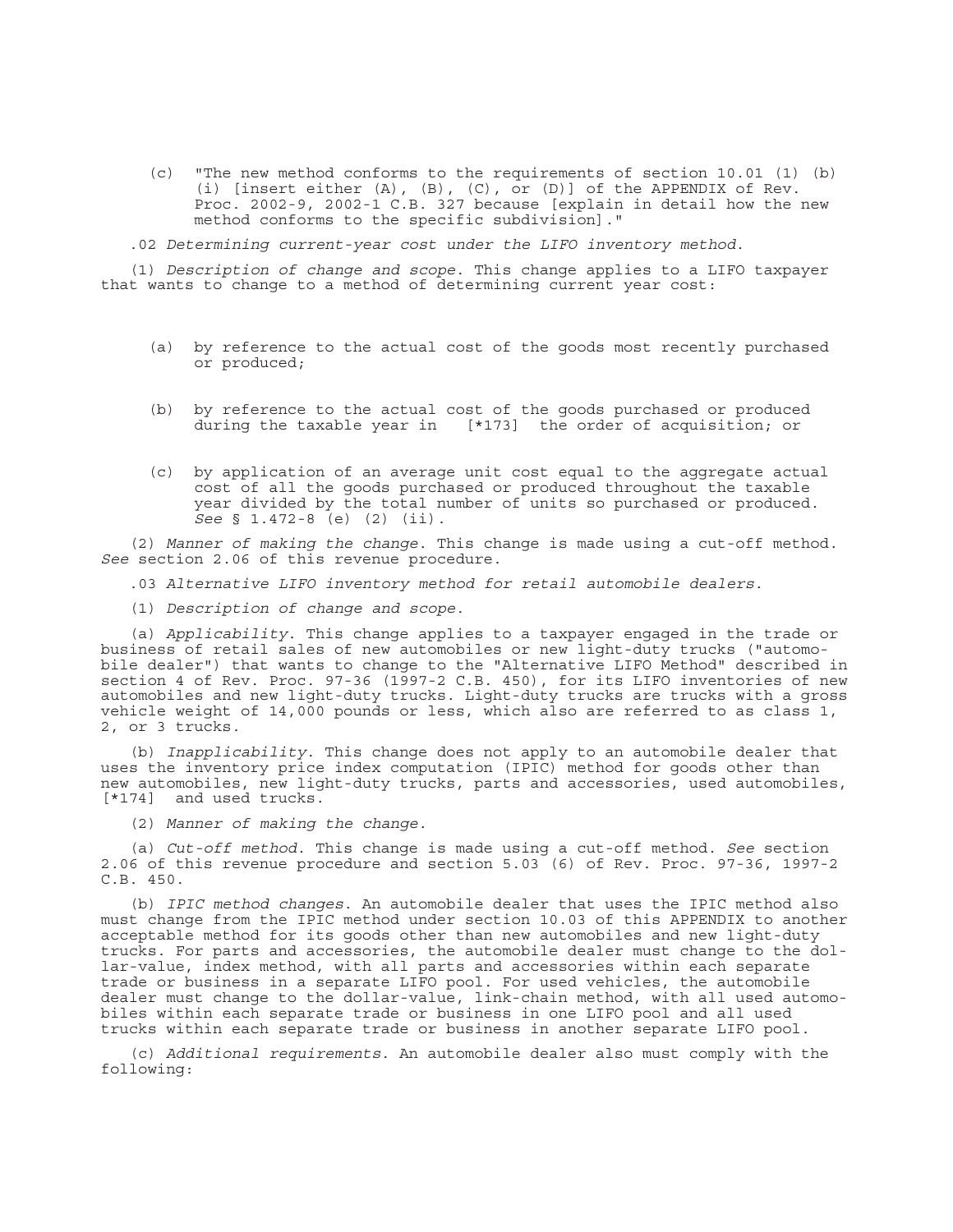(c) "The new method conforms to the requirements of section 10.01 (1) (b) (i) [insert either (A), (B), (C), or (D)] of the APPENDIX of Rev. Proc. 2002-9, 2002-1 C.B. 327 because [explain in detail how the new method conforms to the specific subdivision]."

.02 *Determining current-year cost under the LIFO inventory method*.

(1) *Description of change and scope*. This change applies to a LIFO taxpayer that wants to change to a method of determining current year cost:

- (a) by reference to the actual cost of the goods most recently purchased or produced;
- (b) by reference to the actual cost of the goods purchased or produced during the taxable year in [\*173] the order of acquisition; or
- (c) by application of an average unit cost equal to the aggregate actual cost of all the goods purchased or produced throughout the taxable year divided by the total number of units so purchased or produced. *See* § 1.472-8 (e) (2) (ii).

(2) *Manner of making the change*. This change is made using a cut-off method. *See* section 2.06 of this revenue procedure.

.03 *Alternative LIFO inventory method for retail automobile dealers*.

(1) *Description of change and scope*.

(a) *Applicability*. This change applies to a taxpayer engaged in the trade or business of retail sales of new automobiles or new light-duty trucks ("automobile dealer") that wants to change to the "Alternative LIFO Method" described in section 4 of Rev. Proc. 97-36 (1997-2 C.B. 450), for its LIFO inventories of new automobiles and new light-duty trucks. Light-duty trucks are trucks with a gross vehicle weight of 14,000 pounds or less, which also are referred to as class 1, 2, or 3 trucks.

(b) *Inapplicability*. This change does not apply to an automobile dealer that uses the inventory price index computation (IPIC) method for goods other than new automobiles, new light-duty trucks, parts and accessories, used automobiles, [\*174] and used trucks.

(2) *Manner of making the change*.

(a) *Cut-off method*. This change is made using a cut-off method. *See* section 2.06 of this revenue procedure and section 5.03 (6) of Rev. Proc. 97-36, 1997-2 C.B. 450.

(b) *IPIC method changes*. An automobile dealer that uses the IPIC method also must change from the IPIC method under section 10.03 of this APPENDIX to another acceptable method for its goods other than new automobiles and new light-duty trucks. For parts and accessories, the automobile dealer must change to the dollar-value, index method, with all parts and accessories within each separate trade or business in a separate LIFO pool. For used vehicles, the automobile dealer must change to the dollar-value, link-chain method, with all used automobiles within each separate trade or business in one LIFO pool and all used trucks within each separate trade or business in another separate LIFO pool.

(c) *Additional requirements*. An automobile dealer also must comply with the following: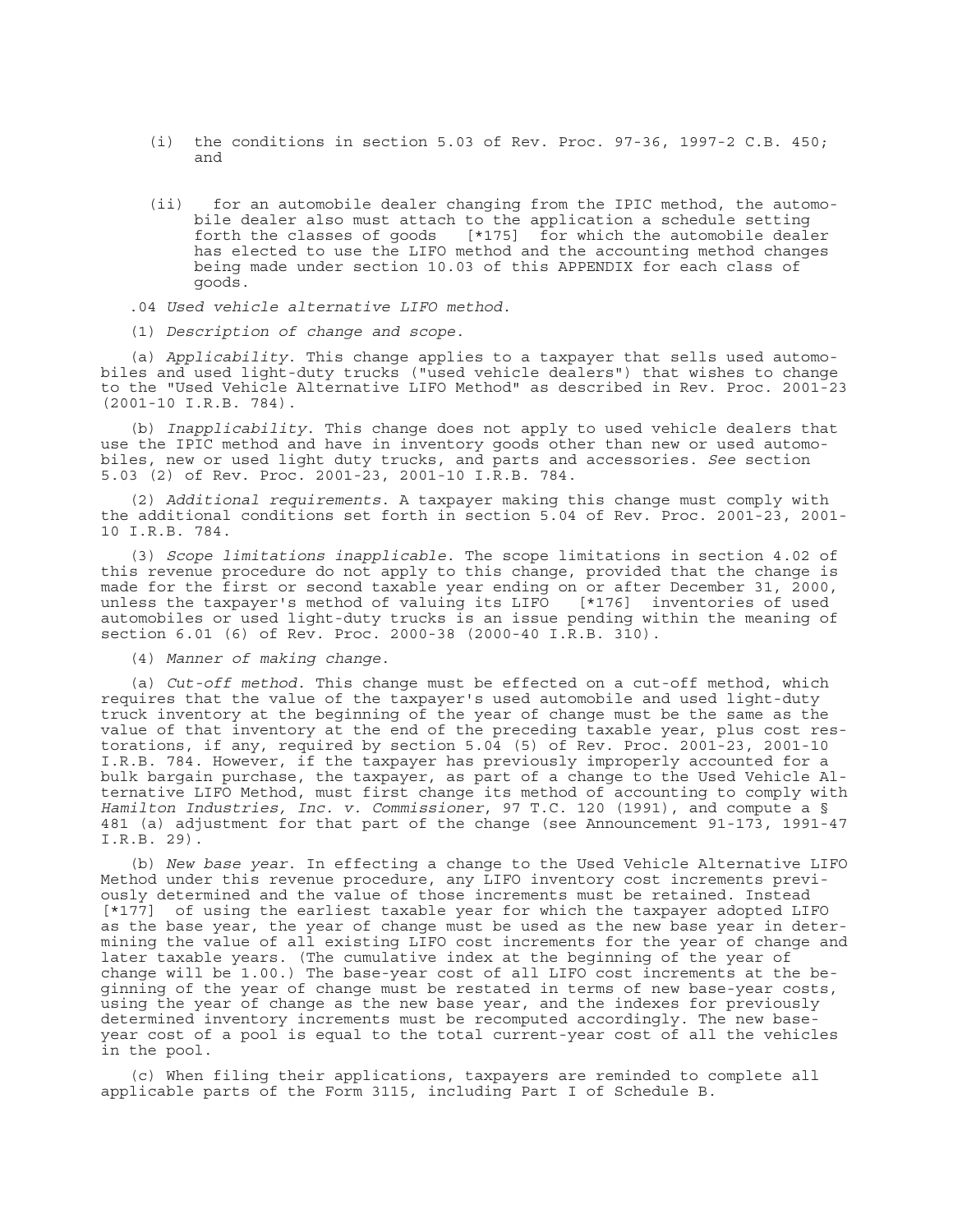- (i) the conditions in section 5.03 of Rev. Proc. 97-36, 1997-2 C.B. 450; and
- (ii) for an automobile dealer changing from the IPIC method, the automobile dealer also must attach to the application a schedule setting<br>forth the classes of goods [\*175] for which the automobile dealer  $[*175]$  for which the automobile dealer has elected to use the LIFO method and the accounting method changes being made under section 10.03 of this APPENDIX for each class of goods.
- .04 *Used vehicle alternative LIFO method*.
- (1) *Description of change and scope*.

(a) *Applicability*. This change applies to a taxpayer that sells used automobiles and used light-duty trucks ("used vehicle dealers") that wishes to change to the "Used Vehicle Alternative LIFO Method" as described in Rev. Proc. 2001-23 (2001-10 I.R.B. 784).

(b) *Inapplicability*. This change does not apply to used vehicle dealers that use the IPIC method and have in inventory goods other than new or used automobiles, new or used light duty trucks, and parts and accessories. *See* section 5.03 (2) of Rev. Proc. 2001-23, 2001-10 I.R.B. 784.

(2) *Additional requirements*. A taxpayer making this change must comply with the additional conditions set forth in section 5.04 of Rev. Proc. 2001-23, 2001- 10 I.R.B. 784.

(3) *Scope limitations inapplicable*. The scope limitations in section 4.02 of this revenue procedure do not apply to this change, provided that the change is made for the first or second taxable year ending on or after December 31, 2000, unless the taxpayer's method of valuing its LIFO [\*176] inventories of used automobiles or used light-duty trucks is an issue pending within the meaning of section 6.01 (6) of Rev. Proc. 2000-38 (2000-40 I.R.B. 310).

(4) *Manner of making change*.

(a) *Cut-off method*. This change must be effected on a cut-off method, which requires that the value of the taxpayer's used automobile and used light-duty truck inventory at the beginning of the year of change must be the same as the value of that inventory at the end of the preceding taxable year, plus cost restorations, if any, required by section 5.04 (5) of Rev. Proc. 2001-23, 2001-10 I.R.B. 784. However, if the taxpayer has previously improperly accounted for a bulk bargain purchase, the taxpayer, as part of a change to the Used Vehicle Alternative LIFO Method, must first change its method of accounting to comply with *Hamilton Industries, Inc. v. Commissioner*, 97 T.C. 120 (1991), and compute a § 481 (a) adjustment for that part of the change (see Announcement 91-173, 1991-47 I.R.B. 29).

(b) *New base year*. In effecting a change to the Used Vehicle Alternative LIFO Method under this revenue procedure, any LIFO inventory cost increments previously determined and the value of those increments must be retained. Instead [\*177] of using the earliest taxable year for which the taxpayer adopted LIFO as the base year, the year of change must be used as the new base year in determining the value of all existing LIFO cost increments for the year of change and later taxable years. (The cumulative index at the beginning of the year of change will be 1.00.) The base-year cost of all LIFO cost increments at the beginning of the year of change must be restated in terms of new base-year costs, using the year of change as the new base year, and the indexes for previously determined inventory increments must be recomputed accordingly. The new baseyear cost of a pool is equal to the total current-year cost of all the vehicles in the pool.

(c) When filing their applications, taxpayers are reminded to complete all applicable parts of the Form 3115, including Part I of Schedule B.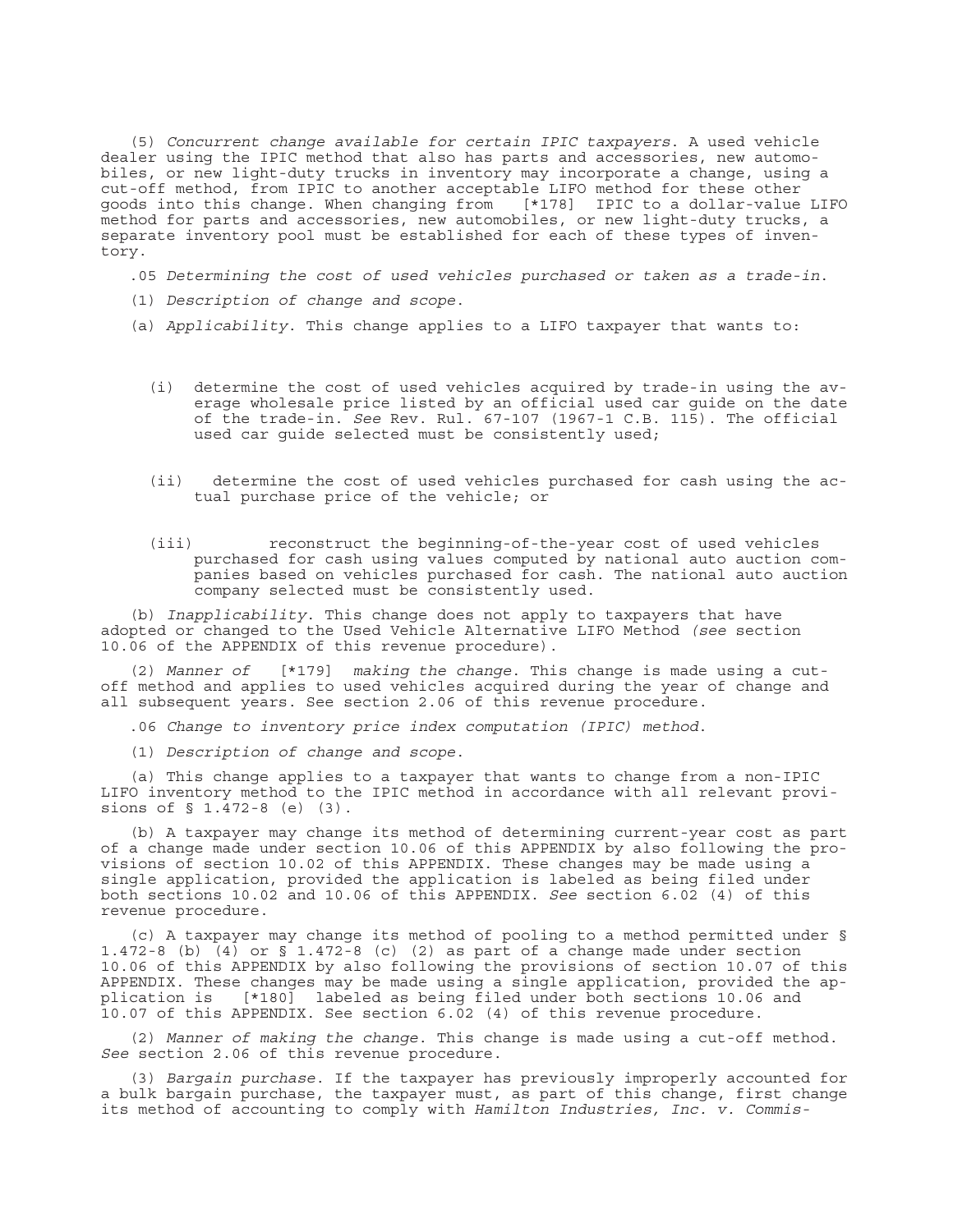(5) *Concurrent change available for certain IPIC taxpayers*. A used vehicle dealer using the IPIC method that also has parts and accessories, new automobiles, or new light-duty trucks in inventory may incorporate a change, using a cut-off method, from IPIC to another acceptable LIFO method for these other goods into this change. When changing from [\*178] IPIC to a dollar-value LIFO method for parts and accessories, new automobiles, or new light-duty trucks, a separate inventory pool must be established for each of these types of inventory.

.05 *Determining the cost of used vehicles purchased or taken as a trade-in*.

- (1) *Description of change and scope*.
- (a) *Applicability*. This change applies to a LIFO taxpayer that wants to:
	- (i) determine the cost of used vehicles acquired by trade-in using the average wholesale price listed by an official used car guide on the date of the trade-in. *See* Rev. Rul. 67-107 (1967-1 C.B. 115). The official used car guide selected must be consistently used;
	- (ii) determine the cost of used vehicles purchased for cash using the actual purchase price of the vehicle; or
	- (iii) reconstruct the beginning-of-the-year cost of used vehicles purchased for cash using values computed by national auto auction companies based on vehicles purchased for cash. The national auto auction company selected must be consistently used.

(b) *Inapplicability*. This change does not apply to taxpayers that have adopted or changed to the Used Vehicle Alternative LIFO Method *(see* section 10.06 of the APPENDIX of this revenue procedure).

(2) *Manner of* [\*179] *making the change*. This change is made using a cutoff method and applies to used vehicles acquired during the year of change and all subsequent years. See section 2.06 of this revenue procedure.

.06 *Change to inventory price index computation (IPIC) method*.

(1) *Description of change and scope*.

(a) This change applies to a taxpayer that wants to change from a non-IPIC LIFO inventory method to the IPIC method in accordance with all relevant provisions of  $\S 1.472-8$  (e)  $(3)$ .

(b) A taxpayer may change its method of determining current-year cost as part of a change made under section 10.06 of this APPENDIX by also following the provisions of section 10.02 of this APPENDIX. These changes may be made using a single application, provided the application is labeled as being filed under both sections 10.02 and 10.06 of this APPENDIX. *See* section 6.02 (4) of this revenue procedure.

(c) A taxpayer may change its method of pooling to a method permitted under § 1.472-8 (b) (4) or § 1.472-8 (c) (2) as part of a change made under section 10.06 of this APPENDIX by also following the provisions of section 10.07 of this APPENDIX. These changes may be made using a single application, provided the application is [\*180] labeled as being filed under both sections 10.06 and 10.07 of this APPENDIX. See section 6.02 (4) of this revenue procedure.

(2) *Manner of making the change*. This change is made using a cut-off method. *See* section 2.06 of this revenue procedure.

(3) *Bargain purchase*. If the taxpayer has previously improperly accounted for a bulk bargain purchase, the taxpayer must, as part of this change, first change its method of accounting to comply with *Hamilton Industries, Inc. v. Commis-*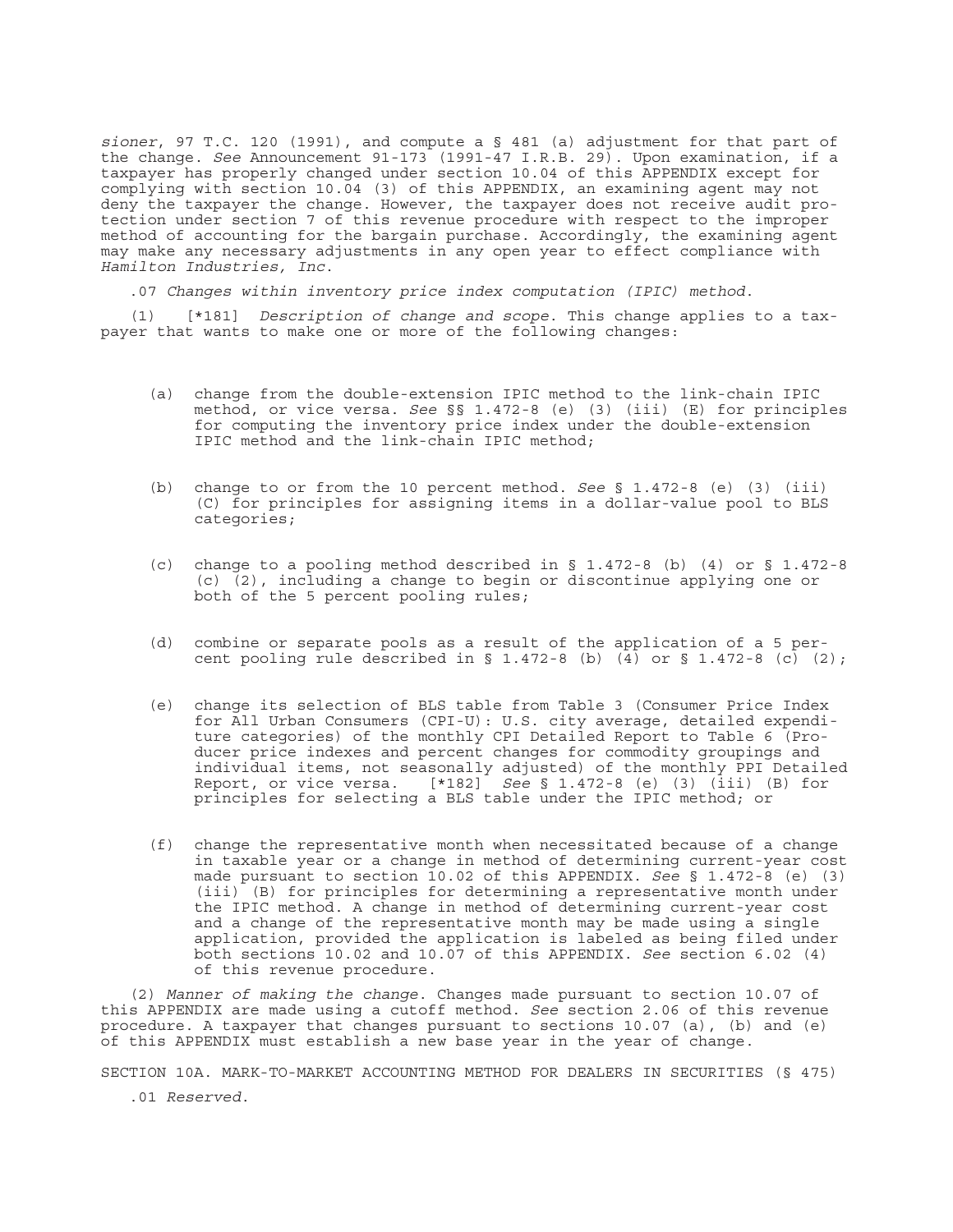*sioner*, 97 T.C. 120 (1991), and compute a § 481 (a) adjustment for that part of the change. *See* Announcement 91-173 (1991-47 I.R.B. 29). Upon examination, if a taxpayer has properly changed under section 10.04 of this APPENDIX except for complying with section 10.04 (3) of this APPENDIX, an examining agent may not deny the taxpayer the change. However, the taxpayer does not receive audit protection under section 7 of this revenue procedure with respect to the improper method of accounting for the bargain purchase. Accordingly, the examining agent may make any necessary adjustments in any open year to effect compliance with *Hamilton Industries, Inc*.

.07 *Changes within inventory price index computation (IPIC) method*.

(1) [\*181] *Description of change and scope*. This change applies to a taxpayer that wants to make one or more of the following changes:

- (a) change from the double-extension IPIC method to the link-chain IPIC method, or vice versa. *See* §§ 1.472-8 (e) (3) (iii) (E) for principles for computing the inventory price index under the double-extension IPIC method and the link-chain IPIC method;
- (b) change to or from the 10 percent method. *See* § 1.472-8 (e) (3) (iii) (C) for principles for assigning items in a dollar-value pool to BLS categories;
- (c) change to a pooling method described in  $\S$  1.472-8 (b) (4) or  $\S$  1.472-8 (c) (2), including a change to begin or discontinue applying one or both of the 5 percent pooling rules;
- (d) combine or separate pools as a result of the application of a 5 percent pooling rule described in § 1.472-8 (b)  $\overline{4}$  or § 1.472-8 (c) (2);
- (e) change its selection of BLS table from Table 3 (Consumer Price Index for All Urban Consumers (CPI-U): U.S. city average, detailed expenditure categories) of the monthly CPI Detailed Report to Table 6 (Producer price indexes and percent changes for commodity groupings and individual items, not seasonally adjusted) of the monthly PPI Detailed Report, or vice versa. [\*182] *See* § 1.472-8 (e) (3) (iii) (B) for principles for selecting a BLS table under the IPIC method; or
- (f) change the representative month when necessitated because of a change in taxable year or a change in method of determining current-year cost made pursuant to section 10.02 of this APPENDIX. *See* § 1.472-8 (e) (3) (iii) (B) for principles for determining a representative month under the IPIC method. A change in method of determining current-year cost and a change of the representative month may be made using a single application, provided the application is labeled as being filed under both sections 10.02 and 10.07 of this APPENDIX. *See* section 6.02 (4) of this revenue procedure.

(2) *Manner of making the change*. Changes made pursuant to section 10.07 of this APPENDIX are made using a cutoff method. *See* section 2.06 of this revenue procedure. A taxpayer that changes pursuant to sections 10.07 (a), (b) and (e) of this APPENDIX must establish a new base year in the year of change.

SECTION 10A. MARK-TO-MARKET ACCOUNTING METHOD FOR DEALERS IN SECURITIES (§ 475)

.01 *Reserved*.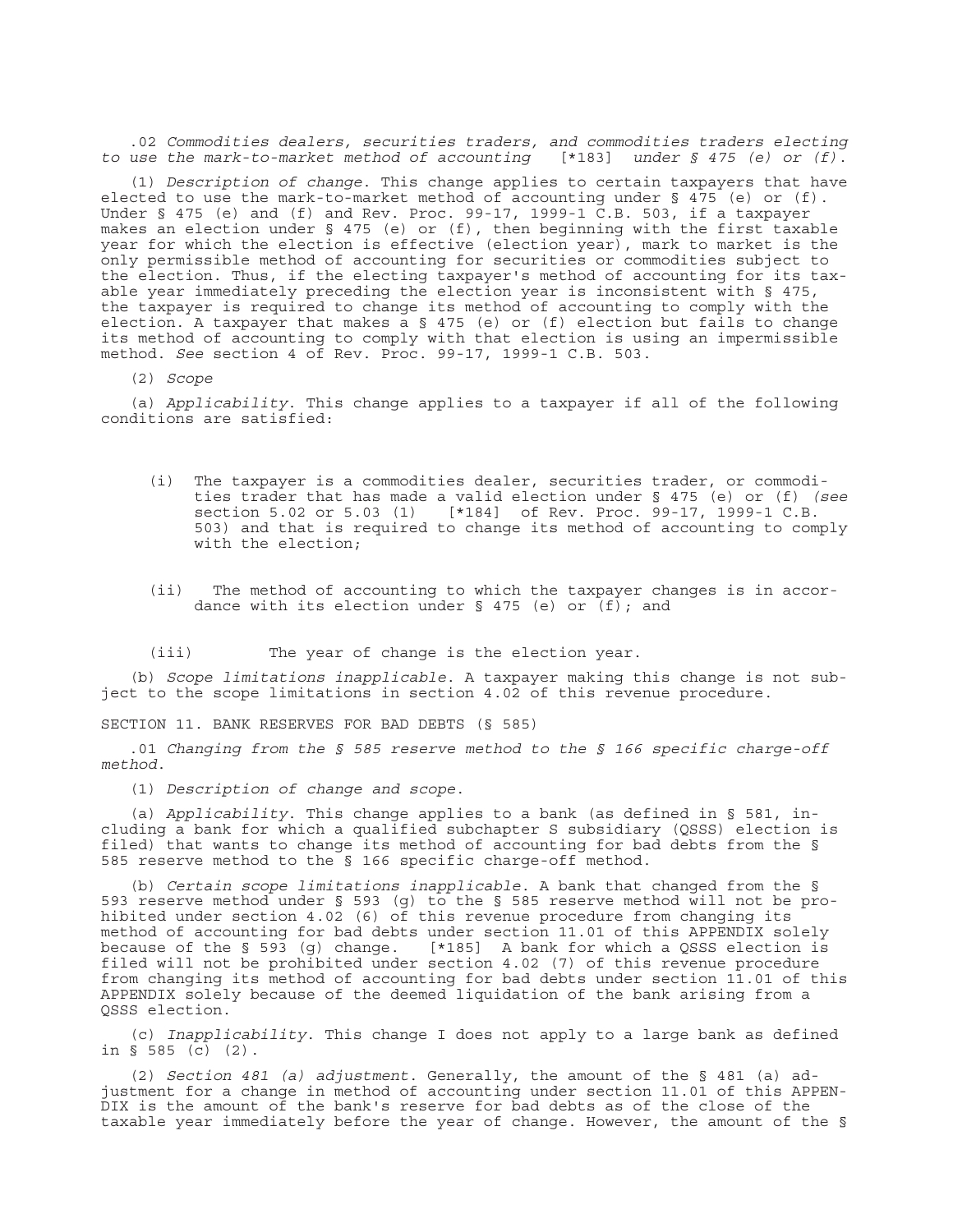.02 *Commodities dealers, securities traders, and commodities traders electing to use the mark-to-market method of accounting* [\*183] *under § 475 (e) or (f)*.

(1) *Description of change*. This change applies to certain taxpayers that have elected to use the mark-to-market method of accounting under § 475 (e) or (f). Under § 475 (e) and (f) and Rev. Proc. 99-17, 1999-1 C.B. 503, if a taxpayer makes an election under § 475 (e) or (f), then beginning with the first taxable year for which the election is effective (election year), mark to market is the only permissible method of accounting for securities or commodities subject to the election. Thus, if the electing taxpayer's method of accounting for its taxable year immediately preceding the election year is inconsistent with § 475, the taxpayer is required to change its method of accounting to comply with the election. A taxpayer that makes a § 475 (e) or (f) election but fails to change its method of accounting to comply with that election is using an impermissible method. *See* section 4 of Rev. Proc. 99-17, 1999-1 C.B. 503.

(2) *Scope*

(a) *Applicability*. This change applies to a taxpayer if all of the following conditions are satisfied:

- (i) The taxpayer is a commodities dealer, securities trader, or commodities trader that has made a valid election under § 475 (e) or (f) *(see* [\*184] of Rev. Proc. 99-17, 1999-1 C.B. 503) and that is required to change its method of accounting to comply with the election;
- (ii) The method of accounting to which the taxpayer changes is in accordance with its election under § 475 (e) or  $(f)$ ; and

(iii) The year of change is the election year.

(b) *Scope limitations inapplicable*. A taxpayer making this change is not subject to the scope limitations in section 4.02 of this revenue procedure.

SECTION 11. BANK RESERVES FOR BAD DEBTS (§ 585)

.01 *Changing from the § 585 reserve method to the § 166 specific charge-off method*.

(1) *Description of change and scope*.

(a) *Applicability*. This change applies to a bank (as defined in § 581, including a bank for which a qualified subchapter S subsidiary (QSSS) election is filed) that wants to change its method of accounting for bad debts from the § 585 reserve method to the § 166 specific charge-off method.

(b) *Certain scope limitations inapplicable*. A bank that changed from the § 593 reserve method under § 593 (g) to the § 585 reserve method will not be prohibited under section 4.02 (6) of this revenue procedure from changing its method of accounting for bad debts under section 11.01 of this APPENDIX solely because of the  $\S$  593 (q) change. [\*185] A bank for which a QSSS election is filed will not be prohibited under section 4.02 (7) of this revenue procedure from changing its method of accounting for bad debts under section 11.01 of this APPENDIX solely because of the deemed liquidation of the bank arising from a QSSS election.

(c) *Inapplicability*. This change I does not apply to a large bank as defined in § 585 (c) (2).

(2) *Section 481 (a) adjustment*. Generally, the amount of the § 481 (a) adjustment for a change in method of accounting under section 11.01 of this APPEN-DIX is the amount of the bank's reserve for bad debts as of the close of the taxable year immediately before the year of change. However, the amount of the §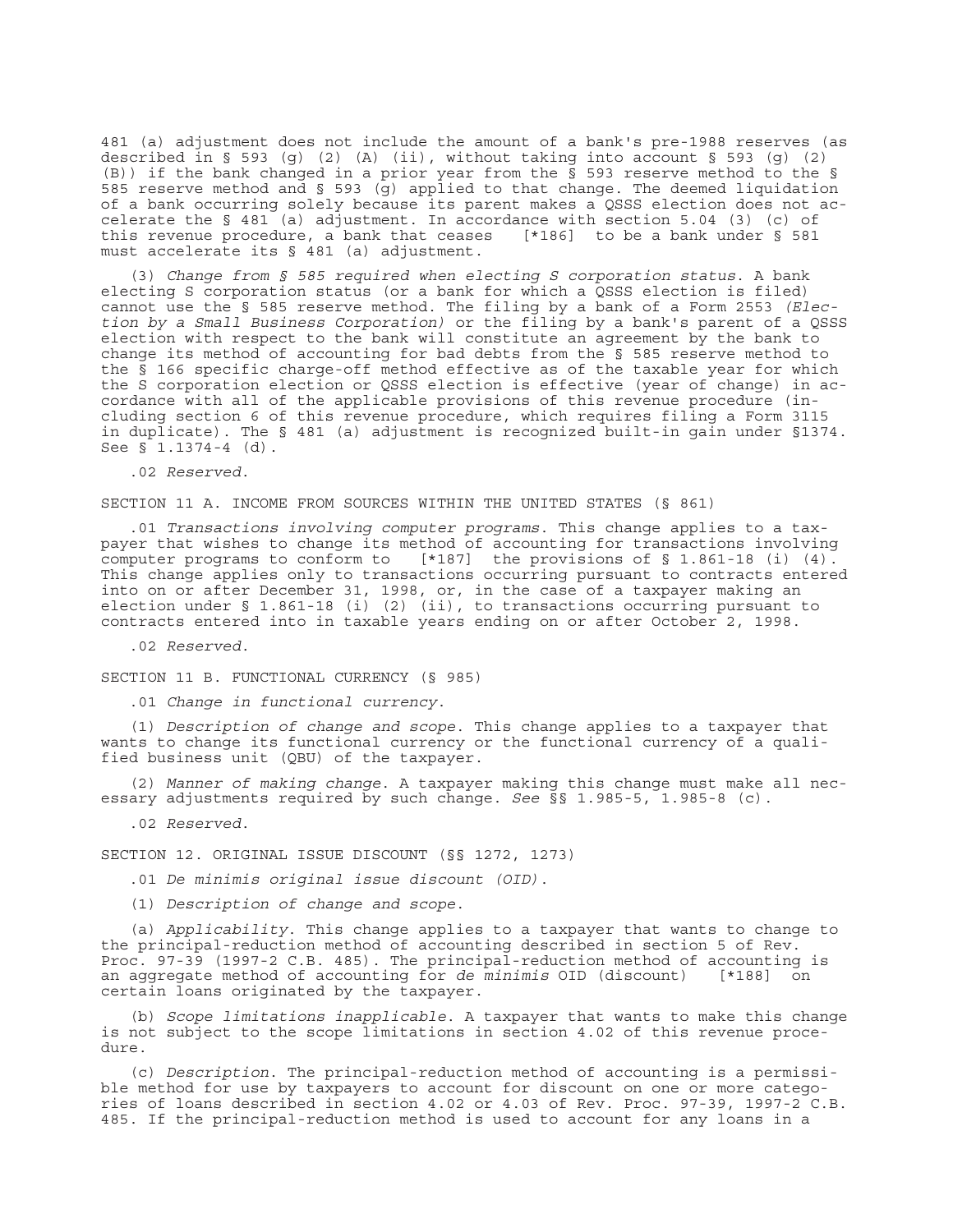481 (a) adjustment does not include the amount of a bank's pre-1988 reserves (as described in § 593 (g) (2) (A) (ii), without taking into account § 593 (g) (2) (B)) if the bank changed in a prior year from the § 593 reserve method to the § 585 reserve method and § 593  $\overline{(g)}$  applied to that change. The deemed liquidation of a bank occurring solely because its parent makes a QSSS election does not accelerate the § 481 (a) adjustment. In accordance with section 5.04 (3) (c) of this revenue procedure, a bank that ceases [\*186] to be a bank under § 581 must accelerate its § 481 (a) adjustment.

(3) *Change from § 585 required when electing S corporation status*. A bank electing S corporation status (or a bank for which a QSSS election is filed) cannot use the § 585 reserve method. The filing by a bank of a Form 2553 *(Election by a Small Business Corporation)* or the filing by a bank's parent of a QSSS election with respect to the bank will constitute an agreement by the bank to change its method of accounting for bad debts from the § 585 reserve method to the § 166 specific charge-off method effective as of the taxable year for which the S corporation election or QSSS election is effective (year of change) in accordance with all of the applicable provisions of this revenue procedure (including section 6 of this revenue procedure, which requires filing a Form 3115 in duplicate). The § 481 (a) adjustment is recognized built-in gain under §1374. See § 1.1374-4 (d).

.02 *Reserved*.

## SECTION 11 A. INCOME FROM SOURCES WITHIN THE UNITED STATES (§ 861)

.01 *Transactions involving computer programs*. This change applies to a taxpayer that wishes to change its method of accounting for transactions involving computer programs to conform to [\*187] the provisions of § 1.861-18 (i) (4). This change applies only to transactions occurring pursuant to contracts entered into on or after December 31, 1998, or, in the case of a taxpayer making an election under § 1.861-18 (i) (2) (ii), to transactions occurring pursuant to contracts entered into in taxable years ending on or after October 2, 1998.

.02 *Reserved*.

SECTION 11 B. FUNCTIONAL CURRENCY (§ 985)

.01 *Change in functional currency*.

(1) *Description of change and scope*. This change applies to a taxpayer that wants to change its functional currency or the functional currency of a qualified business unit (QBU) of the taxpayer.

(2) *Manner of making change*. A taxpayer making this change must make all necessary adjustments required by such change. *See* §§ 1.985-5, 1.985-8 (c).

.02 *Reserved*.

SECTION 12. ORIGINAL ISSUE DISCOUNT (§§ 1272, 1273)

.01 *De minimis original issue discount (OID)*.

(1) *Description of change and scope*.

(a) *Applicability*. This change applies to a taxpayer that wants to change to the principal-reduction method of accounting described in section 5 of Rev. Proc. 97-39 (1997-2 C.B. 485). The principal-reduction method of accounting is an aggregate method of accounting for *de minimis* OID (discount) [\*188] on certain loans originated by the taxpayer.

(b) *Scope limitations inapplicable*. A taxpayer that wants to make this change is not subject to the scope limitations in section 4.02 of this revenue procedure.

(c) *Description*. The principal-reduction method of accounting is a permissible method for use by taxpayers to account for discount on one or more categories of loans described in section 4.02 or 4.03 of Rev. Proc. 97-39, 1997-2 C.B. 485. If the principal-reduction method is used to account for any loans in a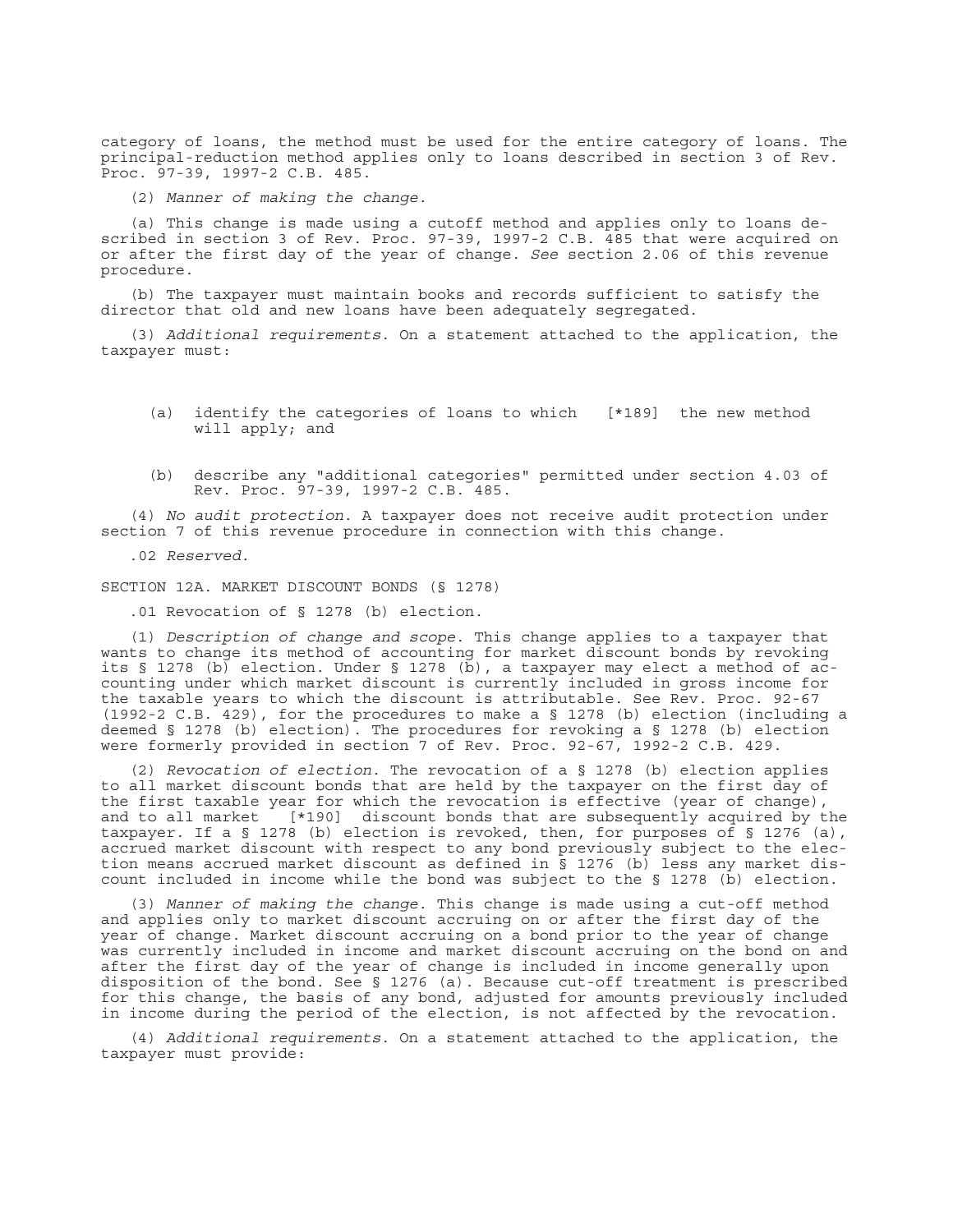category of loans, the method must be used for the entire category of loans. The principal-reduction method applies only to loans described in section 3 of Rev. Proc. 97-39, 1997-2 C.B. 485.

(2) *Manner of making the change*.

(a) This change is made using a cutoff method and applies only to loans described in section 3 of Rev. Proc. 97-39, 1997-2 C.B. 485 that were acquired on or after the first day of the year of change. *See* section 2.06 of this revenue procedure.

(b) The taxpayer must maintain books and records sufficient to satisfy the director that old and new loans have been adequately segregated.

(3) *Additional requirements*. On a statement attached to the application, the taxpayer must:

- (a) identify the categories of loans to which [\*189] the new method will apply; and
- (b) describe any "additional categories" permitted under section 4.03 of Rev. Proc. 97-39, 1997-2 C.B. 485.

(4) *No audit protection*. A taxpayer does not receive audit protection under section 7 of this revenue procedure in connection with this change.

.02 *Reserved*.

SECTION 12A. MARKET DISCOUNT BONDS (§ 1278)

.01 Revocation of § 1278 (b) election.

(1) *Description of change and scope*. This change applies to a taxpayer that wants to change its method of accounting for market discount bonds by revoking its § 1278 (b) election. Under § 1278 (b), a taxpayer may elect a method of accounting under which market discount is currently included in gross income for the taxable years to which the discount is attributable. See Rev. Proc. 92-67 (1992-2 C.B. 429), for the procedures to make a § 1278 (b) election (including a deemed § 1278 (b) election). The procedures for revoking a § 1278 (b) election were formerly provided in section 7 of Rev. Proc. 92-67, 1992-2 C.B. 429.

(2) *Revocation of election*. The revocation of a § 1278 (b) election applies to all market discount bonds that are held by the taxpayer on the first day of the first taxable year for which the revocation is effective (year of change), and to all market [\*190] discount bonds that are subsequently acquired by the taxpayer. If a § 1278 (b) election is revoked, then, for purposes of § 1276 (a), accrued market discount with respect to any bond previously subject to the election means accrued market discount as defined in § 1276 (b) less any market discount included in income while the bond was subject to the § 1278 (b) election.

(3) *Manner of making the change*. This change is made using a cut-off method and applies only to market discount accruing on or after the first day of the year of change. Market discount accruing on a bond prior to the year of change was currently included in income and market discount accruing on the bond on and after the first day of the year of change is included in income generally upon disposition of the bond. See § 1276 (a). Because cut-off treatment is prescribed for this change, the basis of any bond, adjusted for amounts previously included in income during the period of the election, is not affected by the revocation.

(4) *Additional requirements*. On a statement attached to the application, the taxpayer must provide: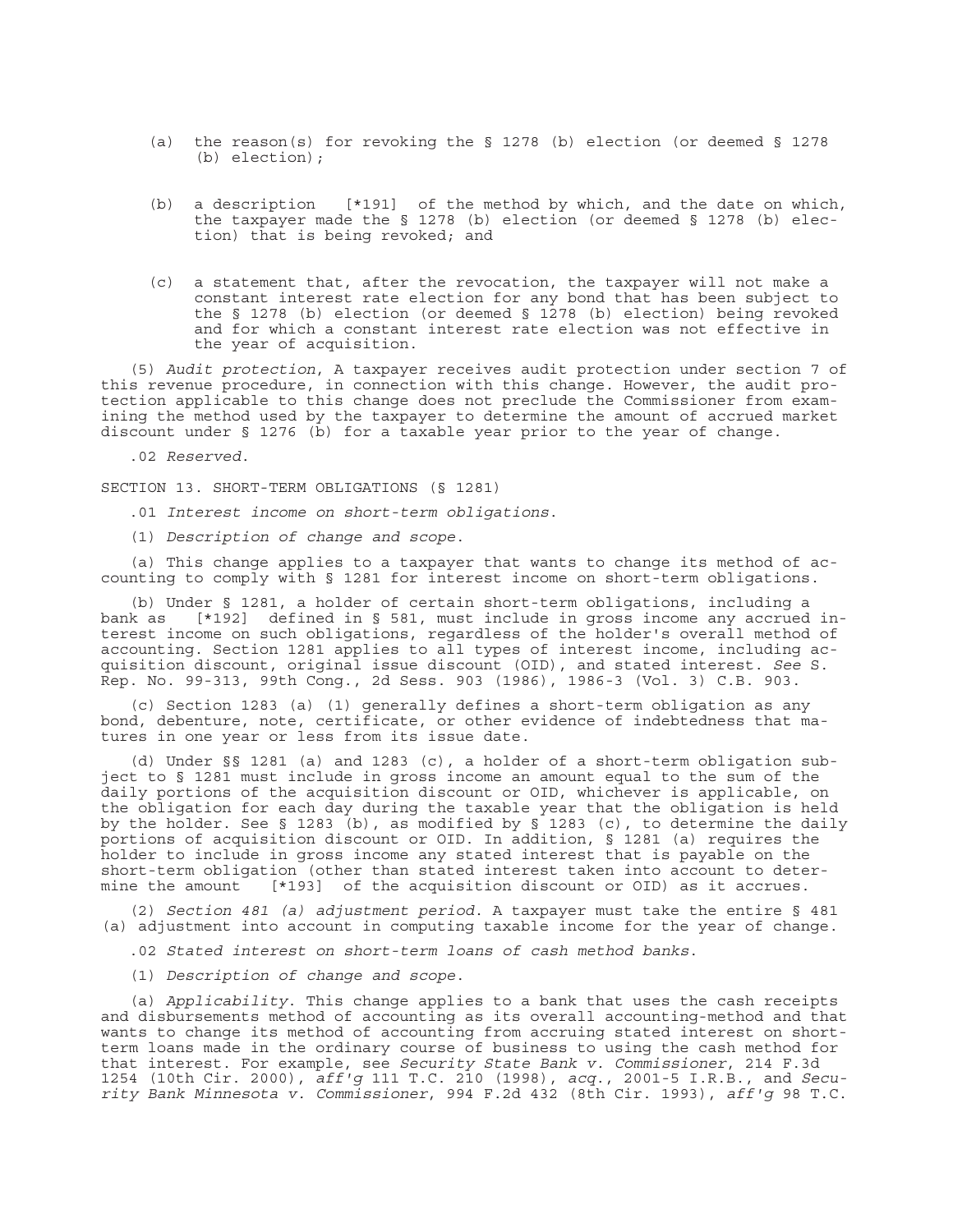- (a) the reason(s) for revoking the § 1278 (b) election (or deemed § 1278 (b) election);
- (b) a description [\*191] of the method by which, and the date on which, the taxpayer made the § 1278 (b) election (or deemed § 1278 (b) election) that is being revoked; and
- (c) a statement that, after the revocation, the taxpayer will not make a constant interest rate election for any bond that has been subject to the § 1278 (b) election (or deemed § 1278 (b) election) being revoked and for which a constant interest rate election was not effective in the year of acquisition.

(5) *Audit protection*, A taxpayer receives audit protection under section 7 of this revenue procedure, in connection with this change. However, the audit protection applicable to this change does not preclude the Commissioner from examining the method used by the taxpayer to determine the amount of accrued market discount under § 1276 (b) for a taxable year prior to the year of change.

.02 *Reserved*.

SECTION 13. SHORT-TERM OBLIGATIONS (§ 1281)

.01 *Interest income on short-term obligations*.

(1) *Description of change and scope*.

(a) This change applies to a taxpayer that wants to change its method of accounting to comply with § 1281 for interest income on short-term obligations.

(b) Under § 1281, a holder of certain short-term obligations, including a bank as [\*192] defined in § 581, must include in gross income any accrued interest income on such obligations, regardless of the holder's overall method of accounting. Section 1281 applies to all types of interest income, including acquisition discount, original issue discount (OID), and stated interest. *See* S. Rep. No. 99-313, 99th Cong., 2d Sess. 903 (1986), 1986-3 (Vol. 3) C.B. 903.

(c) Section 1283 (a) (1) generally defines a short-term obligation as any bond, debenture, note, certificate, or other evidence of indebtedness that matures in one year or less from its issue date.

(d) Under §§ 1281 (a) and 1283 (c), a holder of a short-term obligation subject to § 1281 must include in gross income an amount equal to the sum of the daily portions of the acquisition discount or OID, whichever is applicable, on the obligation for each day during the taxable year that the obligation is held by the holder. See § 1283 (b), as modified by § 1283 (c), to determine the daily portions of acquisition discount or OID. In addition, § 1281 (a) requires the holder to include in gross income any stated interest that is payable on the short-term obligation (other than stated interest taken into account to determine the amount [\*193] of the acquisition discount or OID) as it accrues.

(2) *Section 481 (a) adjustment period*. A taxpayer must take the entire § 481 (a) adjustment into account in computing taxable income for the year of change.

.02 *Stated interest on short-term loans of cash method banks*.

(1) *Description of change and scope*.

(a) *Applicability*. This change applies to a bank that uses the cash receipts and disbursements method of accounting as its overall accounting-method and that wants to change its method of accounting from accruing stated interest on shortterm loans made in the ordinary course of business to using the cash method for that interest. For example, see *Security State Bank v. Commissioner*, 214 F.3d 1254 (10th Cir. 2000), *aff'g* 111 T.C. 210 (1998), *acq*., 2001-5 I.R.B., and *Security Bank Minnesota v. Commissioner*, 994 F.2d 432 (8th Cir. 1993), *aff'g* 98 T.C.